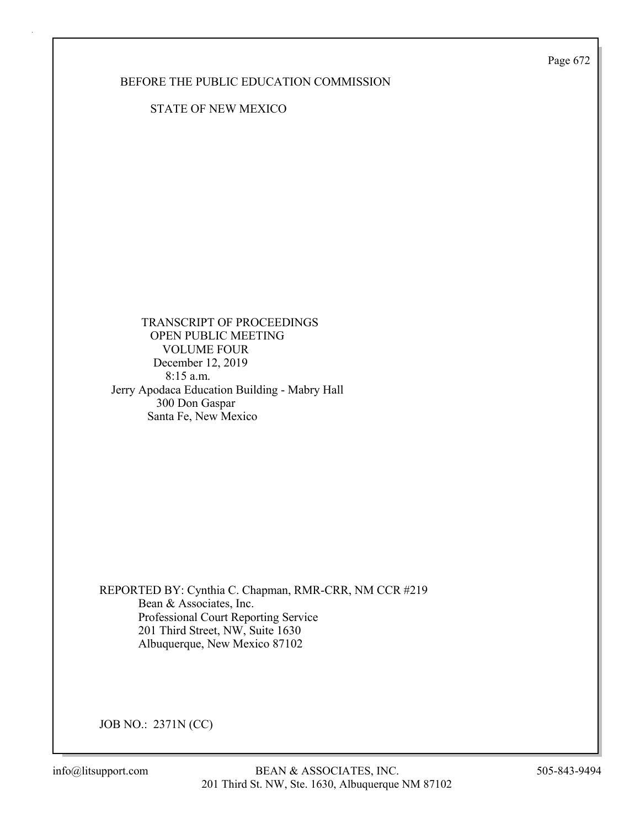Page 672

## BEFORE THE PUBLIC EDUCATION COMMISSION

STATE OF NEW MEXICO

 TRANSCRIPT OF PROCEEDINGS OPEN PUBLIC MEETING VOLUME FOUR December 12, 2019 8:15 a.m. Jerry Apodaca Education Building - Mabry Hall 300 Don Gaspar Santa Fe, New Mexico

REPORTED BY: Cynthia C. Chapman, RMR-CRR, NM CCR #219 Bean & Associates, Inc. Professional Court Reporting Service 201 Third Street, NW, Suite 1630 Albuquerque, New Mexico 87102

JOB NO.: 2371N (CC)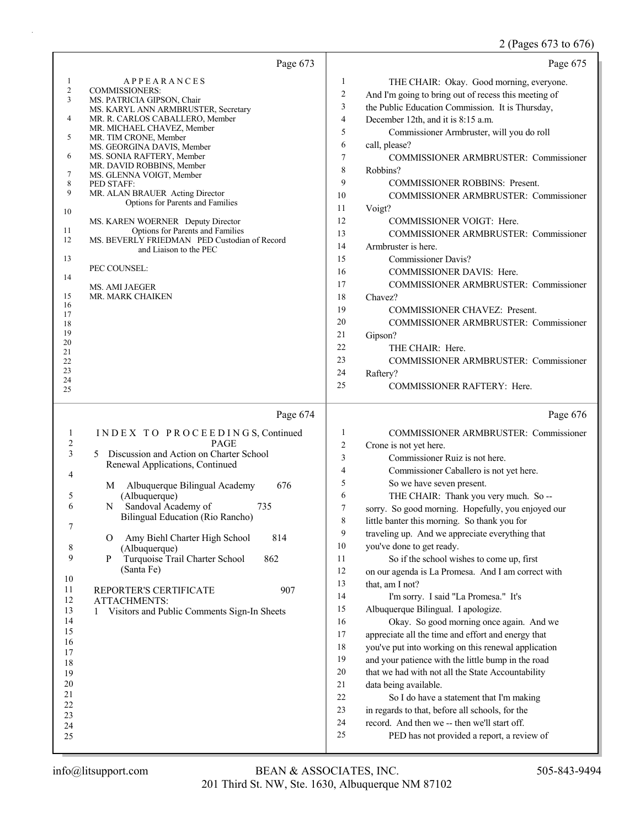## 2 (Pages 673 to 676)

|                                                                                                                                                                 | Page 673                                                                                                                                                                                                                                                                                                                                                                                                                                                                                                                                                                                                                            |                                                                                                                                                                                        | Page 675                                                                                                                                                                                                                                                                                                                                                                                                                                                                                                                                                                                                                                                                                                                                                                                                                                                                                                                                                                                                                                                                                                |
|-----------------------------------------------------------------------------------------------------------------------------------------------------------------|-------------------------------------------------------------------------------------------------------------------------------------------------------------------------------------------------------------------------------------------------------------------------------------------------------------------------------------------------------------------------------------------------------------------------------------------------------------------------------------------------------------------------------------------------------------------------------------------------------------------------------------|----------------------------------------------------------------------------------------------------------------------------------------------------------------------------------------|---------------------------------------------------------------------------------------------------------------------------------------------------------------------------------------------------------------------------------------------------------------------------------------------------------------------------------------------------------------------------------------------------------------------------------------------------------------------------------------------------------------------------------------------------------------------------------------------------------------------------------------------------------------------------------------------------------------------------------------------------------------------------------------------------------------------------------------------------------------------------------------------------------------------------------------------------------------------------------------------------------------------------------------------------------------------------------------------------------|
| 1<br>$\overline{c}$<br>3<br>4<br>5<br>6<br>7<br>8<br>9<br>10<br>11<br>12<br>13<br>14<br>15<br>16<br>17<br>18<br>19<br>20<br>21<br>22                            | <b>APPEARANCES</b><br><b>COMMISSIONERS:</b><br>MS. PATRICIA GIPSON, Chair<br>MS. KARYL ANN ARMBRUSTER, Secretary<br>MR. R. CARLOS CABALLERO, Member<br>MR. MICHAEL CHAVEZ, Member<br>MR. TIM CRONE, Member<br>MS. GEORGINA DAVIS, Member<br>MS. SONIA RAFTERY, Member<br>MR. DAVID ROBBINS, Member<br>MS. GLENNA VOIGT, Member<br>PED STAFF:<br>MR. ALAN BRAUER Acting Director<br>Options for Parents and Families<br>MS. KAREN WOERNER Deputy Director<br>Options for Parents and Families<br>MS. BEVERLY FRIEDMAN PED Custodian of Record<br>and Liaison to the PEC<br>PEC COUNSEL:<br><b>MS. AMI JAEGER</b><br>MR. MARK CHAIKEN | $\mathbf{1}$<br>$\overline{c}$<br>3<br>$\overline{\mathcal{L}}$<br>5<br>6<br>7<br>$\,$ 8 $\,$<br>9<br>10<br>11<br>12<br>13<br>14<br>15<br>16<br>17<br>18<br>19<br>20<br>21<br>22<br>23 | THE CHAIR: Okay. Good morning, everyone.<br>And I'm going to bring out of recess this meeting of<br>the Public Education Commission. It is Thursday,<br>December 12th, and it is 8:15 a.m.<br>Commissioner Armbruster, will you do roll<br>call, please?<br>COMMISSIONER ARMBRUSTER: Commissioner<br>Robbins?<br><b>COMMISSIONER ROBBINS: Present.</b><br>COMMISSIONER ARMBRUSTER: Commissioner<br>Voigt?<br>COMMISSIONER VOIGT: Here.<br>COMMISSIONER ARMBRUSTER: Commissioner<br>Armbruster is here.<br>Commissioner Davis?<br>COMMISSIONER DAVIS: Here.<br>COMMISSIONER ARMBRUSTER: Commissioner<br>Chavez?<br>COMMISSIONER CHAVEZ: Present.<br>COMMISSIONER ARMBRUSTER: Commissioner<br>Gipson?<br>THE CHAIR: Here.<br>COMMISSIONER ARMBRUSTER: Commissioner                                                                                                                                                                                                                                                                                                                                        |
| 23<br>24<br>25                                                                                                                                                  |                                                                                                                                                                                                                                                                                                                                                                                                                                                                                                                                                                                                                                     | 24<br>25                                                                                                                                                                               | Raftery?<br>COMMISSIONER RAFTERY: Here.                                                                                                                                                                                                                                                                                                                                                                                                                                                                                                                                                                                                                                                                                                                                                                                                                                                                                                                                                                                                                                                                 |
|                                                                                                                                                                 | Page 674                                                                                                                                                                                                                                                                                                                                                                                                                                                                                                                                                                                                                            |                                                                                                                                                                                        | Page 676                                                                                                                                                                                                                                                                                                                                                                                                                                                                                                                                                                                                                                                                                                                                                                                                                                                                                                                                                                                                                                                                                                |
| 1<br>$\overline{\mathbf{c}}$<br>3<br>4<br>5<br>6<br>7<br>8<br>9<br>10<br>11<br>12<br>13<br>14<br>15<br>16<br>17<br>18<br>19<br>20<br>21<br>22<br>23<br>24<br>25 | INDEX TO PROCEEDINGS, Continued<br><b>PAGE</b><br>Discussion and Action on Charter School<br>5<br>Renewal Applications, Continued<br>Albuquerque Bilingual Academy<br>676<br>M<br>(Albuquerque)<br>Sandoval Academy of<br>735<br>N<br>Bilingual Education (Rio Rancho)<br>Amy Biehl Charter High School<br>814<br>O<br>(Albuquerque)<br>Turquoise Trail Charter School<br>862<br>P<br>(Santa Fe)<br>REPORTER'S CERTIFICATE<br>907<br><b>ATTACHMENTS:</b><br>Visitors and Public Comments Sign-In Sheets<br>1                                                                                                                        | $\mathbf{1}$<br>$\overline{c}$<br>3<br>4<br>5<br>6<br>7<br>8<br>9<br>10<br>11<br>12<br>13<br>14<br>15<br>16<br>17<br>18<br>19<br>20<br>21<br>22<br>23<br>24<br>25                      | COMMISSIONER ARMBRUSTER: Commissioner<br>Crone is not yet here.<br>Commissioner Ruiz is not here.<br>Commissioner Caballero is not yet here.<br>So we have seven present.<br>THE CHAIR: Thank you very much. So --<br>sorry. So good morning. Hopefully, you enjoyed our<br>little banter this morning. So thank you for<br>traveling up. And we appreciate everything that<br>you've done to get ready.<br>So if the school wishes to come up, first<br>on our agenda is La Promesa. And I am correct with<br>that, am I not?<br>I'm sorry. I said "La Promesa." It's<br>Albuquerque Bilingual. I apologize.<br>Okay. So good morning once again. And we<br>appreciate all the time and effort and energy that<br>you've put into working on this renewal application<br>and your patience with the little bump in the road<br>that we had with not all the State Accountability<br>data being available.<br>So I do have a statement that I'm making<br>in regards to that, before all schools, for the<br>record. And then we -- then we'll start off.<br>PED has not provided a report, a review of |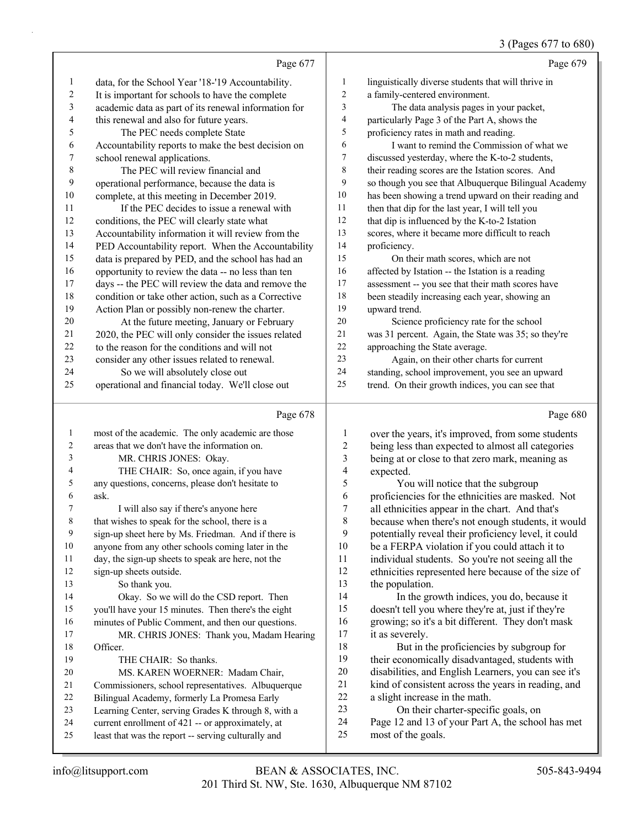## (Pages 677 to 680)

|    |                                                      |                          | $U(1 \text{ uS} \cup U)$ to $U(0 \cup V)$            |
|----|------------------------------------------------------|--------------------------|------------------------------------------------------|
|    | Page 677                                             |                          | Page 679                                             |
| 1  | data, for the School Year '18-'19 Accountability.    | 1                        | linguistically diverse students that will thrive in  |
| 2  | It is important for schools to have the complete     | 2                        | a family-centered environment.                       |
| 3  | academic data as part of its renewal information for | 3                        | The data analysis pages in your packet,              |
| 4  | this renewal and also for future years.              | $\overline{\mathcal{L}}$ | particularly Page 3 of the Part A, shows the         |
| 5  | The PEC needs complete State                         | 5                        | proficiency rates in math and reading.               |
| 6  | Accountability reports to make the best decision on  | 6                        | I want to remind the Commission of what we           |
| 7  | school renewal applications.                         | 7                        | discussed yesterday, where the K-to-2 students,      |
| 8  | The PEC will review financial and                    | $\,$ 8 $\,$              | their reading scores are the Istation scores. And    |
| 9  | operational performance, because the data is         | 9                        | so though you see that Albuquerque Bilingual Academy |
| 10 | complete, at this meeting in December 2019.          | 10                       | has been showing a trend upward on their reading and |
| 11 | If the PEC decides to issue a renewal with           | 11                       | then that dip for the last year, I will tell you     |
| 12 | conditions, the PEC will clearly state what          | 12                       | that dip is influenced by the K-to-2 Istation        |
| 13 | Accountability information it will review from the   | 13                       | scores, where it became more difficult to reach      |
| 14 | PED Accountability report. When the Accountability   | 14                       | proficiency.                                         |
| 15 | data is prepared by PED, and the school has had an   | 15                       | On their math scores, which are not                  |
| 16 | opportunity to review the data -- no less than ten   | 16                       | affected by Istation -- the Istation is a reading    |
| 17 | days -- the PEC will review the data and remove the  | 17                       | assessment -- you see that their math scores have    |
| 18 | condition or take other action, such as a Corrective | 18                       | been steadily increasing each year, showing an       |
| 19 | Action Plan or possibly non-renew the charter.       | 19                       | upward trend.                                        |
| 20 | At the future meeting, January or February           | 20                       | Science proficiency rate for the school              |
| 21 | 2020, the PEC will only consider the issues related  | 21                       | was 31 percent. Again, the State was 35; so they're  |
| 22 | to the reason for the conditions and will not        | 22                       | approaching the State average.                       |
| 23 | consider any other issues related to renewal.        | 23                       | Again, on their other charts for current             |
| 24 | So we will absolutely close out                      | 24                       | standing, school improvement, you see an upward      |
| 25 | operational and financial today. We'll close out     | 25                       | trend. On their growth indices, you can see that     |
|    |                                                      |                          |                                                      |
|    | Page 678                                             |                          | Page 680                                             |
| 1  | most of the academic. The only academic are those    | 1                        | over the years, it's improved, from some students    |
| 2  | areas that we don't have the information on.         | $\overline{c}$           | being less than expected to almost all categories    |
| 3  | MR. CHRIS JONES: Okay.                               | 3                        | being at or close to that zero mark, meaning as      |
| 4  | THE CHAIR: So, once again, if you have               | 4                        | expected.                                            |
| 5  | any questions, concerns, please don't hesitate to    | 5                        | You will notice that the subgroup                    |
| 6  | ask.                                                 | 6                        | proficiencies for the ethnicities are masked. Not    |

7 I will also say if there's anyone here

8 that wishes to speak for the school, there is a

 sign-up sheet here by Ms. Friedman. And if there is anyone from any other schools coming later in the

day, the sign-up sheets to speak are here, not the

sign-up sheets outside.

13 So thank you. 14 Okay. So we will do the CSD report. Then you'll have your 15 minutes. Then there's the eight

minutes of Public Comment, and then our questions.

17 MR. CHRIS JONES: Thank you, Madam Hearing Officer.

19 THE CHAIR: So thanks.

20 MS. KAREN WOERNER: Madam Chair,

- 21 Commissioners, school representatives. Albuquerque<br>22 Bilingual Academy. formerly La Promesa Farly
- Bilingual Academy, formerly La Promesa Early
- Learning Center, serving Grades K through 8, with a current enrollment of 421 -- or approximately, at
- least that was the report -- serving culturally and

6 proficiencies for the ethnicities are masked. Not<br>
<sup>7</sup> all ethnicities appear in the chart And that's all ethnicities appear in the chart. And that's because when there's not enough students, it would 9 potentially reveal their proficiency level, it could<br>10 be a FERPA violation if you could attach it to be a FERPA violation if you could attach it to individual students. So you're not seeing all the ethnicities represented here because of the size of the population.

14 In the growth indices, you do, because it doesn't tell you where they're at, just if they're growing; so it's a bit different. They don't mask 17 it as severely.

18 But in the proficiencies by subgroup for their economically disadvantaged, students with disabilities, and English Learners, you can see it's kind of consistent across the years in reading, and a slight increase in the math.

23 On their charter-specific goals, on

- Page 12 and 13 of your Part A, the school has met
- most of the goals.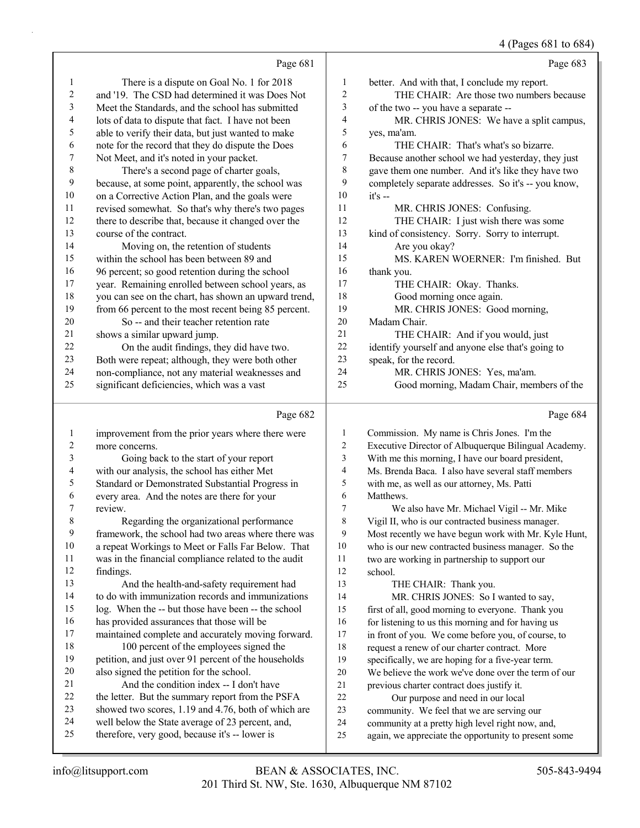## 4 (Pages 681 to 684)

|                  | Page 681                                             |                          | Page 683                                             |
|------------------|------------------------------------------------------|--------------------------|------------------------------------------------------|
| 1                | There is a dispute on Goal No. 1 for 2018            | $\mathbf{1}$             | better. And with that, I conclude my report.         |
| 2                | and '19. The CSD had determined it was Does Not      | $\overline{c}$           | THE CHAIR: Are those two numbers because             |
| 3                | Meet the Standards, and the school has submitted     | 3                        | of the two -- you have a separate --                 |
| 4                | lots of data to dispute that fact. I have not been   | 4                        | MR. CHRIS JONES: We have a split campus,             |
| 5                | able to verify their data, but just wanted to make   | 5                        | yes, ma'am.                                          |
| 6                | note for the record that they do dispute the Does    | 6                        | THE CHAIR: That's what's so bizarre.                 |
| $\boldsymbol{7}$ | Not Meet, and it's noted in your packet.             | $\overline{7}$           | Because another school we had yesterday, they just   |
| $\,$ $\,$        | There's a second page of charter goals,              | 8                        | gave them one number. And it's like they have two    |
| 9                | because, at some point, apparently, the school was   | 9                        | completely separate addresses. So it's -- you know,  |
| 10               | on a Corrective Action Plan, and the goals were      | 10                       | $it's -$                                             |
| 11               | revised somewhat. So that's why there's two pages    | 11                       | MR. CHRIS JONES: Confusing.                          |
| 12               | there to describe that, because it changed over the  | 12                       | THE CHAIR: I just wish there was some                |
| 13               | course of the contract.                              | 13                       | kind of consistency. Sorry. Sorry to interrupt.      |
| 14               | Moving on, the retention of students                 | 14                       | Are you okay?                                        |
| 15               | within the school has been between 89 and            | 15                       | MS. KAREN WOERNER: I'm finished. But                 |
| 16               | 96 percent; so good retention during the school      | 16                       | thank you.                                           |
| 17               | year. Remaining enrolled between school years, as    | 17                       | THE CHAIR: Okay. Thanks.                             |
| 18               | you can see on the chart, has shown an upward trend, | 18                       | Good morning once again.                             |
| 19               | from 66 percent to the most recent being 85 percent. | 19                       | MR. CHRIS JONES: Good morning,                       |
| 20               | So -- and their teacher retention rate               | 20                       | Madam Chair.                                         |
| 21               | shows a similar upward jump.                         | 21                       | THE CHAIR: And if you would, just                    |
| 22               | On the audit findings, they did have two.            | 22                       | identify yourself and anyone else that's going to    |
| 23               | Both were repeat; although, they were both other     | 23                       | speak, for the record.                               |
| 24               | non-compliance, not any material weaknesses and      | 24                       | MR. CHRIS JONES: Yes, ma'am.                         |
| 25               | significant deficiencies, which was a vast           | 25                       | Good morning, Madam Chair, members of the            |
|                  | Page 682                                             |                          | Page 684                                             |
| 1                | improvement from the prior years where there were    | 1                        | Commission. My name is Chris Jones. I'm the          |
| $\overline{2}$   | more concerns.                                       | $\overline{c}$           | Executive Director of Albuquerque Bilingual Academy. |
| 3                | Going back to the start of your report               | 3                        | With me this morning, I have our board president,    |
| 4                | with our analysis, the school has either Met         | $\overline{\mathcal{L}}$ | Ms. Brenda Baca. I also have several staff members   |
| 5                | Standard or Demonstrated Substantial Progress in     | 5                        | with me, as well as our attorney, Ms. Patti          |

Matthews.

school.

13 THE CHAIR: Thank you.

- every area. And the notes are there for your
- review. 8 Regarding the organizational performance framework, the school had two areas where there was a repeat Workings to Meet or Falls Far Below. That was in the financial compliance related to the audit findings. 13 And the health-and-safety requirement had
- to do with immunization records and immunizations log. When the -- but those have been -- the school
- has provided assurances that those will be maintained complete and accurately moving forward. 18 100 percent of the employees signed the
- petition, and just over 91 percent of the households also signed the petition for the school.
- 21 And the condition index -- I don't have
- the letter. But the summary report from the PSFA
- showed two scores, 1.19 and 4.76, both of which are
- well below the State average of 23 percent, and, therefore, very good, because it's -- lower is
- in front of you. We come before you, of course, to request a renew of our charter contract. More specifically, we are hoping for a five-year term. We believe the work we've done over the term of our previous charter contract does justify it. 22 Our purpose and need in our local community. We feel that we are serving our community at a pretty high level right now, and,

7 We also have Mr. Michael Vigil -- Mr. Mike Vigil II, who is our contracted business manager. Most recently we have begun work with Mr. Kyle Hunt, who is our new contracted business manager. So the two are working in partnership to support our

14 MR. CHRIS JONES: So I wanted to say, first of all, good morning to everyone. Thank you 16 for listening to us this morning and for having us

again, we appreciate the opportunity to present some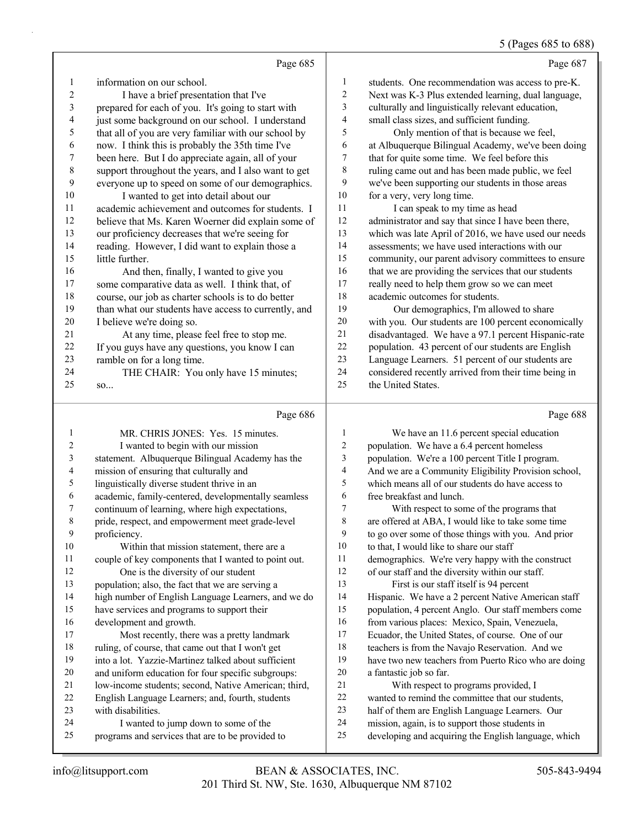## 5 (Pages 685 to 688)

|                              |                                                                                                    |                       | 0                                                                                                         |
|------------------------------|----------------------------------------------------------------------------------------------------|-----------------------|-----------------------------------------------------------------------------------------------------------|
|                              | Page 685                                                                                           |                       | Page 687                                                                                                  |
| 1                            | information on our school.                                                                         | $\mathbf{1}$          | students. One recommendation was access to pre-K.                                                         |
| $\overline{c}$               | I have a brief presentation that I've                                                              | 2                     | Next was K-3 Plus extended learning, dual language,                                                       |
| 3                            | prepared for each of you. It's going to start with                                                 | 3                     | culturally and linguistically relevant education,                                                         |
| $\overline{\mathcal{L}}$     | just some background on our school. I understand                                                   | 4                     | small class sizes, and sufficient funding.                                                                |
| 5                            | that all of you are very familiar with our school by                                               | 5                     | Only mention of that is because we feel,                                                                  |
| 6                            | now. I think this is probably the 35th time I've                                                   | 6                     | at Albuquerque Bilingual Academy, we've been doing                                                        |
| 7                            | been here. But I do appreciate again, all of your                                                  | $\tau$                | that for quite some time. We feel before this                                                             |
| 8                            | support throughout the years, and I also want to get                                               | $\,$ $\,$             | ruling came out and has been made public, we feel                                                         |
| 9                            | everyone up to speed on some of our demographics.                                                  | 9                     | we've been supporting our students in those areas                                                         |
| 10                           | I wanted to get into detail about our                                                              | 10                    | for a very, very long time.                                                                               |
| 11                           | academic achievement and outcomes for students. I                                                  | 11                    | I can speak to my time as head                                                                            |
| 12                           | believe that Ms. Karen Woerner did explain some of                                                 | 12                    | administrator and say that since I have been there,                                                       |
| 13                           | our proficiency decreases that we're seeing for                                                    | 13                    | which was late April of 2016, we have used our needs                                                      |
| 14                           | reading. However, I did want to explain those a                                                    | 14                    | assessments; we have used interactions with our                                                           |
| 15                           | little further.                                                                                    | 15                    | community, our parent advisory committees to ensure                                                       |
| 16                           | And then, finally, I wanted to give you                                                            | 16                    | that we are providing the services that our students                                                      |
| 17                           | some comparative data as well. I think that, of                                                    | 17                    | really need to help them grow so we can meet                                                              |
| 18                           | course, our job as charter schools is to do better                                                 | 18                    | academic outcomes for students.                                                                           |
| 19                           | than what our students have access to currently, and                                               | 19                    | Our demographics, I'm allowed to share                                                                    |
| 20                           | I believe we're doing so.                                                                          | $20\,$                | with you. Our students are 100 percent economically                                                       |
| 21                           | At any time, please feel free to stop me.                                                          | 21                    | disadvantaged. We have a 97.1 percent Hispanic-rate                                                       |
| 22                           | If you guys have any questions, you know I can                                                     | 22                    | population. 43 percent of our students are English                                                        |
| 23                           | ramble on for a long time.                                                                         | 23                    | Language Learners. 51 percent of our students are                                                         |
| 24                           | THE CHAIR: You only have 15 minutes;                                                               | 24                    | considered recently arrived from their time being in                                                      |
| 25                           | so                                                                                                 | 25                    | the United States.                                                                                        |
|                              |                                                                                                    |                       |                                                                                                           |
|                              | Page 686                                                                                           |                       | Page 688                                                                                                  |
|                              |                                                                                                    |                       |                                                                                                           |
| 1                            | MR. CHRIS JONES: Yes. 15 minutes.                                                                  | 1                     | We have an 11.6 percent special education                                                                 |
| $\overline{\mathbf{c}}$<br>3 | I wanted to begin with our mission                                                                 | $\boldsymbol{2}$<br>3 | population. We have a 6.4 percent homeless                                                                |
| 4                            | statement. Albuquerque Bilingual Academy has the                                                   | 4                     | population. We're a 100 percent Title I program.                                                          |
| 5                            | mission of ensuring that culturally and                                                            | 5                     | And we are a Community Eligibility Provision school,<br>which means all of our students do have access to |
| 6                            | linguistically diverse student thrive in an<br>academic, family-centered, developmentally seamless | 6                     | free breakfast and lunch.                                                                                 |
| 7                            | continuum of learning, where high expectations,                                                    | 7                     | With respect to some of the programs that                                                                 |
| 8                            | pride, respect, and empowerment meet grade-level                                                   | 8                     | are offered at ABA, I would like to take some time                                                        |
| 9                            | proficiency.                                                                                       | 9                     | to go over some of those things with you. And prior                                                       |
| $10\,$                       | Within that mission statement, there are a                                                         | $10\,$                | to that, I would like to share our staff                                                                  |
| 11                           | couple of key components that I wanted to point out.                                               | 11                    | demographics. We're very happy with the construct                                                         |
| 12                           | One is the diversity of our student                                                                | 12                    | of our staff and the diversity within our staff.                                                          |
| 13                           | population; also, the fact that we are serving a                                                   | 13                    | First is our staff itself is 94 percent                                                                   |
| 14                           | high number of English Language Learners, and we do                                                | 14                    | Hispanic. We have a 2 percent Native American staff                                                       |
| 15                           | have services and programs to support their                                                        | 15                    | population, 4 percent Anglo. Our staff members come                                                       |
| 16                           | development and growth.                                                                            | 16                    | from various places: Mexico, Spain, Venezuela,                                                            |
| 17                           | Most recently, there was a pretty landmark                                                         | $17\,$                | Ecuador, the United States, of course. One of our                                                         |
| $18\,$                       | ruling, of course, that came out that I won't get                                                  | $18\,$                | teachers is from the Navajo Reservation. And we                                                           |
| 19                           | into a lot. Yazzie-Martinez talked about sufficient                                                | 19                    | have two new teachers from Puerto Rico who are doing                                                      |
| $20\,$                       | and uniform education for four specific subgroups:                                                 | $20\,$                | a fantastic job so far.                                                                                   |
| 21                           | low-income students; second, Native American; third,                                               | $21\,$                | With respect to programs provided, I                                                                      |
| $22\,$                       | English Language Learners; and, fourth, students                                                   | $22\,$                | wanted to remind the committee that our students,                                                         |
| 23                           | with disabilities.                                                                                 | $23\,$                | half of them are English Language Learners. Our                                                           |
| 24<br>25                     | I wanted to jump down to some of the<br>programs and services that are to be provided to           | $24\,$<br>$25\,$      | mission, again, is to support those students in<br>developing and acquiring the English language, which   |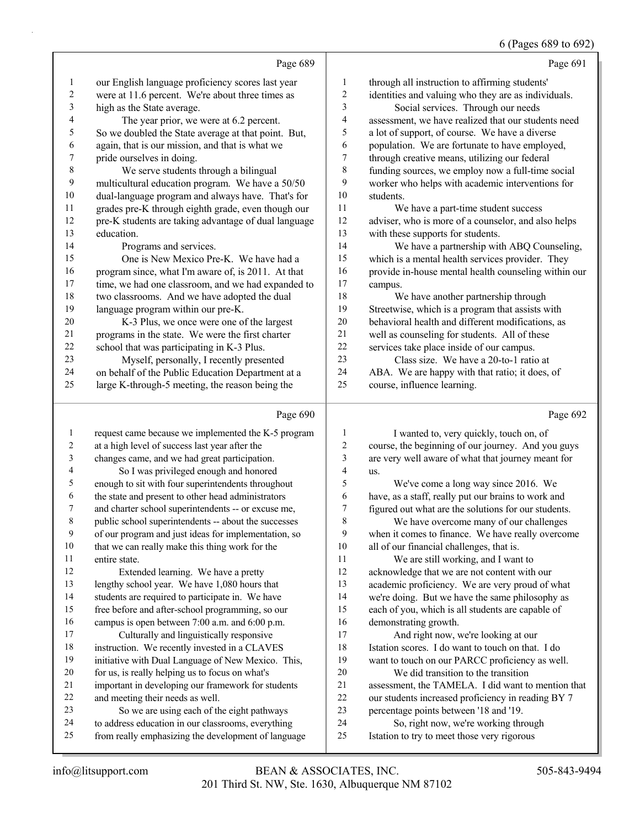|              |                                                      |                          | 6 (Pages 689 to 692)                                 |
|--------------|------------------------------------------------------|--------------------------|------------------------------------------------------|
|              | Page 689                                             |                          | Page 691                                             |
| 1            | our English language proficiency scores last year    | 1                        | through all instruction to affirming students'       |
| $\sqrt{2}$   | were at 11.6 percent. We're about three times as     | $\sqrt{2}$               | identities and valuing who they are as individuals.  |
| 3            | high as the State average.                           | 3                        | Social services. Through our needs                   |
| 4            | The year prior, we were at 6.2 percent.              | $\overline{\mathbf{4}}$  | assessment, we have realized that our students need  |
| 5            | So we doubled the State average at that point. But,  | 5                        | a lot of support, of course. We have a diverse       |
| 6            | again, that is our mission, and that is what we      | 6                        | population. We are fortunate to have employed,       |
| 7            | pride ourselves in doing.                            | $\tau$                   | through creative means, utilizing our federal        |
| $\,$ 8 $\,$  | We serve students through a bilingual                | 8                        | funding sources, we employ now a full-time social    |
| 9            | multicultural education program. We have a 50/50     | 9                        | worker who helps with academic interventions for     |
| 10           | dual-language program and always have. That's for    | 10                       | students.                                            |
| 11           | grades pre-K through eighth grade, even though our   | 11                       | We have a part-time student success                  |
| 12           | pre-K students are taking advantage of dual language | $12\,$                   | adviser, who is more of a counselor, and also helps  |
| 13           | education.                                           | 13                       | with these supports for students.                    |
| 14           | Programs and services.                               | 14                       | We have a partnership with ABQ Counseling,           |
| 15           | One is New Mexico Pre-K. We have had a               | 15                       | which is a mental health services provider. They     |
| 16           | program since, what I'm aware of, is 2011. At that   | 16                       | provide in-house mental health counseling within our |
| 17           | time, we had one classroom, and we had expanded to   | 17                       | campus.                                              |
| 18           | two classrooms. And we have adopted the dual         | 18                       | We have another partnership through                  |
| 19           | language program within our pre-K.                   | 19                       | Streetwise, which is a program that assists with     |
| $20\,$       | K-3 Plus, we once were one of the largest            | 20                       | behavioral health and different modifications, as    |
| 21           | programs in the state. We were the first charter     | 21                       | well as counseling for students. All of these        |
| 22           | school that was participating in K-3 Plus.           | 22                       | services take place inside of our campus.            |
| 23           | Myself, personally, I recently presented             | 23                       | Class size. We have a 20-to-1 ratio at               |
| 24           | on behalf of the Public Education Department at a    | 24                       | ABA. We are happy with that ratio; it does, of       |
| 25           | large K-through-5 meeting, the reason being the      | 25                       | course, influence learning.                          |
|              | Page 690                                             |                          | Page 692                                             |
| $\mathbf{1}$ | request came because we implemented the K-5 program  | 1                        | I wanted to, very quickly, touch on, of              |
| 2            | at a high level of success last year after the       | $\sqrt{2}$               | course, the beginning of our journey. And you guys   |
| 3            | changes came, and we had great participation.        | 3                        | are very well aware of what that journey meant for   |
| 4            | So I was privileged enough and honored               | $\overline{\mathcal{A}}$ | us.                                                  |
| 5            | enough to sit with four superintendents throughout   | 5                        | We've come a long way since 2016. We                 |
| 6            | the state and present to other head administrators   | 6                        | have, as a staff, really put our brains to work and  |
| 7            | and charter school superintendents -- or excuse me,  | 7                        | figured out what are the solutions for our students. |
| 8            | public school superintendents -- about the successes | 8                        | We have overcome many of our challenges              |
| 9            | of our program and just ideas for implementation, so | 9                        | when it comes to finance. We have really overcome    |
| 10           | that we can really make this thing work for the      | 10                       | all of our financial challenges, that is.            |
| 11           | entire state.                                        | 11                       | We are still working, and I want to                  |
| 12           | Extended learning. We have a pretty                  | 12                       | acknowledge that we are not content with our         |
| 13           | lengthy school year. We have 1,080 hours that        | 13                       | academic proficiency. We are very proud of what      |
| 14           | students are required to participate in. We have     | 14                       | we're doing. But we have the same philosophy as      |
| 15           | free before and after-school programming, so our     | 15                       | each of you, which is all students are capable of    |
| 16           | campus is open between 7:00 a.m. and 6:00 p.m.       | 16                       | demonstrating growth.                                |
| 17           | Culturally and linguistically responsive             | 17                       | And right now, we're looking at our                  |
| 18           | instruction. We recently invested in a CLAVES        | $18\,$                   | Istation scores. I do want to touch on that. I do    |

- want to touch on our PARCC proficiency as well.
	- 20 We did transition to the transition assessment, the TAMELA. I did want to mention that our students increased proficiency in reading BY 7
	- percentage points between '18 and '19.
	- 24 So, right now, we're working through
	- Istation to try to meet those very rigorous

 initiative with Dual Language of New Mexico. This, for us, is really helping us to focus on what's important in developing our framework for students

23 So we are using each of the eight pathways to address education in our classrooms, everything from really emphasizing the development of language

and meeting their needs as well.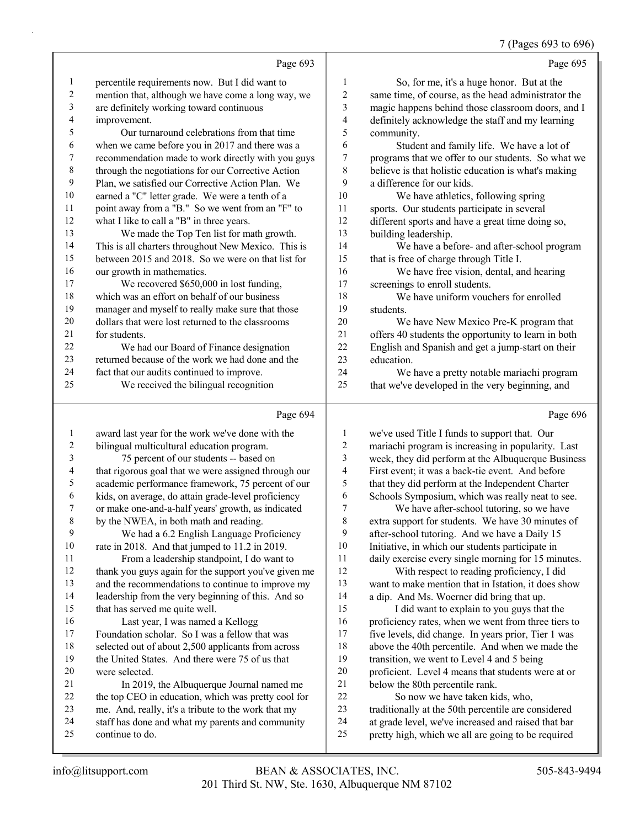7 (Pages 693 to 696)

|    | Page 693                                            |                         | Page 695                                            |
|----|-----------------------------------------------------|-------------------------|-----------------------------------------------------|
| 1  | percentile requirements now. But I did want to      | 1                       | So, for me, it's a huge honor. But at the           |
| 2  | mention that, although we have come a long way, we  | $\overline{\mathbf{c}}$ | same time, of course, as the head administrator the |
| 3  | are definitely working toward continuous            | 3                       | magic happens behind those classroom doors, and I   |
| 4  | improvement.                                        | 4                       | definitely acknowledge the staff and my learning    |
| 5  | Our turnaround celebrations from that time          | 5                       | community.                                          |
| 6  | when we came before you in 2017 and there was a     | 6                       | Student and family life. We have a lot of           |
| 7  | recommendation made to work directly with you guys  | $\overline{7}$          | programs that we offer to our students. So what we  |
| 8  | through the negotiations for our Corrective Action  | 8                       | believe is that holistic education is what's making |
| 9  | Plan, we satisfied our Corrective Action Plan. We   | 9                       | a difference for our kids.                          |
| 10 | earned a "C" letter grade. We were a tenth of a     | 10                      | We have athletics, following spring                 |
| 11 | point away from a "B." So we went from an "F" to    | 11                      | sports. Our students participate in several         |
| 12 | what I like to call a "B" in three years.           | 12                      | different sports and have a great time doing so,    |
| 13 | We made the Top Ten list for math growth.           | 13                      | building leadership.                                |
| 14 | This is all charters throughout New Mexico. This is | 14                      | We have a before- and after-school program          |
| 15 | between 2015 and 2018. So we were on that list for  | 15                      | that is free of charge through Title I.             |
| 16 | our growth in mathematics.                          | 16                      | We have free vision, dental, and hearing            |
| 17 | We recovered \$650,000 in lost funding,             | 17                      | screenings to enroll students.                      |
| 18 | which was an effort on behalf of our business       | 18                      | We have uniform vouchers for enrolled               |
| 19 | manager and myself to really make sure that those   | 19                      | students.                                           |
| 20 | dollars that were lost returned to the classrooms   | 20                      | We have New Mexico Pre-K program that               |
| 21 | for students.                                       | 21                      | offers 40 students the opportunity to learn in both |
| 22 | We had our Board of Finance designation             | 22                      | English and Spanish and get a jump-start on their   |
| 23 | returned because of the work we had done and the    | 23                      | education.                                          |
| 24 | fact that our audits continued to improve.          | 24                      | We have a pretty notable mariachi program           |
| 25 | We received the bilingual recognition               | 25                      | that we've developed in the very beginning, and     |
|    | Page 694                                            |                         | Page 696                                            |

|                | $1$ agu $0$ $7$                                      |    | $1$ agu $020$                                       |
|----------------|------------------------------------------------------|----|-----------------------------------------------------|
|                | award last year for the work we've done with the     |    | we've used Title I funds to support that. Our       |
| $\overline{c}$ | bilingual multicultural education program.           | 2  | mariachi program is increasing in popularity. Last  |
| 3              | 75 percent of our students -- based on               | 3  | week, they did perform at the Albuquerque Business  |
| 4              | that rigorous goal that we were assigned through our | 4  | First event; it was a back-tie event. And before    |
| 5              | academic performance framework, 75 percent of our    | 5  | that they did perform at the Independent Charter    |
| 6              | kids, on average, do attain grade-level proficiency  | 6  | Schools Symposium, which was really neat to see.    |
| 7              | or make one-and-a-half years' growth, as indicated   | 7  | We have after-school tutoring, so we have           |
| $\,$ $\,$      | by the NWEA, in both math and reading.               | 8  | extra support for students. We have 30 minutes of   |
| 9              | We had a 6.2 English Language Proficiency            | 9  | after-school tutoring. And we have a Daily 15       |
| 10             | rate in 2018. And that jumped to 11.2 in 2019.       | 10 | Initiative, in which our students participate in    |
| 11             | From a leadership standpoint, I do want to           | 11 | daily exercise every single morning for 15 minutes. |
| 12             | thank you guys again for the support you've given me | 12 | With respect to reading proficiency, I did          |
| 13             | and the recommendations to continue to improve my    | 13 | want to make mention that in Istation, it does show |
| 14             | leadership from the very beginning of this. And so   | 14 | a dip. And Ms. Woerner did bring that up.           |
| 15             | that has served me quite well.                       | 15 | I did want to explain to you guys that the          |
| 16             | Last year, I was named a Kellogg                     | 16 | proficiency rates, when we went from three tiers to |
| 17             | Foundation scholar. So I was a fellow that was       | 17 | five levels, did change. In years prior, Tier 1 was |
| 18             | selected out of about 2,500 applicants from across   | 18 | above the 40th percentile. And when we made the     |
| 19             | the United States. And there were 75 of us that      | 19 | transition, we went to Level 4 and 5 being          |
| 20             | were selected.                                       | 20 | proficient. Level 4 means that students were at or  |
| 21             | In 2019, the Albuquerque Journal named me            | 21 | below the 80th percentile rank.                     |
| 22             | the top CEO in education, which was pretty cool for  | 22 | So now we have taken kids, who,                     |
| 23             | me. And, really, it's a tribute to the work that my  | 23 | traditionally at the 50th percentile are considered |
| 24             | staff has done and what my parents and community     | 24 | at grade level, we've increased and raised that bar |
| 25             | continue to do.                                      | 25 | pretty high, which we all are going to be required  |
|                |                                                      |    |                                                     |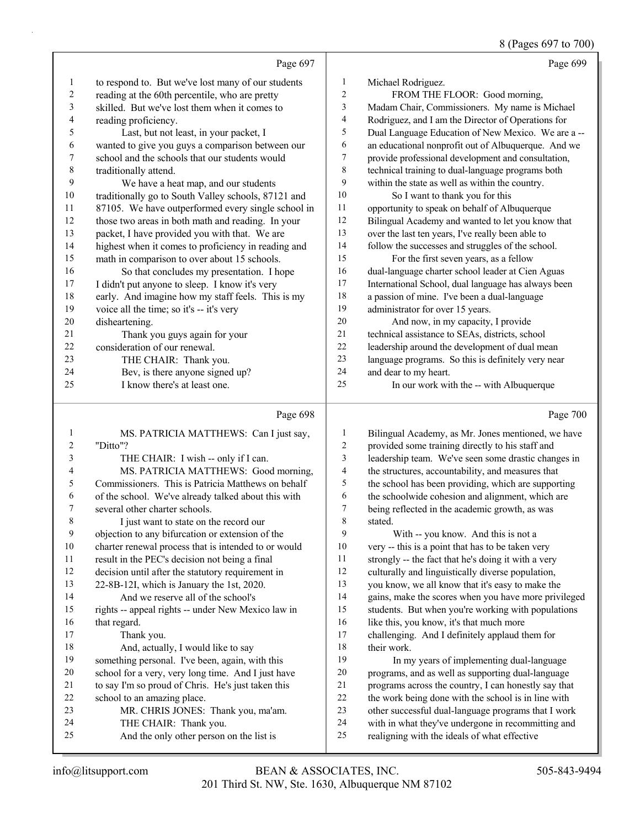8 (Pages 697 to 700)

|    | Page 697                                            |    | Page 699                                            |
|----|-----------------------------------------------------|----|-----------------------------------------------------|
| 1  | to respond to. But we've lost many of our students  | 1  | Michael Rodriguez.                                  |
| 2  | reading at the 60th percentile, who are pretty      | 2  | FROM THE FLOOR: Good morning,                       |
| 3  | skilled. But we've lost them when it comes to       | 3  | Madam Chair, Commissioners. My name is Michael      |
| 4  | reading proficiency.                                | 4  | Rodriguez, and I am the Director of Operations for  |
| 5  | Last, but not least, in your packet, I              | 5  | Dual Language Education of New Mexico. We are a --  |
| 6  | wanted to give you guys a comparison between our    | 6  | an educational nonprofit out of Albuquerque. And we |
| 7  | school and the schools that our students would      | 7  | provide professional development and consultation,  |
| 8  | traditionally attend.                               | 8  | technical training to dual-language programs both   |
| 9  | We have a heat map, and our students                | 9  | within the state as well as within the country.     |
| 10 | traditionally go to South Valley schools, 87121 and | 10 | So I want to thank you for this                     |
| 11 | 87105. We have outperformed every single school in  | 11 | opportunity to speak on behalf of Albuquerque       |
| 12 | those two areas in both math and reading. In your   | 12 | Bilingual Academy and wanted to let you know that   |
| 13 | packet, I have provided you with that. We are       | 13 | over the last ten years, I've really been able to   |
| 14 | highest when it comes to proficiency in reading and | 14 | follow the successes and struggles of the school.   |
| 15 | math in comparison to over about 15 schools.        | 15 | For the first seven years, as a fellow              |
| 16 | So that concludes my presentation. I hope           | 16 | dual-language charter school leader at Cien Aguas   |
| 17 | I didn't put anyone to sleep. I know it's very      | 17 | International School, dual language has always been |
| 18 | early. And imagine how my staff feels. This is my   | 18 | a passion of mine. I've been a dual-language        |
| 19 | voice all the time; so it's -- it's very            | 19 | administrator for over 15 years.                    |
| 20 | disheartening.                                      | 20 | And now, in my capacity, I provide                  |
| 21 | Thank you guys again for your                       | 21 | technical assistance to SEAs, districts, school     |
| 22 | consideration of our renewal.                       | 22 | leadership around the development of dual mean      |
| 23 | THE CHAIR: Thank you.                               | 23 | language programs. So this is definitely very near  |
| 24 | Bev, is there anyone signed up?                     | 24 | and dear to my heart.                               |
| 25 | I know there's at least one.                        | 25 | In our work with the -- with Albuquerque            |
|    |                                                     |    |                                                     |

## Page 698

| $\mathbf{1}$ | MS. PATRICIA MATTHEWS: Can I just say,               | $\mathbf{1}$ | <b>Bilingual Acade</b> |
|--------------|------------------------------------------------------|--------------|------------------------|
| 2            | "Ditto"?                                             | 2            | provided some t        |
| 3            | THE CHAIR: I wish -- only if I can.                  | 3            | leadership team        |
| 4            | MS. PATRICIA MATTHEWS: Good morning,                 | 4            | the structures, a      |
| 5            | Commissioners. This is Patricia Matthews on behalf   | 5            | the school has b       |
| 6            | of the school. We've already talked about this with  | 6            | the schoolwide         |
| 7            | several other charter schools.                       | 7            | being reflected        |
| 8            | I just want to state on the record our               | 8            | stated.                |
| 9            | objection to any bifurcation or extension of the     | 9            | With $-$ y             |
| 10           | charter renewal process that is intended to or would | 10           | very -- this is a      |
| 11           | result in the PEC's decision not being a final       | 11           | strongly -- the f      |
| 12           | decision until after the statutory requirement in    | 12           | culturally and li      |
| 13           | 22-8B-12I, which is January the 1st, 2020.           | 13           | you know, we a         |
| 14           | And we reserve all of the school's                   | 14           | gains, make the        |
| 15           | rights -- appeal rights -- under New Mexico law in   | 15           | students. But w        |
| 16           | that regard.                                         | 16           | like this, you kn      |
| 17           | Thank you.                                           | 17           | challenging. An        |
| 18           | And, actually, I would like to say                   | 18           | their work.            |
| 19           | something personal. I've been, again, with this      | 19           | In my yea              |
| 20           | school for a very, very long time. And I just have   | 20           | programs, and a        |
| 21           | to say I'm so proud of Chris. He's just taken this   | 21           | programs across        |
| 22           | school to an amazing place.                          | 22           | the work being         |
| 23           | MR. CHRIS JONES: Thank you, ma'am.                   | 23           | other successful       |
| 24           | THE CHAIR: Thank you.                                | 24           | with in what the       |
| 25           | And the only other person on the list is             | 25           | realigning with        |
|              |                                                      |              |                        |

Page 700

| 1              | Bilingual Academy, as Mr. Jones mentioned, we have   |
|----------------|------------------------------------------------------|
| 2              | provided some training directly to his staff and     |
| 3              | leadership team. We've seen some drastic changes in  |
| $\overline{4}$ | the structures, accountability, and measures that    |
| 5              | the school has been providing, which are supporting  |
| 6              | the schoolwide cohesion and alignment, which are     |
| 7              | being reflected in the academic growth, as was       |
| 8              | stated.                                              |
| 9              | With -- you know. And this is not a                  |
| 10             | very -- this is a point that has to be taken very    |
| 11             | strongly -- the fact that he's doing it with a very  |
| 12             | culturally and linguistically diverse population,    |
| 13             | you know, we all know that it's easy to make the     |
| 14             | gains, make the scores when you have more privileged |
| 15             | students. But when you're working with populations   |
| 16             | like this, you know, it's that much more             |
| 17             | challenging. And I definitely applaud them for       |
| 18             | their work.                                          |
| 19             | In my years of implementing dual-language            |
| 20             | programs, and as well as supporting dual-language    |
| 21             | programs across the country, I can honestly say that |
| 22             | the work being done with the school is in line with  |
| 23             | other successful dual-language programs that I work  |
| 24             | with in what they've undergone in recommitting and   |
| 25             | realigning with the ideals of what effective         |
|                |                                                      |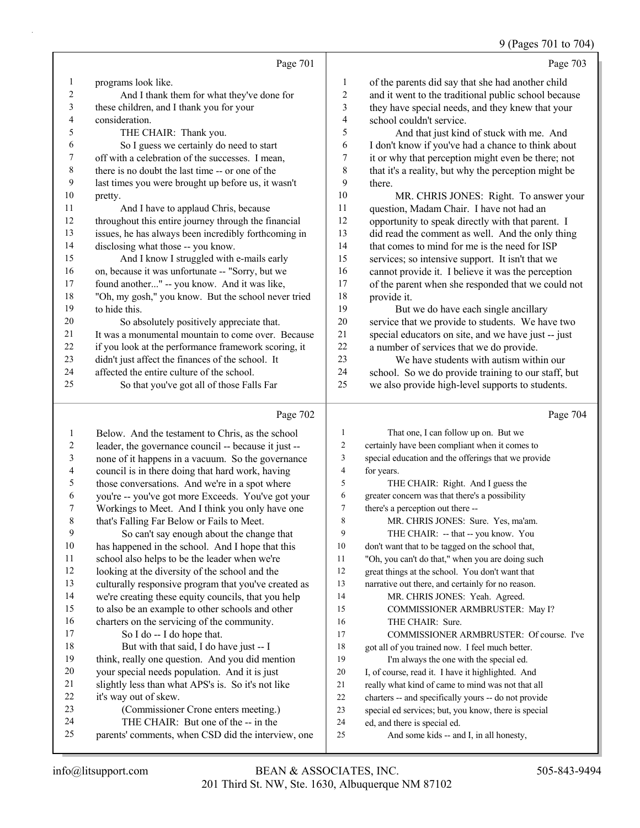9 (Pages 701 to 704)

|    |                                                      |                | 9 (Pages $701$ to $704$                              |
|----|------------------------------------------------------|----------------|------------------------------------------------------|
|    | Page 701                                             |                | Page 703                                             |
|    | programs look like.                                  | 1              | of the parents did say that she had another child    |
| 2  | And I thank them for what they've done for           | $\overline{2}$ | and it went to the traditional public school because |
| 3  | these children, and I thank you for your             | 3              | they have special needs, and they knew that your     |
| 4  | consideration.                                       | $\overline{4}$ | school couldn't service.                             |
| 5  | THE CHAIR: Thank you.                                | 5              | And that just kind of stuck with me. And             |
| 6  | So I guess we certainly do need to start             | 6              | I don't know if you've had a chance to think about   |
| 7  | off with a celebration of the successes. I mean,     | 7              | it or why that perception might even be there; not   |
| 8  | there is no doubt the last time -- or one of the     | 8              | that it's a reality, but why the perception might be |
| 9  | last times you were brought up before us, it wasn't  | 9              | there.                                               |
| 10 | pretty.                                              | 10             | MR. CHRIS JONES: Right. To answer your               |
| 11 | And I have to applaud Chris, because                 | 11             | question, Madam Chair. I have not had an             |
| 12 | throughout this entire journey through the financial | 12             | opportunity to speak directly with that parent. I    |
| 13 | issues, he has always been incredibly forthcoming in | 13             | did read the comment as well. And the only thing     |
| 14 | disclosing what those -- you know.                   | 14             | that comes to mind for me is the need for ISP        |
| 15 | And I know I struggled with e-mails early            | 15             | services; so intensive support. It isn't that we     |
| 16 | on, because it was unfortunate -- "Sorry, but we     | 16             | cannot provide it. I believe it was the perception   |
| 17 | found another" -- you know. And it was like,         | 17             | of the parent when she responded that we could not   |
| 18 | "Oh, my gosh," you know. But the school never tried  | 18             | provide it.                                          |
| 19 | to hide this.                                        | 19             | But we do have each single ancillary                 |
| 20 | So absolutely positively appreciate that.            | 20             | service that we provide to students. We have two     |
| 21 | It was a monumental mountain to come over. Because   | 21             | special educators on site, and we have just -- just  |
| 22 | if you look at the performance framework scoring, it | 22             | a number of services that we do provide.             |
| 23 | didn't just affect the finances of the school. It    | 23             | We have students with autism within our              |
| 24 | affected the entire culture of the school.           | 24             | school. So we do provide training to our staff, but  |
| 25 | So that you've got all of those Falls Far            | 25             | we also provide high-level supports to students.     |
|    | Page 702                                             |                | Page 704                                             |

| 1  | Below. And the testament to Chris, as the school     | 1  | That one, I can follow up on. But we                 |
|----|------------------------------------------------------|----|------------------------------------------------------|
| 2  | leader, the governance council -- because it just -- | 2  | certainly have been compliant when it comes to       |
| 3  | none of it happens in a vacuum. So the governance    | 3  | special education and the offerings that we provide  |
| 4  | council is in there doing that hard work, having     | 4  | for years.                                           |
| 5  | those conversations. And we're in a spot where       | 5  | THE CHAIR: Right. And I guess the                    |
| 6  | you're -- you've got more Exceeds. You've got your   | 6  | greater concern was that there's a possibility       |
| 7  | Workings to Meet. And I think you only have one      | 7  | there's a perception out there --                    |
| 8  | that's Falling Far Below or Fails to Meet.           | 8  | MR. CHRIS JONES: Sure. Yes, ma'am.                   |
| 9  | So can't say enough about the change that            | 9  | THE CHAIR: -- that -- you know. You                  |
| 10 | has happened in the school. And I hope that this     | 10 | don't want that to be tagged on the school that,     |
| 11 | school also helps to be the leader when we're        | 11 | "Oh, you can't do that," when you are doing such     |
| 12 | looking at the diversity of the school and the       | 12 | great things at the school. You don't want that      |
| 13 | culturally responsive program that you've created as | 13 | narrative out there, and certainly for no reason.    |
| 14 | we're creating these equity councils, that you help  | 14 | MR. CHRIS JONES: Yeah. Agreed.                       |
| 15 | to also be an example to other schools and other     | 15 | COMMISSIONER ARMBRUSTER: May I?                      |
| 16 | charters on the servicing of the community.          | 16 | THE CHAIR: Sure.                                     |
| 17 | So I do -- I do hope that.                           | 17 | COMMISSIONER ARMBRUSTER: Of course. I've             |
| 18 | But with that said, I do have just -- I              | 18 | got all of you trained now. I feel much better.      |
| 19 | think, really one question. And you did mention      | 19 | I'm always the one with the special ed.              |
| 20 | your special needs population. And it is just        | 20 | I, of course, read it. I have it highlighted. And    |
| 21 | slightly less than what APS's is. So it's not like   | 21 | really what kind of came to mind was not that all    |
| 22 | it's way out of skew.                                | 22 | charters -- and specifically yours -- do not provide |
| 23 | (Commissioner Crone enters meeting.)                 | 23 | special ed services; but, you know, there is special |
| 24 | THE CHAIR: But one of the -- in the                  | 24 | ed, and there is special ed.                         |
| 25 | parents' comments, when CSD did the interview, one   | 25 | And some kids -- and I, in all honesty,              |
|    |                                                      |    |                                                      |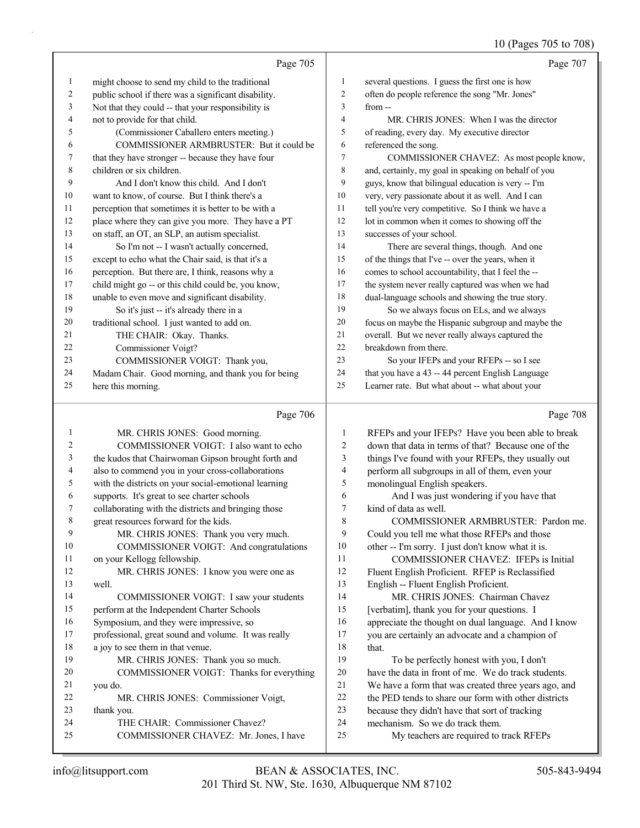## 10 (Pages 705 to 708)

|               | Page 705                                             |                | Page 707                                             |
|---------------|------------------------------------------------------|----------------|------------------------------------------------------|
| 1             | might choose to send my child to the traditional     | 1              | several questions. I guess the first one is how      |
| 2             | public school if there was a significant disability. | $\overline{2}$ | often do people reference the song "Mr. Jones"       |
| 3             | Not that they could -- that your responsibility is   | 3              | $from -$                                             |
| 4             | not to provide for that child.                       | $\overline{4}$ | MR. CHRIS JONES: When I was the director             |
| 5             | (Commissioner Caballero enters meeting.)             | 5              | of reading, every day. My executive director         |
| 6             | COMMISSIONER ARMBRUSTER: But it could be             | 6              | referenced the song.                                 |
| 7             | that they have stronger -- because they have four    | $\overline{7}$ | COMMISSIONER CHAVEZ: As most people know,            |
| 8             | children or six children.                            | 8              | and, certainly, my goal in speaking on behalf of you |
| 9             | And I don't know this child. And I don't             | 9              | guys, know that bilingual education is very -- I'm   |
| 10            | want to know, of course. But I think there's a       | 10             | very, very passionate about it as well. And I can    |
| 11            | perception that sometimes it is better to be with a  | 11             | tell you're very competitive. So I think we have a   |
| 12            | place where they can give you more. They have a PT   | 12             | lot in common when it comes to showing off the       |
| 13            | on staff, an OT, an SLP, an autism specialist.       | 13             | successes of your school.                            |
| 14            | So I'm not -- I wasn't actually concerned,           | 14             | There are several things, though. And one            |
| 15            | except to echo what the Chair said, is that it's a   | 15             | of the things that I've -- over the years, when it   |
| 16            | perception. But there are, I think, reasons why a    | 16             | comes to school accountability, that I feel the --   |
| 17            | child might go -- or this child could be, you know,  | 17             | the system never really captured was when we had     |
| 18            | unable to even move and significant disability.      | 18             | dual-language schools and showing the true story.    |
| 19            | So it's just -- it's already there in a              | 19             | So we always focus on ELs, and we always             |
| 20            | traditional school. I just wanted to add on.         | 20             | focus on maybe the Hispanic subgroup and maybe the   |
| 21            | THE CHAIR: Okay. Thanks.                             | 21             | overall. But we never really always captured the     |
| 22            | Commissioner Voigt?                                  | 22             | breakdown from there.                                |
| 23            | COMMISSIONER VOIGT: Thank you,                       | 23             | So your IFEPs and your RFEPs -- so I see             |
| 24            | Madam Chair. Good morning, and thank you for being   | 24             | that you have a 43 -- 44 percent English Language    |
| 25            | here this morning.                                   | 25             | Learner rate. But what about -- what about your      |
|               | Page 706                                             |                | Page 708                                             |
| 1             | MR. CHRIS JONES: Good morning.                       | 1              | RFEPs and your IFEPs? Have you been able to break    |
| $\mathcal{D}$ | COMMISSIONER VOIGT. Lake want to echo                | $\mathcal{D}$  | down that data in terms of that? Recause one of the  |

| $\overline{c}$ | COMMISSIONER VOIGT: I also want to echo              | 2  | down that data in terms of that? Because one of the  |
|----------------|------------------------------------------------------|----|------------------------------------------------------|
| 3              | the kudos that Chairwoman Gipson brought forth and   | 3  | things I've found with your RFEPs, they usually out  |
| 4              | also to commend you in your cross-collaborations     | 4  | perform all subgroups in all of them, even your      |
| 5              | with the districts on your social-emotional learning | 5  | monolingual English speakers.                        |
| 6              | supports. It's great to see charter schools          | 6  | And I was just wondering if you have that            |
| 7              | collaborating with the districts and bringing those  | 7  | kind of data as well.                                |
| 8              | great resources forward for the kids.                | 8  | COMMISSIONER ARMBRUSTER: Pardon me.                  |
| 9              | MR. CHRIS JONES: Thank you very much.                | 9  | Could you tell me what those RFEPs and those         |
| 10             | COMMISSIONER VOIGT: And congratulations              | 10 | other -- I'm sorry. I just don't know what it is.    |
| 11             | on your Kellogg fellowship.                          | 11 | <b>COMMISSIONER CHAVEZ: IFEPs is Initial</b>         |
| 12             | MR. CHRIS JONES: I know you were one as              | 12 | Fluent English Proficient. RFEP is Reclassified      |
| 13             | well.                                                | 13 | English -- Fluent English Proficient.                |
| 14             | COMMISSIONER VOIGT: I saw your students              | 14 | MR. CHRIS JONES: Chairman Chavez                     |
| 15             | perform at the Independent Charter Schools           | 15 | [verbatim], thank you for your questions. I          |
| 16             | Symposium, and they were impressive, so              | 16 | appreciate the thought on dual language. And I know  |
| 17             | professional, great sound and volume. It was really  | 17 | you are certainly an advocate and a champion of      |
| 18             | a joy to see them in that venue.                     | 18 | that.                                                |
| 19             | MR. CHRIS JONES: Thank you so much.                  | 19 | To be perfectly honest with you, I don't             |
| 20             | COMMISSIONER VOIGT: Thanks for everything            | 20 | have the data in front of me. We do track students.  |
| 21             | you do.                                              | 21 | We have a form that was created three years ago, and |
| 22             | MR. CHRIS JONES: Commissioner Voigt,                 | 22 | the PED tends to share our form with other districts |
| 23             | thank you.                                           | 23 | because they didn't have that sort of tracking       |
| 24             | THE CHAIR: Commissioner Chavez?                      | 24 | mechanism. So we do track them.                      |
| 25             | COMMISSIONER CHAVEZ: Mr. Jones, I have               | 25 | My teachers are required to track RFEPs              |
|                |                                                      |    |                                                      |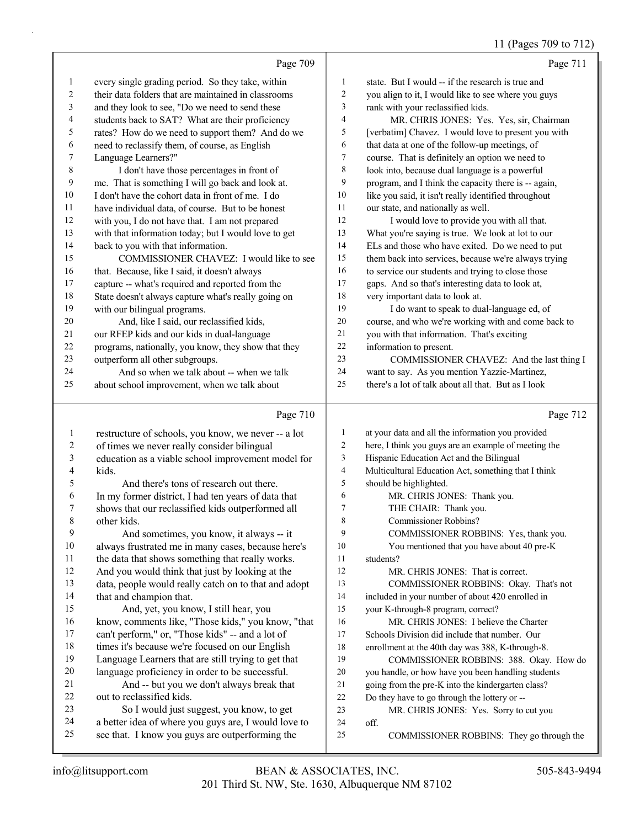## $(D_{\text{ap}} \text{200 to } 700$

|                          |                                                      |                         | 11 (Pages / 09 to / 12                               |
|--------------------------|------------------------------------------------------|-------------------------|------------------------------------------------------|
|                          | Page 709                                             |                         | Page 711                                             |
| $\mathbf{1}$             | every single grading period. So they take, within    | $\mathbf{1}$            | state. But I would -- if the research is true and    |
| $\boldsymbol{2}$         | their data folders that are maintained in classrooms | $\overline{c}$          | you align to it, I would like to see where you guys  |
| $\mathfrak{Z}$           | and they look to see, "Do we need to send these      | 3                       | rank with your reclassified kids.                    |
| $\overline{4}$           | students back to SAT? What are their proficiency     | $\overline{4}$          | MR. CHRIS JONES: Yes. Yes, sir, Chairman             |
| 5                        | rates? How do we need to support them? And do we     | 5                       | [verbatim] Chavez. I would love to present you with  |
| $\sqrt{6}$               | need to reclassify them, of course, as English       | 6                       | that data at one of the follow-up meetings, of       |
| $\tau$                   | Language Learners?"                                  | $\tau$                  | course. That is definitely an option we need to      |
| $\,8\,$                  | I don't have those percentages in front of           | 8                       | look into, because dual language is a powerful       |
| $\boldsymbol{9}$         | me. That is something I will go back and look at.    | 9                       | program, and I think the capacity there is -- again, |
| 10                       | I don't have the cohort data in front of me. I do    | 10                      | like you said, it isn't really identified throughout |
| $11\,$                   | have individual data, of course. But to be honest    | 11                      | our state, and nationally as well.                   |
| $12\,$                   | with you, I do not have that. I am not prepared      | 12                      | I would love to provide you with all that.           |
| 13                       | with that information today; but I would love to get | 13                      | What you're saying is true. We look at lot to our    |
| 14                       | back to you with that information.                   | 14                      | ELs and those who have exited. Do we need to put     |
| 15                       | COMMISSIONER CHAVEZ: I would like to see             | 15                      | them back into services, because we're always trying |
| $16\,$                   | that. Because, like I said, it doesn't always        | 16                      | to service our students and trying to close those    |
| $17\,$                   | capture -- what's required and reported from the     | 17                      | gaps. And so that's interesting data to look at,     |
| $18\,$                   | State doesn't always capture what's really going on  | 18                      | very important data to look at.                      |
| 19                       | with our bilingual programs.                         | 19                      | I do want to speak to dual-language ed, of           |
| $20\,$                   | And, like I said, our reclassified kids,             | 20                      | course, and who we're working with and come back to  |
| 21                       | our RFEP kids and our kids in dual-language          | 21                      | you with that information. That's exciting           |
| 22                       | programs, nationally, you know, they show that they  | 22                      | information to present.                              |
| 23                       | outperform all other subgroups.                      | 23                      | COMMISSIONER CHAVEZ: And the last thing I            |
| 24                       | And so when we talk about -- when we talk            | 24                      | want to say. As you mention Yazzie-Martinez,         |
| 25                       | about school improvement, when we talk about         | 25                      | there's a lot of talk about all that. But as I look  |
|                          | Page 710                                             |                         | Page 712                                             |
|                          |                                                      |                         |                                                      |
| $\,1$                    | restructure of schools, you know, we never -- a lot  | $\mathbf{1}$            | at your data and all the information you provided    |
| $\overline{c}$           | of times we never really consider bilingual          | $\sqrt{2}$              | here, I think you guys are an example of meeting the |
| $\overline{\mathbf{3}}$  | education as a viable school improvement model for   | 3                       | Hispanic Education Act and the Bilingual             |
| $\overline{\mathcal{L}}$ | kids.                                                | $\overline{\mathbf{4}}$ | Multicultural Education Act, something that I think  |
| 5                        | And there's tons of research out there.              | 5                       | should be highlighted.                               |
| 6                        | In my former district, I had ten years of data that  | 6                       | MR. CHRIS JONES: Thank you.                          |
| $\boldsymbol{7}$         | shows that our reclassified kids outperformed all    | $\tau$                  | THE CHAIR: Thank you.                                |
| 8                        | other kids.                                          | 8                       | Commissioner Robbins?                                |
| 9                        | And sometimes, you know, it always -- it             | 9                       | COMMISSIONER ROBBINS: Yes, thank you.                |
| $10\,$                   | always frustrated me in many cases, because here's   | 10                      | You mentioned that you have about 40 pre-K           |
| 11                       | the data that shows something that really works.     | 11                      | students?                                            |
| 12                       | And you would think that just by looking at the      | 12                      | MR. CHRIS JONES: That is correct.                    |
| 13                       | data, people would really catch on to that and adopt | 13                      | COMMISSIONER ROBBINS: Okay. That's not               |

included in your number of about 420 enrolled in

your K-through-8 program, correct?

- 16 MR. CHRIS JONES: I believe the Charter Schools Division did include that number. Our
- enrollment at the 40th day was 388, K-through-8.
- 19 COMMISSIONER ROBBINS: 388. Okay. How do
- you handle, or how have you been handling students
- going from the pre-K into the kindergarten class?
- Do they have to go through the lottery or --
- 23 MR. CHRIS JONES: Yes. Sorry to cut you
- off.
- 25 COMMISSIONER ROBBINS: They go through the

that and champion that.

out to reclassified kids.

15 And, yet, you know, I still hear, you

 know, comments like, "Those kids," you know, "that can't perform," or, "Those kids" -- and a lot of 18 times it's because we're focused on our English Language Learners that are still trying to get that language proficiency in order to be successful. 21 And -- but you we don't always break that

23 So I would just suggest, you know, to get a better idea of where you guys are, I would love to see that. I know you guys are outperforming the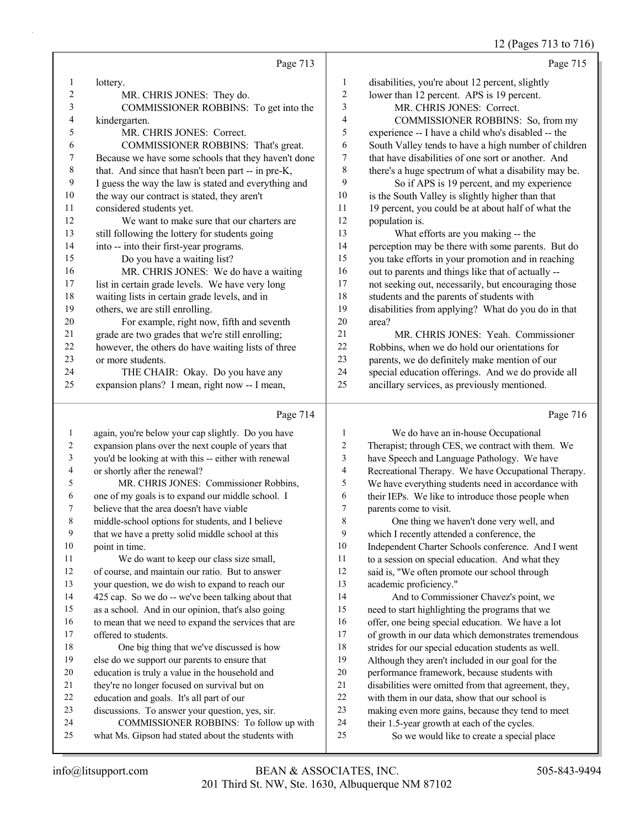## 12 (Pages 713 to 716)

|    | Page 713                                             |                | Page 715                                             |
|----|------------------------------------------------------|----------------|------------------------------------------------------|
| 1  | lottery.                                             | 1              | disabilities, you're about 12 percent, slightly      |
| 2  | MR. CHRIS JONES: They do.                            | 2              | lower than 12 percent. APS is 19 percent.            |
| 3  | COMMISSIONER ROBBINS: To get into the                | 3              | MR. CHRIS JONES: Correct.                            |
| 4  | kindergarten.                                        | $\overline{4}$ | COMMISSIONER ROBBINS: So, from my                    |
| 5  | MR. CHRIS JONES: Correct.                            | 5              | experience -- I have a child who's disabled -- the   |
| 6  | COMMISSIONER ROBBINS: That's great.                  | 6              | South Valley tends to have a high number of children |
| 7  | Because we have some schools that they haven't done  | 7              | that have disabilities of one sort or another. And   |
| 8  | that. And since that hasn't been part -- in pre-K,   | 8              | there's a huge spectrum of what a disability may be. |
| 9  | I guess the way the law is stated and everything and | 9              | So if APS is 19 percent, and my experience           |
| 10 | the way our contract is stated, they aren't          | 10             | is the South Valley is slightly higher than that     |
| 11 | considered students yet.                             | 11             | 19 percent, you could be at about half of what the   |
| 12 | We want to make sure that our charters are           | 12             | population is.                                       |
| 13 | still following the lottery for students going       | 13             | What efforts are you making -- the                   |
| 14 | into -- into their first-year programs.              | 14             | perception may be there with some parents. But do    |
| 15 | Do you have a waiting list?                          | 15             | you take efforts in your promotion and in reaching   |
| 16 | MR. CHRIS JONES: We do have a waiting                | 16             | out to parents and things like that of actually --   |
| 17 | list in certain grade levels. We have very long      | 17             | not seeking out, necessarily, but encouraging those  |
| 18 | waiting lists in certain grade levels, and in        | 18             | students and the parents of students with            |
| 19 | others, we are still enrolling.                      | 19             | disabilities from applying? What do you do in that   |
| 20 | For example, right now, fifth and seventh            | 20             | area?                                                |
| 21 | grade are two grades that we're still enrolling;     | 21             | MR. CHRIS JONES: Yeah. Commissioner                  |
| 22 | however, the others do have waiting lists of three   | 22             | Robbins, when we do hold our orientations for        |
| 23 | or more students.                                    | 23             | parents, we do definitely make mention of our        |
| 24 | THE CHAIR: Okay. Do you have any                     | 24             | special education offerings. And we do provide all   |
| 25 | expansion plans? I mean, right now -- I mean,        | 25             | ancillary services, as previously mentioned.         |
|    |                                                      |                |                                                      |

## Page 714

|    | Page 714                                             |    | Page 716                                             |
|----|------------------------------------------------------|----|------------------------------------------------------|
| 1  | again, you're below your cap slightly. Do you have   | 1  | We do have an in-house Occupational                  |
| 2  | expansion plans over the next couple of years that   | 2  | Therapist; through CES, we contract with them. We    |
| 3  | you'd be looking at with this -- either with renewal | 3  | have Speech and Language Pathology. We have          |
| 4  | or shortly after the renewal?                        | 4  | Recreational Therapy. We have Occupational Therapy.  |
| 5  | MR. CHRIS JONES: Commissioner Robbins.               | 5  | We have everything students need in accordance with  |
| 6  | one of my goals is to expand our middle school. I    | 6  | their IEPs. We like to introduce those people when   |
| 7  | believe that the area doesn't have viable            | 7  | parents come to visit.                               |
| 8  | middle-school options for students, and I believe    | 8  | One thing we haven't done very well, and             |
| 9  | that we have a pretty solid middle school at this    | 9  | which I recently attended a conference, the          |
| 10 | point in time.                                       | 10 | Independent Charter Schools conference. And I went   |
| 11 | We do want to keep our class size small,             | 11 | to a session on special education. And what they     |
| 12 | of course, and maintain our ratio. But to answer     | 12 | said is, "We often promote our school through        |
| 13 | your question, we do wish to expand to reach our     | 13 | academic proficiency."                               |
| 14 | 425 cap. So we do -- we've been talking about that   | 14 | And to Commissioner Chavez's point, we               |
| 15 | as a school. And in our opinion, that's also going   | 15 | need to start highlighting the programs that we      |
| 16 | to mean that we need to expand the services that are | 16 | offer, one being special education. We have a lot    |
| 17 | offered to students.                                 | 17 | of growth in our data which demonstrates tremendous  |
| 18 | One big thing that we've discussed is how            | 18 | strides for our special education students as well.  |
| 19 | else do we support our parents to ensure that        | 19 | Although they aren't included in our goal for the    |
| 20 | education is truly a value in the household and      | 20 | performance framework, because students with         |
| 21 | they're no longer focused on survival but on         | 21 | disabilities were omitted from that agreement, they, |
| 22 | education and goals. It's all part of our            | 22 | with them in our data, show that our school is       |
| 23 | discussions. To answer your question, yes, sir.      | 23 | making even more gains, because they tend to meet    |
| 24 | COMMISSIONER ROBBINS: To follow up with              | 24 | their 1.5-year growth at each of the cycles.         |
| 25 | what Ms. Gipson had stated about the students with   | 25 | So we would like to create a special place           |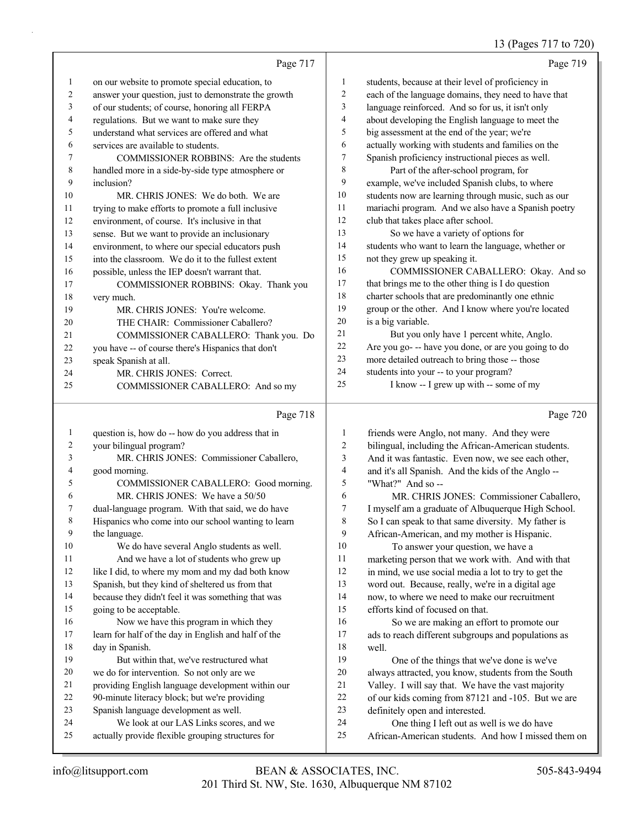## 13 (Pages 717 to 720)

|              | Page 717                                             |                | Page 719                                             |
|--------------|------------------------------------------------------|----------------|------------------------------------------------------|
| $\mathbf{1}$ | on our website to promote special education, to      | 1              | students, because at their level of proficiency in   |
| 2            | answer your question, just to demonstrate the growth | $\overline{c}$ | each of the language domains, they need to have that |
| 3            | of our students; of course, honoring all FERPA       | 3              | language reinforced. And so for us, it isn't only    |
| 4            | regulations. But we want to make sure they           | $\overline{4}$ | about developing the English language to meet the    |
| 5            | understand what services are offered and what        | 5              | big assessment at the end of the year; we're         |
| 6            | services are available to students.                  | 6              | actually working with students and families on the   |
| 7            | COMMISSIONER ROBBINS: Are the students               | 7              | Spanish proficiency instructional pieces as well.    |
| 8            | handled more in a side-by-side type atmosphere or    | 8              | Part of the after-school program, for                |
| 9            | inclusion?                                           | 9              | example, we've included Spanish clubs, to where      |
| 10           | MR. CHRIS JONES: We do both. We are                  | 10             | students now are learning through music, such as our |
| 11           | trying to make efforts to promote a full inclusive   | 11             | mariachi program. And we also have a Spanish poetry  |
| 12           | environment, of course. It's inclusive in that       | 12             | club that takes place after school.                  |
| 13           | sense. But we want to provide an inclusionary        | 13             | So we have a variety of options for                  |
| 14           | environment, to where our special educators push     | 14             | students who want to learn the language, whether or  |
| 15           | into the classroom. We do it to the fullest extent   | 15             | not they grew up speaking it.                        |
| 16           | possible, unless the IEP doesn't warrant that.       | 16             | COMMISSIONER CABALLERO: Okay. And so                 |
| 17           | COMMISSIONER ROBBINS: Okay. Thank you                | 17             | that brings me to the other thing is I do question   |
| 18           | very much.                                           | 18             | charter schools that are predominantly one ethnic    |
| 19           | MR. CHRIS JONES: You're welcome.                     | 19             | group or the other. And I know where you're located  |
| 20           | THE CHAIR: Commissioner Caballero?                   | 20             | is a big variable.                                   |
| 21           | COMMISSIONER CABALLERO: Thank you. Do                | 21             | But you only have 1 percent white, Anglo.            |
| 22           | you have -- of course there's Hispanics that don't   | 22             | Are you go- -- have you done, or are you going to do |
| 23           | speak Spanish at all.                                | 23             | more detailed outreach to bring those -- those       |
| 24           | MR. CHRIS JONES: Correct.                            | 24             | students into your -- to your program?               |
| 25           | COMMISSIONER CABALLERO: And so my                    | 25             | I know -- I grew up with -- some of my               |
|              |                                                      |                |                                                      |

## Page 718

| $\mathbf{1}$   | question is, how do -- how do you address that in    | $\mathbf{1}$ | friends w       |
|----------------|------------------------------------------------------|--------------|-----------------|
| $\overline{c}$ | your bilingual program?                              | 2            | bilingual,      |
| 3              | MR. CHRIS JONES: Commissioner Caballero,             | 3            | And it wa       |
| $\overline{4}$ | good morning.                                        | 4            | and it's al     |
| 5              | COMMISSIONER CABALLERO: Good morning.                | 5            | "What?"         |
| 6              | MR. CHRIS JONES: We have a 50/50                     | 6            | MR              |
| 7              | dual-language program. With that said, we do have    | 7            | I myself a      |
| 8              | Hispanics who come into our school wanting to learn  | 8            | So I can s      |
| 9              | the language.                                        | 9            | African-A       |
| 10             | We do have several Anglo students as well.           | 10           | To              |
| 11             | And we have a lot of students who grew up            | 11           | marketing       |
| 12             | like I did, to where my mom and my dad both know     | 12           | in mind, v      |
| 13             | Spanish, but they kind of sheltered us from that     | 13           | word out.       |
| 14             | because they didn't feel it was something that was   | 14           | now, to w       |
| 15             | going to be acceptable.                              | 15           | efforts kii     |
| 16             | Now we have this program in which they               | 16           | So <sup>3</sup> |
| 17             | learn for half of the day in English and half of the | 17           | ads to rea      |
| 18             | day in Spanish.                                      | 18           | well.           |
| 19             | But within that, we've restructured what             | 19           | On              |
| 20             | we do for intervention. So not only are we           | 20           | always at       |
| 21             | providing English language development within our    | 21           | Valley. I       |
| 22             | 90-minute literacy block; but we're providing        | 22           | of our kid      |
| 23             | Spanish language development as well.                | 23           | definitely      |
| 24             | We look at our LAS Links scores, and we              | 24           | One             |
| 25             | actually provide flexible grouping structures for    | 25           | African-A       |
|                |                                                      |              |                 |

Page 720

| 1              | friends were Anglo, not many. And they were          |
|----------------|------------------------------------------------------|
| $\overline{2}$ | bilingual, including the African-American students.  |
| 3              | And it was fantastic. Even now, we see each other,   |
| 4              | and it's all Spanish. And the kids of the Anglo --   |
| 5              | "What?" And so --                                    |
| 6              | MR. CHRIS JONES: Commissioner Caballero,             |
| 7              | I myself am a graduate of Albuquerque High School.   |
| 8              | So I can speak to that same diversity. My father is  |
| 9              | African-American, and my mother is Hispanic.         |
| 10             | To answer your question, we have a                   |
| 11             | marketing person that we work with. And with that    |
| 12             | in mind, we use social media a lot to try to get the |
| 13             | word out. Because, really, we're in a digital age    |
| 14             | now, to where we need to make our recruitment        |
| 15             | efforts kind of focused on that.                     |
| 16             | So we are making an effort to promote our            |
| 17             | ads to reach different subgroups and populations as  |
| 18             | well.                                                |
| 19             | One of the things that we've done is we've           |
| 20             | always attracted, you know, students from the South  |
| 21             | Valley. I will say that. We have the vast majority   |
| 22             | of our kids coming from 87121 and -105. But we are   |
| 23             | definitely open and interested.                      |
| 24             | One thing I left out as well is we do have           |
| 25             | African-American students. And how I missed them on  |
|                |                                                      |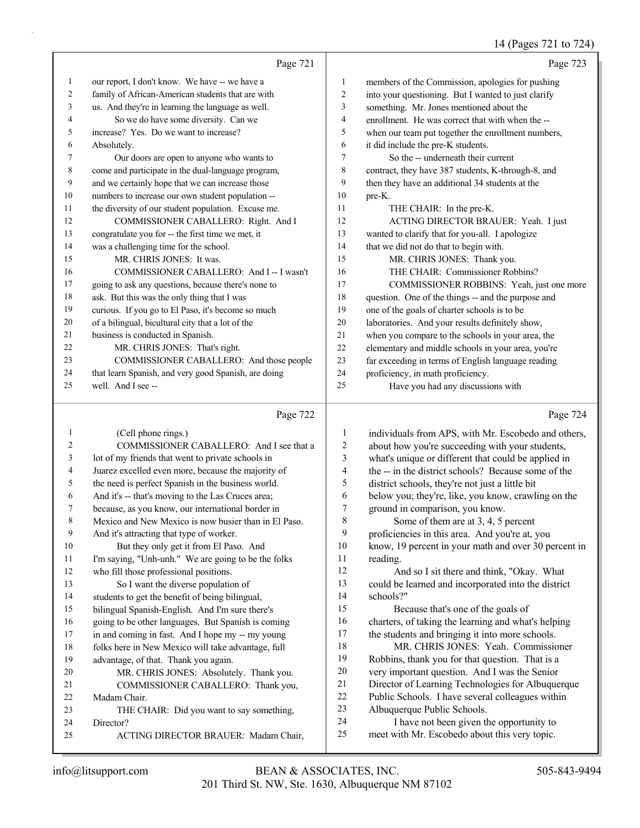## 14 (Pages 721 to 724)

|    | Page 721                                             |    | Page 723                                            |
|----|------------------------------------------------------|----|-----------------------------------------------------|
| 1  | our report, I don't know. We have -- we have a       | 1  | members of the Commission, apologies for pushing    |
| 2  | family of African-American students that are with    | 2  | into your questioning. But I wanted to just clarify |
| 3  | us. And they're in learning the language as well.    | 3  | something. Mr. Jones mentioned about the            |
| 4  | So we do have some diversity. Can we                 | 4  | enrollment. He was correct that with when the --    |
| 5  | increase? Yes. Do we want to increase?               | 5  | when our team put together the enrollment numbers,  |
| 6  | Absolutely.                                          | 6  | it did include the pre-K students.                  |
| 7  | Our doors are open to anyone who wants to            | 7  | So the -- underneath their current                  |
| 8  | come and participate in the dual-language program,   | 8  | contract, they have 387 students, K-through-8, and  |
| 9  | and we certainly hope that we can increase those     | 9  | then they have an additional 34 students at the     |
| 10 | numbers to increase our own student population --    | 10 | pre-K.                                              |
| 11 | the diversity of our student population. Excuse me.  | 11 | THE CHAIR: In the pre-K.                            |
| 12 | COMMISSIONER CABALLERO: Right. And I                 | 12 | ACTING DIRECTOR BRAUER: Yeah. I just                |
| 13 | congratulate you for -- the first time we met, it    | 13 | wanted to clarify that for you-all. I apologize     |
| 14 | was a challenging time for the school.               | 14 | that we did not do that to begin with.              |
| 15 | MR. CHRIS JONES: It was.                             | 15 | MR. CHRIS JONES: Thank you.                         |
| 16 | COMMISSIONER CABALLERO: And I -- I wasn't            | 16 | THE CHAIR: Commissioner Robbins?                    |
| 17 | going to ask any questions, because there's none to  | 17 | COMMISSIONER ROBBINS: Yeah, just one more           |
| 18 | ask. But this was the only thing that I was          | 18 | question. One of the things -- and the purpose and  |
| 19 | curious. If you go to El Paso, it's become so much   | 19 | one of the goals of charter schools is to be        |
| 20 | of a bilingual, bicultural city that a lot of the    | 20 | laboratories. And your results definitely show,     |
| 21 | business is conducted in Spanish.                    | 21 | when you compare to the schools in your area, the   |
| 22 | MR. CHRIS JONES: That's right.                       | 22 | elementary and middle schools in your area, you're  |
| 23 | COMMISSIONER CABALLERO: And those people             | 23 | far exceeding in terms of English language reading  |
| 24 | that learn Spanish, and very good Spanish, are doing | 24 | proficiency, in math proficiency.                   |
| 25 | well. And I see --                                   | 25 | Have you had any discussions with                   |
|    | $\overline{a}$<br>$\mathbf{n}$ .                     |    | $\mathbf{n}$ .                                      |

|                | Page 722                                             |                | Page 724                                             |
|----------------|------------------------------------------------------|----------------|------------------------------------------------------|
| 1              | (Cell phone rings.)                                  | 1              | individuals from APS, with Mr. Escobedo and others,  |
| $\overline{c}$ | COMMISSIONER CABALLERO: And I see that a             | $\overline{2}$ | about how you're succeeding with your students,      |
| 3              | lot of my friends that went to private schools in    | 3              | what's unique or different that could be applied in  |
| 4              | Juarez excelled even more, because the majority of   | 4              | the -- in the district schools? Because some of the  |
| 5              | the need is perfect Spanish in the business world.   | 5              | district schools, they're not just a little bit      |
| 6              | And it's -- that's moving to the Las Cruces area;    | 6              | below you; they're, like, you know, crawling on the  |
| 7              | because, as you know, our international border in    | $\overline{7}$ | ground in comparison, you know.                      |
| 8              | Mexico and New Mexico is now busier than in El Paso. | 8              | Some of them are at 3, 4, 5 percent                  |
| 9              | And it's attracting that type of worker.             | 9              | proficiencies in this area. And you're at, you       |
| 10             | But they only get it from El Paso. And               | 10             | know, 19 percent in your math and over 30 percent in |
| 11             | I'm saying, "Unh-unh." We are going to be the folks  | 11             | reading.                                             |
| 12             | who fill those professional positions.               | 12             | And so I sit there and think, "Okay. What            |
| 13             | So I want the diverse population of                  | 13             | could be learned and incorporated into the district  |
| 14             | students to get the benefit of being bilingual,      | 14             | schools?"                                            |
| 15             | bilingual Spanish-English. And I'm sure there's      | 15             | Because that's one of the goals of                   |
| 16             | going to be other languages. But Spanish is coming   | 16             | charters, of taking the learning and what's helping  |
| 17             | in and coming in fast. And I hope my -- my young     | 17             | the students and bringing it into more schools.      |
| 18             | folks here in New Mexico will take advantage, full   | 18             | MR. CHRIS JONES: Yeah. Commissioner                  |
| 19             | advantage, of that. Thank you again.                 | 19             | Robbins, thank you for that question. That is a      |
| 20             | MR. CHRIS JONES: Absolutely. Thank you.              | 20             | very important question. And I was the Senior        |
| 21             | COMMISSIONER CABALLERO: Thank you,                   | 21             | Director of Learning Technologies for Albuquerque    |
| 22             | Madam Chair.                                         | 22             | Public Schools. I have several colleagues within     |
| 23             | THE CHAIR: Did you want to say something,            | 23             | Albuquerque Public Schools.                          |
| 24             | Director?                                            | 24             | I have not been given the opportunity to             |
| 25             | ACTING DIRECTOR BRAUER: Madam Chair,                 | 25             | meet with Mr. Escobedo about this very topic.        |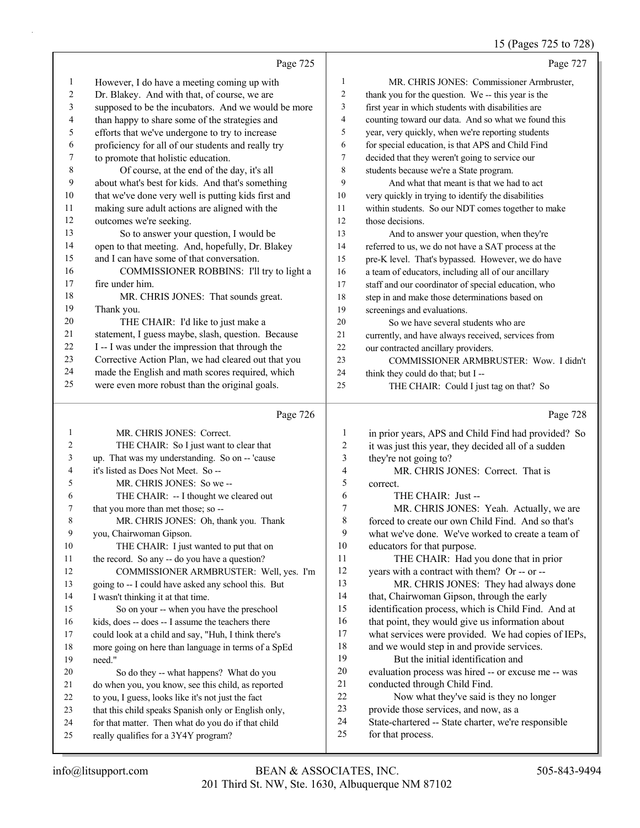|                          |                                                     |                         | 15 (Pages 725 to 728)                               |
|--------------------------|-----------------------------------------------------|-------------------------|-----------------------------------------------------|
|                          | Page 725                                            |                         | Page 727                                            |
| $\mathbf{1}$             | However, I do have a meeting coming up with         | $\mathbf{1}$            | MR. CHRIS JONES: Commissioner Armbruster,           |
| $\overline{c}$           | Dr. Blakey. And with that, of course, we are        | $\overline{2}$          | thank you for the question. We -- this year is the  |
| 3                        | supposed to be the incubators. And we would be more | 3                       | first year in which students with disabilities are  |
| $\overline{\mathcal{A}}$ | than happy to share some of the strategies and      | $\overline{\mathbf{4}}$ | counting toward our data. And so what we found this |
| 5                        | efforts that we've undergone to try to increase     | 5                       | year, very quickly, when we're reporting students   |
| 6                        | proficiency for all of our students and really try  | 6                       | for special education, is that APS and Child Find   |
| 7                        | to promote that holistic education.                 | 7                       | decided that they weren't going to service our      |
| $\,$ 8 $\,$              | Of course, at the end of the day, it's all          | 8                       | students because we're a State program.             |
| 9                        | about what's best for kids. And that's something    | 9                       | And what that meant is that we had to act           |
| 10                       | that we've done very well is putting kids first and | 10                      | very quickly in trying to identify the disabilities |
| 11                       | making sure adult actions are aligned with the      | 11                      | within students. So our NDT comes together to make  |
| 12                       | outcomes we're seeking.                             | 12                      | those decisions.                                    |
| 13                       | So to answer your question, I would be              | 13                      | And to answer your question, when they're           |
| 14                       | open to that meeting. And, hopefully, Dr. Blakey    | 14                      | referred to us, we do not have a SAT process at the |
| 15                       | and I can have some of that conversation.           | 15                      | pre-K level. That's bypassed. However, we do have   |
| 16                       | COMMISSIONER ROBBINS: I'll try to light a           | 16                      | a team of educators, including all of our ancillary |
| 17                       | fire under him.                                     | 17                      | staff and our coordinator of special education, who |
| 18                       | MR. CHRIS JONES: That sounds great.                 | 18                      | step in and make those determinations based on      |
| 19                       | Thank you.                                          | 19                      | screenings and evaluations.                         |
| 20                       | THE CHAIR: I'd like to just make a                  | 20                      | So we have several students who are                 |
| 21                       | statement, I guess maybe, slash, question. Because  | 21                      | currently, and have always received, services from  |
| 22                       | I -- I was under the impression that through the    | 22                      | our contracted ancillary providers.                 |
| 23                       | Corrective Action Plan, we had cleared out that you | 23                      | COMMISSIONER ARMBRUSTER: Wow. I didn't              |
| 24                       | made the English and math scores required, which    | 24                      | think they could do that; but I --                  |
| 25                       | were even more robust than the original goals.      | 25                      | THE CHAIR: Could I just tag on that? So             |
|                          | Page 726                                            |                         | Page 728                                            |
| 1                        | MR. CHRIS JONES: Correct.                           | 1                       | in prior years, APS and Child Find had provided? So |
| 2                        | THE CHAIR: So I just want to clear that             | $\sqrt{2}$              | it was just this year, they decided all of a sudden |
| 3                        | up. That was my understanding. So on -- 'cause      | 3                       | they're not going to?                               |
| 4                        | it's listed as Does Not Meet. So --                 | $\overline{\mathbf{4}}$ | MR. CHRIS JONES: Correct. That is                   |
| 5                        | MR. CHRIS JONES: So we --                           | 5                       | correct.                                            |
| 6                        | THE CHAIR: -- I thought we cleared out              | 6                       | THE CHAIR: Just --                                  |
| $\mathcal{L}$            | that you more than met those; so --                 | 7                       | MR. CHRIS JONES: Yeah. Actually, we are             |
| 8                        | MR. CHRIS JONES: Oh, thank you. Thank               | 8                       | forced to create our own Child Find. And so that's  |
| 9                        | you, Chairwoman Gipson.                             | 9                       | what we've done. We've worked to create a team of   |
| 10                       | THE CHAIR: I just wanted to put that on             | 10                      | educators for that purpose.                         |
| 11                       | the record. So any -- do you have a question?       | 11                      | THE CHAIR: Had you done that in prior               |
| 12                       | COMMISSIONER ARMBRUSTER: Well, yes. I'm             | 12                      | years with a contract with them? Or -- or --        |
| 13                       | going to -- I could have asked any school this. But | 13                      | MR. CHRIS JONES: They had always done               |
| 14                       | I wasn't thinking it at that time.                  | 14                      | that, Chairwoman Gipson, through the early          |
| 15                       | So on your -- when you have the preschool           | 15                      | identification process, which is Child Find. And at |
| 16                       | kids, does -- does -- I assume the teachers there   | 16                      | that point, they would give us information about    |

kids, does -- does -- I assume the teachers there

 could look at a child and say, "Huh, I think there's more going on here than language in terms of a SpEd

need."

- 20 So do they -- what happens? What do you
- do when you, you know, see this child, as reported to you, I guess, looks like it's not just the fact
- that this child speaks Spanish only or English only,
- for that matter. Then what do you do if that child
- really qualifies for a 3Y4Y program?
- 201 Third St. NW, Ste. 1630, Albuquerque NM 87102 info@litsupport.com BEAN & ASSOCIATES, INC. 505-843-9494

what services were provided. We had copies of IEPs,

evaluation process was hired -- or excuse me -- was

22 Now what they've said is they no longer

State-chartered -- State charter, we're responsible

18 and we would step in and provide services. 19 But the initial identification and

conducted through Child Find.

for that process.

provide those services, and now, as a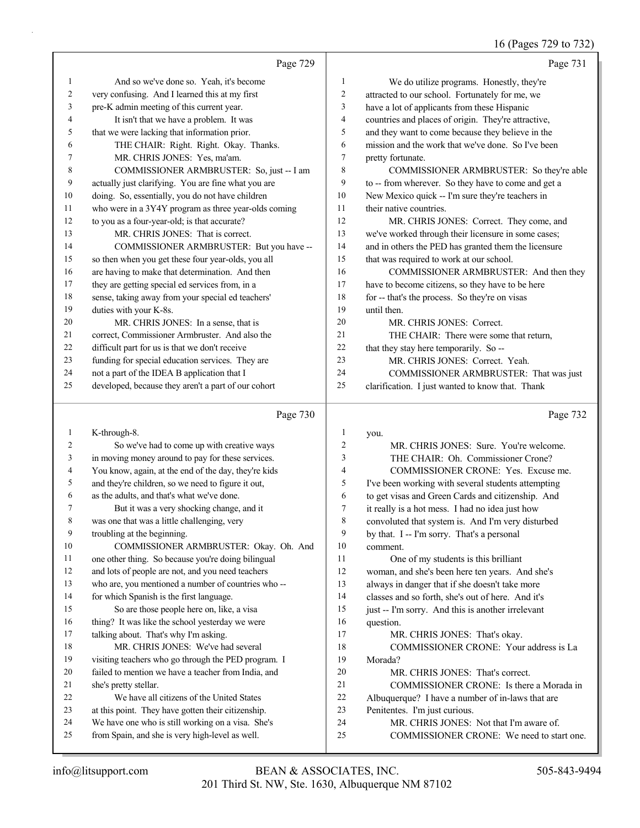## 16 (Pages 729 to 732)

|    | Page 729                                             |                | Page 731                                             |
|----|------------------------------------------------------|----------------|------------------------------------------------------|
| 1  | And so we've done so. Yeah, it's become              | 1              | We do utilize programs. Honestly, they're            |
| 2  | very confusing. And I learned this at my first       | 2              | attracted to our school. Fortunately for me, we      |
| 3  | pre-K admin meeting of this current year.            | 3              | have a lot of applicants from these Hispanic         |
| 4  | It isn't that we have a problem. It was              | $\overline{4}$ | countries and places of origin. They're attractive,  |
| 5  | that we were lacking that information prior.         | 5              | and they want to come because they believe in the    |
| 6  | THE CHAIR: Right. Right. Okay. Thanks.               | 6              | mission and the work that we've done. So I've been   |
|    | MR. CHRIS JONES: Yes, ma'am.                         | 7              | pretty fortunate.                                    |
| 8  | COMMISSIONER ARMBRUSTER: So, just -- I am            | 8              | COMMISSIONER ARMBRUSTER: So they're able             |
| 9  | actually just clarifying. You are fine what you are  | 9              | to -- from wherever. So they have to come and get a  |
| 10 | doing. So, essentially, you do not have children     | 10             | New Mexico quick -- I'm sure they're teachers in     |
| 11 | who were in a 3Y4Y program as three year-olds coming | 11             | their native countries.                              |
| 12 | to you as a four-year-old; is that accurate?         | 12             | MR. CHRIS JONES: Correct. They come, and             |
| 13 | MR. CHRIS JONES: That is correct.                    | 13             | we've worked through their licensure in some cases;  |
| 14 | COMMISSIONER ARMBRUSTER: But you have --             | 14             | and in others the PED has granted them the licensure |
| 15 | so then when you get these four year-olds, you all   | 15             | that was required to work at our school.             |
| 16 | are having to make that determination. And then      | 16             | COMMISSIONER ARMBRUSTER: And then they               |
| 17 | they are getting special ed services from, in a      | 17             | have to become citizens, so they have to be here     |
| 18 | sense, taking away from your special ed teachers'    | 18             | for -- that's the process. So they're on visas       |
| 19 | duties with your K-8s.                               | 19             | until then.                                          |
| 20 | MR. CHRIS JONES: In a sense, that is                 | 20             | MR. CHRIS JONES: Correct.                            |
| 21 | correct, Commissioner Armbruster. And also the       | 2.1            | THE CHAIR: There were some that return,              |
| 22 | difficult part for us is that we don't receive       | 22             | that they stay here temporarily. So --               |
| 23 | funding for special education services. They are     | 23             | MR. CHRIS JONES: Correct. Yeah.                      |
| 24 | not a part of the IDEA B application that I          | 24             | COMMISSIONER ARMBRUSTER: That was just               |
| 25 | developed, because they aren't a part of our cohort  | 25             | clarification. I just wanted to know that. Thank     |
|    | Page $730$                                           |                | Page $732$                                           |

# $\left| \begin{array}{c} \text{age} \end{array} \right|$

Page 732

| 1  | K-through-8.                                         | 1  | you.                                               |
|----|------------------------------------------------------|----|----------------------------------------------------|
| 2  | So we've had to come up with creative ways           | 2  | MR. CHRIS JONES: Sure. You're welcome.             |
| 3  | in moving money around to pay for these services.    | 3  | THE CHAIR: Oh. Commissioner Crone?                 |
| 4  | You know, again, at the end of the day, they're kids | 4  | COMMISSIONER CRONE: Yes. Excuse me.                |
| 5  | and they're children, so we need to figure it out,   | 5  | I've been working with several students attempting |
| 6  | as the adults, and that's what we've done.           | 6  | to get visas and Green Cards and citizenship. And  |
| 7  | But it was a very shocking change, and it            | 7  | it really is a hot mess. I had no idea just how    |
| 8  | was one that was a little challenging, very          | 8  | convoluted that system is. And I'm very disturbed  |
| 9  | troubling at the beginning.                          | 9  | by that. I -- I'm sorry. That's a personal         |
| 10 | COMMISSIONER ARMBRUSTER: Okay. Oh. And               | 10 | comment.                                           |
| 11 | one other thing. So because you're doing bilingual   | 11 | One of my students is this brilliant               |
| 12 | and lots of people are not, and you need teachers    | 12 | woman, and she's been here ten years. And she's    |
| 13 | who are, you mentioned a number of countries who --  | 13 | always in danger that if she doesn't take more     |
| 14 | for which Spanish is the first language.             | 14 | classes and so forth, she's out of here. And it's  |
| 15 | So are those people here on, like, a visa            | 15 | just -- I'm sorry. And this is another irrelevant  |
| 16 | thing? It was like the school yesterday we were      | 16 | question.                                          |
| 17 | talking about. That's why I'm asking.                | 17 | MR. CHRIS JONES: That's okay.                      |
| 18 | MR. CHRIS JONES: We've had several                   | 18 | COMMISSIONER CRONE: Your address is La             |
| 19 | visiting teachers who go through the PED program. I  | 19 | Morada?                                            |
| 20 | failed to mention we have a teacher from India, and  | 20 | MR. CHRIS JONES: That's correct.                   |
| 21 | she's pretty stellar.                                | 21 | COMMISSIONER CRONE: Is there a Morada in           |
| 22 | We have all citizens of the United States            | 22 | Albuquerque? I have a number of in-laws that are   |
| 23 | at this point. They have gotten their citizenship.   | 23 | Penitentes. I'm just curious.                      |
| 24 | We have one who is still working on a visa. She's    | 24 | MR. CHRIS JONES: Not that I'm aware of.            |
| 25 | from Spain, and she is very high-level as well.      | 25 | COMMISSIONER CRONE: We need to start one.          |
|    |                                                      |    |                                                    |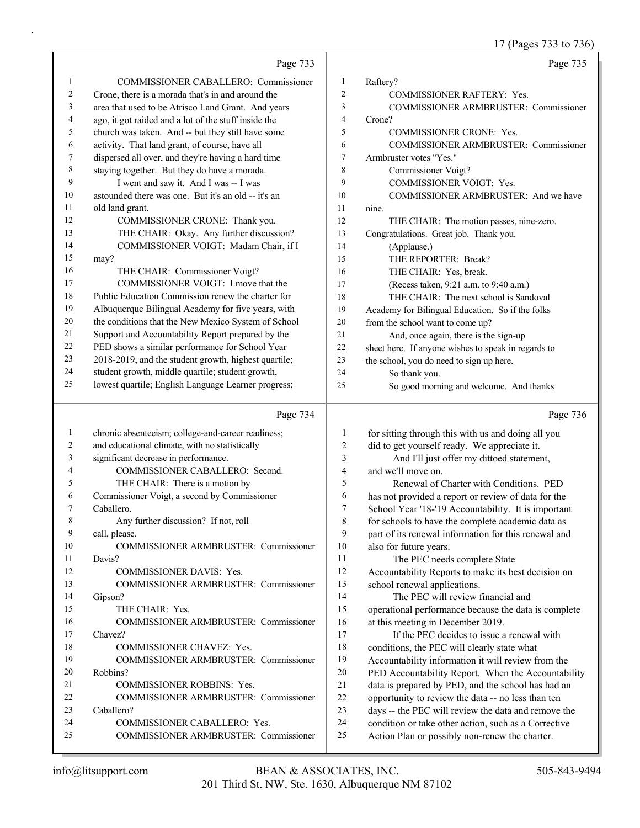17 (Pages 733 to 736)

|                |                                                      |                         | 1/ (Pages /33 to /30)                                |
|----------------|------------------------------------------------------|-------------------------|------------------------------------------------------|
|                | Page 733                                             |                         | Page 735                                             |
| $\mathbf{1}$   | COMMISSIONER CABALLERO: Commissioner                 | $\mathbf{1}$            | Raftery?                                             |
| $\overline{c}$ | Crone, there is a morada that's in and around the    | $\overline{2}$          | <b>COMMISSIONER RAFTERY: Yes.</b>                    |
| 3              | area that used to be Atrisco Land Grant. And years   | 3                       | COMMISSIONER ARMBRUSTER: Commissioner                |
| 4              | ago, it got raided and a lot of the stuff inside the | $\overline{\mathbf{4}}$ | Crone?                                               |
| 5              | church was taken. And -- but they still have some    | 5                       | <b>COMMISSIONER CRONE: Yes.</b>                      |
| 6              | activity. That land grant, of course, have all       | 6                       | COMMISSIONER ARMBRUSTER: Commissioner                |
| 7              | dispersed all over, and they're having a hard time   | $\boldsymbol{7}$        | Armbruster votes "Yes."                              |
| $\,$ $\,$      | staying together. But they do have a morada.         | 8                       | Commissioner Voigt?                                  |
| 9              | I went and saw it. And I was -- I was                | 9                       | COMMISSIONER VOIGT: Yes.                             |
| 10             | astounded there was one. But it's an old -- it's an  | 10                      | COMMISSIONER ARMBRUSTER: And we have                 |
| 11             | old land grant.                                      | 11                      | nine.                                                |
| 12             | COMMISSIONER CRONE: Thank you.                       | 12                      | THE CHAIR: The motion passes, nine-zero.             |
| 13             | THE CHAIR: Okay. Any further discussion?             | 13                      | Congratulations. Great job. Thank you.               |
| 14             | COMMISSIONER VOIGT: Madam Chair, if I                | 14                      | (Applause.)                                          |
| 15             | may?                                                 | 15                      | THE REPORTER: Break?                                 |
| 16             | THE CHAIR: Commissioner Voigt?                       | 16                      | THE CHAIR: Yes, break.                               |
| 17             | COMMISSIONER VOIGT: I move that the                  | 17                      | (Recess taken, 9:21 a.m. to 9:40 a.m.)               |
| 18             | Public Education Commission renew the charter for    | 18                      | THE CHAIR: The next school is Sandoval               |
| 19             | Albuquerque Bilingual Academy for five years, with   | 19                      | Academy for Bilingual Education. So if the folks     |
| 20             | the conditions that the New Mexico System of School  | 20                      | from the school want to come up?                     |
| 21             | Support and Accountability Report prepared by the    | 21                      | And, once again, there is the sign-up                |
| 22             | PED shows a similar performance for School Year      | 22                      | sheet here. If anyone wishes to speak in regards to  |
| 23             | 2018-2019, and the student growth, highest quartile; | 23                      | the school, you do need to sign up here.             |
| 24             | student growth, middle quartile; student growth,     | 24                      | So thank you.                                        |
| 25             | lowest quartile; English Language Learner progress;  | 25                      | So good morning and welcome. And thanks              |
|                | Page 734                                             |                         | Page 736                                             |
| $\mathbf{1}$   | chronic absenteeism; college-and-career readiness;   | $\mathbf{1}$            | for sitting through this with us and doing all you   |
| $\overline{c}$ | and educational climate, with no statistically       | $\overline{2}$          | did to get yourself ready. We appreciate it.         |
| 3              | significant decrease in performance.                 | $\mathfrak{Z}$          | And I'll just offer my dittoed statement,            |
| 4              | COMMISSIONER CABALLERO: Second.                      | $\overline{4}$          | and we'll move on.                                   |
| 5              | THE CHAIR: There is a motion by                      | 5                       | Renewal of Charter with Conditions. PED              |
| 6              | Commissioner Voigt, a second by Commissioner         | 6                       | has not provided a report or review of data for the  |
| 7              | Caballero.                                           | 7                       | School Year '18-'19 Accountability. It is important  |
| 8              | Any further discussion? If not, roll                 | $\,$ $\,$               | for schools to have the complete academic data as    |
| 9              | call, please.                                        | 9                       | part of its renewal information for this renewal and |
| 10             | COMMISSIONER ARMBRUSTER: Commissioner                | 10                      | also for future years.                               |
| 11             | Davis?                                               | 11                      | The PEC needs complete State                         |

12 COMMISSIONER DAVIS: Yes.

24 COMMISSIONER CABALLERO: Yes.

13 COMMISSIONER ARMBRUSTER: Commissioner 14 Gipson? 15 THE CHAIR: Yes. 16 COMMISSIONER ARMBRUSTER: Commissioner 17 Chavez? 18 COMMISSIONER CHAVEZ: Yes. 19 COMMISSIONER ARMBRUSTER: Commissioner 20 Robbins? 21 COMMISSIONER ROBBINS: Yes. 22 COMMISSIONER ARMBRUSTER: Commissioner

25 COMMISSIONER ARMBRUSTER: Commissioner

23 Caballero?

12 Accountability Reports to make its best decision on

15 operational performance because the data is complete

17 If the PEC decides to issue a renewal with conditions, the PEC will clearly state what Accountability information it will review from the PED Accountability Report. When the Accountability data is prepared by PED, and the school has had an opportunity to review the data -- no less than ten days -- the PEC will review the data and remove the condition or take other action, such as a Corrective Action Plan or possibly non-renew the charter.

14 The PEC will review financial and

16 at this meeting in December 2019.

13 school renewal applications.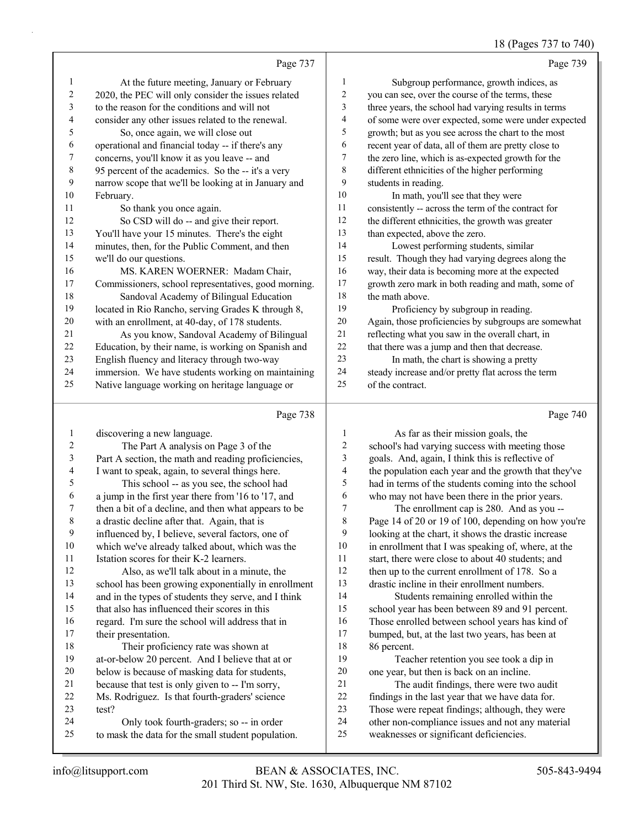## 18 (Pages 737 to 740)

|                | Page 737                                             |                  | Page 739                                             |
|----------------|------------------------------------------------------|------------------|------------------------------------------------------|
| 1              | At the future meeting, January or February           | 1                | Subgroup performance, growth indices, as             |
| $\overline{c}$ | 2020, the PEC will only consider the issues related  | $\overline{c}$   | you can see, over the course of the terms, these     |
| 3              | to the reason for the conditions and will not        | 3                | three years, the school had varying results in terms |
| 4              | consider any other issues related to the renewal.    | 4                | of some were over expected, some were under expected |
| 5              | So, once again, we will close out                    | 5                | growth; but as you see across the chart to the most  |
| 6              | operational and financial today -- if there's any    | 6                | recent year of data, all of them are pretty close to |
| 7              | concerns, you'll know it as you leave -- and         | 7                | the zero line, which is as-expected growth for the   |
| $\,8\,$        | 95 percent of the academics. So the -- it's a very   | 8                | different ethnicities of the higher performing       |
| 9              | narrow scope that we'll be looking at in January and | 9                | students in reading.                                 |
| 10             | February.                                            | 10 <sup>10</sup> | In math, you'll see that they were                   |
| 11             | So thank you once again.                             | 11               | consistently -- across the term of the contract for  |
| 12             | So CSD will do -- and give their report.             | 12               | the different ethnicities, the growth was greater    |
| 13             | You'll have your 15 minutes. There's the eight       | 13               | than expected, above the zero.                       |
| 14             | minutes, then, for the Public Comment, and then      | 14               | Lowest performing students, similar                  |
| 15             | we'll do our questions.                              | 15               | result. Though they had varying degrees along the    |
| 16             | MS. KAREN WOERNER: Madam Chair,                      | 16               | way, their data is becoming more at the expected     |
| 17             | Commissioners, school representatives, good morning. | 17               | growth zero mark in both reading and math, some of   |
| 18             | Sandoval Academy of Bilingual Education              | 18               | the math above.                                      |
| 19             | located in Rio Rancho, serving Grades K through 8,   | 19               | Proficiency by subgroup in reading.                  |
| 20             | with an enrollment, at 40-day, of 178 students.      | 20               | Again, those proficiencies by subgroups are somewhat |
| 21             | As you know, Sandoval Academy of Bilingual           | 21               | reflecting what you saw in the overall chart, in     |
| 22             | Education, by their name, is working on Spanish and  | 22               | that there was a jump and then that decrease.        |
| 23             | English fluency and literacy through two-way         | 23               | In math, the chart is showing a pretty               |
| 24             | immersion. We have students working on maintaining   | 24               | steady increase and/or pretty flat across the term   |
| 25             | Native language working on heritage language or      | 25               | of the contract.                                     |
|                | Page 738                                             |                  | Page 740                                             |

| 1              | discovering a new language.                          | 1  | As far as their mission goals, the                   |
|----------------|------------------------------------------------------|----|------------------------------------------------------|
| 2              | The Part A analysis on Page 3 of the                 | 2  | school's had varying success with meeting those      |
| 3              | Part A section, the math and reading proficiencies,  | 3  | goals. And, again, I think this is reflective of     |
| $\overline{4}$ | I want to speak, again, to several things here.      | 4  | the population each year and the growth that they've |
| 5              | This school -- as you see, the school had            | 5  | had in terms of the students coming into the school  |
| 6              | a jump in the first year there from '16 to '17, and  | 6  | who may not have been there in the prior years.      |
| 7              | then a bit of a decline, and then what appears to be | 7  | The enrollment cap is 280. And as you --             |
| 8              | a drastic decline after that. Again, that is         | 8  | Page 14 of 20 or 19 of 100, depending on how you're  |
| 9              | influenced by, I believe, several factors, one of    | 9  | looking at the chart, it shows the drastic increase  |
| 10             | which we've already talked about, which was the      | 10 | in enrollment that I was speaking of, where, at the  |
| 11             | Istation scores for their K-2 learners.              | 11 | start, there were close to about 40 students; and    |
| 12             | Also, as we'll talk about in a minute, the           | 12 | then up to the current enrollment of 178. So a       |
| 13             | school has been growing exponentially in enrollment  | 13 | drastic incline in their enrollment numbers.         |
| 14             | and in the types of students they serve, and I think | 14 | Students remaining enrolled within the               |
| 15             | that also has influenced their scores in this        | 15 | school year has been between 89 and 91 percent.      |
| 16             | regard. I'm sure the school will address that in     | 16 | Those enrolled between school years has kind of      |
| 17             | their presentation.                                  | 17 | bumped, but, at the last two years, has been at      |
| 18             | Their proficiency rate was shown at                  | 18 | 86 percent.                                          |
| 19             | at-or-below 20 percent. And I believe that at or     | 19 | Teacher retention you see took a dip in              |
| 20             | below is because of masking data for students,       | 20 | one year, but then is back on an incline.            |
| 21             | because that test is only given to -- I'm sorry,     | 21 | The audit findings, there were two audit             |
| 22             | Ms. Rodriguez. Is that fourth-graders' science       | 22 | findings in the last year that we have data for.     |
| 23             | test?                                                | 23 | Those were repeat findings; although, they were      |
| 24             | Only took fourth-graders; so -- in order             | 24 | other non-compliance issues and not any material     |
| 25             | to mask the data for the small student population.   | 25 | weaknesses or significant deficiencies.              |
|                |                                                      |    |                                                      |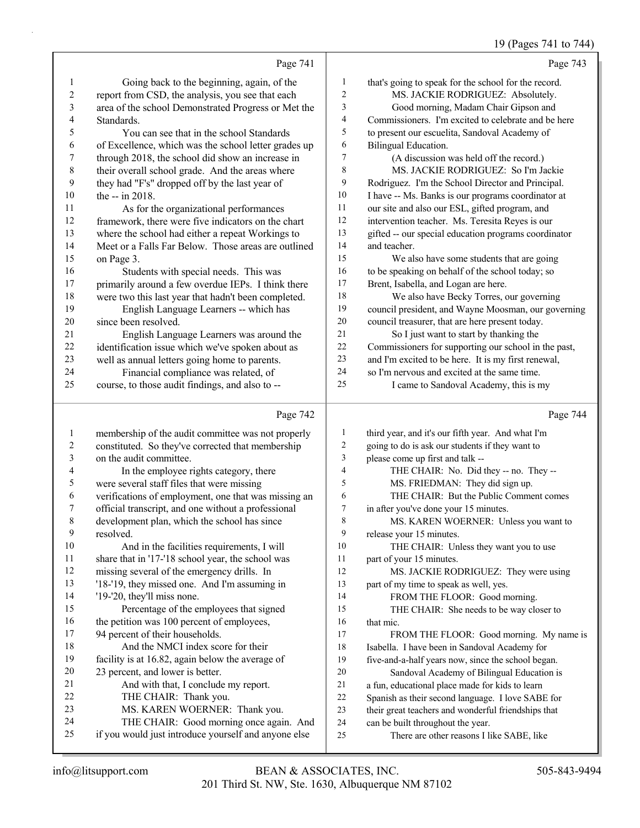## 19 (Pages 741 to 744)

|             | Page 741                                             |                | Page 743                                             |
|-------------|------------------------------------------------------|----------------|------------------------------------------------------|
| 1           | Going back to the beginning, again, of the           | 1              | that's going to speak for the school for the record. |
| 2           | report from CSD, the analysis, you see that each     | $\overline{c}$ | MS. JACKIE RODRIGUEZ: Absolutely.                    |
| 3           | area of the school Demonstrated Progress or Met the  | 3              | Good morning, Madam Chair Gipson and                 |
| 4           | Standards.                                           | 4              | Commissioners. I'm excited to celebrate and be here  |
| 5           | You can see that in the school Standards             | 5              | to present our escuelita, Sandoval Academy of        |
| 6           | of Excellence, which was the school letter grades up | 6              | Bilingual Education.                                 |
| 7           | through 2018, the school did show an increase in     | 7              | (A discussion was held off the record.)              |
| $\,$ 8 $\,$ | their overall school grade. And the areas where      | 8              | MS. JACKIE RODRIGUEZ: So I'm Jackie                  |
| 9           | they had "F's" dropped off by the last year of       | 9              | Rodriguez. I'm the School Director and Principal.    |
| 10          | the $-$ in 2018.                                     | 10             | I have -- Ms. Banks is our programs coordinator at   |
| 11          | As for the organizational performances               | 11             | our site and also our ESL, gifted program, and       |
| 12          | framework, there were five indicators on the chart   | 12             | intervention teacher. Ms. Teresita Reyes is our      |
| 13          | where the school had either a repeat Workings to     | 13             | gifted -- our special education programs coordinator |
| 14          | Meet or a Falls Far Below. Those areas are outlined  | 14             | and teacher.                                         |
| 15          | on Page 3.                                           | 15             | We also have some students that are going            |
| 16          | Students with special needs. This was                | 16             | to be speaking on behalf of the school today; so     |
| 17          | primarily around a few overdue IEPs. I think there   | 17             | Brent, Isabella, and Logan are here.                 |
| 18          | were two this last year that hadn't been completed.  | 18             | We also have Becky Torres, our governing             |
| 19          | English Language Learners -- which has               | 19             | council president, and Wayne Moosman, our governing  |
| 20          | since been resolved.                                 | 20             | council treasurer, that are here present today.      |
| 21          | English Language Learners was around the             | 21             | So I just want to start by thanking the              |
| 22          | identification issue which we've spoken about as     | 22             | Commissioners for supporting our school in the past, |
| 23          | well as annual letters going home to parents.        | 23             | and I'm excited to be here. It is my first renewal,  |
| 24          | Financial compliance was related, of                 | 24             | so I'm nervous and excited at the same time.         |
| 25          | course, to those audit findings, and also to --      | 25             | I came to Sandoval Academy, this is my               |
|             | Page 742                                             |                | Page 744                                             |
| 1           | membership of the audit committee was not properly   | 1              | third year, and it's our fifth year. And what I'm    |
| 2           | constituted. So they've corrected that membership    | 2              | going to do is ask our students if they want to      |
|             |                                                      |                |                                                      |

| 3  | on the audit committee.                              | 3  | please come up first and talk --                    |
|----|------------------------------------------------------|----|-----------------------------------------------------|
| 4  | In the employee rights category, there               | 4  | THE CHAIR: No. Did they -- no. They --              |
| 5  | were several staff files that were missing           | 5  | MS. FRIEDMAN: They did sign up.                     |
| 6  | verifications of employment, one that was missing an | 6  | THE CHAIR: But the Public Comment comes             |
| 7  | official transcript, and one without a professional  | 7  | in after you've done your 15 minutes.               |
| 8  | development plan, which the school has since         | 8  | MS. KAREN WOERNER: Unless you want to               |
| 9  | resolved.                                            | 9  | release your 15 minutes.                            |
| 10 | And in the facilities requirements, I will           | 10 | THE CHAIR: Unless they want you to use              |
| 11 | share that in '17-'18 school year, the school was    | 11 | part of your 15 minutes.                            |
| 12 | missing several of the emergency drills. In          | 12 | MS. JACKIE RODRIGUEZ: They were using               |
| 13 | '18-'19, they missed one. And I'm assuming in        | 13 | part of my time to speak as well, yes.              |
| 14 | '19-'20, they'll miss none.                          | 14 | FROM THE FLOOR: Good morning.                       |
| 15 | Percentage of the employees that signed              | 15 | THE CHAIR: She needs to be way closer to            |
| 16 | the petition was 100 percent of employees,           | 16 | that mic.                                           |
| 17 | 94 percent of their households.                      | 17 | FROM THE FLOOR: Good morning. My name is            |
| 18 | And the NMCI index score for their                   | 18 | Isabella. I have been in Sandoval Academy for       |
| 19 | facility is at 16.82, again below the average of     | 19 | five-and-a-half years now, since the school began.  |
| 20 | 23 percent, and lower is better.                     | 20 | Sandoval Academy of Bilingual Education is          |
| 21 | And with that, I conclude my report.                 | 21 | a fun, educational place made for kids to learn     |
| 22 | THE CHAIR: Thank you.                                | 22 | Spanish as their second language. I love SABE for   |
| 23 | MS. KAREN WOERNER: Thank you.                        | 23 | their great teachers and wonderful friendships that |
| 24 | THE CHAIR: Good morning once again. And              | 24 | can be built throughout the year.                   |
| 25 | if you would just introduce yourself and anyone else | 25 | There are other reasons I like SABE, like           |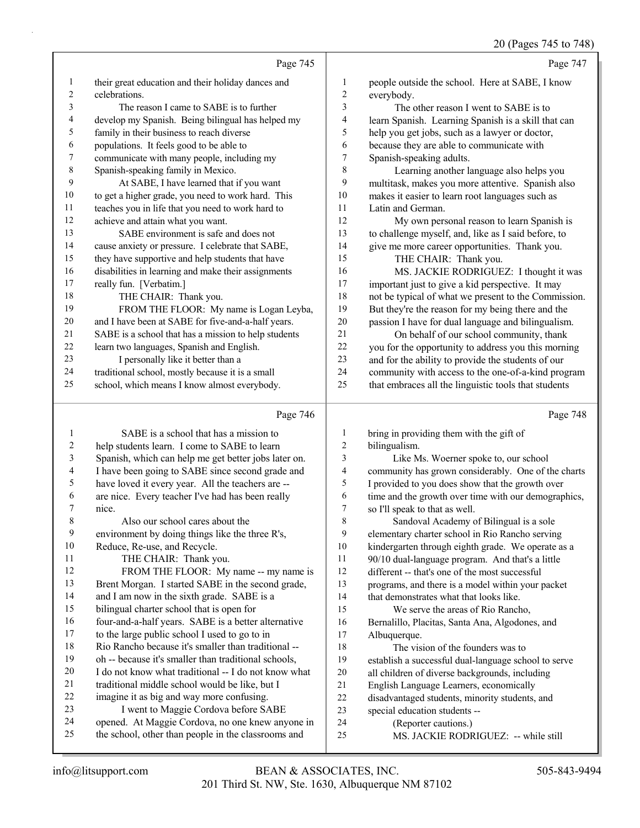|    | Page 745                                             |                | Page 747                                             |
|----|------------------------------------------------------|----------------|------------------------------------------------------|
| 1  | their great education and their holiday dances and   | 1              | people outside the school. Here at SABE, I know      |
| 2  | celebrations.                                        | $\overline{c}$ | everybody.                                           |
| 3  | The reason I came to SABE is to further              | 3              | The other reason I went to SABE is to                |
| 4  | develop my Spanish. Being bilingual has helped my    | 4              | learn Spanish. Learning Spanish is a skill that can  |
| 5  | family in their business to reach diverse            | 5              | help you get jobs, such as a lawyer or doctor,       |
| 6  | populations. It feels good to be able to             | 6              | because they are able to communicate with            |
| 7  | communicate with many people, including my           | 7              | Spanish-speaking adults.                             |
| 8  | Spanish-speaking family in Mexico.                   | 8              | Learning another language also helps you             |
| 9  | At SABE, I have learned that if you want             | 9              | multitask, makes you more attentive. Spanish also    |
| 10 | to get a higher grade, you need to work hard. This   | 10             | makes it easier to learn root languages such as      |
| 11 | teaches you in life that you need to work hard to    | 11             | Latin and German.                                    |
| 12 | achieve and attain what you want.                    | 12             | My own personal reason to learn Spanish is           |
| 13 | SABE environment is safe and does not                | 13             | to challenge myself, and, like as I said before, to  |
| 14 | cause anxiety or pressure. I celebrate that SABE,    | 14             | give me more career opportunities. Thank you.        |
| 15 | they have supportive and help students that have     | 15             | THE CHAIR: Thank you.                                |
| 16 | disabilities in learning and make their assignments  | 16             | MS. JACKIE RODRIGUEZ: I thought it was               |
| 17 | really fun. [Verbatim.]                              | 17             | important just to give a kid perspective. It may     |
| 18 | THE CHAIR: Thank you.                                | 18             | not be typical of what we present to the Commission. |
| 19 | FROM THE FLOOR: My name is Logan Leyba,              | 19             | But they're the reason for my being there and the    |
| 20 | and I have been at SABE for five-and-a-half years.   | 20             | passion I have for dual language and bilingualism.   |
| 21 | SABE is a school that has a mission to help students | 21             | On behalf of our school community, thank             |
| 22 | learn two languages, Spanish and English.            | 22             | you for the opportunity to address you this morning  |
| 23 | I personally like it better than a                   | 23             | and for the ability to provide the students of our   |
| 24 | traditional school, mostly because it is a small     | 24             | community with access to the one-of-a-kind program   |
| 25 | school, which means I know almost everybody.         | 25             | that embraces all the linguistic tools that students |
|    |                                                      |                |                                                      |

# Page 746

|    | Page 746                                             |    | Page 748                                             |
|----|------------------------------------------------------|----|------------------------------------------------------|
| 1  | SABE is a school that has a mission to               | 1  | bring in providing them with the gift of             |
| 2  | help students learn. I come to SABE to learn         | 2  | bilingualism.                                        |
| 3  | Spanish, which can help me get better jobs later on. | 3  | Like Ms. Woerner spoke to, our school                |
| 4  | I have been going to SABE since second grade and     | 4  | community has grown considerably. One of the charts  |
| 5  | have loved it every year. All the teachers are --    | 5  | I provided to you does show that the growth over     |
| 6  | are nice. Every teacher I've had has been really     | 6  | time and the growth over time with our demographics, |
| 7  | nice.                                                | 7  | so I'll speak to that as well.                       |
| 8  | Also our school cares about the                      | 8  | Sandoval Academy of Bilingual is a sole              |
| 9  | environment by doing things like the three R's,      | 9  | elementary charter school in Rio Rancho serving      |
| 10 | Reduce, Re-use, and Recycle.                         | 10 | kindergarten through eighth grade. We operate as a   |
| 11 | THE CHAIR: Thank you.                                | 11 | 90/10 dual-language program. And that's a little     |
| 12 | FROM THE FLOOR: My name -- my name is                | 12 | different -- that's one of the most successful       |
| 13 | Brent Morgan. I started SABE in the second grade,    | 13 | programs, and there is a model within your packet    |
| 14 | and I am now in the sixth grade. SABE is a           | 14 | that demonstrates what that looks like.              |
| 15 | bilingual charter school that is open for            | 15 | We serve the areas of Rio Rancho,                    |
| 16 | four-and-a-half years. SABE is a better alternative  | 16 | Bernalillo, Placitas, Santa Ana, Algodones, and      |
| 17 | to the large public school I used to go to in        | 17 | Albuquerque.                                         |
| 18 | Rio Rancho because it's smaller than traditional --  | 18 | The vision of the founders was to                    |
| 19 | oh -- because it's smaller than traditional schools, | 19 | establish a successful dual-language school to serve |
| 20 | I do not know what traditional -- I do not know what | 20 | all children of diverse backgrounds, including       |
| 21 | traditional middle school would be like, but I       | 21 | English Language Learners, economically              |
| 22 | imagine it as big and way more confusing.            | 22 | disadvantaged students, minority students, and       |
| 23 | I went to Maggie Cordova before SABE                 | 23 | special education students --                        |
| 24 | opened. At Maggie Cordova, no one knew anyone in     | 24 | (Reporter cautions.)                                 |
| 25 | the school, other than people in the classrooms and  | 25 | MS. JACKIE RODRIGUEZ: -- while still                 |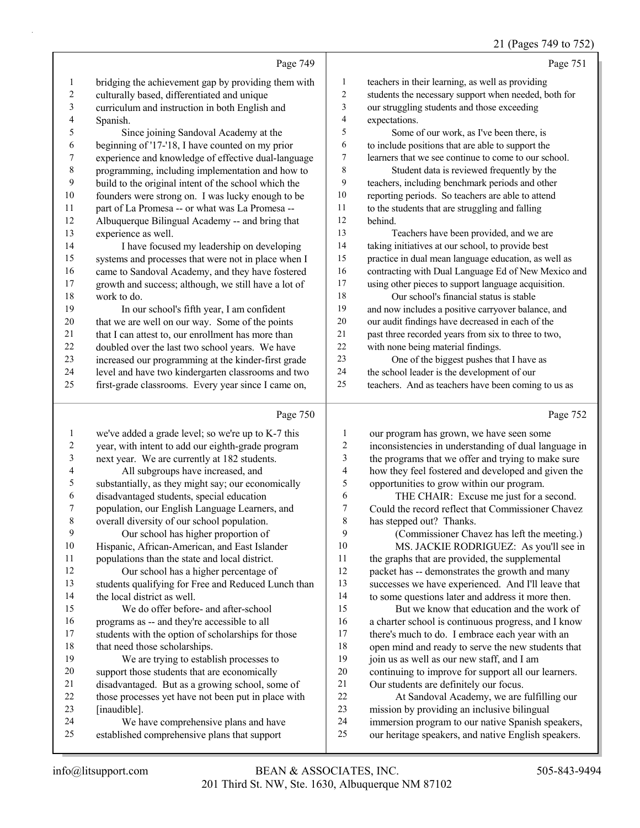## 21 (Pages 749 to 752)

| Page 749                                                    |                | Page 751                                             |
|-------------------------------------------------------------|----------------|------------------------------------------------------|
| bridging the achievement gap by providing them with<br>1    | 1              | teachers in their learning, as well as providing     |
| 2<br>culturally based, differentiated and unique            | $\overline{2}$ | students the necessary support when needed, both for |
| 3<br>curriculum and instruction in both English and         | 3              | our struggling students and those exceeding          |
| 4<br>Spanish.                                               | $\overline{4}$ | expectations.                                        |
| 5<br>Since joining Sandoval Academy at the                  | 5              | Some of our work, as I've been there, is             |
| beginning of '17-'18, I have counted on my prior<br>6       | 6              | to include positions that are able to support the    |
| 7<br>experience and knowledge of effective dual-language    | $\tau$         | learners that we see continue to come to our school. |
| $\,8\,$<br>programming, including implementation and how to | 8              | Student data is reviewed frequently by the           |
| 9<br>build to the original intent of the school which the   | 9              | teachers, including benchmark periods and other      |
| 10<br>founders were strong on. I was lucky enough to be     | 10             | reporting periods. So teachers are able to attend    |
| part of La Promesa -- or what was La Promesa --<br>11       | 11             | to the students that are struggling and falling      |
| 12<br>Albuquerque Bilingual Academy -- and bring that       | 12             | behind.                                              |
| 13<br>experience as well.                                   | 13             | Teachers have been provided, and we are              |
| 14<br>I have focused my leadership on developing            | 14             | taking initiatives at our school, to provide best    |
| 15<br>systems and processes that were not in place when I   | 15             | practice in dual mean language education, as well as |
| 16<br>came to Sandoval Academy, and they have fostered      | 16             | contracting with Dual Language Ed of New Mexico and  |
| 17<br>growth and success; although, we still have a lot of  | 17             | using other pieces to support language acquisition.  |
| 18<br>work to do.                                           | 18             | Our school's financial status is stable              |
| 19<br>In our school's fifth year, I am confident            | 19             | and now includes a positive carryover balance, and   |
| 20<br>that we are well on our way. Some of the points       | 20             | our audit findings have decreased in each of the     |
| 21<br>that I can attest to, our enrollment has more than    | 21             | past three recorded years from six to three to two,  |
| 22<br>doubled over the last two school years. We have       | 22             | with none being material findings.                   |
| 23<br>increased our programming at the kinder-first grade   | 23             | One of the biggest pushes that I have as             |
| level and have two kindergarten classrooms and two<br>24    | 24             | the school leader is the development of our          |
| 25<br>first-grade classrooms. Every year since I came on,   | 25             | teachers. And as teachers have been coming to us as  |
| Page 750                                                    |                | Page 752                                             |

|    | we've added a grade level; so we're up to K-7 this  | 1  | our program has grown, we have seen some             |
|----|-----------------------------------------------------|----|------------------------------------------------------|
| 2  | year, with intent to add our eighth-grade program   | 2  | inconsistencies in understanding of dual language in |
| 3  | next year. We are currently at 182 students.        | 3  | the programs that we offer and trying to make sure   |
| 4  | All subgroups have increased, and                   | 4  | how they feel fostered and developed and given the   |
| 5  | substantially, as they might say; our economically  | 5  | opportunities to grow within our program.            |
| 6  | disadvantaged students, special education           | 6  | THE CHAIR: Excuse me just for a second.              |
|    | population, our English Language Learners, and      | 7  | Could the record reflect that Commissioner Chavez    |
| 8  | overall diversity of our school population.         | 8  | has stepped out? Thanks.                             |
| 9  | Our school has higher proportion of                 | 9  | (Commissioner Chavez has left the meeting.)          |
| 10 | Hispanic, African-American, and East Islander       | 10 | MS. JACKIE RODRIGUEZ: As you'll see in               |
| 11 | populations than the state and local district.      | 11 | the graphs that are provided, the supplemental       |
| 12 | Our school has a higher percentage of               | 12 | packet has -- demonstrates the growth and many       |
| 13 | students qualifying for Free and Reduced Lunch than | 13 | successes we have experienced. And I'll leave that   |
| 14 | the local district as well.                         | 14 | to some questions later and address it more then.    |
| 15 | We do offer before- and after-school                | 15 | But we know that education and the work of           |
| 16 | programs as -- and they're accessible to all        | 16 | a charter school is continuous progress, and I know  |
| 17 | students with the option of scholarships for those  | 17 | there's much to do. I embrace each year with an      |
| 18 | that need those scholarships.                       | 18 | open mind and ready to serve the new students that   |
| 19 | We are trying to establish processes to             | 19 | join us as well as our new staff, and I am           |
| 20 | support those students that are economically        | 20 | continuing to improve for support all our learners.  |
| 21 | disadvantaged. But as a growing school, some of     | 21 | Our students are definitely our focus.               |
| 22 | those processes yet have not been put in place with | 22 | At Sandoval Academy, we are fulfilling our           |
| 23 | [inaudible].                                        | 23 | mission by providing an inclusive bilingual          |
| 24 | We have comprehensive plans and have                | 24 | immersion program to our native Spanish speakers,    |
| 25 | established comprehensive plans that support        | 25 | our heritage speakers, and native English speakers.  |
|    |                                                     |    |                                                      |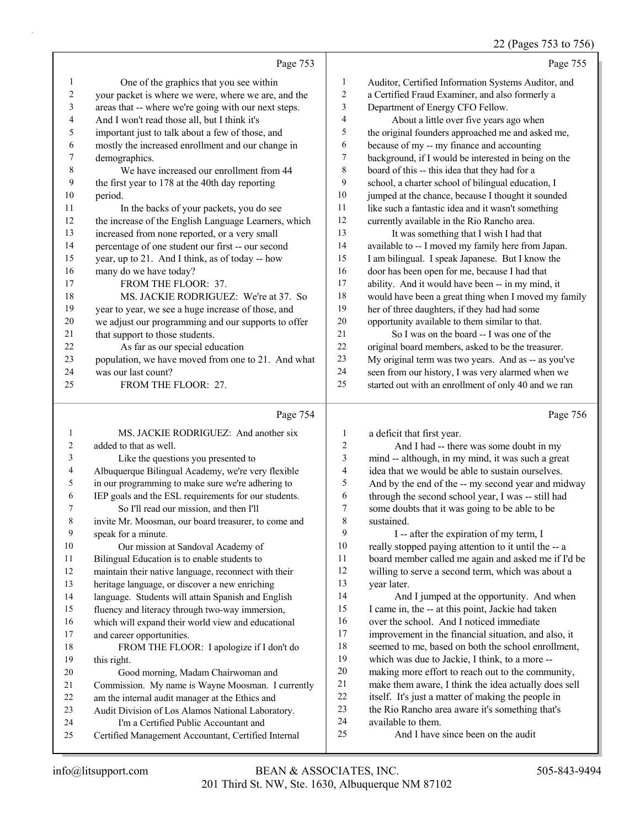## 22 (Pages 753 to 756)

| Page 755                                             |                | Page 753                                             |              |
|------------------------------------------------------|----------------|------------------------------------------------------|--------------|
| Auditor, Certified Information Systems Auditor, and  | 1              | One of the graphics that you see within              | $\mathbf{1}$ |
| a Certified Fraud Examiner, and also formerly a      | 2              | your packet is where we were, where we are, and the  | 2            |
| Department of Energy CFO Fellow.                     | 3              | areas that -- where we're going with our next steps. | 3            |
| About a little over five years ago when              | $\overline{4}$ | And I won't read those all, but I think it's         | 4            |
| the original founders approached me and asked me,    | 5              | important just to talk about a few of those, and     | 5            |
| because of my -- my finance and accounting           | 6              | mostly the increased enrollment and our change in    | 6            |
| background, if I would be interested in being on the | 7              | demographics.                                        | 7            |
| board of this -- this idea that they had for a       | 8              | We have increased our enrollment from 44             | 8            |
| school, a charter school of bilingual education, I   | 9              | the first year to 178 at the 40th day reporting      | 9            |
| jumped at the chance, because I thought it sounded   | 10             | period.                                              | 10           |
| like such a fantastic idea and it wasn't something   | 11             | In the backs of your packets, you do see             | 11           |
| currently available in the Rio Rancho area.          | 12             | the increase of the English Language Learners, which | 12           |
| It was something that I wish I had that              | 13             | increased from none reported, or a very small        | 13           |
| available to -- I moved my family here from Japan.   | 14             | percentage of one student our first -- our second    | 14           |
| I am bilingual. I speak Japanese. But I know the     | 15             | year, up to 21. And I think, as of today -- how      | 15           |
| door has been open for me, because I had that        | 16             | many do we have today?                               | 16           |
| ability. And it would have been -- in my mind, it    | 17             | FROM THE FLOOR: 37.                                  | 17           |
| would have been a great thing when I moved my family | 18             | MS. JACKIE RODRIGUEZ: We're at 37. So                | 18           |
| her of three daughters, if they had had some         | 19             | year to year, we see a huge increase of those, and   | 19           |
| opportunity available to them similar to that.       | 20             | we adjust our programming and our supports to offer  | 20           |
| So I was on the board -- I was one of the            | 21             | that support to those students.                      | 21           |
| original board members, asked to be the treasurer.   | 22             | As far as our special education                      | 22           |
| My original term was two years. And as -- as you've  | 23             | population, we have moved from one to 21. And what   | 23           |
| seen from our history, I was very alarmed when we    | 24             | was our last count?                                  | 24           |
| started out with an enrollment of only 40 and we ran | 25             | FROM THE FLOOR: 27.                                  | 25           |
| Page 756                                             |                | Page 754                                             |              |

1 MS. JACKIE RODRIGUEZ: And another six added to that as well. 3 Like the questions you presented to Albuquerque Bilingual Academy, we're very flexible in our programming to make sure we're adhering to IEP goals and the ESL requirements for our students. 7 So I'll read our mission, and then I'll invite Mr. Moosman, our board treasurer, to come and speak for a minute. 10 Our mission at Sandoval Academy of Bilingual Education is to enable students to maintain their native language, reconnect with their heritage language, or discover a new enriching language. Students will attain Spanish and English fluency and literacy through two-way immersion, which will expand their world view and educational and career opportunities. 18 FROM THE FLOOR: I apologize if I don't do 19 this right. 20 Good morning, Madam Chairwoman and Commission. My name is Wayne Moosman. I currently am the internal audit manager at the Ethics and Audit Division of Los Alamos National Laboratory. 24 I'm a Certified Public Accountant and Certified Management Accountant, Certified Internal a deficit that first year. 2 And I had -- there was some doubt in my mind -- although, in my mind, it was such a great idea that we would be able to sustain ourselves. And by the end of the -- my second year and midway through the second school year, I was -- still had some doubts that it was going to be able to be sustained. 9 I -- after the expiration of my term, I really stopped paying attention to it until the -- a board member called me again and asked me if I'd be willing to serve a second term, which was about a year later. 14 And I jumped at the opportunity. And when I came in, the -- at this point, Jackie had taken over the school. And I noticed immediate improvement in the financial situation, and also, it seemed to me, based on both the school enrollment, which was due to Jackie, I think, to a more -- making more effort to reach out to the community, make them aware, I think the idea actually does sell itself. It's just a matter of making the people in the Rio Rancho area aware it's something that's available to them. 25 And I have since been on the audit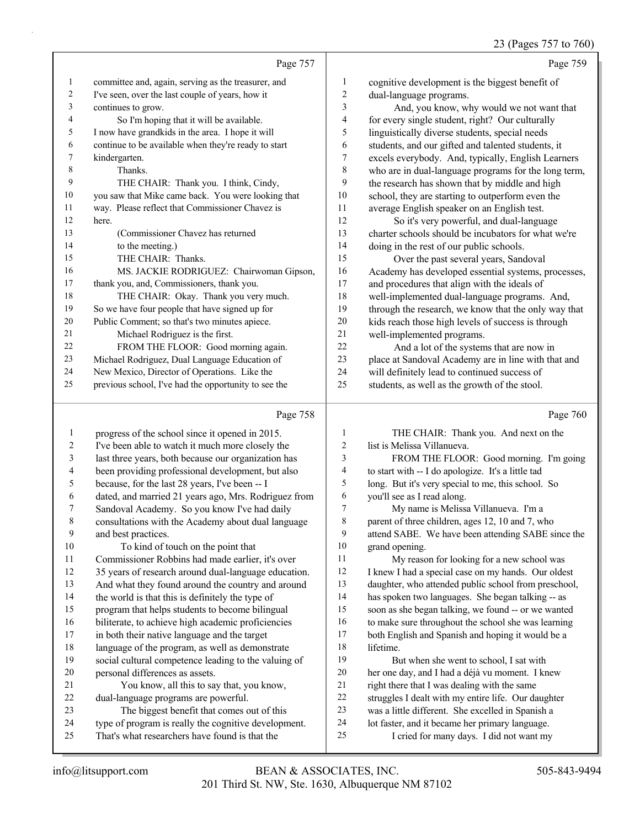## 23 (Pages 757 to 760)

|    | Page 757                                             |                  | Page 759                                             |
|----|------------------------------------------------------|------------------|------------------------------------------------------|
| 1  | committee and, again, serving as the treasurer, and  | 1                | cognitive development is the biggest benefit of      |
| 2  | I've seen, over the last couple of years, how it     | 2                | dual-language programs.                              |
| 3  | continues to grow.                                   | 3                | And, you know, why would we not want that            |
| 4  | So I'm hoping that it will be available.             | 4                | for every single student, right? Our culturally      |
| 5  | I now have grandkids in the area. I hope it will     | 5                | linguistically diverse students, special needs       |
| 6  | continue to be available when they're ready to start | 6                | students, and our gifted and talented students, it   |
| 7  | kindergarten.                                        | $\boldsymbol{7}$ | excels everybody. And, typically, English Learners   |
| 8  | Thanks.                                              | 8                | who are in dual-language programs for the long term, |
| 9  | THE CHAIR: Thank you. I think, Cindy,                | 9                | the research has shown that by middle and high       |
| 10 | you saw that Mike came back. You were looking that   | 10               | school, they are starting to outperform even the     |
| 11 | way. Please reflect that Commissioner Chavez is      | 11               | average English speaker on an English test.          |
| 12 | here.                                                | 12               | So it's very powerful, and dual-language             |
| 13 | (Commissioner Chavez has returned                    | 13               | charter schools should be incubators for what we're  |
| 14 | to the meeting.)                                     | 14               | doing in the rest of our public schools.             |
| 15 | THE CHAIR: Thanks.                                   | 15               | Over the past several years, Sandoval                |
| 16 | MS. JACKIE RODRIGUEZ: Chairwoman Gipson,             | 16               | Academy has developed essential systems, processes,  |
| 17 | thank you, and, Commissioners, thank you.            | 17               | and procedures that align with the ideals of         |
| 18 | THE CHAIR: Okay. Thank you very much.                | 18               | well-implemented dual-language programs. And,        |
| 19 | So we have four people that have signed up for       | 19               | through the research, we know that the only way that |
| 20 | Public Comment; so that's two minutes apiece.        | 20               | kids reach those high levels of success is through   |
| 21 | Michael Rodriguez is the first.                      | 21               | well-implemented programs.                           |
| 22 | FROM THE FLOOR: Good morning again.                  | 22               | And a lot of the systems that are now in             |
| 23 | Michael Rodriguez, Dual Language Education of        | 23               | place at Sandoval Academy are in line with that and  |
| 24 | New Mexico, Director of Operations. Like the         | 24               | will definitely lead to continued success of         |
| 25 | previous school, I've had the opportunity to see the | 25               | students, as well as the growth of the stool.        |
|    | Page 758                                             |                  | Page 760                                             |
| 1  | progress of the school since it opened in 2015.      | 1                | THE CHAIR: Thank you. And next on the                |
| 2  | I've been able to watch it much more closely the     | 2                | list is Melissa Villanueva.                          |
|    | last three years, both because our organization has  | $\mathbf{a}$     | $FDOM$ THE FLOOP: Good morning $\Gamma$ m going      |

| 3              | last three years, both because our organization has  | FROM THE FLOOR: Good morning. I'm going            |
|----------------|------------------------------------------------------|----------------------------------------------------|
| $\overline{4}$ | been providing professional development, but also    | to start with -- I do apologize. It's a little tad |
| 5              | because, for the last 28 years, I've been -- I       | long. But it's very special to me, this school. So |
| 6              | dated, and married 21 years ago, Mrs. Rodriguez from | you'll see as I read along.                        |
|                | Sandoval Academy. So you know I've had daily         | My name is Melissa Villanueva. I'm a               |
| 8              | consultations with the Academy about dual language   | parent of three children, ages 12, 10 and 7, who   |
| 9              | and best practices.                                  | attend SABE. We have been attending SABE since the |

sa Villanueva. I'm a ages 12, 10 and 7, who attend SABE. We have been attending SABE since the 10 grand opening.<br>11 My reason My reason for looking for a new school was

12 I knew I had a special case on my hands. Our oldest daughter, who attended public school from preschool, has spoken two languages. She began talking -- as soon as she began talking, we found -- or we wanted to make sure throughout the school she was learning both English and Spanish and hoping it would be a lifetime. 19 But when she went to school, I sat with her one day, and I had a déjà vu moment. I knew right there that I was dealing with the same struggles I dealt with my entire life. Our daughter was a little different. She excelled in Spanish a

- 
- lot faster, and it became her primary language.
- 25 I cried for many days. I did not want my

10 To kind of touch on the point that

personal differences as assets.

dual-language programs are powerful.

 Commissioner Robbins had made earlier, it's over 35 years of research around dual-language education. And what they found around the country and around 14 the world is that this is definitely the type of program that helps students to become bilingual biliterate, to achieve high academic proficiencies in both their native language and the target language of the program, as well as demonstrate social cultural competence leading to the valuing of

21 You know, all this to say that, you know,

23 The biggest benefit that comes out of this type of program is really the cognitive development. That's what researchers have found is that the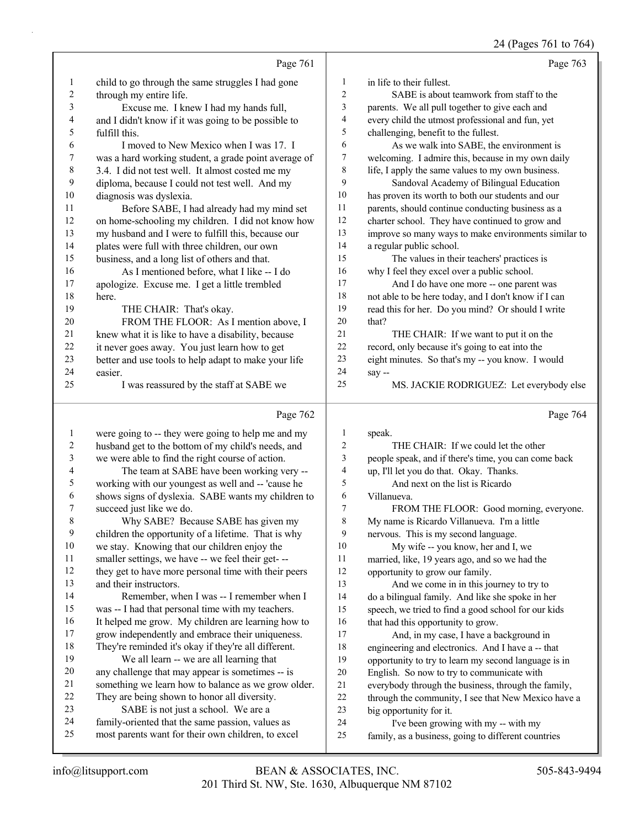24 (Pages 761 to 764)

|              | Page 761                                                                                               |                | Page 763                                                                                    |
|--------------|--------------------------------------------------------------------------------------------------------|----------------|---------------------------------------------------------------------------------------------|
| 1            | child to go through the same struggles I had gone                                                      | $\mathbf{1}$   | in life to their fullest.                                                                   |
| 2            | through my entire life.                                                                                | $\overline{2}$ | SABE is about teamwork from staff to the                                                    |
| 3            | Excuse me. I knew I had my hands full,                                                                 | 3              | parents. We all pull together to give each and                                              |
| 4            | and I didn't know if it was going to be possible to                                                    | $\overline{4}$ | every child the utmost professional and fun, yet                                            |
| 5            | fulfill this.                                                                                          | 5              | challenging, benefit to the fullest.                                                        |
| 6            | I moved to New Mexico when I was 17. I                                                                 | 6              | As we walk into SABE, the environment is                                                    |
| 7            | was a hard working student, a grade point average of                                                   | $\tau$         | welcoming. I admire this, because in my own daily                                           |
| $\,$ 8 $\,$  | 3.4. I did not test well. It almost costed me my                                                       | 8              | life, I apply the same values to my own business.                                           |
| 9            | diploma, because I could not test well. And my                                                         | 9              | Sandoval Academy of Bilingual Education                                                     |
| 10           | diagnosis was dyslexia.                                                                                | 10             | has proven its worth to both our students and our                                           |
| 11           | Before SABE, I had already had my mind set                                                             | 11             | parents, should continue conducting business as a                                           |
| 12           | on home-schooling my children. I did not know how                                                      | 12             | charter school. They have continued to grow and                                             |
| 13           | my husband and I were to fulfill this, because our                                                     | 13             | improve so many ways to make environments similar to                                        |
| 14           | plates were full with three children, our own                                                          | 14             | a regular public school.                                                                    |
| 15           | business, and a long list of others and that.                                                          | 15             | The values in their teachers' practices is                                                  |
| 16           | As I mentioned before, what I like -- I do                                                             | 16             | why I feel they excel over a public school.                                                 |
| 17           | apologize. Excuse me. I get a little trembled                                                          | 17             | And I do have one more -- one parent was                                                    |
| 18           | here.                                                                                                  | $18\,$         | not able to be here today, and I don't know if I can                                        |
| 19           | THE CHAIR: That's okay.                                                                                | 19             | read this for her. Do you mind? Or should I write                                           |
| 20           | FROM THE FLOOR: As I mention above, I                                                                  | 20             | that?                                                                                       |
| 21           | knew what it is like to have a disability, because                                                     | 21             | THE CHAIR: If we want to put it on the                                                      |
| $22\,$       | it never goes away. You just learn how to get                                                          | $22\,$         | record, only because it's going to eat into the                                             |
| 23           | better and use tools to help adapt to make your life                                                   | 23             | eight minutes. So that's my -- you know. I would                                            |
| 24           | easier.                                                                                                | 24             | say --                                                                                      |
| 25           | I was reassured by the staff at SABE we                                                                | 25             | MS. JACKIE RODRIGUEZ: Let everybody else                                                    |
|              |                                                                                                        |                |                                                                                             |
|              | Page 762                                                                                               |                | Page 764                                                                                    |
|              |                                                                                                        |                |                                                                                             |
| 1            | were going to -- they were going to help me and my                                                     | $\mathbf{1}$   | speak.                                                                                      |
| 2            | husband get to the bottom of my child's needs, and                                                     | 2              | THE CHAIR: If we could let the other                                                        |
| 3            | we were able to find the right course of action.                                                       | 3              | people speak, and if there's time, you can come back                                        |
| 4            | The team at SABE have been working very --                                                             | 4              | up, I'll let you do that. Okay. Thanks.                                                     |
| 5<br>6       | working with our youngest as well and -- 'cause he                                                     | 5<br>6         | And next on the list is Ricardo                                                             |
| 7            | shows signs of dyslexia. SABE wants my children to                                                     | 7              | Villanueva.                                                                                 |
|              | succeed just like we do.                                                                               |                | FROM THE FLOOR: Good morning, everyone.                                                     |
| 8            | Why SABE? Because SABE has given my                                                                    | 8              | My name is Ricardo Villanueva. I'm a little                                                 |
| $\mathbf{9}$ | children the opportunity of a lifetime. That is why                                                    | 9              | nervous. This is my second language.                                                        |
| $10\,$       | we stay. Knowing that our children enjoy the                                                           | 10             | My wife -- you know, her and I, we                                                          |
| 11           | smaller settings, we have -- we feel their get---                                                      | 11             | married, like, 19 years ago, and so we had the                                              |
| 12           | they get to have more personal time with their peers                                                   | $12\,$         | opportunity to grow our family.                                                             |
| 13           | and their instructors.                                                                                 | 13             | And we come in in this journey to try to                                                    |
| 14           | Remember, when I was -- I remember when I                                                              | 14             | do a bilingual family. And like she spoke in her                                            |
| 15           | was -- I had that personal time with my teachers.                                                      | 15             | speech, we tried to find a good school for our kids                                         |
| 16           | It helped me grow. My children are learning how to                                                     | 16             | that had this opportunity to grow.                                                          |
| 17           | grow independently and embrace their uniqueness.                                                       | 17             | And, in my case, I have a background in                                                     |
| 18           | They're reminded it's okay if they're all different.                                                   | 18             | engineering and electronics. And I have a -- that                                           |
| 19           | We all learn -- we are all learning that                                                               | 19             | opportunity to try to learn my second language is in                                        |
| $20\,$<br>21 | any challenge that may appear is sometimes -- is                                                       | 20             | English. So now to try to communicate with                                                  |
|              | something we learn how to balance as we grow older.                                                    | 21             | everybody through the business, through the family,                                         |
| $22\,$<br>23 | They are being shown to honor all diversity.                                                           | $22\,$         | through the community, I see that New Mexico have a                                         |
| 24           | SABE is not just a school. We are a                                                                    | 23             | big opportunity for it.                                                                     |
| 25           | family-oriented that the same passion, values as<br>most parents want for their own children, to excel | 24<br>25       | I've been growing with my -- with my<br>family, as a business, going to different countries |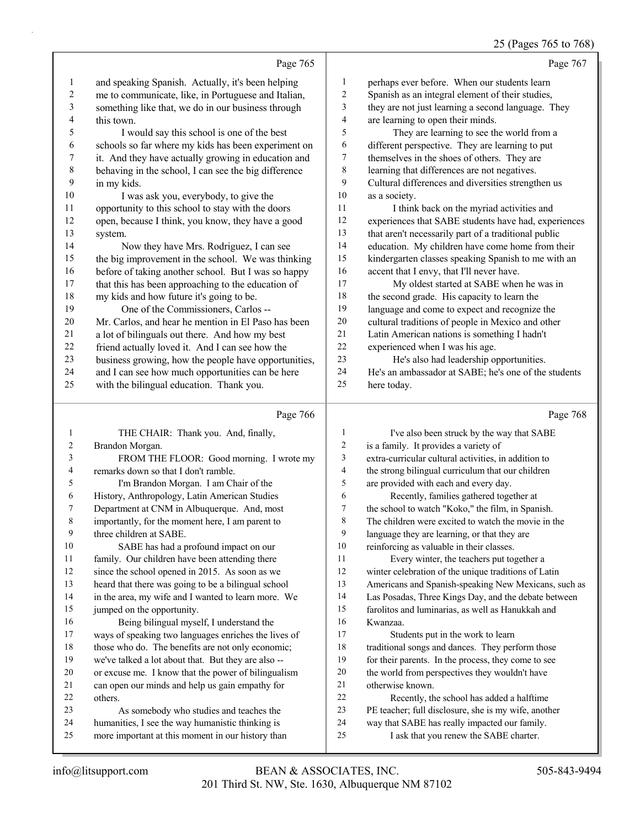|          |                                                                                                       |                | 25 (Pages 765 to 768)                                                                               |
|----------|-------------------------------------------------------------------------------------------------------|----------------|-----------------------------------------------------------------------------------------------------|
|          | Page 765                                                                                              |                | Page 767                                                                                            |
| 1        | and speaking Spanish. Actually, it's been helping                                                     | 1              | perhaps ever before. When our students learn                                                        |
| 2        | me to communicate, like, in Portuguese and Italian,                                                   | 2              | Spanish as an integral element of their studies,                                                    |
| 3        | something like that, we do in our business through                                                    | 3              | they are not just learning a second language. They                                                  |
| 4        | this town.                                                                                            | 4              | are learning to open their minds.                                                                   |
| 5        | I would say this school is one of the best                                                            | 5              | They are learning to see the world from a                                                           |
| 6        | schools so far where my kids has been experiment on                                                   | 6              | different perspective. They are learning to put                                                     |
| 7        | it. And they have actually growing in education and                                                   | 7              | themselves in the shoes of others. They are                                                         |
| 8        | behaving in the school, I can see the big difference                                                  | $\,$ $\,$      | learning that differences are not negatives.                                                        |
| 9        | in my kids.                                                                                           | 9              | Cultural differences and diversities strengthen us                                                  |
| 10       | I was ask you, everybody, to give the                                                                 | 10             | as a society.                                                                                       |
| 11       | opportunity to this school to stay with the doors                                                     | 11             | I think back on the myriad activities and                                                           |
| 12       | open, because I think, you know, they have a good                                                     | 12             | experiences that SABE students have had, experiences                                                |
| 13       | system.                                                                                               | 13             | that aren't necessarily part of a traditional public                                                |
| 14       | Now they have Mrs. Rodriguez, I can see                                                               | 14             | education. My children have come home from their                                                    |
| 15       | the big improvement in the school. We was thinking                                                    | 15             | kindergarten classes speaking Spanish to me with an                                                 |
| 16       | before of taking another school. But I was so happy                                                   | 16             | accent that I envy, that I'll never have.                                                           |
| 17       | that this has been approaching to the education of                                                    | 17<br>18       | My oldest started at SABE when he was in                                                            |
| 18<br>19 | my kids and how future it's going to be.<br>One of the Commissioners, Carlos --                       | 19             | the second grade. His capacity to learn the                                                         |
| 20       | Mr. Carlos, and hear he mention in El Paso has been                                                   | 20             | language and come to expect and recognize the<br>cultural traditions of people in Mexico and other  |
| 21       | a lot of bilinguals out there. And how my best                                                        | $21\,$         | Latin American nations is something I hadn't                                                        |
| 22       | friend actually loved it. And I can see how the                                                       | 22             | experienced when I was his age.                                                                     |
| 23       | business growing, how the people have opportunities,                                                  | 23             | He's also had leadership opportunities.                                                             |
| 24       | and I can see how much opportunities can be here                                                      | 24             | He's an ambassador at SABE; he's one of the students                                                |
| 25       | with the bilingual education. Thank you.                                                              | 25             | here today.                                                                                         |
|          |                                                                                                       |                |                                                                                                     |
|          | Page 766                                                                                              |                | Page 768                                                                                            |
| 1        | THE CHAIR: Thank you. And, finally,                                                                   | 1              | I've also been struck by the way that SABE                                                          |
| 2        | Brandon Morgan.                                                                                       | 2              | is a family. It provides a variety of                                                               |
| 3        | FROM THE FLOOR: Good morning. I wrote my                                                              | 3              | extra-curricular cultural activities, in addition to                                                |
| 4        | remarks down so that I don't ramble.                                                                  | 4              | the strong bilingual curriculum that our children                                                   |
| 5        | I'm Brandon Morgan. I am Chair of the                                                                 | 5              | are provided with each and every day.                                                               |
| 6        | History, Anthropology, Latin American Studies                                                         | 6              | Recently, families gathered together at                                                             |
|          | Department at CNM in Albuquerque. And, most                                                           | $\overline{7}$ | the school to watch "Koko," the film, in Spanish.                                                   |
| 8<br>9   | importantly, for the moment here, I am parent to<br>three children at SABE.                           | $\,$ $\,$<br>9 | The children were excited to watch the movie in the<br>language they are learning, or that they are |
| 10       | SABE has had a profound impact on our                                                                 | 10             | reinforcing as valuable in their classes.                                                           |
| 11       | family. Our children have been attending there                                                        | 11             | Every winter, the teachers put together a                                                           |
| 12       | since the school opened in 2015. As soon as we                                                        | 12             | winter celebration of the unique traditions of Latin                                                |
| 13       | heard that there was going to be a bilingual school                                                   | 13             | Americans and Spanish-speaking New Mexicans, such as                                                |
| 14       | in the area, my wife and I wanted to learn more. We                                                   | 14             | Las Posadas, Three Kings Day, and the debate between                                                |
| 15       | jumped on the opportunity.                                                                            | 15             | farolitos and luminarias, as well as Hanukkah and                                                   |
| 16       | Being bilingual myself, I understand the                                                              | 16             | Kwanzaa.                                                                                            |
| 17       | ways of speaking two languages enriches the lives of                                                  | 17             | Students put in the work to learn                                                                   |
| 18       | those who do. The benefits are not only economic;                                                     | 18             | traditional songs and dances. They perform those                                                    |
| 19       | we've talked a lot about that. But they are also --                                                   | 19             | for their parents. In the process, they come to see                                                 |
| 20       | or excuse me. I know that the power of bilingualism                                                   | 20             | the world from perspectives they wouldn't have                                                      |
| 21       | can open our minds and help us gain empathy for                                                       | $21\,$         | otherwise known.                                                                                    |
| 22       | others.                                                                                               | $22\,$         | Recently, the school has added a halftime                                                           |
| 23       | As somebody who studies and teaches the                                                               | 23             | PE teacher; full disclosure, she is my wife, another                                                |
|          |                                                                                                       |                |                                                                                                     |
| 24       | humanities, I see the way humanistic thinking is<br>more important at this moment in our history than | 24<br>25       | way that SABE has really impacted our family.                                                       |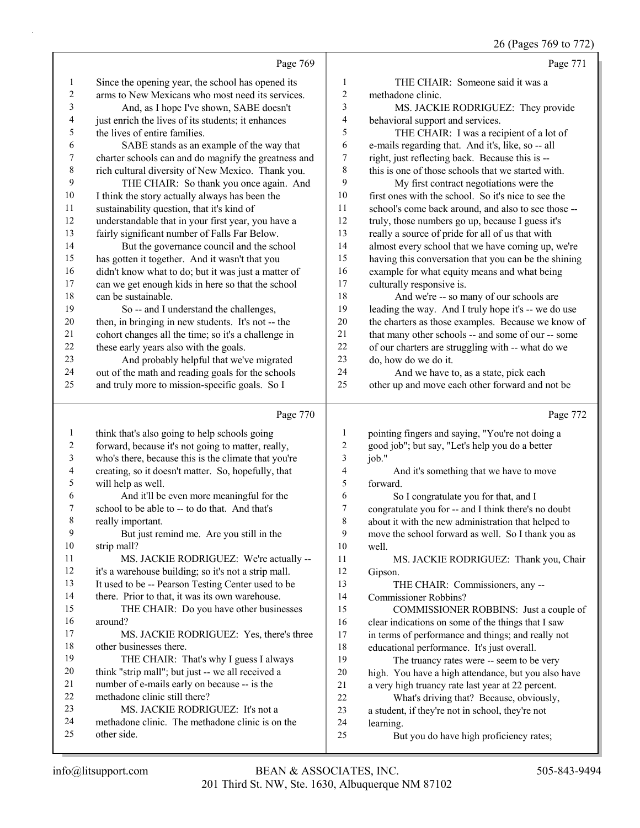## 26 (Pages 769 to 772)

|                          | Page 769                                                                                                  |                         | Page 771                                                                                                  |
|--------------------------|-----------------------------------------------------------------------------------------------------------|-------------------------|-----------------------------------------------------------------------------------------------------------|
| 1                        | Since the opening year, the school has opened its                                                         | 1                       | THE CHAIR: Someone said it was a                                                                          |
| $\boldsymbol{2}$         | arms to New Mexicans who most need its services.                                                          | $\overline{\mathbf{c}}$ | methadone clinic.                                                                                         |
| 3                        | And, as I hope I've shown, SABE doesn't                                                                   | 3                       | MS. JACKIE RODRIGUEZ: They provide                                                                        |
| $\overline{\mathcal{L}}$ | just enrich the lives of its students; it enhances                                                        | 4                       | behavioral support and services.                                                                          |
| 5                        | the lives of entire families.                                                                             | 5                       | THE CHAIR: I was a recipient of a lot of                                                                  |
| 6                        | SABE stands as an example of the way that                                                                 | 6                       | e-mails regarding that. And it's, like, so -- all                                                         |
| $\boldsymbol{7}$         | charter schools can and do magnify the greatness and                                                      | $\boldsymbol{7}$        | right, just reflecting back. Because this is --                                                           |
| $\,$ $\,$                | rich cultural diversity of New Mexico. Thank you.                                                         | 8                       | this is one of those schools that we started with.                                                        |
| 9                        | THE CHAIR: So thank you once again. And                                                                   | 9                       | My first contract negotiations were the                                                                   |
| 10                       | I think the story actually always has been the                                                            | 10                      | first ones with the school. So it's nice to see the                                                       |
| 11                       | sustainability question, that it's kind of                                                                | 11                      | school's come back around, and also to see those --                                                       |
| 12                       | understandable that in your first year, you have a                                                        | 12                      | truly, those numbers go up, because I guess it's                                                          |
| 13                       | fairly significant number of Falls Far Below.                                                             | 13                      | really a source of pride for all of us that with                                                          |
| 14                       | But the governance council and the school                                                                 | 14                      | almost every school that we have coming up, we're                                                         |
| 15                       | has gotten it together. And it wasn't that you                                                            | 15                      | having this conversation that you can be the shining                                                      |
| 16                       | didn't know what to do; but it was just a matter of                                                       | 16                      | example for what equity means and what being                                                              |
| 17                       | can we get enough kids in here so that the school                                                         | 17<br>18                | culturally responsive is.                                                                                 |
| 18<br>19                 | can be sustainable.                                                                                       | 19                      | And we're -- so many of our schools are                                                                   |
| $20\,$                   | So -- and I understand the challenges,                                                                    | $20\,$                  | leading the way. And I truly hope it's -- we do use<br>the charters as those examples. Because we know of |
| 21                       | then, in bringing in new students. It's not -- the<br>cohort changes all the time; so it's a challenge in | 21                      | that many other schools -- and some of our -- some                                                        |
| 22                       | these early years also with the goals.                                                                    | 22                      | of our charters are struggling with -- what do we                                                         |
| 23                       | And probably helpful that we've migrated                                                                  | 23                      | do, how do we do it.                                                                                      |
| 24                       | out of the math and reading goals for the schools                                                         | 24                      | And we have to, as a state, pick each                                                                     |
| 25                       | and truly more to mission-specific goals. So I                                                            | 25                      | other up and move each other forward and not be                                                           |
|                          |                                                                                                           |                         |                                                                                                           |
|                          |                                                                                                           |                         |                                                                                                           |
|                          | Page 770                                                                                                  |                         | Page 772                                                                                                  |
| $\mathbf{1}$             | think that's also going to help schools going                                                             | 1                       | pointing fingers and saying, "You're not doing a                                                          |
| $\overline{c}$           | forward, because it's not going to matter, really,                                                        | $\sqrt{2}$              | good job"; but say, "Let's help you do a better                                                           |
| $\overline{\mathbf{3}}$  | who's there, because this is the climate that you're                                                      | 3                       | job."                                                                                                     |
| $\overline{\mathbf{4}}$  | creating, so it doesn't matter. So, hopefully, that                                                       | $\overline{\mathbf{4}}$ | And it's something that we have to move                                                                   |
| 5                        | will help as well.                                                                                        | 5                       | forward.                                                                                                  |
| 6                        | And it'll be even more meaningful for the                                                                 | 6                       | So I congratulate you for that, and I                                                                     |
| 7                        | school to be able to -- to do that. And that's                                                            | 7                       | congratulate you for -- and I think there's no doubt                                                      |
| 8                        | really important.                                                                                         | 8                       | about it with the new administration that helped to                                                       |
| 9                        | But just remind me. Are you still in the                                                                  | 9                       | move the school forward as well. So I thank you as                                                        |
| $10\,$                   | strip mall?                                                                                               | 10                      | well.                                                                                                     |
| 11                       | MS. JACKIE RODRIGUEZ: We're actually --                                                                   | 11                      | MS. JACKIE RODRIGUEZ: Thank you, Chair                                                                    |
| 12                       | it's a warehouse building; so it's not a strip mall.                                                      | 12                      | Gipson.                                                                                                   |
| 13                       | It used to be -- Pearson Testing Center used to be                                                        | 13                      | THE CHAIR: Commissioners, any --                                                                          |
| 14                       | there. Prior to that, it was its own warehouse.                                                           | 14                      | Commissioner Robbins?                                                                                     |
| 15<br>16                 | THE CHAIR: Do you have other businesses<br>around?                                                        | 15                      | COMMISSIONER ROBBINS: Just a couple of                                                                    |
| 17                       | MS. JACKIE RODRIGUEZ: Yes, there's three                                                                  | 16<br>17                | clear indications on some of the things that I saw                                                        |
| 18                       | other businesses there.                                                                                   | $18\,$                  | in terms of performance and things; and really not                                                        |
| 19                       | THE CHAIR: That's why I guess I always                                                                    | 19                      | educational performance. It's just overall.<br>The truancy rates were -- seem to be very                  |
| 20                       | think "strip mall"; but just -- we all received a                                                         | $20\,$                  | high. You have a high attendance, but you also have                                                       |
| 21                       | number of e-mails early on because -- is the                                                              | 21                      | a very high truancy rate last year at 22 percent.                                                         |
| 22                       | methadone clinic still there?                                                                             | 22                      | What's driving that? Because, obviously,                                                                  |
| 23                       | MS. JACKIE RODRIGUEZ: It's not a                                                                          | 23                      | a student, if they're not in school, they're not                                                          |
| 24                       | methadone clinic. The methadone clinic is on the                                                          | 24                      | learning.                                                                                                 |
| 25                       | other side.                                                                                               | 25                      | But you do have high proficiency rates;                                                                   |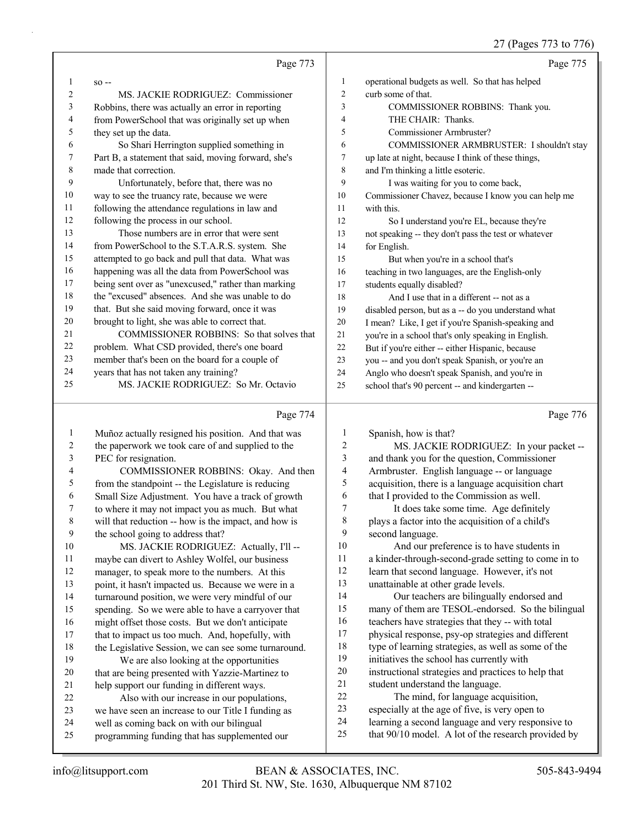## 27 (Pages 773 to 776)

|                         |                                                                                            |                          | $21$ (rages $113$ to $110$ )                                                                             |
|-------------------------|--------------------------------------------------------------------------------------------|--------------------------|----------------------------------------------------------------------------------------------------------|
|                         | Page 773                                                                                   |                          | Page 775                                                                                                 |
| 1                       | $SO -$                                                                                     | $\mathbf{1}$             | operational budgets as well. So that has helped                                                          |
| 2                       | MS. JACKIE RODRIGUEZ: Commissioner                                                         | $\sqrt{2}$               | curb some of that.                                                                                       |
| 3                       | Robbins, there was actually an error in reporting                                          | 3                        | COMMISSIONER ROBBINS: Thank you.                                                                         |
| 4                       | from PowerSchool that was originally set up when                                           | $\overline{4}$           | THE CHAIR: Thanks.                                                                                       |
| 5                       | they set up the data.                                                                      | 5                        | Commissioner Armbruster?                                                                                 |
| 6                       | So Shari Herrington supplied something in                                                  | 6                        | COMMISSIONER ARMBRUSTER: I shouldn't stay                                                                |
| 7                       | Part B, a statement that said, moving forward, she's                                       | $\boldsymbol{7}$         | up late at night, because I think of these things,                                                       |
| 8                       | made that correction.                                                                      | $\,$ 8 $\,$              | and I'm thinking a little esoteric.                                                                      |
| 9                       | Unfortunately, before that, there was no                                                   | 9                        | I was waiting for you to come back,                                                                      |
| 10                      | way to see the truancy rate, because we were                                               | 10                       | Commissioner Chavez, because I know you can help me                                                      |
| 11                      | following the attendance regulations in law and                                            | 11                       | with this.                                                                                               |
| 12                      | following the process in our school.                                                       | 12                       | So I understand you're EL, because they're                                                               |
| 13                      | Those numbers are in error that were sent                                                  | 13                       | not speaking -- they don't pass the test or whatever                                                     |
| 14                      | from PowerSchool to the S.T.A.R.S. system. She                                             | 14                       | for English.                                                                                             |
| 15                      | attempted to go back and pull that data. What was                                          | 15                       | But when you're in a school that's                                                                       |
| 16                      | happening was all the data from PowerSchool was                                            | 16                       | teaching in two languages, are the English-only                                                          |
| 17                      | being sent over as "unexcused," rather than marking                                        | 17                       | students equally disabled?                                                                               |
| 18                      | the "excused" absences. And she was unable to do                                           | 18                       | And I use that in a different -- not as a                                                                |
| 19                      | that. But she said moving forward, once it was                                             | 19                       | disabled person, but as a -- do you understand what                                                      |
| 20                      | brought to light, she was able to correct that.                                            | 20                       | I mean? Like, I get if you're Spanish-speaking and                                                       |
| 21                      | COMMISSIONER ROBBINS: So that solves that                                                  | 21                       | you're in a school that's only speaking in English.                                                      |
| 22                      | problem. What CSD provided, there's one board                                              | 22                       | But if you're either -- either Hispanic, because                                                         |
| 23                      | member that's been on the board for a couple of                                            | 23                       | you -- and you don't speak Spanish, or you're an                                                         |
| 24                      | years that has not taken any training?                                                     | 24                       | Anglo who doesn't speak Spanish, and you're in                                                           |
| 25                      | MS. JACKIE RODRIGUEZ: So Mr. Octavio                                                       | 25                       | school that's 90 percent -- and kindergarten --                                                          |
|                         | Page 774                                                                                   |                          | Page 776                                                                                                 |
| $\mathbf{1}$            | Muñoz actually resigned his position. And that was                                         | $\mathbf{1}$             | Spanish, how is that?                                                                                    |
| $\overline{\mathbf{c}}$ | the paperwork we took care of and supplied to the                                          | $\overline{\mathbf{c}}$  | MS. JACKIE RODRIGUEZ: In your packet --                                                                  |
| 3                       | PEC for resignation.                                                                       | 3                        | and thank you for the question, Commissioner                                                             |
| 4                       | COMMISSIONER ROBBINS: Okay. And then                                                       | $\overline{\mathcal{L}}$ | Armbruster. English language -- or language                                                              |
| 5                       | from the standpoint -- the Legislature is reducing                                         | 5                        | acquisition, there is a language acquisition chart                                                       |
| 6                       | Small Size Adjustment. You have a track of growth                                          | 6                        | that I provided to the Commission as well.                                                               |
| 7                       | to where it may not impact you as much. But what                                           | 7                        | It does take some time. Age definitely                                                                   |
| $\,$ 8 $\,$             | will that reduction -- how is the impact, and how is                                       | $\,$ $\,$                | plays a factor into the acquisition of a child's                                                         |
| 9                       | the school going to address that?                                                          | 9                        | second language.                                                                                         |
| $10\,$                  | MS. JACKIE RODRIGUEZ: Actually, I'll --                                                    | 10                       | And our preference is to have students in                                                                |
| 11                      | maybe can divert to Ashley Wolfel, our business                                            | 11                       | a kinder-through-second-grade setting to come in to                                                      |
| 12                      | manager, to speak more to the numbers. At this                                             | 12                       | learn that second language. However, it's not                                                            |
| 13                      | point, it hasn't impacted us. Because we were in a                                         | 13                       | unattainable at other grade levels.                                                                      |
| 14                      | turnaround position, we were very mindful of our                                           | 14                       | Our teachers are bilingually endorsed and                                                                |
| 15                      | spending. So we were able to have a carryover that                                         | 15                       | many of them are TESOL-endorsed. So the bilingual                                                        |
| 16                      |                                                                                            |                          |                                                                                                          |
| 17                      | might offset those costs. But we don't anticipate                                          | 16                       | teachers have strategies that they -- with total                                                         |
|                         | that to impact us too much. And, hopefully, with                                           | 17                       | physical response, psy-op strategies and different                                                       |
| 18                      | the Legislative Session, we can see some turnaround.                                       | 18                       | type of learning strategies, as well as some of the                                                      |
| 19                      | We are also looking at the opportunities                                                   | 19                       | initiatives the school has currently with                                                                |
| 20                      | that are being presented with Yazzie-Martinez to                                           | 20                       | instructional strategies and practices to help that                                                      |
| 21                      | help support our funding in different ways.                                                | 21                       | student understand the language.                                                                         |
| 22                      | Also with our increase in our populations,                                                 | $22\,$                   | The mind, for language acquisition,                                                                      |
| 23                      | we have seen an increase to our Title I funding as                                         | 23                       | especially at the age of five, is very open to                                                           |
| 24<br>25                | well as coming back on with our bilingual<br>programming funding that has supplemented our | 24<br>25                 | learning a second language and very responsive to<br>that 90/10 model. A lot of the research provided by |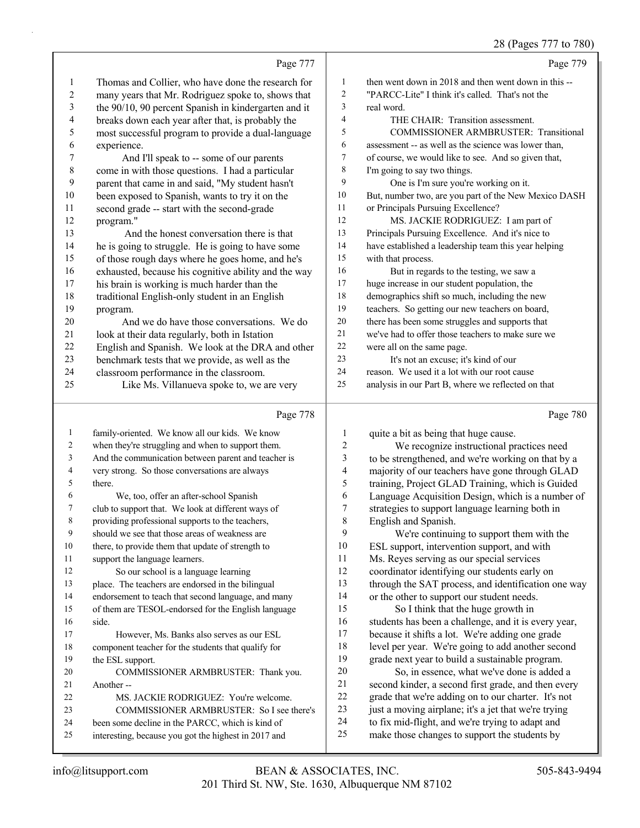## 28 (Pages 777 to 780)

|                |                                                      |                | 28 (Pages /// to /80                                 |
|----------------|------------------------------------------------------|----------------|------------------------------------------------------|
|                | Page 777                                             |                | Page 779                                             |
| 1              | Thomas and Collier, who have done the research for   | 1              | then went down in 2018 and then went down in this -- |
| $\overline{2}$ | many years that Mr. Rodriguez spoke to, shows that   | $\overline{c}$ | "PARCC-Lite" I think it's called. That's not the     |
| 3              | the 90/10, 90 percent Spanish in kindergarten and it | 3              | real word.                                           |
| 4              | breaks down each year after that, is probably the    | 4              | THE CHAIR: Transition assessment.                    |
| 5              | most successful program to provide a dual-language   | 5              | <b>COMMISSIONER ARMBRUSTER: Transitional</b>         |
| 6              | experience.                                          | 6              | assessment -- as well as the science was lower than, |
| 7              | And I'll speak to -- some of our parents             | 7              | of course, we would like to see. And so given that,  |
| 8              | come in with those questions. I had a particular     | 8              | I'm going to say two things.                         |
| 9              | parent that came in and said, "My student hasn't     | 9              | One is I'm sure you're working on it.                |
| 10             | been exposed to Spanish, wants to try it on the      | 10             | But, number two, are you part of the New Mexico DASH |
| 11             | second grade -- start with the second-grade          | 11             | or Principals Pursuing Excellence?                   |
| 12             | program."                                            | 12             | MS. JACKIE RODRIGUEZ: I am part of                   |
| 13             | And the honest conversation there is that            | 13             | Principals Pursuing Excellence. And it's nice to     |
| 14             | he is going to struggle. He is going to have some    | 14             | have established a leadership team this year helping |
| 15             | of those rough days where he goes home, and he's     | 15             | with that process.                                   |
| 16             | exhausted, because his cognitive ability and the way | 16             | But in regards to the testing, we saw a              |
| 17             | his brain is working is much harder than the         | 17             | huge increase in our student population, the         |
| 18             | traditional English-only student in an English       | 18             | demographics shift so much, including the new        |
| 19             | program.                                             | 19             | teachers. So getting our new teachers on board,      |
| 20             | And we do have those conversations. We do            | 20             | there has been some struggles and supports that      |
| 21             | look at their data regularly, both in Istation       | 21             | we've had to offer those teachers to make sure we    |
| 22             | English and Spanish. We look at the DRA and other    | 22             | were all on the same page.                           |
| 23             | benchmark tests that we provide, as well as the      | 23             | It's not an excuse; it's kind of our                 |
| 24             | classroom performance in the classroom.              | 24             | reason. We used it a lot with our root cause         |
| 25             | Like Ms. Villanueva spoke to, we are very            | 25             | analysis in our Part B, where we reflected on that   |
|                | Page 778                                             |                | Page 780                                             |
|                | family-oriented. We know all our kids. We know       |                | quite a hit as heing that huge cause                 |

|    | $1 \mu \text{g}$ $\ell$ / $\ell$                     |    | $1 \, \text{a}$ gu $1 \, \text{00}$                  |
|----|------------------------------------------------------|----|------------------------------------------------------|
| 1  | family-oriented. We know all our kids. We know       | 1  | quite a bit as being that huge cause.                |
| 2  | when they're struggling and when to support them.    | 2  | We recognize instructional practices need            |
| 3  | And the communication between parent and teacher is  | 3  | to be strengthened, and we're working on that by a   |
| 4  | very strong. So those conversations are always       | 4  | majority of our teachers have gone through GLAD      |
| 5  | there.                                               | 5  | training, Project GLAD Training, which is Guided     |
| 6  | We, too, offer an after-school Spanish               | 6  | Language Acquisition Design, which is a number of    |
| 7  | club to support that. We look at different ways of   | 7  | strategies to support language learning both in      |
| 8  | providing professional supports to the teachers,     | 8  | English and Spanish.                                 |
| 9  | should we see that those areas of weakness are       | 9  | We're continuing to support them with the            |
| 10 | there, to provide them that update of strength to    | 10 | ESL support, intervention support, and with          |
| 11 | support the language learners.                       | 11 | Ms. Reyes serving as our special services            |
| 12 | So our school is a language learning                 | 12 | coordinator identifying our students early on        |
| 13 | place. The teachers are endorsed in the bilingual    | 13 | through the SAT process, and identification one way  |
| 14 | endorsement to teach that second language, and many  | 14 | or the other to support our student needs.           |
| 15 | of them are TESOL-endorsed for the English language  | 15 | So I think that the huge growth in                   |
| 16 | side.                                                | 16 | students has been a challenge, and it is every year, |
| 17 | However, Ms. Banks also serves as our ESL            | 17 | because it shifts a lot. We're adding one grade      |
| 18 | component teacher for the students that qualify for  | 18 | level per year. We're going to add another second    |
| 19 | the ESL support.                                     | 19 | grade next year to build a sustainable program.      |
| 20 | COMMISSIONER ARMBRUSTER: Thank you.                  | 20 | So, in essence, what we've done is added a           |
| 21 | Another-                                             | 21 | second kinder, a second first grade, and then every  |
| 22 | MS. JACKIE RODRIGUEZ: You're welcome.                | 22 | grade that we're adding on to our charter. It's not  |
| 23 | COMMISSIONER ARMBRUSTER: So I see there's            | 23 | just a moving airplane; it's a jet that we're trying |
| 24 | been some decline in the PARCC, which is kind of     | 24 | to fix mid-flight, and we're trying to adapt and     |
| 25 | interesting, because you got the highest in 2017 and | 25 | make those changes to support the students by        |
|    |                                                      |    |                                                      |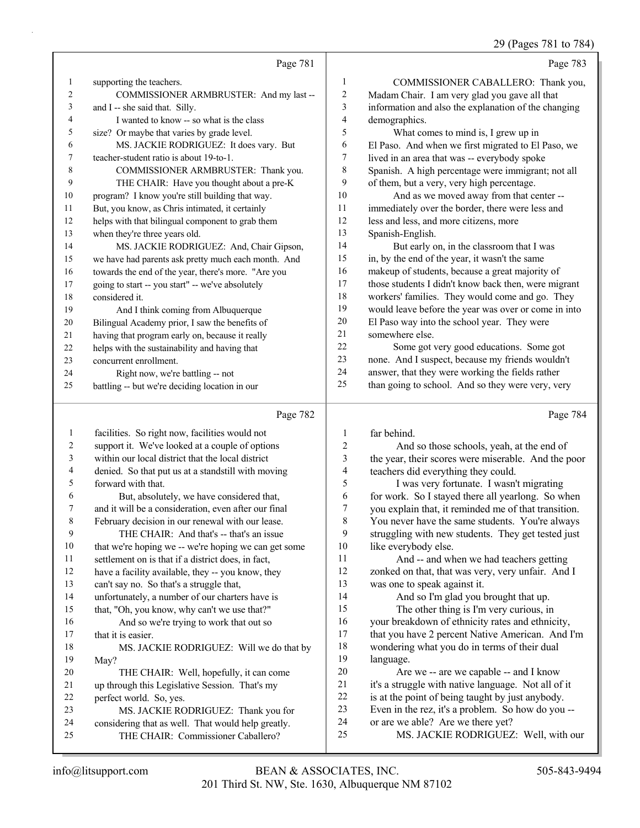29 (Pages 781 to 784)

|                | Page 781                                             |                         | Page 783                                             |
|----------------|------------------------------------------------------|-------------------------|------------------------------------------------------|
| 1              | supporting the teachers.                             | 1                       | COMMISSIONER CABALLERO: Thank you,                   |
| $\overline{c}$ | COMMISSIONER ARMBRUSTER: And my last --              | 2                       | Madam Chair. I am very glad you gave all that        |
| 3              | and I -- she said that. Silly.                       | 3                       | information and also the explanation of the changing |
| 4              | I wanted to know -- so what is the class             | $\overline{4}$          | demographics.                                        |
| 5              | size? Or maybe that varies by grade level.           | 5                       | What comes to mind is, I grew up in                  |
| 6              | MS. JACKIE RODRIGUEZ: It does vary. But              | 6                       | El Paso. And when we first migrated to El Paso, we   |
| 7              | teacher-student ratio is about 19-to-1.              | 7                       | lived in an area that was -- everybody spoke         |
| 8              | COMMISSIONER ARMBRUSTER: Thank you.                  | 8                       | Spanish. A high percentage were immigrant; not all   |
| 9              | THE CHAIR: Have you thought about a pre-K            | 9                       | of them, but a very, very high percentage.           |
| 10             | program? I know you're still building that way.      | 10                      | And as we moved away from that center --             |
| 11             | But, you know, as Chris intimated, it certainly      | 11                      | immediately over the border, there were less and     |
| 12             | helps with that bilingual component to grab them     | 12                      | less and less, and more citizens, more               |
| 13             | when they're three years old.                        | 13                      | Spanish-English.                                     |
| 14             | MS. JACKIE RODRIGUEZ: And, Chair Gipson,             | 14                      | But early on, in the classroom that I was            |
| 15             | we have had parents ask pretty much each month. And  | 15                      | in, by the end of the year, it wasn't the same       |
| 16             | towards the end of the year, there's more. "Are you  | 16                      | makeup of students, because a great majority of      |
| 17             | going to start -- you start" -- we've absolutely     | 17                      | those students I didn't know back then, were migrant |
| 18             | considered it.                                       | 18                      | workers' families. They would come and go. They      |
| 19             | And I think coming from Albuquerque                  | 19                      | would leave before the year was over or come in into |
| 20             | Bilingual Academy prior, I saw the benefits of       | 20                      | El Paso way into the school year. They were          |
| 21             | having that program early on, because it really      | 21                      | somewhere else.                                      |
| 22             | helps with the sustainability and having that        | 22                      | Some got very good educations. Some got              |
| 23             | concurrent enrollment.                               | 23                      | none. And I suspect, because my friends wouldn't     |
| 24             | Right now, we're battling -- not                     | 24                      | answer, that they were working the fields rather     |
| 25             | battling -- but we're deciding location in our       | 25                      | than going to school. And so they were very, very    |
|                | Page 782                                             |                         | Page 784                                             |
| $\mathbf{1}$   | facilities. So right now, facilities would not       | 1                       | far behind.                                          |
| $\sqrt{2}$     | support it. We've looked at a couple of options      | $\overline{c}$          | And so those schools, yeah, at the end of            |
| 3              | within our local district that the local district    | $\overline{\mathbf{3}}$ | the year, their scores were miserable. And the poor  |
| 4              | denied. So that put us at a standstill with moving   | $\overline{\mathbf{4}}$ | teachers did everything they could.                  |
| 5              | forward with that.                                   | 5                       | I was very fortunate. I wasn't migrating             |
| 6              | But, absolutely, we have considered that,            | 6                       | for work. So I stayed there all yearlong. So when    |
| 7              | and it will be a consideration, even after our final | $\overline{7}$          | you explain that, it reminded me of that transition. |

## February decision in our renewal with our lease.

9 THE CHAIR: And that's -- that's an issue

 that we're hoping we -- we're hoping we can get some settlement on is that if a district does, in fact,

have a facility available, they -- you know, they

can't say no. So that's a struggle that,

unfortunately, a number of our charters have is

that, "Oh, you know, why can't we use that?"

16 And so we're trying to work that out so 17 that it is easier.

18 MS. JACKIE RODRIGUEZ: Will we do that by May? 20 THE CHAIR: Well, hopefully, it can come up through this Legislative Session. That's my

perfect world. So, yes.

23 MS. JACKIE RODRIGUEZ: Thank you for considering that as well. That would help greatly.

25 THE CHAIR: Commissioner Caballero?

 you explain that, it reminded me of that transition. You never have the same students. You're always struggling with new students. They get tested just

10 like everybody else. 11 And -- and when we had teachers getting 12 zonked on that, that was very, very unfair. And I was one to speak against it.

14 And so I'm glad you brought that up. 15 The other thing is I'm very curious, in your breakdown of ethnicity rates and ethnicity, that you have 2 percent Native American. And I'm wondering what you do in terms of their dual language.

20 Are we -- are we capable -- and I know it's a struggle with native language. Not all of it is at the point of being taught by just anybody. Even in the rez, it's a problem. So how do you -- or are we able? Are we there yet?

25 MS. JACKIE RODRIGUEZ: Well, with our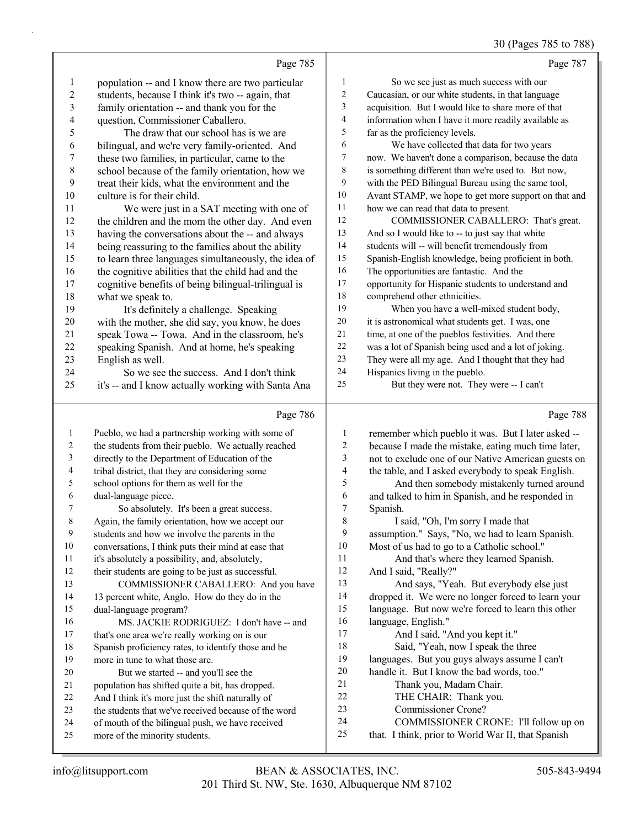## 30 (Pages 785 to 788)

|                          | Page 785                                                                                   |                         | Page 787                                                                                                   |
|--------------------------|--------------------------------------------------------------------------------------------|-------------------------|------------------------------------------------------------------------------------------------------------|
| $\mathbf{1}$             | population -- and I know there are two particular                                          | 1                       | So we see just as much success with our                                                                    |
| $\boldsymbol{2}$         | students, because I think it's two -- again, that                                          | 2                       | Caucasian, or our white students, in that language                                                         |
| $\mathfrak{Z}$           | family orientation -- and thank you for the                                                | 3                       | acquisition. But I would like to share more of that                                                        |
| $\overline{\mathcal{A}}$ | question, Commissioner Caballero.                                                          | 4                       | information when I have it more readily available as                                                       |
| 5                        | The draw that our school has is we are                                                     | 5                       | far as the proficiency levels.                                                                             |
| 6                        | bilingual, and we're very family-oriented. And                                             | 6                       | We have collected that data for two years                                                                  |
| 7                        | these two families, in particular, came to the                                             | 7                       | now. We haven't done a comparison, because the data                                                        |
| $\,$ $\,$                | school because of the family orientation, how we                                           | $\,8\,$                 | is something different than we're used to. But now,                                                        |
| $\mathbf{9}$             | treat their kids, what the environment and the                                             | 9                       | with the PED Bilingual Bureau using the same tool,                                                         |
| $10\,$                   | culture is for their child.                                                                | $10\,$                  | Avant STAMP, we hope to get more support on that and                                                       |
| 11                       | We were just in a SAT meeting with one of                                                  | 11                      | how we can read that data to present.                                                                      |
| 12                       | the children and the mom the other day. And even                                           | 12                      | COMMISSIONER CABALLERO: That's great.                                                                      |
| 13                       | having the conversations about the -- and always                                           | 13                      | And so I would like to -- to just say that white                                                           |
| 14                       | being reassuring to the families about the ability                                         | 14                      | students will -- will benefit tremendously from                                                            |
| 15                       | to learn three languages simultaneously, the idea of                                       | 15                      | Spanish-English knowledge, being proficient in both.                                                       |
| 16                       | the cognitive abilities that the child had and the                                         | 16                      | The opportunities are fantastic. And the                                                                   |
| 17                       | cognitive benefits of being bilingual-trilingual is                                        | 17                      | opportunity for Hispanic students to understand and                                                        |
| 18                       | what we speak to.                                                                          | 18                      | comprehend other ethnicities.                                                                              |
| 19                       | It's definitely a challenge. Speaking                                                      | 19                      | When you have a well-mixed student body,                                                                   |
| 20                       | with the mother, she did say, you know, he does                                            | $20\,$<br>$21\,$        | it is astronomical what students get. I was, one                                                           |
| 21                       | speak Towa -- Towa. And in the classroom, he's                                             | $22\,$                  | time, at one of the pueblos festivities. And there<br>was a lot of Spanish being used and a lot of joking. |
| 22<br>23                 | speaking Spanish. And at home, he's speaking<br>English as well.                           | 23                      | They were all my age. And I thought that they had                                                          |
| 24                       | So we see the success. And I don't think                                                   | 24                      | Hispanics living in the pueblo.                                                                            |
| 25                       | it's -- and I know actually working with Santa Ana                                         | 25                      | But they were not. They were -- I can't                                                                    |
|                          |                                                                                            |                         |                                                                                                            |
|                          |                                                                                            |                         |                                                                                                            |
|                          | Page 786                                                                                   |                         | Page 788                                                                                                   |
| $\mathbf{1}$             | Pueblo, we had a partnership working with some of                                          | $\mathbf{1}$            | remember which pueblo it was. But I later asked --                                                         |
| 2                        | the students from their pueblo. We actually reached                                        | $\overline{\mathbf{c}}$ | because I made the mistake, eating much time later,                                                        |
| 3                        | directly to the Department of Education of the                                             | 3                       | not to exclude one of our Native American guests on                                                        |
| 4                        | tribal district, that they are considering some                                            | 4                       | the table, and I asked everybody to speak English.                                                         |
| 5                        | school options for them as well for the                                                    | 5                       | And then somebody mistakenly turned around                                                                 |
| 6                        | dual-language piece.                                                                       | 6                       | and talked to him in Spanish, and he responded in                                                          |
| 7                        | So absolutely. It's been a great success.                                                  | $\overline{7}$          | Spanish.                                                                                                   |
| 8                        | Again, the family orientation, how we accept our                                           | 8                       | I said, "Oh, I'm sorry I made that                                                                         |
| 9                        | students and how we involve the parents in the                                             | 9                       | assumption." Says, "No, we had to learn Spanish.                                                           |
| $10\,$<br>11             | conversations, I think puts their mind at ease that                                        | 10<br>11                | Most of us had to go to a Catholic school."                                                                |
| 12                       | it's absolutely a possibility, and, absolutely,                                            | 12                      | And that's where they learned Spanish.                                                                     |
| 13                       | their students are going to be just as successful.<br>COMMISSIONER CABALLERO: And you have | 13                      | And I said, "Really?"<br>And says, "Yeah. But everybody else just                                          |
| 14                       | 13 percent white, Anglo. How do they do in the                                             | 14                      | dropped it. We were no longer forced to learn your                                                         |
| 15                       | dual-language program?                                                                     | 15                      | language. But now we're forced to learn this other                                                         |
| 16                       | MS. JACKIE RODRIGUEZ: I don't have -- and                                                  | 16                      | language, English."                                                                                        |
| 17                       | that's one area we're really working on is our                                             | 17                      | And I said, "And you kept it."                                                                             |
| 18                       | Spanish proficiency rates, to identify those and be                                        | 18                      | Said, "Yeah, now I speak the three                                                                         |
| 19                       | more in tune to what those are.                                                            | 19                      | languages. But you guys always assume I can't                                                              |
| 20                       | But we started -- and you'll see the                                                       | $20\,$                  | handle it. But I know the bad words, too."                                                                 |
| 21                       | population has shifted quite a bit, has dropped.                                           | 21                      | Thank you, Madam Chair.                                                                                    |
| 22                       | And I think it's more just the shift naturally of                                          | 22                      | THE CHAIR: Thank you.                                                                                      |
| 23                       | the students that we've received because of the word                                       | 23                      | Commissioner Crone?                                                                                        |
| 24<br>25                 | of mouth of the bilingual push, we have received<br>more of the minority students.         | 24<br>25                | COMMISSIONER CRONE: I'll follow up on<br>that. I think, prior to World War II, that Spanish                |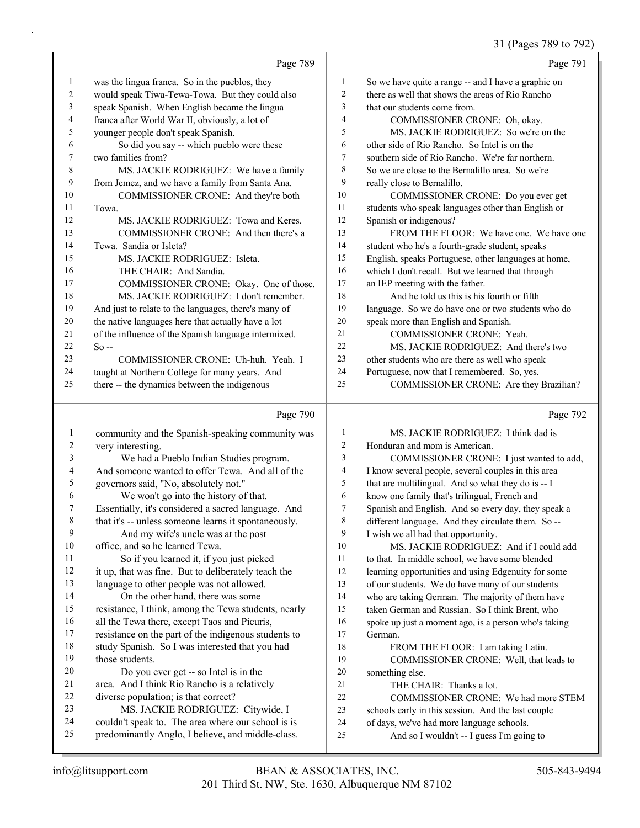$(P_{\text{30.08}} 789 \text{ to } 792)$ 

|              |                                                      |                | 31 (Pages 789 to 792)                                |
|--------------|------------------------------------------------------|----------------|------------------------------------------------------|
|              | Page 789                                             |                | Page 791                                             |
| $\mathbf{1}$ | was the lingua franca. So in the pueblos, they       | $\mathbf{1}$   | So we have quite a range -- and I have a graphic on  |
| 2            | would speak Tiwa-Tewa-Towa. But they could also      | $\overline{c}$ | there as well that shows the areas of Rio Rancho     |
| 3            | speak Spanish. When English became the lingua        | 3              | that our students come from.                         |
| 4            | franca after World War II, obviously, a lot of       | 4              | COMMISSIONER CRONE: Oh, okay.                        |
| 5            | younger people don't speak Spanish.                  | 5              | MS. JACKIE RODRIGUEZ: So we're on the                |
| 6            | So did you say -- which pueblo were these            | 6              | other side of Rio Rancho. So Intel is on the         |
| 7            | two families from?                                   | 7              | southern side of Rio Rancho. We're far northern.     |
| 8            | MS. JACKIE RODRIGUEZ: We have a family               | 8              | So we are close to the Bernalillo area. So we're     |
| 9            | from Jemez, and we have a family from Santa Ana.     | 9              | really close to Bernalillo.                          |
| 10           | COMMISSIONER CRONE: And they're both                 | 10             | COMMISSIONER CRONE: Do you ever get                  |
| 11           | Towa.                                                | 11             | students who speak languages other than English or   |
| 12           | MS. JACKIE RODRIGUEZ: Towa and Keres.                | 12             | Spanish or indigenous?                               |
| 13           | COMMISSIONER CRONE: And then there's a               | 13             | FROM THE FLOOR: We have one. We have one             |
| 14           | Tewa. Sandia or Isleta?                              | 14             | student who he's a fourth-grade student, speaks      |
| 15           | MS. JACKIE RODRIGUEZ: Isleta.                        | 15             | English, speaks Portuguese, other languages at home, |
| 16           | THE CHAIR: And Sandia.                               | 16             | which I don't recall. But we learned that through    |
| 17           | COMMISSIONER CRONE: Okay. One of those.              | 17             | an IEP meeting with the father.                      |
| 18           | MS. JACKIE RODRIGUEZ: I don't remember.              | 18             | And he told us this is his fourth or fifth           |
| 19           | And just to relate to the languages, there's many of | 19             | language. So we do have one or two students who do   |
| 20           | the native languages here that actually have a lot   | 20             | speak more than English and Spanish.                 |
| 21           | of the influence of the Spanish language intermixed. | 21             | <b>COMMISSIONER CRONE: Yeah.</b>                     |
| 22           | $So -$                                               | 22             | MS. JACKIE RODRIGUEZ: And there's two                |
| 23           | COMMISSIONER CRONE: Uh-huh. Yeah. I                  | 23             | other students who are there as well who speak       |
| 24           | taught at Northern College for many years. And       | 24             | Portuguese, now that I remembered. So, yes.          |
| 25           | there -- the dynamics between the indigenous         | 25             | COMMISSIONER CRONE: Are they Brazilian?              |
|              | Page 790                                             |                | Page 792                                             |
| 1            | community and the Spanish-speaking community was     | $\mathbf{1}$   | MS. JACKIE RODRIGUEZ: I think dad is                 |

| 1       | community and the Spanish-speaking community was     | 1  | MS. JACKIE RODRIGUEZ: I think dad is                 |
|---------|------------------------------------------------------|----|------------------------------------------------------|
| 2       | very interesting.                                    | 2  | Honduran and mom is American.                        |
| 3       | We had a Pueblo Indian Studies program.              | 3  | COMMISSIONER CRONE: I just wanted to add,            |
| 4       | And someone wanted to offer Tewa. And all of the     | 4  | I know several people, several couples in this area  |
| 5       | governors said, "No, absolutely not."                | 5  | that are multilingual. And so what they do is -- I   |
| 6       | We won't go into the history of that.                | 6  | know one family that's trilingual, French and        |
| 7       | Essentially, it's considered a sacred language. And  | 7  | Spanish and English. And so every day, they speak a  |
| $\,8\,$ | that it's -- unless someone learns it spontaneously. | 8  | different language. And they circulate them. So --   |
| 9       | And my wife's uncle was at the post                  | 9  | I wish we all had that opportunity.                  |
| 10      | office, and so he learned Tewa.                      | 10 | MS. JACKIE RODRIGUEZ: And if I could add             |
| 11      | So if you learned it, if you just picked             | 11 | to that. In middle school, we have some blended      |
| 12      | it up, that was fine. But to deliberately teach the  | 12 | learning opportunities and using Edgenuity for some  |
| 13      | language to other people was not allowed.            | 13 | of our students. We do have many of our students     |
| 14      | On the other hand, there was some                    | 14 | who are taking German. The majority of them have     |
| 15      | resistance, I think, among the Tewa students, nearly | 15 | taken German and Russian. So I think Brent, who      |
| 16      | all the Tewa there, except Taos and Picuris,         | 16 | spoke up just a moment ago, is a person who's taking |
| 17      | resistance on the part of the indigenous students to | 17 | German.                                              |
| 18      | study Spanish. So I was interested that you had      | 18 | FROM THE FLOOR: I am taking Latin.                   |
| 19      | those students.                                      | 19 | COMMISSIONER CRONE: Well, that leads to              |
| 20      | Do you ever get -- so Intel is in the                | 20 | something else.                                      |
| 21      | area. And I think Rio Rancho is a relatively         | 21 | THE CHAIR: Thanks a lot.                             |
| 22      | diverse population; is that correct?                 | 22 | COMMISSIONER CRONE: We had more STEM                 |
| 23      | MS. JACKIE RODRIGUEZ: Citywide, I                    | 23 | schools early in this session. And the last couple   |
| 24      | couldn't speak to. The area where our school is is   | 24 | of days, we've had more language schools.            |
| 25      | predominantly Anglo, I believe, and middle-class.    | 25 | And so I wouldn't -- I guess I'm going to            |
|         |                                                      |    |                                                      |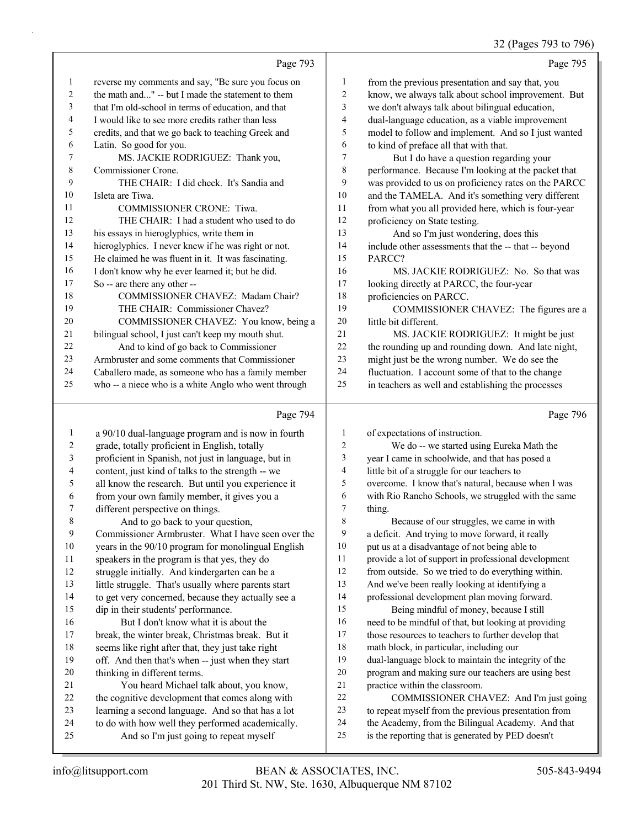## 32 (Pages 793 to 796)

|    | Page 793                                             |    | Page 795                                             |
|----|------------------------------------------------------|----|------------------------------------------------------|
| 1  | reverse my comments and say, "Be sure you focus on   | 1  | from the previous presentation and say that, you     |
| 2  | the math and" -- but I made the statement to them    | 2  | know, we always talk about school improvement. But   |
| 3  | that I'm old-school in terms of education, and that  | 3  | we don't always talk about bilingual education,      |
| 4  | I would like to see more credits rather than less    | 4  | dual-language education, as a viable improvement     |
| 5  | credits, and that we go back to teaching Greek and   | 5  | model to follow and implement. And so I just wanted  |
| 6  | Latin. So good for you.                              | 6  | to kind of preface all that with that.               |
| 7  | MS. JACKIE RODRIGUEZ: Thank you,                     | 7  | But I do have a question regarding your              |
| 8  | Commissioner Crone.                                  | 8  | performance. Because I'm looking at the packet that  |
| 9  | THE CHAIR: I did check. It's Sandia and              | 9  | was provided to us on proficiency rates on the PARCC |
| 10 | Isleta are Tiwa.                                     | 10 | and the TAMELA. And it's something very different    |
| 11 | <b>COMMISSIONER CRONE: Tiwa.</b>                     | 11 | from what you all provided here, which is four-year  |
| 12 | THE CHAIR: I had a student who used to do            | 12 | proficiency on State testing.                        |
| 13 | his essays in hieroglyphics, write them in           | 13 | And so I'm just wondering, does this                 |
| 14 | hieroglyphics. I never knew if he was right or not.  | 14 | include other assessments that the -- that -- beyond |
| 15 | He claimed he was fluent in it. It was fascinating.  | 15 | PARCC?                                               |
| 16 | I don't know why he ever learned it; but he did.     | 16 | MS. JACKIE RODRIGUEZ: No. So that was                |
| 17 | So -- are there any other --                         | 17 | looking directly at PARCC, the four-year             |
| 18 | COMMISSIONER CHAVEZ: Madam Chair?                    | 18 | proficiencies on PARCC.                              |
| 19 | THE CHAIR: Commissioner Chavez?                      | 19 | COMMISSIONER CHAVEZ: The figures are a               |
| 20 | COMMISSIONER CHAVEZ: You know, being a               | 20 | little bit different.                                |
| 21 | bilingual school, I just can't keep my mouth shut.   | 21 | MS. JACKIE RODRIGUEZ: It might be just               |
| 22 | And to kind of go back to Commissioner               | 22 | the rounding up and rounding down. And late night,   |
| 23 | Armbruster and some comments that Commissioner       | 23 | might just be the wrong number. We do see the        |
| 24 | Caballero made, as someone who has a family member   | 24 | fluctuation. I account some of that to the change    |
| 25 | who -- a niece who is a white Anglo who went through | 25 | in teachers as well and establishing the processes   |
|    | Page 794                                             |    | Page 796                                             |

#### a 90/10 dual-language program and is now in fourth grade, totally proficient in English, totally proficient in Spanish, not just in language, but in content, just kind of talks to the strength -- we all know the research. But until you experience it from your own family member, it gives you a different perspective on things. 8 And to go back to your question, Commissioner Armbruster. What I have seen over the years in the 90/10 program for monolingual English speakers in the program is that yes, they do struggle initially. And kindergarten can be a little struggle. That's usually where parents start to get very concerned, because they actually see a dip in their students' performance. 16 But I don't know what it is about the break, the winter break, Christmas break. But it seems like right after that, they just take right off. And then that's when -- just when they start thinking in different terms. 21 You heard Michael talk about, you know, the cognitive development that comes along with learning a second language. And so that has a lot to do with how well they performed academically. 25 And so I'm just going to repeat myself of expectations of instruction. 2 We do -- we started using Eureka Math the year I came in schoolwide, and that has posed a little bit of a struggle for our teachers to overcome. I know that's natural, because when I was with Rio Rancho Schools, we struggled with the same thing. 8 Because of our struggles, we came in with a deficit. And trying to move forward, it really put us at a disadvantage of not being able to provide a lot of support in professional development from outside. So we tried to do everything within. And we've been really looking at identifying a professional development plan moving forward. 15 Being mindful of money, because I still need to be mindful of that, but looking at providing those resources to teachers to further develop that math block, in particular, including our dual-language block to maintain the integrity of the program and making sure our teachers are using best practice within the classroom. 22 COMMISSIONER CHAVEZ: And I'm just going to repeat myself from the previous presentation from the Academy, from the Bilingual Academy. And that is the reporting that is generated by PED doesn't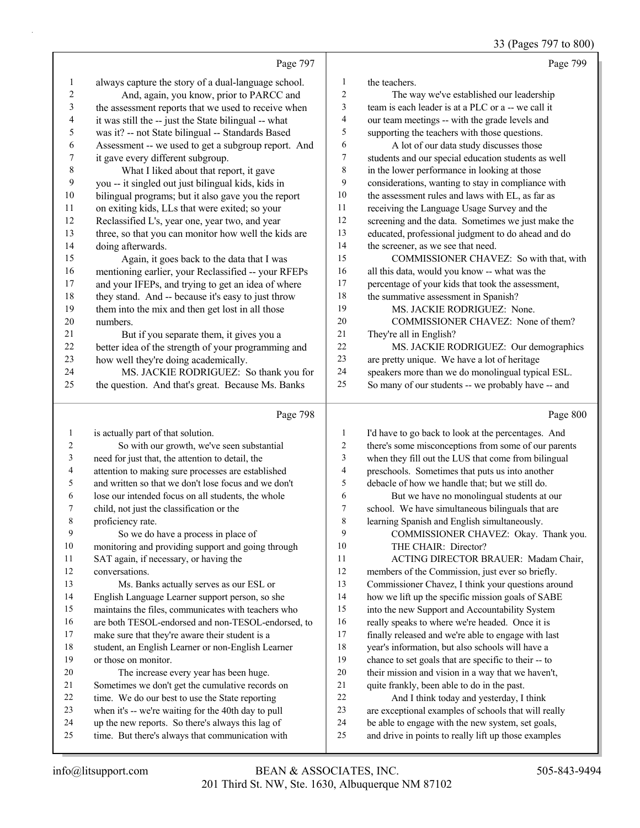33 (Pages 797 to 800)

|                |                                                      |                          | 33 (rages $191$ to $800$                             |
|----------------|------------------------------------------------------|--------------------------|------------------------------------------------------|
|                | Page 797                                             |                          | Page 799                                             |
| $\mathbf{1}$   | always capture the story of a dual-language school.  | 1                        | the teachers.                                        |
| 2              | And, again, you know, prior to PARCC and             | $\overline{c}$           | The way we've established our leadership             |
| $\mathfrak{Z}$ | the assessment reports that we used to receive when  | 3                        | team is each leader is at a PLC or a -- we call it   |
| 4              | it was still the -- just the State bilingual -- what | $\overline{\mathcal{A}}$ | our team meetings -- with the grade levels and       |
| 5              | was it? -- not State bilingual -- Standards Based    | 5                        | supporting the teachers with those questions.        |
| 6              | Assessment -- we used to get a subgroup report. And  | 6                        | A lot of our data study discusses those              |
| 7              | it gave every different subgroup.                    | 7                        | students and our special education students as well  |
| $\,$ $\,$      | What I liked about that report, it gave              | $\,$ $\,$                | in the lower performance in looking at those         |
| 9              | you -- it singled out just bilingual kids, kids in   | 9                        | considerations, wanting to stay in compliance with   |
| 10             | bilingual programs; but it also gave you the report  | 10                       | the assessment rules and laws with EL, as far as     |
| 11             | on exiting kids, LLs that were exited; so your       | 11                       | receiving the Language Usage Survey and the          |
| 12             | Reclassified L's, year one, year two, and year       | 12                       | screening and the data. Sometimes we just make the   |
| 13             | three, so that you can monitor how well the kids are | 13                       | educated, professional judgment to do ahead and do   |
| 14             | doing afterwards.                                    | 14                       | the screener, as we see that need.                   |
| 15             | Again, it goes back to the data that I was           | 15                       | COMMISSIONER CHAVEZ: So with that, with              |
| 16             | mentioning earlier, your Reclassified -- your RFEPs  | 16                       | all this data, would you know -- what was the        |
| 17             | and your IFEPs, and trying to get an idea of where   | 17                       | percentage of your kids that took the assessment,    |
| 18             | they stand. And -- because it's easy to just throw   | 18                       | the summative assessment in Spanish?                 |
| 19             | them into the mix and then get lost in all those     | 19                       | MS. JACKIE RODRIGUEZ: None.                          |
| 20             | numbers.                                             | 20                       | COMMISSIONER CHAVEZ: None of them?                   |
| 21             | But if you separate them, it gives you a             | 21                       | They're all in English?                              |
| 22             | better idea of the strength of your programming and  | 22                       | MS. JACKIE RODRIGUEZ: Our demographics               |
| 23             | how well they're doing academically.                 | 23                       | are pretty unique. We have a lot of heritage         |
| 24             | MS. JACKIE RODRIGUEZ: So thank you for               | 24                       | speakers more than we do monolingual typical ESL.    |
| 25             | the question. And that's great. Because Ms. Banks    | 25                       | So many of our students -- we probably have -- and   |
|                | Page 798                                             |                          | Page 800                                             |
| $\mathbf{1}$   | is actually part of that solution.                   | 1                        | I'd have to go back to look at the percentages. And  |
| 2              | So with our growth, we've seen substantial           | $\overline{c}$           | there's some misconceptions from some of our parents |
| 3              | need for just that, the attention to detail, the     | 3                        | when they fill out the LUS that come from bilingual  |
| 4              | attention to making sure processes are established   | $\overline{4}$           | preschools. Sometimes that puts us into another      |
| 5              | and written so that we don't lose focus and we don't | 5                        | debacle of how we handle that; but we still do.      |
| 6              | lose our intended focus on all students, the whole   | 6                        | But we have no monolingual students at our           |
| 7              | child, not just the classification or the            | 7                        | school. We have simultaneous bilinguals that are     |
| 8              | proficiency rate.                                    | $\,8\,$                  | learning Spanish and English simultaneously.         |
| 9              | So we do have a process in place of                  | 9                        | COMMISSIONER CHAVEZ: Okay. Thank you.                |
| $10\,$         | monitoring and providing support and going through   | 10                       | THE CHAIR: Director?                                 |
| 11             | SAT again, if necessary, or having the               | 11                       | ACTING DIRECTOR BRAUER: Madam Chair,                 |
| 12             | conversations.                                       | 12                       | members of the Commission, just ever so briefly.     |
| 13             | Ms. Banks actually serves as our ESL or              | 13                       | Commissioner Chavez, I think your questions around   |
| 14             | English Language Learner support person, so she      | 14                       | how we lift up the specific mission goals of SABE    |
| 15             | maintains the files, communicates with teachers who  | 15                       | into the new Support and Accountability System       |
| 16             | are both TESOL-endorsed and non-TESOL-endorsed, to   | 16                       | really speaks to where we're headed. Once it is      |
| 17             | make sure that they're aware their student is a      | 17                       | finally released and we're able to engage with last  |
|                |                                                      | 18                       | year's information, but also schools will have a     |
| 18             | student, an English Learner or non-English Learner   |                          |                                                      |
| 19             | or those on monitor.                                 | 19                       | chance to set goals that are specific to their -- to |
| 20             | The increase every year has been huge.               | $20\,$                   | their mission and vision in a way that we haven't,   |

21 quite frankly, been able to do in the past.<br>22 And I think today and vesterday. I

And I think today and yesterday, I think are exceptional examples of schools that will really be able to engage with the new system, set goals,

 time. We do our best to use the State reporting when it's -- we're waiting for the 40th day to pull up the new reports. So there's always this lag of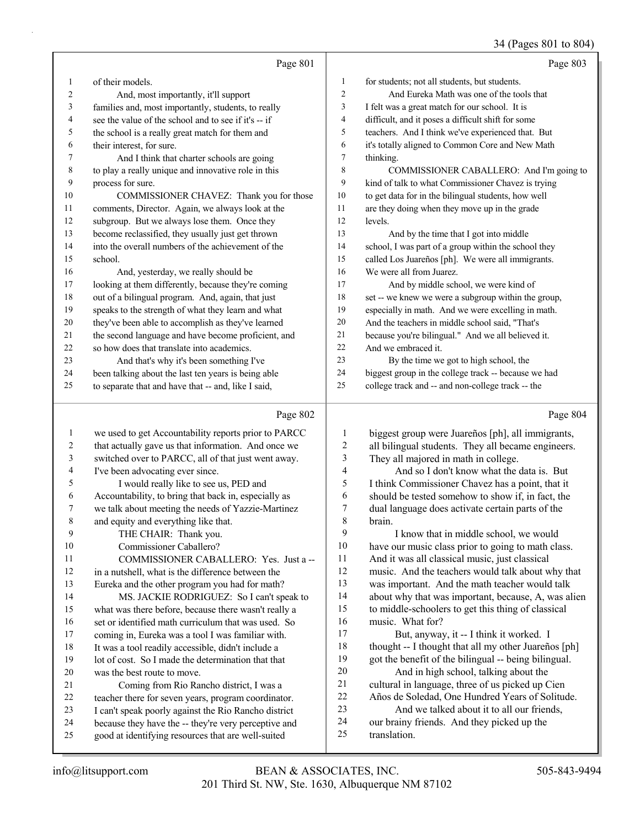## 34 (Pages 801 to 804)

|                |                                                      |                  | 34 (Pages 801 to 804)                                                                        |
|----------------|------------------------------------------------------|------------------|----------------------------------------------------------------------------------------------|
|                | Page 801                                             |                  | Page 803                                                                                     |
| $\mathbf{1}$   | of their models.                                     | $\mathbf{1}$     | for students; not all students, but students.                                                |
| $\overline{c}$ | And, most importantly, it'll support                 | 2                | And Eureka Math was one of the tools that                                                    |
| 3              | families and, most importantly, students, to really  | 3                | I felt was a great match for our school. It is                                               |
| 4              | see the value of the school and to see if it's -- if | 4                | difficult, and it poses a difficult shift for some                                           |
| 5              | the school is a really great match for them and      | 5                | teachers. And I think we've experienced that. But                                            |
| 6              | their interest, for sure.                            | 6                | it's totally aligned to Common Core and New Math                                             |
| 7              | And I think that charter schools are going           | 7                | thinking.                                                                                    |
| 8              | to play a really unique and innovative role in this  | 8                | COMMISSIONER CABALLERO: And I'm going to                                                     |
| 9              | process for sure.                                    | 9                | kind of talk to what Commissioner Chavez is trying                                           |
| 10             | COMMISSIONER CHAVEZ: Thank you for those             | $10\,$           | to get data for in the bilingual students, how well                                          |
| 11             | comments, Director. Again, we always look at the     | 11               | are they doing when they move up in the grade                                                |
| 12             | subgroup. But we always lose them. Once they         | 12               | levels.                                                                                      |
| 13             | become reclassified, they usually just get thrown    | 13               | And by the time that I got into middle                                                       |
| 14             | into the overall numbers of the achievement of the   | 14               | school, I was part of a group within the school they                                         |
| 15             | school.                                              | 15               | called Los Juareños [ph]. We were all immigrants.                                            |
| 16             | And, yesterday, we really should be                  | 16               | We were all from Juarez.                                                                     |
| 17             | looking at them differently, because they're coming  | 17               | And by middle school, we were kind of                                                        |
| 18             | out of a bilingual program. And, again, that just    | 18               | set -- we knew we were a subgroup within the group,                                          |
| 19             | speaks to the strength of what they learn and what   | 19               | especially in math. And we were excelling in math.                                           |
| 20             | they've been able to accomplish as they've learned   | $20\,$           | And the teachers in middle school said, "That's                                              |
| 21             | the second language and have become proficient, and  | 21               | because you're bilingual." And we all believed it.                                           |
| 22             | so how does that translate into academics.           | 22               | And we embraced it.                                                                          |
| 23             | And that's why it's been something I've              | 23               | By the time we got to high school, the                                                       |
| 24             | been talking about the last ten years is being able  | 24               | biggest group in the college track -- because we had                                         |
| 25             | to separate that and have that -- and, like I said,  | 25               | college track and -- and non-college track -- the                                            |
|                | Page 802                                             |                  | Page 804                                                                                     |
|                |                                                      |                  |                                                                                              |
| $\mathbf{1}$   | we used to get Accountability reports prior to PARCC | 1                | biggest group were Juareños [ph], all immigrants,                                            |
| 2              | that actually gave us that information. And once we  | $\boldsymbol{2}$ | all bilingual students. They all became engineers.                                           |
| 3              | switched over to PARCC, all of that just went away.  | $\mathfrak{Z}$   | They all majored in math in college.                                                         |
| 4              | I've been advocating ever since.                     | 4                | And so I don't know what the data is. But                                                    |
| 5              | I would really like to see us, PED and               | 5                | I think Commissioner Chavez has a point, that it                                             |
| 6              | Accountability, to bring that back in, especially as | 6                | should be tested somehow to show if, in fact, the                                            |
| 7              | we talk about meeting the needs of Yazzie-Martinez   | 7<br>8           | dual language does activate certain parts of the                                             |
| 8<br>9         | and equity and everything like that.                 | 9                | brain.                                                                                       |
| 10             | THE CHAIR: Thank you.<br>Commissioner Caballero?     | 10               | I know that in middle school, we would<br>have our music class prior to going to math class. |
| 11             | COMMISSIONER CABALLERO: Yes. Just a --               | 11               | And it was all classical music, just classical                                               |
| 12             | in a nutshell, what is the difference between the    | 12               | music. And the teachers would talk about why that                                            |
| 13             | Eureka and the other program you had for math?       | 13               | was important. And the math teacher would talk                                               |
| 14             | MS. JACKIE RODRIGUEZ: So I can't speak to            | 14               | about why that was important, because, A, was alien                                          |
| 15             | what was there before, because there wasn't really a | 15               | to middle-schoolers to get this thing of classical                                           |
| 16             | set or identified math curriculum that was used. So  | 16               | music. What for?                                                                             |
| 17             | coming in, Eureka was a tool I was familiar with.    | 17               | But, anyway, it -- I think it worked. I                                                      |
| 18             | It was a tool readily accessible, didn't include a   | 18               | thought -- I thought that all my other Juareños [ph]                                         |
| 19             | lot of cost. So I made the determination that that   | 19               | got the benefit of the bilingual -- being bilingual.                                         |
| 20             | was the best route to move.                          | 20               | And in high school, talking about the                                                        |
| 21             | Coming from Rio Rancho district, I was a             | 21               | cultural in language, three of us picked up Cien                                             |
| 22             | teacher there for seven years, program coordinator.  | 22               | Años de Soledad, One Hundred Years of Solitude.                                              |
| 23             | I can't speak poorly against the Rio Rancho district | 23               | And we talked about it to all our friends,                                                   |

our brainy friends. And they picked up the

 because they have the -- they're very perceptive and good at identifying resources that are well-suited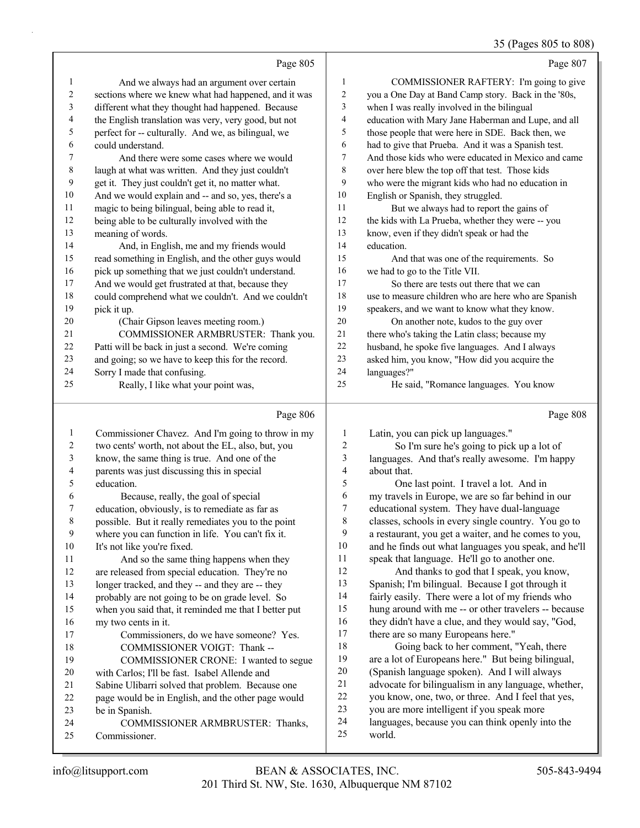## 35 (Pages 805 to 808)

|                  | Page 805                                                                                                |                  | Page 807                                                                                         |
|------------------|---------------------------------------------------------------------------------------------------------|------------------|--------------------------------------------------------------------------------------------------|
| 1                | And we always had an argument over certain                                                              | 1                | COMMISSIONER RAFTERY: I'm going to give                                                          |
| 2                | sections where we knew what had happened, and it was                                                    | $\overline{c}$   | you a One Day at Band Camp story. Back in the '80s,                                              |
| 3                | different what they thought had happened. Because                                                       | 3                | when I was really involved in the bilingual                                                      |
| 4                | the English translation was very, very good, but not                                                    | 4                | education with Mary Jane Haberman and Lupe, and all                                              |
| 5                | perfect for -- culturally. And we, as bilingual, we                                                     | 5                | those people that were here in SDE. Back then, we                                                |
| 6                | could understand.                                                                                       | 6                | had to give that Prueba. And it was a Spanish test.                                              |
| 7                | And there were some cases where we would                                                                | 7                | And those kids who were educated in Mexico and came                                              |
| $\,8\,$          | laugh at what was written. And they just couldn't                                                       | $\,8\,$          | over here blew the top off that test. Those kids                                                 |
| 9                | get it. They just couldn't get it, no matter what.                                                      | 9                | who were the migrant kids who had no education in                                                |
| 10               | And we would explain and -- and so, yes, there's a                                                      | 10               | English or Spanish, they struggled.                                                              |
| 11               | magic to being bilingual, being able to read it,                                                        | 11               | But we always had to report the gains of                                                         |
| 12               | being able to be culturally involved with the                                                           | 12               | the kids with La Prueba, whether they were -- you                                                |
| 13               | meaning of words.                                                                                       | 13               | know, even if they didn't speak or had the                                                       |
| 14               | And, in English, me and my friends would                                                                | 14               | education.                                                                                       |
| 15               | read something in English, and the other guys would                                                     | 15               | And that was one of the requirements. So                                                         |
| 16               | pick up something that we just couldn't understand.                                                     | 16               | we had to go to the Title VII.                                                                   |
| 17               | And we would get frustrated at that, because they                                                       | 17               | So there are tests out there that we can                                                         |
| 18               | could comprehend what we couldn't. And we couldn't                                                      | $18\,$           | use to measure children who are here who are Spanish                                             |
| 19               | pick it up.                                                                                             | 19               | speakers, and we want to know what they know.                                                    |
| 20               | (Chair Gipson leaves meeting room.)                                                                     | 20               | On another note, kudos to the guy over                                                           |
| 21               | COMMISSIONER ARMBRUSTER: Thank you.                                                                     | 21               | there who's taking the Latin class; because my                                                   |
| 22               | Patti will be back in just a second. We're coming                                                       | $22\,$           | husband, he spoke five languages. And I always                                                   |
| 23<br>24         | and going; so we have to keep this for the record.                                                      | 23<br>24         | asked him, you know, "How did you acquire the                                                    |
| 25               | Sorry I made that confusing.<br>Really, I like what your point was,                                     | 25               | languages?"<br>He said, "Romance languages. You know                                             |
|                  |                                                                                                         |                  |                                                                                                  |
|                  |                                                                                                         |                  |                                                                                                  |
|                  | Page 806                                                                                                |                  | Page 808                                                                                         |
| 1                |                                                                                                         | 1                |                                                                                                  |
| $\boldsymbol{2}$ | Commissioner Chavez. And I'm going to throw in my<br>two cents' worth, not about the EL, also, but, you | $\overline{c}$   | Latin, you can pick up languages."<br>So I'm sure he's going to pick up a lot of                 |
| 3                | know, the same thing is true. And one of the                                                            | 3                | languages. And that's really awesome. I'm happy                                                  |
| 4                | parents was just discussing this in special                                                             | 4                | about that.                                                                                      |
| 5                | education.                                                                                              | 5                | One last point. I travel a lot. And in                                                           |
| 6                | Because, really, the goal of special                                                                    | 6                | my travels in Europe, we are so far behind in our                                                |
| 7                | education, obviously, is to remediate as far as                                                         | $\boldsymbol{7}$ | educational system. They have dual-language                                                      |
| 8                | possible. But it really remediates you to the point                                                     | 8                | classes, schools in every single country. You go to                                              |
| 9                | where you can function in life. You can't fix it.                                                       | 9                | a restaurant, you get a waiter, and he comes to you,                                             |
| 10               | It's not like you're fixed.                                                                             | $10\,$           | and he finds out what languages you speak, and he'll                                             |
| 11               | And so the same thing happens when they                                                                 | 11               | speak that language. He'll go to another one.                                                    |
| 12               | are released from special education. They're no                                                         | 12               | And thanks to god that I speak, you know,                                                        |
| 13               | longer tracked, and they -- and they are -- they                                                        | 13               | Spanish; I'm bilingual. Because I got through it                                                 |
| 14               | probably are not going to be on grade level. So                                                         | 14               | fairly easily. There were a lot of my friends who                                                |
| 15               | when you said that, it reminded me that I better put                                                    | 15               | hung around with me -- or other travelers -- because                                             |
| 16               | my two cents in it.                                                                                     | 16               | they didn't have a clue, and they would say, "God,                                               |
| 17               | Commissioners, do we have someone? Yes.                                                                 | 17               | there are so many Europeans here."                                                               |
| 18               | COMMISSIONER VOIGT: Thank --                                                                            | 18               | Going back to her comment, "Yeah, there                                                          |
| 19               | COMMISSIONER CRONE: I wanted to segue                                                                   | 19               | are a lot of Europeans here." But being bilingual,                                               |
| 20               | with Carlos; I'll be fast. Isabel Allende and                                                           | $20\,$           | (Spanish language spoken). And I will always                                                     |
| 21               | Sabine Ulibarri solved that problem. Because one                                                        | $21\,$<br>$22\,$ | advocate for bilingualism in any language, whether,                                              |
| $22\,$<br>23     | page would be in English, and the other page would                                                      | $23\,$           | you know, one, two, or three. And I feel that yes,<br>you are more intelligent if you speak more |
| 24               | be in Spanish.<br>COMMISSIONER ARMBRUSTER: Thanks,                                                      | 24               | languages, because you can think openly into the                                                 |
| 25               | Commissioner.                                                                                           | 25               | world.                                                                                           |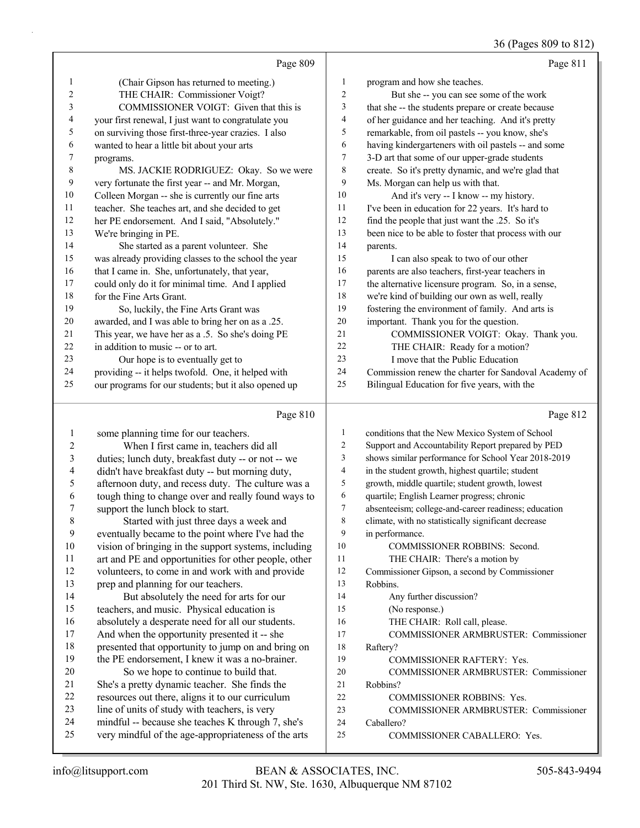36 (Pages 809 to 812)

|                |                                                      |                          | 36 (Pages 809 to 812)                                |
|----------------|------------------------------------------------------|--------------------------|------------------------------------------------------|
|                | Page 809                                             |                          | Page 811                                             |
| 1              | (Chair Gipson has returned to meeting.)              | $\mathbf{1}$             | program and how she teaches.                         |
| 2              | THE CHAIR: Commissioner Voigt?                       | $\sqrt{2}$               | But she -- you can see some of the work              |
| 3              | COMMISSIONER VOIGT: Given that this is               | $\mathfrak{Z}$           | that she -- the students prepare or create because   |
| 4              | your first renewal, I just want to congratulate you  | $\overline{\mathcal{L}}$ | of her guidance and her teaching. And it's pretty    |
| 5              | on surviving those first-three-year crazies. I also  | 5                        | remarkable, from oil pastels -- you know, she's      |
| 6              | wanted to hear a little bit about your arts          | 6                        | having kindergarteners with oil pastels -- and some  |
| 7              | programs.                                            | $\tau$                   | 3-D art that some of our upper-grade students        |
| 8              | MS. JACKIE RODRIGUEZ: Okay. So we were               | 8                        | create. So it's pretty dynamic, and we're glad that  |
| 9              | very fortunate the first year -- and Mr. Morgan,     | 9                        | Ms. Morgan can help us with that.                    |
| 10             | Colleen Morgan -- she is currently our fine arts     | 10                       | And it's very -- I know -- my history.               |
| 11             | teacher. She teaches art, and she decided to get     | 11                       | I've been in education for 22 years. It's hard to    |
| 12             | her PE endorsement. And I said, "Absolutely."        | 12                       | find the people that just want the .25. So it's      |
| 13             | We're bringing in PE.                                | 13                       | been nice to be able to foster that process with our |
| 14             | She started as a parent volunteer. She               | 14                       | parents.                                             |
| 15             | was already providing classes to the school the year | 15                       | I can also speak to two of our other                 |
| 16             | that I came in. She, unfortunately, that year,       | 16                       | parents are also teachers, first-year teachers in    |
| 17             | could only do it for minimal time. And I applied     | 17                       | the alternative licensure program. So, in a sense,   |
| 18             | for the Fine Arts Grant.                             | 18                       | we're kind of building our own as well, really       |
| 19             | So, luckily, the Fine Arts Grant was                 | 19                       | fostering the environment of family. And arts is     |
| 20             | awarded, and I was able to bring her on as a .25.    | 20                       | important. Thank you for the question.               |
| 21             | This year, we have her as a .5. So she's doing PE    | 21                       | COMMISSIONER VOIGT: Okay. Thank you.                 |
| 22             | in addition to music -- or to art.                   | 22                       | THE CHAIR: Ready for a motion?                       |
| 23             | Our hope is to eventually get to                     | 23                       | I move that the Public Education                     |
| 24             | providing -- it helps twofold. One, it helped with   | 24                       | Commission renew the charter for Sandoval Academy of |
| 25             | our programs for our students; but it also opened up | 25                       | Bilingual Education for five years, with the         |
|                |                                                      |                          |                                                      |
|                | Page 810                                             |                          | Page 812                                             |
| $\mathbf{1}$   | some planning time for our teachers.                 | $\mathbf{1}$             | conditions that the New Mexico System of School      |
| $\overline{2}$ | When I first came in, teachers did all               | $\sqrt{2}$               | Support and Accountability Report prepared by PED    |
| 3              | duties; lunch duty, breakfast duty -- or not -- we   | 3                        | shows similar performance for School Year 2018-2019  |
| 4              | didn't have breakfast duty -- but morning duty,      | $\overline{\mathbf{4}}$  | in the student growth, highest quartile; student     |
| 5              | afternoon duty, and recess duty. The culture was a   | 5                        | growth, middle quartile; student growth, lowest      |
| 6              | tough thing to change over and really found ways to  | 6                        | quartile; English Learner progress; chronic          |
| 7              | support the lunch block to start.                    | $\overline{7}$           | absenteeism; college-and-career readiness; education |
| $\,$ 8 $\,$    | Started with just three days a week and              | $\,$ $\,$                | climate, with no statistically significant decrease  |
| 9              | eventually became to the point where I've had the    | 9                        | in performance.                                      |
| 10             | vision of bringing in the support systems, including | 10                       | COMMISSIONER ROBBINS: Second.                        |
| 11             | art and PE and opportunities for other people, other | 11                       | THE CHAIR: There's a motion by                       |
| 12             | volunteers, to come in and work with and provide     | 12                       | Commissioner Gipson, a second by Commissioner        |
| 13             | prep and planning for our teachers.                  | 13                       | Robbins.                                             |

14 But absolutely the need for arts for our teachers, and music. Physical education is absolutely a desperate need for all our students. And when the opportunity presented it -- she presented that opportunity to jump on and bring on

- the PE endorsement, I knew it was a no-brainer. 20 So we hope to continue to build that. She's a pretty dynamic teacher. She finds the resources out there, aligns it to our curriculum line of units of study with teachers, is very
- mindful -- because she teaches K through 7, she's very mindful of the age-appropriateness of the arts
- Caballero? 25 COMMISSIONER CABALLERO: Yes.

17 COMMISSIONER ARMBRUSTER: Commissioner

20 COMMISSIONER ARMBRUSTER: Commissioner

23 COMMISSIONER ARMBRUSTER: Commissioner

14 Any further discussion? 15 (No response.)

Raftery?

Robbins?

16 THE CHAIR: Roll call, please.

19 COMMISSIONER RAFTERY: Yes.

22 COMMISSIONER ROBBINS: Yes.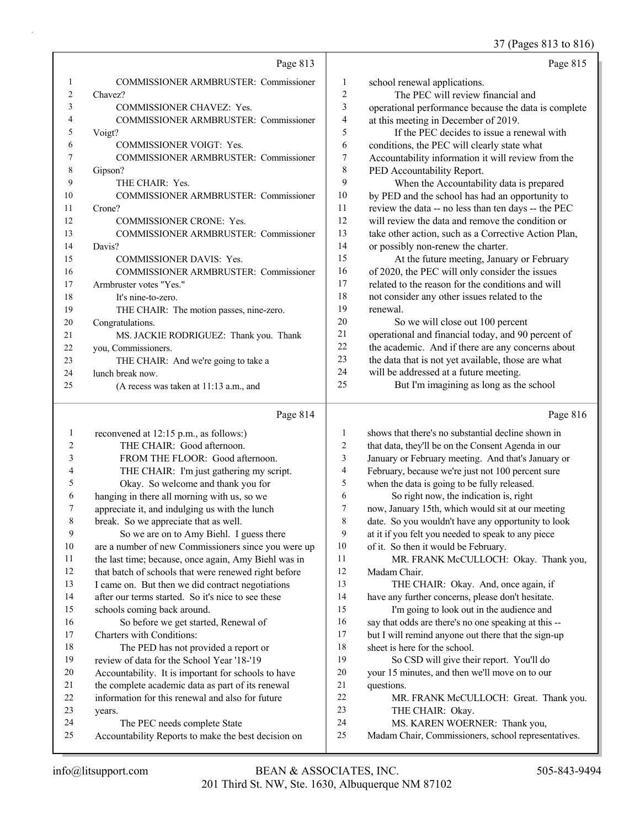# 37 (Pages 813 to 816)

|    | Page 813                                     |                | Page 815                                             |
|----|----------------------------------------------|----------------|------------------------------------------------------|
| I. | <b>COMMISSIONER ARMBRUSTER: Commissioner</b> | 1              | school renewal applications.                         |
| 2  | Chavez?                                      | $\overline{c}$ | The PEC will review financial and                    |
| 3  | <b>COMMISSIONER CHAVEZ: Yes.</b>             | 3              | operational performance because the data is complete |
| 4  | COMMISSIONER ARMBRUSTER: Commissioner        | 4              | at this meeting in December of 2019.                 |
| 5  | Voigt?                                       | 5              | If the PEC decides to issue a renewal with           |
| 6  | <b>COMMISSIONER VOIGT: Yes.</b>              | 6              | conditions, the PEC will clearly state what          |
| 7  | <b>COMMISSIONER ARMBRUSTER: Commissioner</b> | 7              | Accountability information it will review from the   |
| 8  | Gipson?                                      | 8              | PED Accountability Report.                           |
| 9  | THE CHAIR: Yes.                              | 9              | When the Accountability data is prepared             |
| 10 | <b>COMMISSIONER ARMBRUSTER: Commissioner</b> | 10             | by PED and the school has had an opportunity to      |
| 11 | Crone?                                       | 11             | review the data -- no less than ten days -- the PEC  |
| 12 | <b>COMMISSIONER CRONE: Yes.</b>              | 12             | will review the data and remove the condition or     |
| 13 | <b>COMMISSIONER ARMBRUSTER: Commissioner</b> | 13             | take other action, such as a Corrective Action Plan, |
| 14 | Davis?                                       | 14             | or possibly non-renew the charter.                   |
| 15 | <b>COMMISSIONER DAVIS: Yes.</b>              | 15             | At the future meeting, January or February           |
| 16 | <b>COMMISSIONER ARMBRUSTER: Commissioner</b> | 16             | of 2020, the PEC will only consider the issues       |
| 17 | Armbruster votes "Yes."                      | 17             | related to the reason for the conditions and will    |
| 18 | It's nine-to-zero.                           | 18             | not consider any other issues related to the         |
| 19 | THE CHAIR: The motion passes, nine-zero.     | 19             | renewal.                                             |
| 20 | Congratulations.                             | 20             | So we will close out 100 percent                     |
| 21 | MS. JACKIE RODRIGUEZ: Thank you. Thank       | 21             | operational and financial today, and 90 percent of   |
| 22 | you, Commissioners.                          | 22             | the academic. And if there are any concerns about    |
| 23 | THE CHAIR: And we're going to take a         | 23             | the data that is not yet available, those are what   |
| 24 | lunch break now.                             | 24             | will be addressed at a future meeting.               |
| 25 | (A recess was taken at $11:13$ a.m., and     | 25             | But I'm imagining as long as the school              |

# $\overline{P_{20e}814}$

|    | Page 814                                             |     | Page 816                                             |
|----|------------------------------------------------------|-----|------------------------------------------------------|
| 1  | reconvened at 12:15 p.m., as follows:)               | 1   | shows that there's no substantial decline shown in   |
| 2  | THE CHAIR: Good afternoon.                           | 2   | that data, they'll be on the Consent Agenda in our   |
| 3  | FROM THE FLOOR: Good afternoon.                      | 3   | January or February meeting. And that's January or   |
| 4  | THE CHAIR: I'm just gathering my script.             | 4   | February, because we're just not 100 percent sure    |
| 5  | Okay. So welcome and thank you for                   | 5   | when the data is going to be fully released.         |
| 6  | hanging in there all morning with us, so we          | 6   | So right now, the indication is, right               |
| 7  | appreciate it, and indulging us with the lunch       | 7   | now, January 15th, which would sit at our meeting    |
| 8  | break. So we appreciate that as well.                | 8   | date. So you wouldn't have any opportunity to look   |
| 9  | So we are on to Amy Biehl. I guess there             | 9   | at it if you felt you needed to speak to any piece   |
| 10 | are a number of new Commissioners since you were up  | 10  | of it. So then it would be February.                 |
| 11 | the last time; because, once again, Amy Biehl was in | 11  | MR. FRANK McCULLOCH: Okay. Thank you,                |
| 12 | that batch of schools that were renewed right before | 12  | Madam Chair.                                         |
| 13 | I came on. But then we did contract negotiations     | 13  | THE CHAIR: Okay. And, once again, if                 |
| 14 | after our terms started. So it's nice to see these   | 14  | have any further concerns, please don't hesitate.    |
| 15 | schools coming back around.                          | 15  | I'm going to look out in the audience and            |
| 16 | So before we get started, Renewal of                 | 16  | say that odds are there's no one speaking at this -- |
| 17 | Charters with Conditions:                            | 17  | but I will remind anyone out there that the sign-up  |
| 18 | The PED has not provided a report or                 | 18  | sheet is here for the school.                        |
| 19 | review of data for the School Year '18-'19           | 19  | So CSD will give their report. You'll do             |
| 20 | Accountability. It is important for schools to have  | 20  | your 15 minutes, and then we'll move on to our       |
| 21 | the complete academic data as part of its renewal    | 21  | questions.                                           |
| 22 | information for this renewal and also for future     | 22. | MR. FRANK McCULLOCH: Great. Thank you.               |
| 23 | years.                                               | 23  | THE CHAIR: Okay.                                     |
| 24 | The PEC needs complete State                         | 24  | MS. KAREN WOERNER: Thank you,                        |
| 25 | Accountability Reports to make the best decision on  | 25  | Madam Chair, Commissioners, school representatives.  |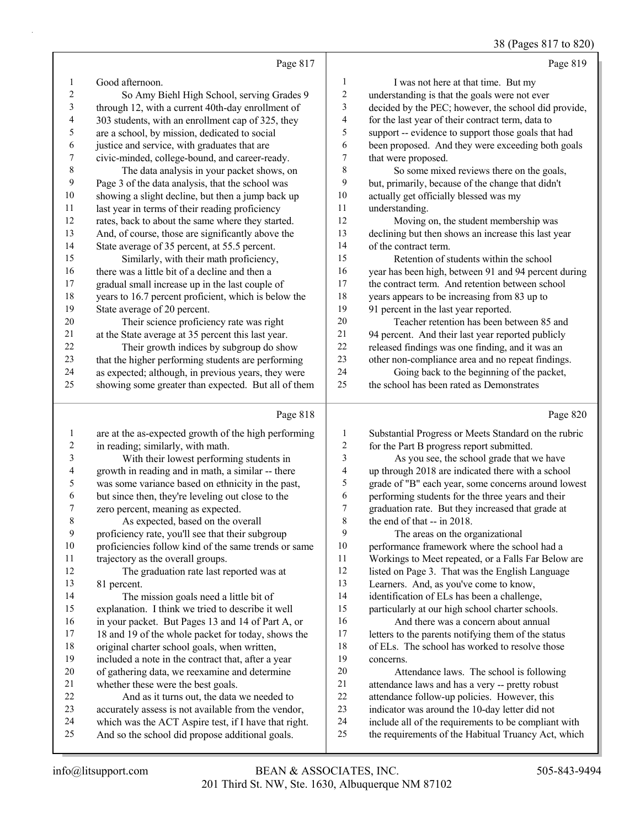| 38 (Pages 817 to 820) |  |  |
|-----------------------|--|--|
|                       |  |  |

|                          | Page 817                                             |                         | Page 819                                             |
|--------------------------|------------------------------------------------------|-------------------------|------------------------------------------------------|
| 1                        | Good afternoon.                                      | $\mathbf{1}$            | I was not here at that time. But my                  |
| $\overline{c}$           | So Amy Biehl High School, serving Grades 9           | $\sqrt{2}$              | understanding is that the goals were not ever        |
| 3                        | through 12, with a current 40th-day enrollment of    | 3                       | decided by the PEC; however, the school did provide, |
| $\overline{\mathcal{A}}$ | 303 students, with an enrollment cap of 325, they    | $\overline{\mathbf{4}}$ | for the last year of their contract term, data to    |
| 5                        | are a school, by mission, dedicated to social        | 5                       | support -- evidence to support those goals that had  |
| 6                        | justice and service, with graduates that are         | 6                       | been proposed. And they were exceeding both goals    |
| 7                        | civic-minded, college-bound, and career-ready.       | $\tau$                  | that were proposed.                                  |
| 8                        | The data analysis in your packet shows, on           | 8                       | So some mixed reviews there on the goals,            |
| $\mathbf{9}$             | Page 3 of the data analysis, that the school was     | 9                       | but, primarily, because of the change that didn't    |
| $10\,$                   | showing a slight decline, but then a jump back up    | $10\,$                  | actually get officially blessed was my               |
| 11                       | last year in terms of their reading proficiency      | 11                      | understanding.                                       |
| 12                       | rates, back to about the same where they started.    | 12                      | Moving on, the student membership was                |
| 13                       | And, of course, those are significantly above the    | 13                      | declining but then shows an increase this last year  |
| 14                       | State average of 35 percent, at 55.5 percent.        | 14                      | of the contract term.                                |
| 15                       | Similarly, with their math proficiency,              | 15                      | Retention of students within the school              |
| 16                       | there was a little bit of a decline and then a       | 16                      | year has been high, between 91 and 94 percent during |
| 17                       | gradual small increase up in the last couple of      | 17                      | the contract term. And retention between school      |
| 18                       | years to 16.7 percent proficient, which is below the | 18                      | years appears to be increasing from 83 up to         |
| 19                       | State average of 20 percent.                         | 19                      | 91 percent in the last year reported.                |
| $20\,$                   | Their science proficiency rate was right             | 20                      | Teacher retention has been between 85 and            |
| $21\,$                   | at the State average at 35 percent this last year.   | 21                      | 94 percent. And their last year reported publicly    |
| 22                       | Their growth indices by subgroup do show             | 22                      | released findings was one finding, and it was an     |
| 23                       | that the higher performing students are performing   | 23                      | other non-compliance area and no repeat findings.    |
| 24                       | as expected; although, in previous years, they were  | 24                      | Going back to the beginning of the packet,           |
| 25                       | showing some greater than expected. But all of them  | 25                      | the school has been rated as Demonstrates            |
|                          | Page 818                                             |                         | Page 820                                             |
| $\mathbf{1}$             | are at the as-expected growth of the high performing | 1                       | Substantial Progress or Meets Standard on the rubric |
| $\overline{c}$           | in reading; similarly, with math.                    | $\sqrt{2}$              | for the Part B progress report submitted.            |
| 3                        | With their lowest performing students in             | $\overline{\mathbf{3}}$ | As you see, the school grade that we have            |
| 4                        | growth in reading and in math, a similar -- there    | 4                       | up through 2018 are indicated there with a school    |
| 5                        | was some variance based on ethnicity in the past,    | 5                       | grade of "B" each year, some concerns around lowest  |
| 6                        | but since then, they're leveling out close to the    | 6                       | performing students for the three years and their    |
| 7                        | zero percent, meaning as expected.                   | 7                       | graduation rate. But they increased that grade at    |
| 8                        | As expected, based on the overall                    | $\,$ 8 $\,$             | the end of that -- in 2018.                          |
| 9                        | proficiency rate, you'll see that their subgroup     | 9                       | The areas on the organizational                      |
|                          |                                                      |                         |                                                      |

 proficiencies follow kind of the same trends or same trajectory as the overall groups.

12 The graduation rate last reported was at 81 percent.

14 The mission goals need a little bit of explanation. I think we tried to describe it well in your packet. But Pages 13 and 14 of Part A, or 17 18 and 19 of the whole packet for today, shows the original charter school goals, when written, included a note in the contract that, after a year of gathering data, we reexamine and determine whether these were the best goals. 22 And as it turns out, the data we needed to

- accurately assess is not available from the vendor,
- which was the ACT Aspire test, if I have that right.
- And so the school did propose additional goals.

performance framework where the school had a

- Workings to Meet repeated, or a Falls Far Below are
- listed on Page 3. That was the English Language
- Learners. And, as you've come to know,
- identification of ELs has been a challenge,
- particularly at our high school charter schools. 16 And there was a concern about annual

 letters to the parents notifying them of the status of ELs. The school has worked to resolve those concerns.

- 20 Attendance laws. The school is following attendance laws and has a very -- pretty robust attendance follow-up policies. However, this indicator was around the 10-day letter did not
- include all of the requirements to be compliant with
- the requirements of the Habitual Truancy Act, which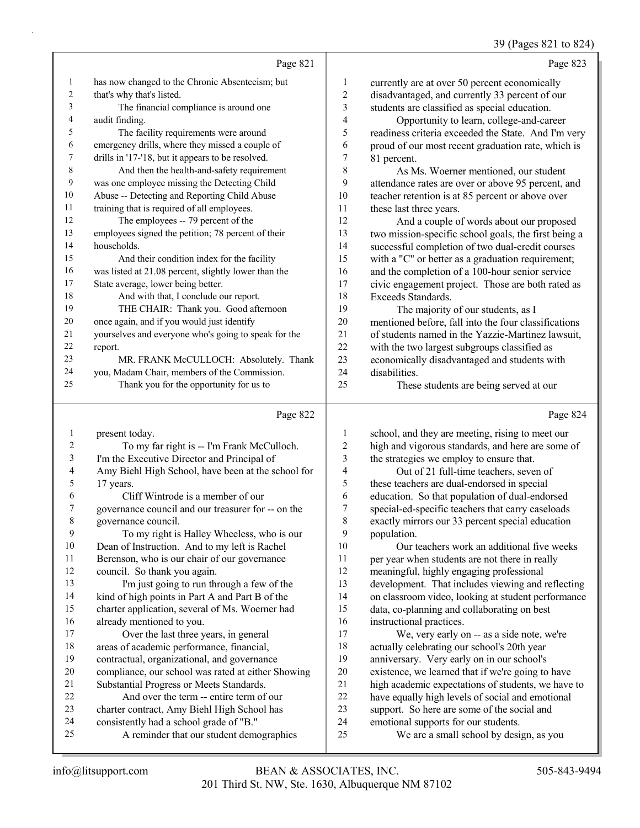### 39 (Pages 821 to 824)

|                  | Page 821                                             |                         | Page 823                                             |
|------------------|------------------------------------------------------|-------------------------|------------------------------------------------------|
| $\mathbf{1}$     | has now changed to the Chronic Absenteeism; but      | 1                       | currently are at over 50 percent economically        |
| $\overline{c}$   | that's why that's listed.                            | $\overline{c}$          | disadvantaged, and currently 33 percent of our       |
| 3                | The financial compliance is around one               | 3                       | students are classified as special education.        |
| 4                | audit finding.                                       | $\overline{\mathbf{4}}$ | Opportunity to learn, college-and-career             |
| 5                | The facility requirements were around                | 5                       | readiness criteria exceeded the State. And I'm very  |
| 6                | emergency drills, where they missed a couple of      | 6                       | proud of our most recent graduation rate, which is   |
| 7                | drills in '17-'18, but it appears to be resolved.    | 7                       | 81 percent.                                          |
| $\,8\,$          | And then the health-and-safety requirement           | $\,$ $\,$               | As Ms. Woerner mentioned, our student                |
| $\boldsymbol{9}$ | was one employee missing the Detecting Child         | 9                       | attendance rates are over or above 95 percent, and   |
| $10\,$           | Abuse -- Detecting and Reporting Child Abuse         | 10                      | teacher retention is at 85 percent or above over     |
| 11               | training that is required of all employees.          | 11                      | these last three years.                              |
| 12               | The employees -- 79 percent of the                   | 12                      | And a couple of words about our proposed             |
| 13               | employees signed the petition; 78 percent of their   | 13                      | two mission-specific school goals, the first being a |
| 14               | households.                                          | 14                      | successful completion of two dual-credit courses     |
| 15               | And their condition index for the facility           | 15                      | with a "C" or better as a graduation requirement;    |
| 16               | was listed at 21.08 percent, slightly lower than the | 16                      | and the completion of a 100-hour senior service      |
| 17               | State average, lower being better.                   | 17                      | civic engagement project. Those are both rated as    |
| 18               | And with that, I conclude our report.                | 18                      | Exceeds Standards.                                   |
| 19               | THE CHAIR: Thank you. Good afternoon                 | 19                      | The majority of our students, as I                   |
| 20               | once again, and if you would just identify           | $20\,$                  | mentioned before, fall into the four classifications |
| 21               | yourselves and everyone who's going to speak for the | 21                      | of students named in the Yazzie-Martinez lawsuit,    |
| 22               | report.                                              | 22                      | with the two largest subgroups classified as         |
| 23               | MR. FRANK McCULLOCH: Absolutely. Thank               | 23                      | economically disadvantaged and students with         |
| 24               | you, Madam Chair, members of the Commission.         | 24                      | disabilities.                                        |
| 25               | Thank you for the opportunity for us to              | 25                      | These students are being served at our               |
|                  |                                                      |                         |                                                      |
|                  | Page 822                                             |                         | Page 824                                             |
| $\mathbf{1}$     | present today.                                       | 1                       | school, and they are meeting, rising to meet our     |
| $\overline{2}$   | To my far right is -- I'm Frank McCulloch.           | $\overline{c}$          | high and vigorous standards, and here are some of    |
| $\mathfrak{Z}$   | I'm the Executive Director and Principal of          | $\overline{\mathbf{3}}$ | the strategies we employ to ensure that.             |
| 4                | Amy Biehl High School, have been at the school for   | 4                       | Out of 21 full-time teachers, seven of               |
| 5                | 17 years.                                            | 5                       | these teachers are dual-endorsed in special          |
| 6                | Cliff Wintrode is a member of our                    | 6                       | education. So that population of dual-endorsed       |
| 7                | governance council and our treasurer for -- on the   | 7                       | special-ed-specific teachers that carry caseloads    |
| $\,8\,$          | governance council.                                  | $\,$ $\,$               | exactly mirrors our 33 percent special education     |
| 9                | To my right is Halley Wheeless, who is our           | 9                       | population.                                          |
| $10\,$           | Dean of Instruction. And to my left is Rachel        | 10                      | Our teachers work an additional five weeks           |
| 11               | Berenson, who is our chair of our governance         | 11                      | per year when students are not there in really       |
| 12               | council. So thank you again.                         | 12                      | meaningful, highly engaging professional             |
| 13               | I'm just going to run through a few of the           | 13                      | development. That includes viewing and reflecting    |
| 14               | kind of high points in Part A and Part B of the      | 14                      | on classroom video, looking at student performance   |

charter application, several of Ms. Woerner had

17 Over the last three years, in general areas of academic performance, financial, contractual, organizational, and governance compliance, our school was rated at either Showing

 Substantial Progress or Meets Standards. 22 And over the term -- entire term of our charter contract, Amy Biehl High School has consistently had a school grade of "B."

25 A reminder that our student demographics

already mentioned to you.

We, very early on -- as a side note, we're

data, co-planning and collaborating on best

 actually celebrating our school's 20th year anniversary. Very early on in our school's existence, we learned that if we're going to have 21 high academic expectations of students, we have to<br>22 have equally high levels of social and emotional have equally high levels of social and emotional

support. So here are some of the social and

25 We are a small school by design, as you

emotional supports for our students.

16 instructional practices.<br>17 We, very early of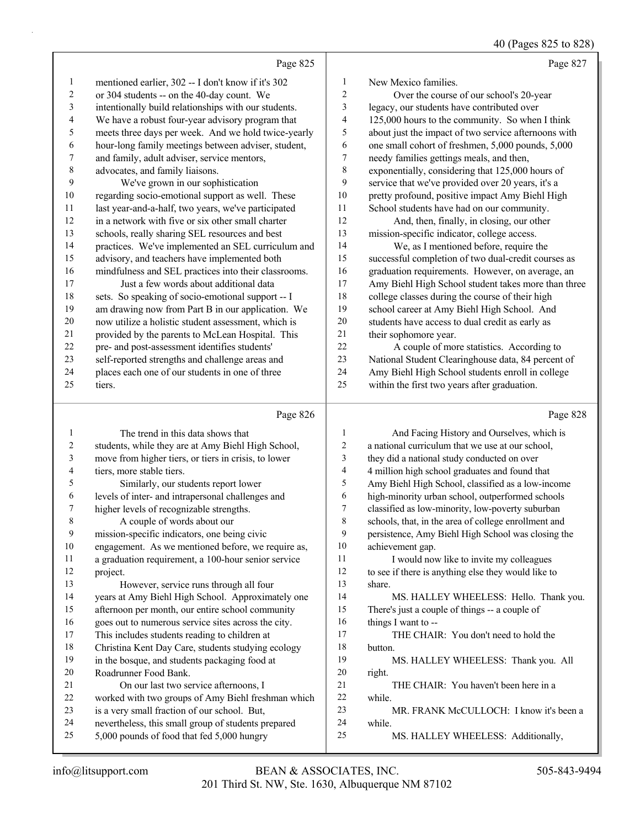40 (Pages 825 to 828)

|                          |                                                      |                          | $\sim$ $(1 - 5)$<br>$\sim$ 020 $\sim$ 020            |
|--------------------------|------------------------------------------------------|--------------------------|------------------------------------------------------|
|                          | Page 825                                             |                          | Page 827                                             |
| $\mathbf{1}$             | mentioned earlier, 302 -- I don't know if it's 302   | 1                        | New Mexico families.                                 |
| $\sqrt{2}$               | or 304 students -- on the 40-day count. We           | $\sqrt{2}$               | Over the course of our school's 20-year              |
| $\mathfrak{Z}$           | intentionally build relationships with our students. | 3                        | legacy, our students have contributed over           |
| $\overline{\mathcal{L}}$ | We have a robust four-year advisory program that     | $\overline{\mathcal{L}}$ | 125,000 hours to the community. So when I think      |
| 5                        | meets three days per week. And we hold twice-yearly  | 5                        | about just the impact of two service afternoons with |
| 6                        | hour-long family meetings between adviser, student,  | 6                        | one small cohort of freshmen, 5,000 pounds, 5,000    |
| $\boldsymbol{7}$         | and family, adult adviser, service mentors,          | $\boldsymbol{7}$         | needy families gettings meals, and then,             |
| $\,$ $\,$                | advocates, and family liaisons.                      | $\,$ $\,$                | exponentially, considering that 125,000 hours of     |
| 9                        | We've grown in our sophistication                    | 9                        | service that we've provided over 20 years, it's a    |
| $10\,$                   | regarding socio-emotional support as well. These     | $10\,$                   | pretty profound, positive impact Amy Biehl High      |
| $11\,$                   | last year-and-a-half, two years, we've participated  | 11                       | School students have had on our community.           |
| 12                       | in a network with five or six other small charter    | 12                       | And, then, finally, in closing, our other            |
| 13                       | schools, really sharing SEL resources and best       | 13                       | mission-specific indicator, college access.          |
| 14                       | practices. We've implemented an SEL curriculum and   | 14                       | We, as I mentioned before, require the               |
| 15                       | advisory, and teachers have implemented both         | 15                       | successful completion of two dual-credit courses as  |
| 16                       | mindfulness and SEL practices into their classrooms. | 16                       | graduation requirements. However, on average, an     |
| 17                       | Just a few words about additional data               | 17                       | Amy Biehl High School student takes more than three  |
| 18                       | sets. So speaking of socio-emotional support -- I    | 18                       | college classes during the course of their high      |
| 19                       | am drawing now from Part B in our application. We    | 19                       | school career at Amy Biehl High School. And          |
| $20\,$                   | now utilize a holistic student assessment, which is  | 20                       | students have access to dual credit as early as      |
| 21                       | provided by the parents to McLean Hospital. This     | 21                       | their sophomore year.                                |
| 22                       | pre- and post-assessment identifies students'        | 22                       | A couple of more statistics. According to            |
| 23                       | self-reported strengths and challenge areas and      | 23                       | National Student Clearinghouse data, 84 percent of   |
| 24                       | places each one of our students in one of three      | 24                       | Amy Biehl High School students enroll in college     |
| 25                       | tiers.                                               | 25                       | within the first two years after graduation.         |
|                          |                                                      |                          |                                                      |
|                          | Page 826                                             |                          | Page 828                                             |
| $\mathbf{1}$             | The trend in this data shows that                    | $\mathbf{1}$             | And Facing History and Ourselves, which is           |
| $\overline{c}$           | students, while they are at Amy Biehl High School,   | $\overline{c}$           | a national curriculum that we use at our school,     |
| 3                        | move from higher tiers, or tiers in crisis, to lower | 3                        | they did a national study conducted on over          |
| $\overline{\mathcal{A}}$ | tiers, more stable tiers.                            | $\overline{4}$           | 4 million high school graduates and found that       |
| 5                        | Similarly, our students report lower                 | 5                        | Amy Biehl High School, classified as a low-income    |
| 6                        | levels of inter- and intrapersonal challenges and    | 6                        | high-minority urban school, outperformed schools     |
| 7                        | higher levels of recognizable strengths.             | 7                        | classified as low-minority, low-poverty suburban     |
| $\,$ 8 $\,$              | A couple of words about our                          | $\,$ 8 $\,$              | schools, that, in the area of college enrollment and |
| 9                        | mission-specific indicators, one being civic         | 9                        | persistence, Amy Biehl High School was closing the   |
| $10\,$                   | engagement. As we mentioned before, we require as,   | 10                       | achievement gap.                                     |
| 11                       | a graduation requirement, a 100-hour senior service  | 11                       | I would now like to invite my colleagues             |
| 12                       | project.                                             | 12                       | to see if there is anything else they would like to  |
| 13                       | However, service runs through all four               | 13                       | share.                                               |
| 14                       | years at Amy Biehl High School. Approximately one    | 14                       | MS. HALLEY WHEELESS: Hello. Thank you.               |
| 15                       | afternoon per month, our entire school community     | 15                       | There's just a couple of things -- a couple of       |

afternoon per month, our entire school community

 goes out to numerous service sites across the city. This includes students reading to children at

Christina Kent Day Care, students studying ecology

in the bosque, and students packaging food at

Roadrunner Food Bank.

21 On our last two service afternoons, I

worked with two groups of Amy Biehl freshman which

- is a very small fraction of our school. But,
- nevertheless, this small group of students prepared 5,000 pounds of food that fed 5,000 hungry

 while. 25 MS. HALLEY WHEELESS: Additionally,

23 MR. FRANK McCULLOCH: I know it's been a

17 THE CHAIR: You don't need to hold the

21 THE CHAIR: You haven't been here in a

19 MS. HALLEY WHEELESS: Thank you. All

16 things I want to --

button.

right.

while.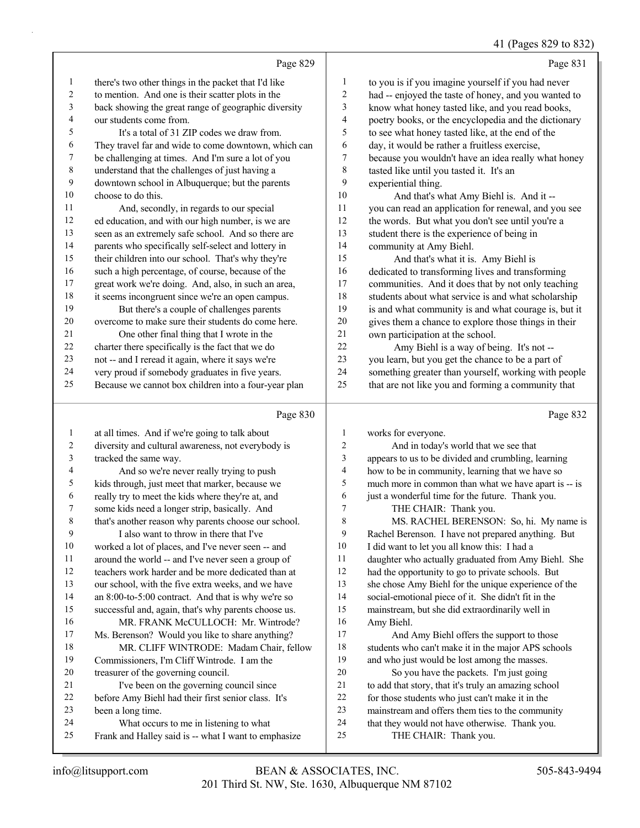# 832)

|   | 41 (Pages $829$ to |
|---|--------------------|
|   | Page:              |
| . | $\cdots$           |

| there's two other things in the packet that I'd like<br>to you is if you imagine yourself if you had never<br>1<br>1<br>$\sqrt{2}$<br>$\overline{c}$<br>to mention. And one is their scatter plots in the<br>had -- enjoyed the taste of honey, and you wanted to<br>3<br>3<br>back showing the great range of geographic diversity<br>know what honey tasted like, and you read books,<br>$\overline{\mathcal{A}}$<br>4<br>our students come from.<br>poetry books, or the encyclopedia and the dictionary<br>5<br>5<br>It's a total of 31 ZIP codes we draw from.<br>to see what honey tasted like, at the end of the<br>6<br>6<br>day, it would be rather a fruitless exercise,<br>They travel far and wide to come downtown, which can<br>7<br>$\overline{7}$<br>be challenging at times. And I'm sure a lot of you<br>because you wouldn't have an idea really what honey<br>$\,$ 8 $\,$<br>8<br>understand that the challenges of just having a<br>tasted like until you tasted it. It's an<br>$\mathbf{9}$<br>9<br>downtown school in Albuquerque; but the parents<br>experiential thing.<br>10<br>10<br>choose to do this.<br>And that's what Amy Biehl is. And it --<br>11<br>11<br>And, secondly, in regards to our special<br>you can read an application for renewal, and you see<br>12<br>12<br>ed education, and with our high number, is we are<br>the words. But what you don't see until you're a<br>13<br>13<br>seen as an extremely safe school. And so there are<br>student there is the experience of being in<br>14<br>parents who specifically self-select and lottery in<br>14<br>community at Amy Biehl.<br>15<br>their children into our school. That's why they're<br>15<br>And that's what it is. Amy Biehl is<br>16<br>16<br>such a high percentage, of course, because of the<br>dedicated to transforming lives and transforming<br>17<br>$17\,$<br>great work we're doing. And, also, in such an area,<br>communities. And it does that by not only teaching<br>18<br>18<br>it seems incongruent since we're an open campus.<br>students about what service is and what scholarship<br>19<br>19<br>But there's a couple of challenges parents<br>is and what community is and what courage is, but it<br>$20\,$<br>20<br>overcome to make sure their students do come here.<br>gives them a chance to explore those things in their<br>21<br>21<br>One other final thing that I wrote in the<br>own participation at the school.<br>22<br>22<br>charter there specifically is the fact that we do<br>Amy Biehl is a way of being. It's not --<br>23<br>23<br>not -- and I reread it again, where it says we're<br>you learn, but you get the chance to be a part of<br>24<br>24<br>very proud if somebody graduates in five years.<br>something greater than yourself, working with people<br>25<br>25<br>Because we cannot box children into a four-year plan<br>that are not like you and forming a community that<br>Page 830<br>Page 832<br>at all times. And if we're going to talk about<br>works for everyone.<br>$\mathbf{1}$<br>1<br>$\sqrt{2}$<br>diversity and cultural awareness, not everybody is<br>$\sqrt{2}$<br>And in today's world that we see that<br>3<br>3<br>tracked the same way.<br>appears to us to be divided and crumbling, learning<br>4<br>And so we're never really trying to push<br>4<br>how to be in community, learning that we have so<br>5<br>5<br>kids through, just meet that marker, because we<br>much more in common than what we have apart is -- is<br>6<br>really try to meet the kids where they're at, and<br>6<br>just a wonderful time for the future. Thank you.<br>7<br>7<br>THE CHAIR: Thank you.<br>some kids need a longer strip, basically. And<br>8<br>8<br>that's another reason why parents choose our school.<br>MS. RACHEL BERENSON: So, hi. My name is<br>9<br>9<br>I also want to throw in there that I've<br>Rachel Berenson. I have not prepared anything. But<br>$10\,$<br>10<br>I did want to let you all know this: I had a<br>worked a lot of places, and I've never seen -- and<br>11<br>11<br>daughter who actually graduated from Amy Biehl. She<br>around the world -- and I've never seen a group of<br>12<br>12<br>teachers work harder and be more dedicated than at<br>had the opportunity to go to private schools. But<br>13<br>13<br>she chose Amy Biehl for the unique experience of the<br>our school, with the five extra weeks, and we have<br>14<br>14<br>an 8:00-to-5:00 contract. And that is why we're so<br>social-emotional piece of it. She didn't fit in the<br>15<br>15<br>successful and, again, that's why parents choose us.<br>mainstream, but she did extraordinarily well in<br>16<br>16<br>MR. FRANK McCULLOCH: Mr. Wintrode?<br>Amy Biehl.<br>17<br>17<br>Ms. Berenson? Would you like to share anything?<br>And Amy Biehl offers the support to those<br>18<br>18<br>MR. CLIFF WINTRODE: Madam Chair, fellow<br>students who can't make it in the major APS schools<br>19<br>19<br>Commissioners, I'm Cliff Wintrode. I am the<br>and who just would be lost among the masses.<br>$20\,$<br>20<br>treasurer of the governing council.<br>So you have the packets. I'm just going<br>I've been on the governing council since<br>21<br>to add that story, that it's truly an amazing school<br>21<br>$22\,$<br>22<br>before Amy Biehl had their first senior class. It's<br>for those students who just can't make it in the<br>23<br>23<br>mainstream and offers them ties to the community<br>been a long time.<br>24<br>24<br>What occurs to me in listening to what<br>that they would not have otherwise. Thank you.<br>25<br>Frank and Halley said is -- what I want to emphasize<br>25<br>THE CHAIR: Thank you. | Page 829 | Page 831 |
|-----------------------------------------------------------------------------------------------------------------------------------------------------------------------------------------------------------------------------------------------------------------------------------------------------------------------------------------------------------------------------------------------------------------------------------------------------------------------------------------------------------------------------------------------------------------------------------------------------------------------------------------------------------------------------------------------------------------------------------------------------------------------------------------------------------------------------------------------------------------------------------------------------------------------------------------------------------------------------------------------------------------------------------------------------------------------------------------------------------------------------------------------------------------------------------------------------------------------------------------------------------------------------------------------------------------------------------------------------------------------------------------------------------------------------------------------------------------------------------------------------------------------------------------------------------------------------------------------------------------------------------------------------------------------------------------------------------------------------------------------------------------------------------------------------------------------------------------------------------------------------------------------------------------------------------------------------------------------------------------------------------------------------------------------------------------------------------------------------------------------------------------------------------------------------------------------------------------------------------------------------------------------------------------------------------------------------------------------------------------------------------------------------------------------------------------------------------------------------------------------------------------------------------------------------------------------------------------------------------------------------------------------------------------------------------------------------------------------------------------------------------------------------------------------------------------------------------------------------------------------------------------------------------------------------------------------------------------------------------------------------------------------------------------------------------------------------------------------------------------------------------------------------------------------------------------------------------------------------------------------------------------------------------------------------------------------------------------------------------------------------------------------------------------------------------------------------------------------------------------------------------------------------------------------------------------------------------------------------------------------------------------------------------------------------------------------------------------------------------------------------------------------------------------------------------------------------------------------------------------------------------------------------------------------------------------------------------------------------------------------------------------------------------------------------------------------------------------------------------------------------------------------------------------------------------------------------------------------------------------------------------------------------------------------------------------------------------------------------------------------------------------------------------------------------------------------------------------------------------------------------------------------------------------------------------------------------------------------------------------------------------------------------------------------------------------------------------------------------------------------------------------------------------------------------------------------------------------------------------------------------------------------------------------------------------------------------------------------------------------------------------------------------------------------------------------------------------------------------------------------------------------------------------------------------------------------------------------------------------------------------------------------------------------------------------------------------------------------------------------------------------------------------------------------------------------------------------------------------------------------------------------------------------------------------------------------------------------------------------------------------------------------------------------------------------------------------------------------------------------------------------|----------|----------|
|                                                                                                                                                                                                                                                                                                                                                                                                                                                                                                                                                                                                                                                                                                                                                                                                                                                                                                                                                                                                                                                                                                                                                                                                                                                                                                                                                                                                                                                                                                                                                                                                                                                                                                                                                                                                                                                                                                                                                                                                                                                                                                                                                                                                                                                                                                                                                                                                                                                                                                                                                                                                                                                                                                                                                                                                                                                                                                                                                                                                                                                                                                                                                                                                                                                                                                                                                                                                                                                                                                                                                                                                                                                                                                                                                                                                                                                                                                                                                                                                                                                                                                                                                                                                                                                                                                                                                                                                                                                                                                                                                                                                                                                                                                                                                                                                                                                                                                                                                                                                                                                                                                                                                                                                                                                                                                                                                                                                                                                                                                                                                                                                                                                                                                                                                           |          |          |
|                                                                                                                                                                                                                                                                                                                                                                                                                                                                                                                                                                                                                                                                                                                                                                                                                                                                                                                                                                                                                                                                                                                                                                                                                                                                                                                                                                                                                                                                                                                                                                                                                                                                                                                                                                                                                                                                                                                                                                                                                                                                                                                                                                                                                                                                                                                                                                                                                                                                                                                                                                                                                                                                                                                                                                                                                                                                                                                                                                                                                                                                                                                                                                                                                                                                                                                                                                                                                                                                                                                                                                                                                                                                                                                                                                                                                                                                                                                                                                                                                                                                                                                                                                                                                                                                                                                                                                                                                                                                                                                                                                                                                                                                                                                                                                                                                                                                                                                                                                                                                                                                                                                                                                                                                                                                                                                                                                                                                                                                                                                                                                                                                                                                                                                                                           |          |          |
|                                                                                                                                                                                                                                                                                                                                                                                                                                                                                                                                                                                                                                                                                                                                                                                                                                                                                                                                                                                                                                                                                                                                                                                                                                                                                                                                                                                                                                                                                                                                                                                                                                                                                                                                                                                                                                                                                                                                                                                                                                                                                                                                                                                                                                                                                                                                                                                                                                                                                                                                                                                                                                                                                                                                                                                                                                                                                                                                                                                                                                                                                                                                                                                                                                                                                                                                                                                                                                                                                                                                                                                                                                                                                                                                                                                                                                                                                                                                                                                                                                                                                                                                                                                                                                                                                                                                                                                                                                                                                                                                                                                                                                                                                                                                                                                                                                                                                                                                                                                                                                                                                                                                                                                                                                                                                                                                                                                                                                                                                                                                                                                                                                                                                                                                                           |          |          |
|                                                                                                                                                                                                                                                                                                                                                                                                                                                                                                                                                                                                                                                                                                                                                                                                                                                                                                                                                                                                                                                                                                                                                                                                                                                                                                                                                                                                                                                                                                                                                                                                                                                                                                                                                                                                                                                                                                                                                                                                                                                                                                                                                                                                                                                                                                                                                                                                                                                                                                                                                                                                                                                                                                                                                                                                                                                                                                                                                                                                                                                                                                                                                                                                                                                                                                                                                                                                                                                                                                                                                                                                                                                                                                                                                                                                                                                                                                                                                                                                                                                                                                                                                                                                                                                                                                                                                                                                                                                                                                                                                                                                                                                                                                                                                                                                                                                                                                                                                                                                                                                                                                                                                                                                                                                                                                                                                                                                                                                                                                                                                                                                                                                                                                                                                           |          |          |
|                                                                                                                                                                                                                                                                                                                                                                                                                                                                                                                                                                                                                                                                                                                                                                                                                                                                                                                                                                                                                                                                                                                                                                                                                                                                                                                                                                                                                                                                                                                                                                                                                                                                                                                                                                                                                                                                                                                                                                                                                                                                                                                                                                                                                                                                                                                                                                                                                                                                                                                                                                                                                                                                                                                                                                                                                                                                                                                                                                                                                                                                                                                                                                                                                                                                                                                                                                                                                                                                                                                                                                                                                                                                                                                                                                                                                                                                                                                                                                                                                                                                                                                                                                                                                                                                                                                                                                                                                                                                                                                                                                                                                                                                                                                                                                                                                                                                                                                                                                                                                                                                                                                                                                                                                                                                                                                                                                                                                                                                                                                                                                                                                                                                                                                                                           |          |          |
|                                                                                                                                                                                                                                                                                                                                                                                                                                                                                                                                                                                                                                                                                                                                                                                                                                                                                                                                                                                                                                                                                                                                                                                                                                                                                                                                                                                                                                                                                                                                                                                                                                                                                                                                                                                                                                                                                                                                                                                                                                                                                                                                                                                                                                                                                                                                                                                                                                                                                                                                                                                                                                                                                                                                                                                                                                                                                                                                                                                                                                                                                                                                                                                                                                                                                                                                                                                                                                                                                                                                                                                                                                                                                                                                                                                                                                                                                                                                                                                                                                                                                                                                                                                                                                                                                                                                                                                                                                                                                                                                                                                                                                                                                                                                                                                                                                                                                                                                                                                                                                                                                                                                                                                                                                                                                                                                                                                                                                                                                                                                                                                                                                                                                                                                                           |          |          |
|                                                                                                                                                                                                                                                                                                                                                                                                                                                                                                                                                                                                                                                                                                                                                                                                                                                                                                                                                                                                                                                                                                                                                                                                                                                                                                                                                                                                                                                                                                                                                                                                                                                                                                                                                                                                                                                                                                                                                                                                                                                                                                                                                                                                                                                                                                                                                                                                                                                                                                                                                                                                                                                                                                                                                                                                                                                                                                                                                                                                                                                                                                                                                                                                                                                                                                                                                                                                                                                                                                                                                                                                                                                                                                                                                                                                                                                                                                                                                                                                                                                                                                                                                                                                                                                                                                                                                                                                                                                                                                                                                                                                                                                                                                                                                                                                                                                                                                                                                                                                                                                                                                                                                                                                                                                                                                                                                                                                                                                                                                                                                                                                                                                                                                                                                           |          |          |
|                                                                                                                                                                                                                                                                                                                                                                                                                                                                                                                                                                                                                                                                                                                                                                                                                                                                                                                                                                                                                                                                                                                                                                                                                                                                                                                                                                                                                                                                                                                                                                                                                                                                                                                                                                                                                                                                                                                                                                                                                                                                                                                                                                                                                                                                                                                                                                                                                                                                                                                                                                                                                                                                                                                                                                                                                                                                                                                                                                                                                                                                                                                                                                                                                                                                                                                                                                                                                                                                                                                                                                                                                                                                                                                                                                                                                                                                                                                                                                                                                                                                                                                                                                                                                                                                                                                                                                                                                                                                                                                                                                                                                                                                                                                                                                                                                                                                                                                                                                                                                                                                                                                                                                                                                                                                                                                                                                                                                                                                                                                                                                                                                                                                                                                                                           |          |          |
|                                                                                                                                                                                                                                                                                                                                                                                                                                                                                                                                                                                                                                                                                                                                                                                                                                                                                                                                                                                                                                                                                                                                                                                                                                                                                                                                                                                                                                                                                                                                                                                                                                                                                                                                                                                                                                                                                                                                                                                                                                                                                                                                                                                                                                                                                                                                                                                                                                                                                                                                                                                                                                                                                                                                                                                                                                                                                                                                                                                                                                                                                                                                                                                                                                                                                                                                                                                                                                                                                                                                                                                                                                                                                                                                                                                                                                                                                                                                                                                                                                                                                                                                                                                                                                                                                                                                                                                                                                                                                                                                                                                                                                                                                                                                                                                                                                                                                                                                                                                                                                                                                                                                                                                                                                                                                                                                                                                                                                                                                                                                                                                                                                                                                                                                                           |          |          |
|                                                                                                                                                                                                                                                                                                                                                                                                                                                                                                                                                                                                                                                                                                                                                                                                                                                                                                                                                                                                                                                                                                                                                                                                                                                                                                                                                                                                                                                                                                                                                                                                                                                                                                                                                                                                                                                                                                                                                                                                                                                                                                                                                                                                                                                                                                                                                                                                                                                                                                                                                                                                                                                                                                                                                                                                                                                                                                                                                                                                                                                                                                                                                                                                                                                                                                                                                                                                                                                                                                                                                                                                                                                                                                                                                                                                                                                                                                                                                                                                                                                                                                                                                                                                                                                                                                                                                                                                                                                                                                                                                                                                                                                                                                                                                                                                                                                                                                                                                                                                                                                                                                                                                                                                                                                                                                                                                                                                                                                                                                                                                                                                                                                                                                                                                           |          |          |
|                                                                                                                                                                                                                                                                                                                                                                                                                                                                                                                                                                                                                                                                                                                                                                                                                                                                                                                                                                                                                                                                                                                                                                                                                                                                                                                                                                                                                                                                                                                                                                                                                                                                                                                                                                                                                                                                                                                                                                                                                                                                                                                                                                                                                                                                                                                                                                                                                                                                                                                                                                                                                                                                                                                                                                                                                                                                                                                                                                                                                                                                                                                                                                                                                                                                                                                                                                                                                                                                                                                                                                                                                                                                                                                                                                                                                                                                                                                                                                                                                                                                                                                                                                                                                                                                                                                                                                                                                                                                                                                                                                                                                                                                                                                                                                                                                                                                                                                                                                                                                                                                                                                                                                                                                                                                                                                                                                                                                                                                                                                                                                                                                                                                                                                                                           |          |          |
|                                                                                                                                                                                                                                                                                                                                                                                                                                                                                                                                                                                                                                                                                                                                                                                                                                                                                                                                                                                                                                                                                                                                                                                                                                                                                                                                                                                                                                                                                                                                                                                                                                                                                                                                                                                                                                                                                                                                                                                                                                                                                                                                                                                                                                                                                                                                                                                                                                                                                                                                                                                                                                                                                                                                                                                                                                                                                                                                                                                                                                                                                                                                                                                                                                                                                                                                                                                                                                                                                                                                                                                                                                                                                                                                                                                                                                                                                                                                                                                                                                                                                                                                                                                                                                                                                                                                                                                                                                                                                                                                                                                                                                                                                                                                                                                                                                                                                                                                                                                                                                                                                                                                                                                                                                                                                                                                                                                                                                                                                                                                                                                                                                                                                                                                                           |          |          |
|                                                                                                                                                                                                                                                                                                                                                                                                                                                                                                                                                                                                                                                                                                                                                                                                                                                                                                                                                                                                                                                                                                                                                                                                                                                                                                                                                                                                                                                                                                                                                                                                                                                                                                                                                                                                                                                                                                                                                                                                                                                                                                                                                                                                                                                                                                                                                                                                                                                                                                                                                                                                                                                                                                                                                                                                                                                                                                                                                                                                                                                                                                                                                                                                                                                                                                                                                                                                                                                                                                                                                                                                                                                                                                                                                                                                                                                                                                                                                                                                                                                                                                                                                                                                                                                                                                                                                                                                                                                                                                                                                                                                                                                                                                                                                                                                                                                                                                                                                                                                                                                                                                                                                                                                                                                                                                                                                                                                                                                                                                                                                                                                                                                                                                                                                           |          |          |
|                                                                                                                                                                                                                                                                                                                                                                                                                                                                                                                                                                                                                                                                                                                                                                                                                                                                                                                                                                                                                                                                                                                                                                                                                                                                                                                                                                                                                                                                                                                                                                                                                                                                                                                                                                                                                                                                                                                                                                                                                                                                                                                                                                                                                                                                                                                                                                                                                                                                                                                                                                                                                                                                                                                                                                                                                                                                                                                                                                                                                                                                                                                                                                                                                                                                                                                                                                                                                                                                                                                                                                                                                                                                                                                                                                                                                                                                                                                                                                                                                                                                                                                                                                                                                                                                                                                                                                                                                                                                                                                                                                                                                                                                                                                                                                                                                                                                                                                                                                                                                                                                                                                                                                                                                                                                                                                                                                                                                                                                                                                                                                                                                                                                                                                                                           |          |          |
|                                                                                                                                                                                                                                                                                                                                                                                                                                                                                                                                                                                                                                                                                                                                                                                                                                                                                                                                                                                                                                                                                                                                                                                                                                                                                                                                                                                                                                                                                                                                                                                                                                                                                                                                                                                                                                                                                                                                                                                                                                                                                                                                                                                                                                                                                                                                                                                                                                                                                                                                                                                                                                                                                                                                                                                                                                                                                                                                                                                                                                                                                                                                                                                                                                                                                                                                                                                                                                                                                                                                                                                                                                                                                                                                                                                                                                                                                                                                                                                                                                                                                                                                                                                                                                                                                                                                                                                                                                                                                                                                                                                                                                                                                                                                                                                                                                                                                                                                                                                                                                                                                                                                                                                                                                                                                                                                                                                                                                                                                                                                                                                                                                                                                                                                                           |          |          |
|                                                                                                                                                                                                                                                                                                                                                                                                                                                                                                                                                                                                                                                                                                                                                                                                                                                                                                                                                                                                                                                                                                                                                                                                                                                                                                                                                                                                                                                                                                                                                                                                                                                                                                                                                                                                                                                                                                                                                                                                                                                                                                                                                                                                                                                                                                                                                                                                                                                                                                                                                                                                                                                                                                                                                                                                                                                                                                                                                                                                                                                                                                                                                                                                                                                                                                                                                                                                                                                                                                                                                                                                                                                                                                                                                                                                                                                                                                                                                                                                                                                                                                                                                                                                                                                                                                                                                                                                                                                                                                                                                                                                                                                                                                                                                                                                                                                                                                                                                                                                                                                                                                                                                                                                                                                                                                                                                                                                                                                                                                                                                                                                                                                                                                                                                           |          |          |
|                                                                                                                                                                                                                                                                                                                                                                                                                                                                                                                                                                                                                                                                                                                                                                                                                                                                                                                                                                                                                                                                                                                                                                                                                                                                                                                                                                                                                                                                                                                                                                                                                                                                                                                                                                                                                                                                                                                                                                                                                                                                                                                                                                                                                                                                                                                                                                                                                                                                                                                                                                                                                                                                                                                                                                                                                                                                                                                                                                                                                                                                                                                                                                                                                                                                                                                                                                                                                                                                                                                                                                                                                                                                                                                                                                                                                                                                                                                                                                                                                                                                                                                                                                                                                                                                                                                                                                                                                                                                                                                                                                                                                                                                                                                                                                                                                                                                                                                                                                                                                                                                                                                                                                                                                                                                                                                                                                                                                                                                                                                                                                                                                                                                                                                                                           |          |          |
|                                                                                                                                                                                                                                                                                                                                                                                                                                                                                                                                                                                                                                                                                                                                                                                                                                                                                                                                                                                                                                                                                                                                                                                                                                                                                                                                                                                                                                                                                                                                                                                                                                                                                                                                                                                                                                                                                                                                                                                                                                                                                                                                                                                                                                                                                                                                                                                                                                                                                                                                                                                                                                                                                                                                                                                                                                                                                                                                                                                                                                                                                                                                                                                                                                                                                                                                                                                                                                                                                                                                                                                                                                                                                                                                                                                                                                                                                                                                                                                                                                                                                                                                                                                                                                                                                                                                                                                                                                                                                                                                                                                                                                                                                                                                                                                                                                                                                                                                                                                                                                                                                                                                                                                                                                                                                                                                                                                                                                                                                                                                                                                                                                                                                                                                                           |          |          |
|                                                                                                                                                                                                                                                                                                                                                                                                                                                                                                                                                                                                                                                                                                                                                                                                                                                                                                                                                                                                                                                                                                                                                                                                                                                                                                                                                                                                                                                                                                                                                                                                                                                                                                                                                                                                                                                                                                                                                                                                                                                                                                                                                                                                                                                                                                                                                                                                                                                                                                                                                                                                                                                                                                                                                                                                                                                                                                                                                                                                                                                                                                                                                                                                                                                                                                                                                                                                                                                                                                                                                                                                                                                                                                                                                                                                                                                                                                                                                                                                                                                                                                                                                                                                                                                                                                                                                                                                                                                                                                                                                                                                                                                                                                                                                                                                                                                                                                                                                                                                                                                                                                                                                                                                                                                                                                                                                                                                                                                                                                                                                                                                                                                                                                                                                           |          |          |
|                                                                                                                                                                                                                                                                                                                                                                                                                                                                                                                                                                                                                                                                                                                                                                                                                                                                                                                                                                                                                                                                                                                                                                                                                                                                                                                                                                                                                                                                                                                                                                                                                                                                                                                                                                                                                                                                                                                                                                                                                                                                                                                                                                                                                                                                                                                                                                                                                                                                                                                                                                                                                                                                                                                                                                                                                                                                                                                                                                                                                                                                                                                                                                                                                                                                                                                                                                                                                                                                                                                                                                                                                                                                                                                                                                                                                                                                                                                                                                                                                                                                                                                                                                                                                                                                                                                                                                                                                                                                                                                                                                                                                                                                                                                                                                                                                                                                                                                                                                                                                                                                                                                                                                                                                                                                                                                                                                                                                                                                                                                                                                                                                                                                                                                                                           |          |          |
|                                                                                                                                                                                                                                                                                                                                                                                                                                                                                                                                                                                                                                                                                                                                                                                                                                                                                                                                                                                                                                                                                                                                                                                                                                                                                                                                                                                                                                                                                                                                                                                                                                                                                                                                                                                                                                                                                                                                                                                                                                                                                                                                                                                                                                                                                                                                                                                                                                                                                                                                                                                                                                                                                                                                                                                                                                                                                                                                                                                                                                                                                                                                                                                                                                                                                                                                                                                                                                                                                                                                                                                                                                                                                                                                                                                                                                                                                                                                                                                                                                                                                                                                                                                                                                                                                                                                                                                                                                                                                                                                                                                                                                                                                                                                                                                                                                                                                                                                                                                                                                                                                                                                                                                                                                                                                                                                                                                                                                                                                                                                                                                                                                                                                                                                                           |          |          |
|                                                                                                                                                                                                                                                                                                                                                                                                                                                                                                                                                                                                                                                                                                                                                                                                                                                                                                                                                                                                                                                                                                                                                                                                                                                                                                                                                                                                                                                                                                                                                                                                                                                                                                                                                                                                                                                                                                                                                                                                                                                                                                                                                                                                                                                                                                                                                                                                                                                                                                                                                                                                                                                                                                                                                                                                                                                                                                                                                                                                                                                                                                                                                                                                                                                                                                                                                                                                                                                                                                                                                                                                                                                                                                                                                                                                                                                                                                                                                                                                                                                                                                                                                                                                                                                                                                                                                                                                                                                                                                                                                                                                                                                                                                                                                                                                                                                                                                                                                                                                                                                                                                                                                                                                                                                                                                                                                                                                                                                                                                                                                                                                                                                                                                                                                           |          |          |
|                                                                                                                                                                                                                                                                                                                                                                                                                                                                                                                                                                                                                                                                                                                                                                                                                                                                                                                                                                                                                                                                                                                                                                                                                                                                                                                                                                                                                                                                                                                                                                                                                                                                                                                                                                                                                                                                                                                                                                                                                                                                                                                                                                                                                                                                                                                                                                                                                                                                                                                                                                                                                                                                                                                                                                                                                                                                                                                                                                                                                                                                                                                                                                                                                                                                                                                                                                                                                                                                                                                                                                                                                                                                                                                                                                                                                                                                                                                                                                                                                                                                                                                                                                                                                                                                                                                                                                                                                                                                                                                                                                                                                                                                                                                                                                                                                                                                                                                                                                                                                                                                                                                                                                                                                                                                                                                                                                                                                                                                                                                                                                                                                                                                                                                                                           |          |          |
|                                                                                                                                                                                                                                                                                                                                                                                                                                                                                                                                                                                                                                                                                                                                                                                                                                                                                                                                                                                                                                                                                                                                                                                                                                                                                                                                                                                                                                                                                                                                                                                                                                                                                                                                                                                                                                                                                                                                                                                                                                                                                                                                                                                                                                                                                                                                                                                                                                                                                                                                                                                                                                                                                                                                                                                                                                                                                                                                                                                                                                                                                                                                                                                                                                                                                                                                                                                                                                                                                                                                                                                                                                                                                                                                                                                                                                                                                                                                                                                                                                                                                                                                                                                                                                                                                                                                                                                                                                                                                                                                                                                                                                                                                                                                                                                                                                                                                                                                                                                                                                                                                                                                                                                                                                                                                                                                                                                                                                                                                                                                                                                                                                                                                                                                                           |          |          |
|                                                                                                                                                                                                                                                                                                                                                                                                                                                                                                                                                                                                                                                                                                                                                                                                                                                                                                                                                                                                                                                                                                                                                                                                                                                                                                                                                                                                                                                                                                                                                                                                                                                                                                                                                                                                                                                                                                                                                                                                                                                                                                                                                                                                                                                                                                                                                                                                                                                                                                                                                                                                                                                                                                                                                                                                                                                                                                                                                                                                                                                                                                                                                                                                                                                                                                                                                                                                                                                                                                                                                                                                                                                                                                                                                                                                                                                                                                                                                                                                                                                                                                                                                                                                                                                                                                                                                                                                                                                                                                                                                                                                                                                                                                                                                                                                                                                                                                                                                                                                                                                                                                                                                                                                                                                                                                                                                                                                                                                                                                                                                                                                                                                                                                                                                           |          |          |
|                                                                                                                                                                                                                                                                                                                                                                                                                                                                                                                                                                                                                                                                                                                                                                                                                                                                                                                                                                                                                                                                                                                                                                                                                                                                                                                                                                                                                                                                                                                                                                                                                                                                                                                                                                                                                                                                                                                                                                                                                                                                                                                                                                                                                                                                                                                                                                                                                                                                                                                                                                                                                                                                                                                                                                                                                                                                                                                                                                                                                                                                                                                                                                                                                                                                                                                                                                                                                                                                                                                                                                                                                                                                                                                                                                                                                                                                                                                                                                                                                                                                                                                                                                                                                                                                                                                                                                                                                                                                                                                                                                                                                                                                                                                                                                                                                                                                                                                                                                                                                                                                                                                                                                                                                                                                                                                                                                                                                                                                                                                                                                                                                                                                                                                                                           |          |          |
|                                                                                                                                                                                                                                                                                                                                                                                                                                                                                                                                                                                                                                                                                                                                                                                                                                                                                                                                                                                                                                                                                                                                                                                                                                                                                                                                                                                                                                                                                                                                                                                                                                                                                                                                                                                                                                                                                                                                                                                                                                                                                                                                                                                                                                                                                                                                                                                                                                                                                                                                                                                                                                                                                                                                                                                                                                                                                                                                                                                                                                                                                                                                                                                                                                                                                                                                                                                                                                                                                                                                                                                                                                                                                                                                                                                                                                                                                                                                                                                                                                                                                                                                                                                                                                                                                                                                                                                                                                                                                                                                                                                                                                                                                                                                                                                                                                                                                                                                                                                                                                                                                                                                                                                                                                                                                                                                                                                                                                                                                                                                                                                                                                                                                                                                                           |          |          |
|                                                                                                                                                                                                                                                                                                                                                                                                                                                                                                                                                                                                                                                                                                                                                                                                                                                                                                                                                                                                                                                                                                                                                                                                                                                                                                                                                                                                                                                                                                                                                                                                                                                                                                                                                                                                                                                                                                                                                                                                                                                                                                                                                                                                                                                                                                                                                                                                                                                                                                                                                                                                                                                                                                                                                                                                                                                                                                                                                                                                                                                                                                                                                                                                                                                                                                                                                                                                                                                                                                                                                                                                                                                                                                                                                                                                                                                                                                                                                                                                                                                                                                                                                                                                                                                                                                                                                                                                                                                                                                                                                                                                                                                                                                                                                                                                                                                                                                                                                                                                                                                                                                                                                                                                                                                                                                                                                                                                                                                                                                                                                                                                                                                                                                                                                           |          |          |
|                                                                                                                                                                                                                                                                                                                                                                                                                                                                                                                                                                                                                                                                                                                                                                                                                                                                                                                                                                                                                                                                                                                                                                                                                                                                                                                                                                                                                                                                                                                                                                                                                                                                                                                                                                                                                                                                                                                                                                                                                                                                                                                                                                                                                                                                                                                                                                                                                                                                                                                                                                                                                                                                                                                                                                                                                                                                                                                                                                                                                                                                                                                                                                                                                                                                                                                                                                                                                                                                                                                                                                                                                                                                                                                                                                                                                                                                                                                                                                                                                                                                                                                                                                                                                                                                                                                                                                                                                                                                                                                                                                                                                                                                                                                                                                                                                                                                                                                                                                                                                                                                                                                                                                                                                                                                                                                                                                                                                                                                                                                                                                                                                                                                                                                                                           |          |          |
|                                                                                                                                                                                                                                                                                                                                                                                                                                                                                                                                                                                                                                                                                                                                                                                                                                                                                                                                                                                                                                                                                                                                                                                                                                                                                                                                                                                                                                                                                                                                                                                                                                                                                                                                                                                                                                                                                                                                                                                                                                                                                                                                                                                                                                                                                                                                                                                                                                                                                                                                                                                                                                                                                                                                                                                                                                                                                                                                                                                                                                                                                                                                                                                                                                                                                                                                                                                                                                                                                                                                                                                                                                                                                                                                                                                                                                                                                                                                                                                                                                                                                                                                                                                                                                                                                                                                                                                                                                                                                                                                                                                                                                                                                                                                                                                                                                                                                                                                                                                                                                                                                                                                                                                                                                                                                                                                                                                                                                                                                                                                                                                                                                                                                                                                                           |          |          |
|                                                                                                                                                                                                                                                                                                                                                                                                                                                                                                                                                                                                                                                                                                                                                                                                                                                                                                                                                                                                                                                                                                                                                                                                                                                                                                                                                                                                                                                                                                                                                                                                                                                                                                                                                                                                                                                                                                                                                                                                                                                                                                                                                                                                                                                                                                                                                                                                                                                                                                                                                                                                                                                                                                                                                                                                                                                                                                                                                                                                                                                                                                                                                                                                                                                                                                                                                                                                                                                                                                                                                                                                                                                                                                                                                                                                                                                                                                                                                                                                                                                                                                                                                                                                                                                                                                                                                                                                                                                                                                                                                                                                                                                                                                                                                                                                                                                                                                                                                                                                                                                                                                                                                                                                                                                                                                                                                                                                                                                                                                                                                                                                                                                                                                                                                           |          |          |
|                                                                                                                                                                                                                                                                                                                                                                                                                                                                                                                                                                                                                                                                                                                                                                                                                                                                                                                                                                                                                                                                                                                                                                                                                                                                                                                                                                                                                                                                                                                                                                                                                                                                                                                                                                                                                                                                                                                                                                                                                                                                                                                                                                                                                                                                                                                                                                                                                                                                                                                                                                                                                                                                                                                                                                                                                                                                                                                                                                                                                                                                                                                                                                                                                                                                                                                                                                                                                                                                                                                                                                                                                                                                                                                                                                                                                                                                                                                                                                                                                                                                                                                                                                                                                                                                                                                                                                                                                                                                                                                                                                                                                                                                                                                                                                                                                                                                                                                                                                                                                                                                                                                                                                                                                                                                                                                                                                                                                                                                                                                                                                                                                                                                                                                                                           |          |          |
|                                                                                                                                                                                                                                                                                                                                                                                                                                                                                                                                                                                                                                                                                                                                                                                                                                                                                                                                                                                                                                                                                                                                                                                                                                                                                                                                                                                                                                                                                                                                                                                                                                                                                                                                                                                                                                                                                                                                                                                                                                                                                                                                                                                                                                                                                                                                                                                                                                                                                                                                                                                                                                                                                                                                                                                                                                                                                                                                                                                                                                                                                                                                                                                                                                                                                                                                                                                                                                                                                                                                                                                                                                                                                                                                                                                                                                                                                                                                                                                                                                                                                                                                                                                                                                                                                                                                                                                                                                                                                                                                                                                                                                                                                                                                                                                                                                                                                                                                                                                                                                                                                                                                                                                                                                                                                                                                                                                                                                                                                                                                                                                                                                                                                                                                                           |          |          |
|                                                                                                                                                                                                                                                                                                                                                                                                                                                                                                                                                                                                                                                                                                                                                                                                                                                                                                                                                                                                                                                                                                                                                                                                                                                                                                                                                                                                                                                                                                                                                                                                                                                                                                                                                                                                                                                                                                                                                                                                                                                                                                                                                                                                                                                                                                                                                                                                                                                                                                                                                                                                                                                                                                                                                                                                                                                                                                                                                                                                                                                                                                                                                                                                                                                                                                                                                                                                                                                                                                                                                                                                                                                                                                                                                                                                                                                                                                                                                                                                                                                                                                                                                                                                                                                                                                                                                                                                                                                                                                                                                                                                                                                                                                                                                                                                                                                                                                                                                                                                                                                                                                                                                                                                                                                                                                                                                                                                                                                                                                                                                                                                                                                                                                                                                           |          |          |
|                                                                                                                                                                                                                                                                                                                                                                                                                                                                                                                                                                                                                                                                                                                                                                                                                                                                                                                                                                                                                                                                                                                                                                                                                                                                                                                                                                                                                                                                                                                                                                                                                                                                                                                                                                                                                                                                                                                                                                                                                                                                                                                                                                                                                                                                                                                                                                                                                                                                                                                                                                                                                                                                                                                                                                                                                                                                                                                                                                                                                                                                                                                                                                                                                                                                                                                                                                                                                                                                                                                                                                                                                                                                                                                                                                                                                                                                                                                                                                                                                                                                                                                                                                                                                                                                                                                                                                                                                                                                                                                                                                                                                                                                                                                                                                                                                                                                                                                                                                                                                                                                                                                                                                                                                                                                                                                                                                                                                                                                                                                                                                                                                                                                                                                                                           |          |          |
|                                                                                                                                                                                                                                                                                                                                                                                                                                                                                                                                                                                                                                                                                                                                                                                                                                                                                                                                                                                                                                                                                                                                                                                                                                                                                                                                                                                                                                                                                                                                                                                                                                                                                                                                                                                                                                                                                                                                                                                                                                                                                                                                                                                                                                                                                                                                                                                                                                                                                                                                                                                                                                                                                                                                                                                                                                                                                                                                                                                                                                                                                                                                                                                                                                                                                                                                                                                                                                                                                                                                                                                                                                                                                                                                                                                                                                                                                                                                                                                                                                                                                                                                                                                                                                                                                                                                                                                                                                                                                                                                                                                                                                                                                                                                                                                                                                                                                                                                                                                                                                                                                                                                                                                                                                                                                                                                                                                                                                                                                                                                                                                                                                                                                                                                                           |          |          |
|                                                                                                                                                                                                                                                                                                                                                                                                                                                                                                                                                                                                                                                                                                                                                                                                                                                                                                                                                                                                                                                                                                                                                                                                                                                                                                                                                                                                                                                                                                                                                                                                                                                                                                                                                                                                                                                                                                                                                                                                                                                                                                                                                                                                                                                                                                                                                                                                                                                                                                                                                                                                                                                                                                                                                                                                                                                                                                                                                                                                                                                                                                                                                                                                                                                                                                                                                                                                                                                                                                                                                                                                                                                                                                                                                                                                                                                                                                                                                                                                                                                                                                                                                                                                                                                                                                                                                                                                                                                                                                                                                                                                                                                                                                                                                                                                                                                                                                                                                                                                                                                                                                                                                                                                                                                                                                                                                                                                                                                                                                                                                                                                                                                                                                                                                           |          |          |
|                                                                                                                                                                                                                                                                                                                                                                                                                                                                                                                                                                                                                                                                                                                                                                                                                                                                                                                                                                                                                                                                                                                                                                                                                                                                                                                                                                                                                                                                                                                                                                                                                                                                                                                                                                                                                                                                                                                                                                                                                                                                                                                                                                                                                                                                                                                                                                                                                                                                                                                                                                                                                                                                                                                                                                                                                                                                                                                                                                                                                                                                                                                                                                                                                                                                                                                                                                                                                                                                                                                                                                                                                                                                                                                                                                                                                                                                                                                                                                                                                                                                                                                                                                                                                                                                                                                                                                                                                                                                                                                                                                                                                                                                                                                                                                                                                                                                                                                                                                                                                                                                                                                                                                                                                                                                                                                                                                                                                                                                                                                                                                                                                                                                                                                                                           |          |          |
|                                                                                                                                                                                                                                                                                                                                                                                                                                                                                                                                                                                                                                                                                                                                                                                                                                                                                                                                                                                                                                                                                                                                                                                                                                                                                                                                                                                                                                                                                                                                                                                                                                                                                                                                                                                                                                                                                                                                                                                                                                                                                                                                                                                                                                                                                                                                                                                                                                                                                                                                                                                                                                                                                                                                                                                                                                                                                                                                                                                                                                                                                                                                                                                                                                                                                                                                                                                                                                                                                                                                                                                                                                                                                                                                                                                                                                                                                                                                                                                                                                                                                                                                                                                                                                                                                                                                                                                                                                                                                                                                                                                                                                                                                                                                                                                                                                                                                                                                                                                                                                                                                                                                                                                                                                                                                                                                                                                                                                                                                                                                                                                                                                                                                                                                                           |          |          |
|                                                                                                                                                                                                                                                                                                                                                                                                                                                                                                                                                                                                                                                                                                                                                                                                                                                                                                                                                                                                                                                                                                                                                                                                                                                                                                                                                                                                                                                                                                                                                                                                                                                                                                                                                                                                                                                                                                                                                                                                                                                                                                                                                                                                                                                                                                                                                                                                                                                                                                                                                                                                                                                                                                                                                                                                                                                                                                                                                                                                                                                                                                                                                                                                                                                                                                                                                                                                                                                                                                                                                                                                                                                                                                                                                                                                                                                                                                                                                                                                                                                                                                                                                                                                                                                                                                                                                                                                                                                                                                                                                                                                                                                                                                                                                                                                                                                                                                                                                                                                                                                                                                                                                                                                                                                                                                                                                                                                                                                                                                                                                                                                                                                                                                                                                           |          |          |
|                                                                                                                                                                                                                                                                                                                                                                                                                                                                                                                                                                                                                                                                                                                                                                                                                                                                                                                                                                                                                                                                                                                                                                                                                                                                                                                                                                                                                                                                                                                                                                                                                                                                                                                                                                                                                                                                                                                                                                                                                                                                                                                                                                                                                                                                                                                                                                                                                                                                                                                                                                                                                                                                                                                                                                                                                                                                                                                                                                                                                                                                                                                                                                                                                                                                                                                                                                                                                                                                                                                                                                                                                                                                                                                                                                                                                                                                                                                                                                                                                                                                                                                                                                                                                                                                                                                                                                                                                                                                                                                                                                                                                                                                                                                                                                                                                                                                                                                                                                                                                                                                                                                                                                                                                                                                                                                                                                                                                                                                                                                                                                                                                                                                                                                                                           |          |          |
|                                                                                                                                                                                                                                                                                                                                                                                                                                                                                                                                                                                                                                                                                                                                                                                                                                                                                                                                                                                                                                                                                                                                                                                                                                                                                                                                                                                                                                                                                                                                                                                                                                                                                                                                                                                                                                                                                                                                                                                                                                                                                                                                                                                                                                                                                                                                                                                                                                                                                                                                                                                                                                                                                                                                                                                                                                                                                                                                                                                                                                                                                                                                                                                                                                                                                                                                                                                                                                                                                                                                                                                                                                                                                                                                                                                                                                                                                                                                                                                                                                                                                                                                                                                                                                                                                                                                                                                                                                                                                                                                                                                                                                                                                                                                                                                                                                                                                                                                                                                                                                                                                                                                                                                                                                                                                                                                                                                                                                                                                                                                                                                                                                                                                                                                                           |          |          |
|                                                                                                                                                                                                                                                                                                                                                                                                                                                                                                                                                                                                                                                                                                                                                                                                                                                                                                                                                                                                                                                                                                                                                                                                                                                                                                                                                                                                                                                                                                                                                                                                                                                                                                                                                                                                                                                                                                                                                                                                                                                                                                                                                                                                                                                                                                                                                                                                                                                                                                                                                                                                                                                                                                                                                                                                                                                                                                                                                                                                                                                                                                                                                                                                                                                                                                                                                                                                                                                                                                                                                                                                                                                                                                                                                                                                                                                                                                                                                                                                                                                                                                                                                                                                                                                                                                                                                                                                                                                                                                                                                                                                                                                                                                                                                                                                                                                                                                                                                                                                                                                                                                                                                                                                                                                                                                                                                                                                                                                                                                                                                                                                                                                                                                                                                           |          |          |
|                                                                                                                                                                                                                                                                                                                                                                                                                                                                                                                                                                                                                                                                                                                                                                                                                                                                                                                                                                                                                                                                                                                                                                                                                                                                                                                                                                                                                                                                                                                                                                                                                                                                                                                                                                                                                                                                                                                                                                                                                                                                                                                                                                                                                                                                                                                                                                                                                                                                                                                                                                                                                                                                                                                                                                                                                                                                                                                                                                                                                                                                                                                                                                                                                                                                                                                                                                                                                                                                                                                                                                                                                                                                                                                                                                                                                                                                                                                                                                                                                                                                                                                                                                                                                                                                                                                                                                                                                                                                                                                                                                                                                                                                                                                                                                                                                                                                                                                                                                                                                                                                                                                                                                                                                                                                                                                                                                                                                                                                                                                                                                                                                                                                                                                                                           |          |          |
|                                                                                                                                                                                                                                                                                                                                                                                                                                                                                                                                                                                                                                                                                                                                                                                                                                                                                                                                                                                                                                                                                                                                                                                                                                                                                                                                                                                                                                                                                                                                                                                                                                                                                                                                                                                                                                                                                                                                                                                                                                                                                                                                                                                                                                                                                                                                                                                                                                                                                                                                                                                                                                                                                                                                                                                                                                                                                                                                                                                                                                                                                                                                                                                                                                                                                                                                                                                                                                                                                                                                                                                                                                                                                                                                                                                                                                                                                                                                                                                                                                                                                                                                                                                                                                                                                                                                                                                                                                                                                                                                                                                                                                                                                                                                                                                                                                                                                                                                                                                                                                                                                                                                                                                                                                                                                                                                                                                                                                                                                                                                                                                                                                                                                                                                                           |          |          |
|                                                                                                                                                                                                                                                                                                                                                                                                                                                                                                                                                                                                                                                                                                                                                                                                                                                                                                                                                                                                                                                                                                                                                                                                                                                                                                                                                                                                                                                                                                                                                                                                                                                                                                                                                                                                                                                                                                                                                                                                                                                                                                                                                                                                                                                                                                                                                                                                                                                                                                                                                                                                                                                                                                                                                                                                                                                                                                                                                                                                                                                                                                                                                                                                                                                                                                                                                                                                                                                                                                                                                                                                                                                                                                                                                                                                                                                                                                                                                                                                                                                                                                                                                                                                                                                                                                                                                                                                                                                                                                                                                                                                                                                                                                                                                                                                                                                                                                                                                                                                                                                                                                                                                                                                                                                                                                                                                                                                                                                                                                                                                                                                                                                                                                                                                           |          |          |
|                                                                                                                                                                                                                                                                                                                                                                                                                                                                                                                                                                                                                                                                                                                                                                                                                                                                                                                                                                                                                                                                                                                                                                                                                                                                                                                                                                                                                                                                                                                                                                                                                                                                                                                                                                                                                                                                                                                                                                                                                                                                                                                                                                                                                                                                                                                                                                                                                                                                                                                                                                                                                                                                                                                                                                                                                                                                                                                                                                                                                                                                                                                                                                                                                                                                                                                                                                                                                                                                                                                                                                                                                                                                                                                                                                                                                                                                                                                                                                                                                                                                                                                                                                                                                                                                                                                                                                                                                                                                                                                                                                                                                                                                                                                                                                                                                                                                                                                                                                                                                                                                                                                                                                                                                                                                                                                                                                                                                                                                                                                                                                                                                                                                                                                                                           |          |          |
|                                                                                                                                                                                                                                                                                                                                                                                                                                                                                                                                                                                                                                                                                                                                                                                                                                                                                                                                                                                                                                                                                                                                                                                                                                                                                                                                                                                                                                                                                                                                                                                                                                                                                                                                                                                                                                                                                                                                                                                                                                                                                                                                                                                                                                                                                                                                                                                                                                                                                                                                                                                                                                                                                                                                                                                                                                                                                                                                                                                                                                                                                                                                                                                                                                                                                                                                                                                                                                                                                                                                                                                                                                                                                                                                                                                                                                                                                                                                                                                                                                                                                                                                                                                                                                                                                                                                                                                                                                                                                                                                                                                                                                                                                                                                                                                                                                                                                                                                                                                                                                                                                                                                                                                                                                                                                                                                                                                                                                                                                                                                                                                                                                                                                                                                                           |          |          |
|                                                                                                                                                                                                                                                                                                                                                                                                                                                                                                                                                                                                                                                                                                                                                                                                                                                                                                                                                                                                                                                                                                                                                                                                                                                                                                                                                                                                                                                                                                                                                                                                                                                                                                                                                                                                                                                                                                                                                                                                                                                                                                                                                                                                                                                                                                                                                                                                                                                                                                                                                                                                                                                                                                                                                                                                                                                                                                                                                                                                                                                                                                                                                                                                                                                                                                                                                                                                                                                                                                                                                                                                                                                                                                                                                                                                                                                                                                                                                                                                                                                                                                                                                                                                                                                                                                                                                                                                                                                                                                                                                                                                                                                                                                                                                                                                                                                                                                                                                                                                                                                                                                                                                                                                                                                                                                                                                                                                                                                                                                                                                                                                                                                                                                                                                           |          |          |
|                                                                                                                                                                                                                                                                                                                                                                                                                                                                                                                                                                                                                                                                                                                                                                                                                                                                                                                                                                                                                                                                                                                                                                                                                                                                                                                                                                                                                                                                                                                                                                                                                                                                                                                                                                                                                                                                                                                                                                                                                                                                                                                                                                                                                                                                                                                                                                                                                                                                                                                                                                                                                                                                                                                                                                                                                                                                                                                                                                                                                                                                                                                                                                                                                                                                                                                                                                                                                                                                                                                                                                                                                                                                                                                                                                                                                                                                                                                                                                                                                                                                                                                                                                                                                                                                                                                                                                                                                                                                                                                                                                                                                                                                                                                                                                                                                                                                                                                                                                                                                                                                                                                                                                                                                                                                                                                                                                                                                                                                                                                                                                                                                                                                                                                                                           |          |          |
|                                                                                                                                                                                                                                                                                                                                                                                                                                                                                                                                                                                                                                                                                                                                                                                                                                                                                                                                                                                                                                                                                                                                                                                                                                                                                                                                                                                                                                                                                                                                                                                                                                                                                                                                                                                                                                                                                                                                                                                                                                                                                                                                                                                                                                                                                                                                                                                                                                                                                                                                                                                                                                                                                                                                                                                                                                                                                                                                                                                                                                                                                                                                                                                                                                                                                                                                                                                                                                                                                                                                                                                                                                                                                                                                                                                                                                                                                                                                                                                                                                                                                                                                                                                                                                                                                                                                                                                                                                                                                                                                                                                                                                                                                                                                                                                                                                                                                                                                                                                                                                                                                                                                                                                                                                                                                                                                                                                                                                                                                                                                                                                                                                                                                                                                                           |          |          |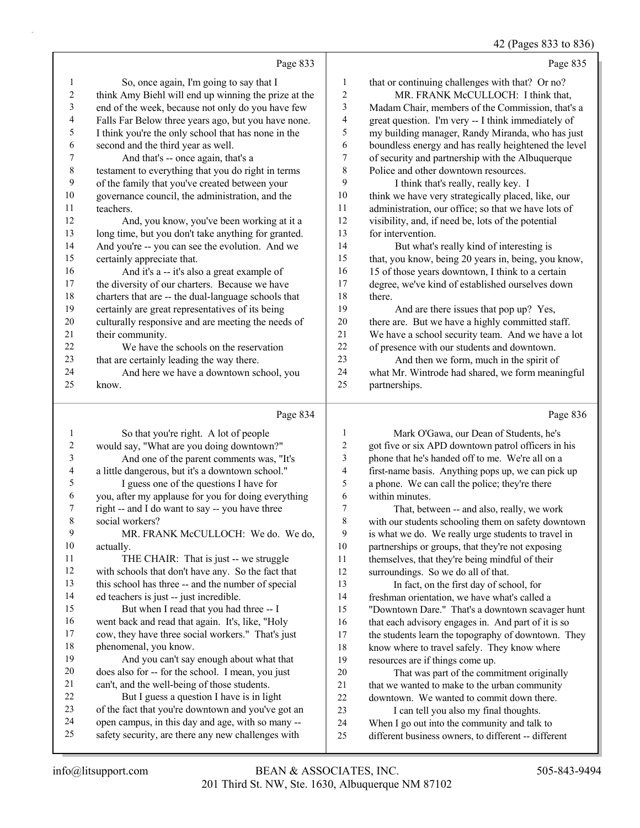42 (Pages 833 to 836)

|              |                                                                                                         |                | 42 (Pages 833 to 836                                                                                 |
|--------------|---------------------------------------------------------------------------------------------------------|----------------|------------------------------------------------------------------------------------------------------|
|              | Page 833                                                                                                |                | Page 835                                                                                             |
| 1            | So, once again, I'm going to say that I                                                                 | 1              | that or continuing challenges with that? Or no?                                                      |
| 2            | think Amy Biehl will end up winning the prize at the                                                    | $\mathbf{2}$   | MR. FRANK McCULLOCH: I think that,                                                                   |
| 3            | end of the week, because not only do you have few                                                       | 3              | Madam Chair, members of the Commission, that's a                                                     |
| 4            | Falls Far Below three years ago, but you have none.                                                     | 4              | great question. I'm very -- I think immediately of                                                   |
| 5            | I think you're the only school that has none in the                                                     | 5              | my building manager, Randy Miranda, who has just                                                     |
| 6            | second and the third year as well.                                                                      | 6              | boundless energy and has really heightened the level                                                 |
| 7            | And that's -- once again, that's a                                                                      | 7              | of security and partnership with the Albuquerque                                                     |
| $\,$ $\,$    | testament to everything that you do right in terms                                                      | 8              | Police and other downtown resources.                                                                 |
| 9            | of the family that you've created between your                                                          | 9              | I think that's really, really key. I                                                                 |
| 10           | governance council, the administration, and the                                                         | $10\,$         | think we have very strategically placed, like, our                                                   |
| 11           | teachers.                                                                                               | 11             | administration, our office; so that we have lots of                                                  |
| 12           | And, you know, you've been working at it a                                                              | 12             | visibility, and, if need be, lots of the potential                                                   |
| 13           | long time, but you don't take anything for granted.                                                     | 13             | for intervention.                                                                                    |
| 14           | And you're -- you can see the evolution. And we                                                         | 14             | But what's really kind of interesting is                                                             |
| 15           | certainly appreciate that.                                                                              | 15             | that, you know, being 20 years in, being, you know,                                                  |
| 16           | And it's a -- it's also a great example of                                                              | 16             | 15 of those years downtown, I think to a certain                                                     |
| 17<br>$18\,$ | the diversity of our charters. Because we have                                                          | 17<br>18       | degree, we've kind of established ourselves down                                                     |
| 19           | charters that are -- the dual-language schools that<br>certainly are great representatives of its being | 19             | there.                                                                                               |
| 20           | culturally responsive and are meeting the needs of                                                      | $20\,$         | And are there issues that pop up? Yes,<br>there are. But we have a highly committed staff.           |
| 21           | their community.                                                                                        | 21             | We have a school security team. And we have a lot                                                    |
| 22           | We have the schools on the reservation                                                                  | 22             | of presence with our students and downtown.                                                          |
| 23           | that are certainly leading the way there.                                                               | 23             | And then we form, much in the spirit of                                                              |
| 24           | And here we have a downtown school, you                                                                 | 24             | what Mr. Wintrode had shared, we form meaningful                                                     |
| 25           | know.                                                                                                   | 25             | partnerships.                                                                                        |
|              |                                                                                                         |                |                                                                                                      |
|              | Page 834                                                                                                |                | Page 836                                                                                             |
| 1            | So that you're right. A lot of people                                                                   | 1              | Mark O'Gawa, our Dean of Students, he's                                                              |
| 2            | would say, "What are you doing downtown?"                                                               | $\overline{c}$ | got five or six APD downtown patrol officers in his                                                  |
| 3            | And one of the parent comments was, "It's                                                               | 3              | phone that he's handed off to me. We're all on a                                                     |
| 4            | a little dangerous, but it's a downtown school."                                                        | 4              | first-name basis. Anything pops up, we can pick up                                                   |
| 5            | I guess one of the questions I have for                                                                 | 5              | a phone. We can call the police; they're there                                                       |
| 6            | you, after my applause for you for doing everything                                                     | 6              | within minutes.                                                                                      |
|              | right -- and I do want to say -- you have three                                                         | 7              | That, between -- and also, really, we work                                                           |
| 8            | social workers?                                                                                         | 8              |                                                                                                      |
| 9            |                                                                                                         |                | with our students schooling them on safety downtown                                                  |
|              | MR. FRANK McCULLOCH: We do. We do,                                                                      | 9              | is what we do. We really urge students to travel in                                                  |
| 10           | actually.                                                                                               | $10\,$         | partnerships or groups, that they're not exposing                                                    |
| 11           | THE CHAIR: That is just -- we struggle                                                                  | 11             | themselves, that they're being mindful of their                                                      |
| 12           | with schools that don't have any. So the fact that                                                      | 12             | surroundings. So we do all of that.                                                                  |
| 13           | this school has three -- and the number of special                                                      | 13             | In fact, on the first day of school, for                                                             |
| 14           | ed teachers is just -- just incredible.                                                                 | 14             | freshman orientation, we have what's called a                                                        |
| 15           | But when I read that you had three -- I                                                                 | 15             | "Downtown Dare." That's a downtown scavager hunt                                                     |
| 16<br>17     | went back and read that again. It's, like, "Holy                                                        | 16             | that each advisory engages in. And part of it is so                                                  |
| 18           | cow, they have three social workers." That's just                                                       | 17             | the students learn the topography of downtown. They                                                  |
| 19           | phenomenal, you know.<br>And you can't say enough about what that                                       | 18<br>19       | know where to travel safely. They know where                                                         |
| 20           | does also for -- for the school. I mean, you just                                                       | $20\,$         | resources are if things come up.<br>That was part of the commitment originally                       |
| 21           | can't, and the well-being of those students.                                                            | 21             | that we wanted to make to the urban community                                                        |
| 22           | But I guess a question I have is in light                                                               | $22\,$         | downtown. We wanted to commit down there.                                                            |
| 23           | of the fact that you're downtown and you've got an                                                      | 23             | I can tell you also my final thoughts.                                                               |
| 24<br>25     | open campus, in this day and age, with so many --<br>safety security, are there any new challenges with | 24<br>25       | When I go out into the community and talk to<br>different business owners, to different -- different |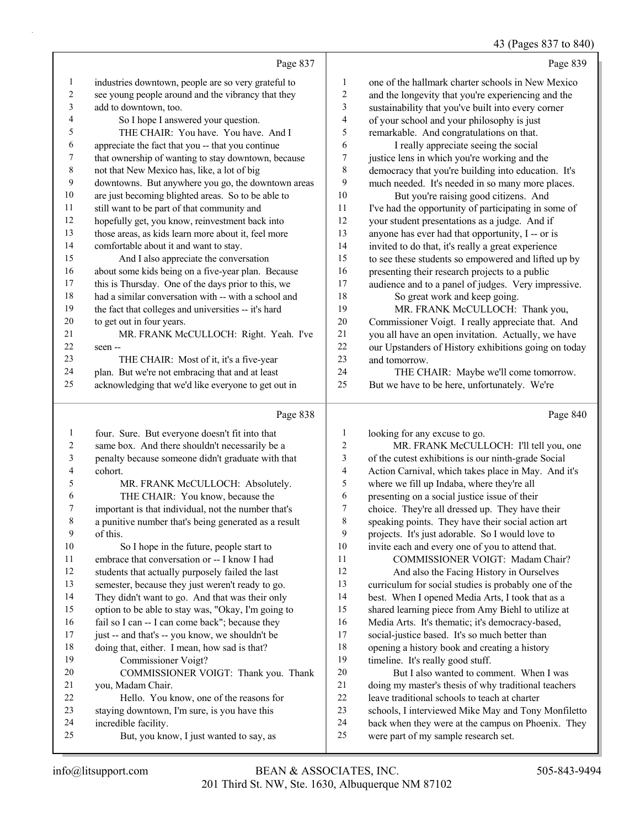43 (Pages 837 to 840)

|                |                                                      |                  | 43 (Pages 837 to 840                                 |
|----------------|------------------------------------------------------|------------------|------------------------------------------------------|
|                | Page 837                                             |                  | Page 839                                             |
| $\mathbf{1}$   | industries downtown, people are so very grateful to  | 1                | one of the hallmark charter schools in New Mexico    |
| $\overline{c}$ | see young people around and the vibrancy that they   | 2                | and the longevity that you're experiencing and the   |
| 3              | add to downtown, too.                                | 3                | sustainability that you've built into every corner   |
| 4              | So I hope I answered your question.                  | 4                | of your school and your philosophy is just           |
| 5              | THE CHAIR: You have. You have. And I                 | 5                | remarkable. And congratulations on that.             |
| 6              | appreciate the fact that you -- that you continue    | 6                | I really appreciate seeing the social                |
| 7              | that ownership of wanting to stay downtown, because  | 7                | justice lens in which you're working and the         |
| $\,$ 8 $\,$    | not that New Mexico has, like, a lot of big          | 8                | democracy that you're building into education. It's  |
| 9              | downtowns. But anywhere you go, the downtown areas   | 9                | much needed. It's needed in so many more places.     |
| 10             | are just becoming blighted areas. So to be able to   | 10               | But you're raising good citizens. And                |
| 11             | still want to be part of that community and          | 11               | I've had the opportunity of participating in some of |
| 12             | hopefully get, you know, reinvestment back into      | 12               | your student presentations as a judge. And if        |
| 13             | those areas, as kids learn more about it, feel more  | 13               | anyone has ever had that opportunity, I -- or is     |
| 14             | comfortable about it and want to stay.               | 14               | invited to do that, it's really a great experience   |
| 15             | And I also appreciate the conversation               | 15               | to see these students so empowered and lifted up by  |
| 16             | about some kids being on a five-year plan. Because   | 16               | presenting their research projects to a public       |
| 17             | this is Thursday. One of the days prior to this, we  | 17               | audience and to a panel of judges. Very impressive.  |
| 18             | had a similar conversation with -- with a school and | 18               | So great work and keep going.                        |
| 19             | the fact that colleges and universities -- it's hard | 19               | MR. FRANK McCULLOCH: Thank you,                      |
| 20             | to get out in four years.                            | 20               | Commissioner Voigt. I really appreciate that. And    |
| $21\,$         | MR. FRANK McCULLOCH: Right. Yeah. I've               | 21               | you all have an open invitation. Actually, we have   |
| 22             | seen --                                              | 22               | our Upstanders of History exhibitions going on today |
| 23             | THE CHAIR: Most of it, it's a five-year              | 23               | and tomorrow.                                        |
| 24             | plan. But we're not embracing that and at least      | 24               | THE CHAIR: Maybe we'll come tomorrow.                |
| 25             | acknowledging that we'd like everyone to get out in  | 25               | But we have to be here, unfortunately. We're         |
|                | Page 838                                             |                  | Page 840                                             |
| $\mathbf{1}$   | four. Sure. But everyone doesn't fit into that       | $\mathbf{1}$     | looking for any excuse to go.                        |
| $\sqrt{2}$     | same box. And there shouldn't necessarily be a       | $\boldsymbol{2}$ | MR. FRANK McCULLOCH: I'll tell you, one              |
| 3              | penalty because someone didn't graduate with that    | 3                | of the cutest exhibitions is our ninth-grade Social  |
| 4              | cohort.                                              | 4                | Action Carnival, which takes place in May. And it's  |
| 5              | MR. FRANK McCULLOCH: Absolutely.                     | 5                | where we fill up Indaba, where they're all           |
| 6              | THE CHAIR: You know, because the                     | 6                | presenting on a social justice issue of their        |
| 7              | important is that individual, not the number that's  | 7                | choice. They're all dressed up. They have their      |
| 8              | a punitive number that's being generated as a result | 8                | speaking points. They have their social action art   |
| 9              | of this.                                             | 9                | projects. It's just adorable. So I would love to     |
| $10\,$         | So I hope in the future, people start to             | 10               | invite each and every one of you to attend that.     |
| 11             | embrace that conversation or -- I know I had         | 11               | COMMISSIONER VOIGT: Madam Chair?                     |
| 12             | students that actually purposely failed the last     | 12               | And also the Facing History in Ourselves             |
| 13             | semester, because they just weren't ready to go.     | 13               | curriculum for social studies is probably one of the |

 They didn't want to go. And that was their only option to be able to stay was, "Okay, I'm going to 16 fail so I can -- I can come back"; because they 17 just -- and that's -- you know, we shouldn't be doing that, either. I mean, how sad is that?

20 COMMISSIONER VOIGT: Thank you. Thank

22 Hello. You know, one of the reasons for staying downtown, I'm sure, is you have this

25 But, you know, I just wanted to say, as

19 Commissioner Voigt?

you, Madam Chair.

incredible facility.

 best. When I opened Media Arts, I took that as a shared learning piece from Amy Biehl to utilize at Media Arts. It's thematic; it's democracy-based, social-justice based. It's so much better than opening a history book and creating a history

20 But I also wanted to comment. When I was doing my master's thesis of why traditional teachers

 schools, I interviewed Mike May and Tony Monfiletto back when they were at the campus on Phoenix. They

leave traditional schools to teach at charter

were part of my sample research set.

timeline. It's really good stuff.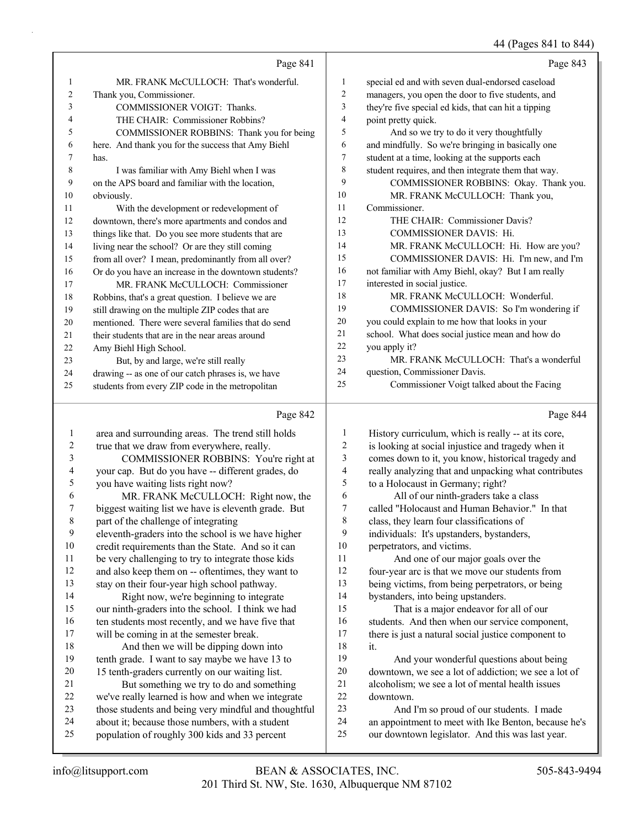### 44 (Pages 841 to 844)

|    | Page 841                                             |                | Page 843                                             |
|----|------------------------------------------------------|----------------|------------------------------------------------------|
| 1  | MR. FRANK McCULLOCH: That's wonderful.               | 1              | special ed and with seven dual-endorsed caseload     |
| 2  | Thank you, Commissioner.                             | $\overline{2}$ | managers, you open the door to five students, and    |
| 3  | COMMISSIONER VOIGT: Thanks.                          | 3              | they're five special ed kids, that can hit a tipping |
| 4  | THE CHAIR: Commissioner Robbins?                     | $\overline{4}$ | point pretty quick.                                  |
| 5  | COMMISSIONER ROBBINS: Thank you for being            | 5              | And so we try to do it very thoughtfully             |
| 6  | here. And thank you for the success that Amy Biehl   | 6              | and mindfully. So we're bringing in basically one    |
|    | has.                                                 | 7              | student at a time, looking at the supports each      |
| 8  | I was familiar with Amy Biehl when I was             | 8              | student requires, and then integrate them that way.  |
| 9  | on the APS board and familiar with the location,     | 9              | COMMISSIONER ROBBINS: Okay. Thank you.               |
| 10 | obviously.                                           | 10             | MR. FRANK McCULLOCH: Thank you,                      |
| 11 | With the development or redevelopment of             | 11             | Commissioner.                                        |
| 12 | downtown, there's more apartments and condos and     | 12             | THE CHAIR: Commissioner Davis?                       |
| 13 | things like that. Do you see more students that are  | 13             | <b>COMMISSIONER DAVIS: Hi.</b>                       |
| 14 | living near the school? Or are they still coming     | 14             | MR. FRANK McCULLOCH: Hi. How are you?                |
| 15 | from all over? I mean, predominantly from all over?  | 15             | COMMISSIONER DAVIS: Hi. I'm new, and I'm             |
| 16 | Or do you have an increase in the downtown students? | 16             | not familiar with Amy Biehl, okay? But I am really   |
| 17 | MR. FRANK McCULLOCH: Commissioner                    | 17             | interested in social justice.                        |
| 18 | Robbins, that's a great question. I believe we are   | 18             | MR. FRANK McCULLOCH: Wonderful.                      |
| 19 | still drawing on the multiple ZIP codes that are     | 19             | COMMISSIONER DAVIS: So I'm wondering if              |
| 20 | mentioned. There were several families that do send  | 20             | you could explain to me how that looks in your       |
| 21 | their students that are in the near areas around     | 21             | school. What does social justice mean and how do     |
| 22 | Amy Biehl High School.                               | 22             | you apply it?                                        |
| 23 | But, by and large, we're still really                | 23             | MR. FRANK McCULLOCH: That's a wonderful              |
| 24 | drawing -- as one of our catch phrases is, we have   | 24             | question, Commissioner Davis.                        |
| 25 | students from every ZIP code in the metropolitan     | 25             | Commissioner Voigt talked about the Facing           |
|    |                                                      |                |                                                      |

#### Page 842

|                | Page 842                                             |    | Page 844                                             |
|----------------|------------------------------------------------------|----|------------------------------------------------------|
| 1              | area and surrounding areas. The trend still holds    | 1  | History curriculum, which is really -- at its core,  |
| $\overline{2}$ | true that we draw from everywhere, really.           | 2  | is looking at social injustice and tragedy when it   |
| 3              | COMMISSIONER ROBBINS: You're right at                | 3  | comes down to it, you know, historical tragedy and   |
| 4              | your cap. But do you have -- different grades, do    | 4  | really analyzing that and unpacking what contributes |
| 5              | you have waiting lists right now?                    | 5  | to a Holocaust in Germany; right?                    |
| 6              | MR. FRANK McCULLOCH: Right now, the                  | 6  | All of our ninth-graders take a class                |
| 7              | biggest waiting list we have is eleventh grade. But  | 7  | called "Holocaust and Human Behavior." In that       |
| 8              | part of the challenge of integrating                 | 8  | class, they learn four classifications of            |
| 9              | eleventh-graders into the school is we have higher   | 9  | individuals: It's upstanders, bystanders,            |
| 10             | credit requirements than the State. And so it can    | 10 | perpetrators, and victims.                           |
| 11             | be very challenging to try to integrate those kids   | 11 | And one of our major goals over the                  |
| 12             | and also keep them on -- oftentimes, they want to    | 12 | four-year arc is that we move our students from      |
| 13             | stay on their four-year high school pathway.         | 13 | being victims, from being perpetrators, or being     |
| 14             | Right now, we're beginning to integrate              | 14 | bystanders, into being upstanders.                   |
| 15             | our ninth-graders into the school. I think we had    | 15 | That is a major endeavor for all of our              |
| 16             | ten students most recently, and we have five that    | 16 | students. And then when our service component,       |
| 17             | will be coming in at the semester break.             | 17 | there is just a natural social justice component to  |
| 18             | And then we will be dipping down into                | 18 | it.                                                  |
| 19             | tenth grade. I want to say maybe we have 13 to       | 19 | And your wonderful questions about being             |
| 20             | 15 tenth-graders currently on our waiting list.      | 20 | downtown, we see a lot of addiction; we see a lot of |
| 21             | But something we try to do and something             | 21 | alcoholism; we see a lot of mental health issues     |
| 22             | we've really learned is how and when we integrate    | 22 | downtown.                                            |
| 23             | those students and being very mindful and thoughtful | 23 | And I'm so proud of our students. I made             |
| 24             | about it; because those numbers, with a student      | 24 | an appointment to meet with Ike Benton, because he's |
| 25             | population of roughly 300 kids and 33 percent        | 25 | our downtown legislator. And this was last year.     |
|                |                                                      |    |                                                      |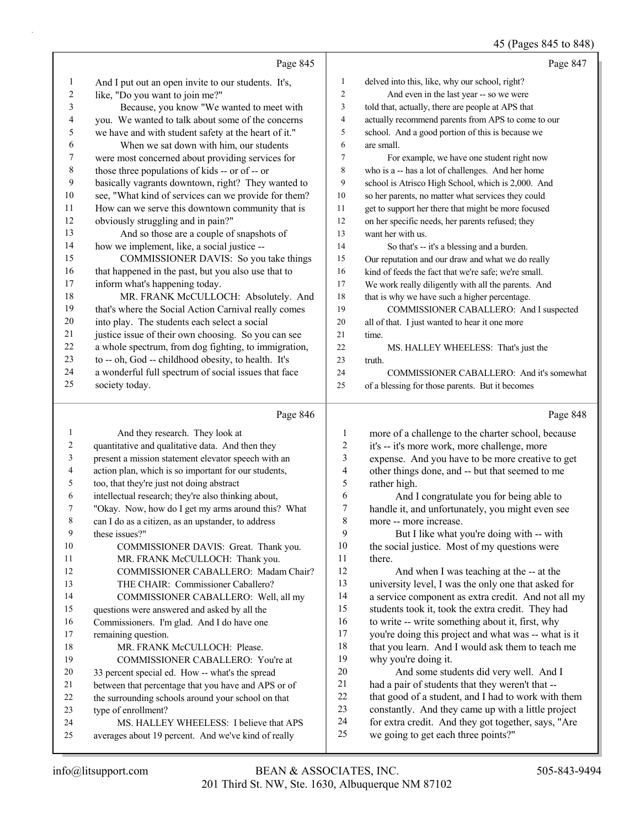### 45 (Pages 845 to 848)

|              | Page 845                                                                  |                          | Page 847                                                                                                  |
|--------------|---------------------------------------------------------------------------|--------------------------|-----------------------------------------------------------------------------------------------------------|
| $\mathbf{1}$ | And I put out an open invite to our students. It's,                       | 1                        | delved into this, like, why our school, right?                                                            |
| 2            | like, "Do you want to join me?"                                           | $\overline{c}$           | And even in the last year -- so we were                                                                   |
| 3            | Because, you know "We wanted to meet with                                 | 3                        | told that, actually, there are people at APS that                                                         |
| 4            | you. We wanted to talk about some of the concerns                         | $\overline{\mathcal{A}}$ | actually recommend parents from APS to come to our                                                        |
| 5            | we have and with student safety at the heart of it."                      | 5                        | school. And a good portion of this is because we                                                          |
| 6            | When we sat down with him, our students                                   | 6                        | are small.                                                                                                |
| 7            | were most concerned about providing services for                          | 7                        | For example, we have one student right now                                                                |
| 8            | those three populations of kids -- or of -- or                            | 8                        | who is a -- has a lot of challenges. And her home                                                         |
| 9            | basically vagrants downtown, right? They wanted to                        | 9                        | school is Atrisco High School, which is 2,000. And                                                        |
| 10           | see, "What kind of services can we provide for them?                      | 10                       | so her parents, no matter what services they could                                                        |
| 11           | How can we serve this downtown community that is                          | 11                       | get to support her there that might be more focused                                                       |
| 12           | obviously struggling and in pain?"                                        | 12                       | on her specific needs, her parents refused; they                                                          |
| 13           | And so those are a couple of snapshots of                                 | 13                       | want her with us.                                                                                         |
| 14           | how we implement, like, a social justice --                               | 14                       | So that's -- it's a blessing and a burden.                                                                |
| 15           | COMMISSIONER DAVIS: So you take things                                    | 15                       | Our reputation and our draw and what we do really                                                         |
| 16           | that happened in the past, but you also use that to                       | 16                       | kind of feeds the fact that we're safe; we're small.                                                      |
| 17           | inform what's happening today.                                            | 17                       | We work really diligently with all the parents. And                                                       |
| 18           | MR. FRANK McCULLOCH: Absolutely. And                                      | 18                       | that is why we have such a higher percentage.                                                             |
| 19           | that's where the Social Action Carnival really comes                      | 19                       | COMMISSIONER CABALLERO: And I suspected                                                                   |
| 20           | into play. The students each select a social                              | 20                       | all of that. I just wanted to hear it one more                                                            |
| 21           | justice issue of their own choosing. So you can see                       | 21                       | time.                                                                                                     |
| 22           | a whole spectrum, from dog fighting, to immigration,                      | 22                       | MS. HALLEY WHEELESS: That's just the                                                                      |
| 23           | to -- oh, God -- childhood obesity, to health. It's                       | 23                       | truth.                                                                                                    |
| 24           | a wonderful full spectrum of social issues that face                      | 24                       | COMMISSIONER CABALLERO: And it's somewhat                                                                 |
| 25           | society today.                                                            | 25                       | of a blessing for those parents. But it becomes                                                           |
|              |                                                                           |                          |                                                                                                           |
|              | Page 846                                                                  |                          | Page 848                                                                                                  |
| 1            | And they research. They look at                                           | 1                        | more of a challenge to the charter school, because                                                        |
| 2            | quantitative and qualitative data. And then they                          | 2                        | it's -- it's more work, more challenge, more                                                              |
| 3            | present a mission statement elevator speech with an                       | 3                        | expense. And you have to be more creative to get                                                          |
| 4            | action plan, which is so important for our students,                      | 4                        | other things done, and -- but that seemed to me                                                           |
| 5            | too, that they're just not doing abstract                                 | 5                        | rather high.                                                                                              |
| 6            | intellectual research; they're also thinking about,                       | 6                        | And I congratulate you for being able to                                                                  |
| 7            | "Okay. Now, how do I get my arms around this? What                        | 7                        | handle it, and unfortunately, you might even see                                                          |
| 8            | can I do as a citizen, as an upstander, to address                        | 8                        | more -- more increase.                                                                                    |
| 9            | these issues?"                                                            | 9                        | But I like what you're doing with -- with                                                                 |
| 10           | COMMISSIONER DAVIS: Great. Thank you.                                     | 10                       | the social justice. Most of my questions were                                                             |
| 11           | MR. FRANK McCULLOCH: Thank you.                                           | 11                       | there.                                                                                                    |
| 12           | COMMISSIONER CABALLERO: Madam Chair?                                      | 12                       | And when I was teaching at the -- at the                                                                  |
| 13           | THE CHAIR: Commissioner Caballero?                                        | 13                       | university level, I was the only one that asked for                                                       |
| 14           | COMMISSIONER CABALLERO: Well, all my                                      | 14                       | a service component as extra credit. And not all my                                                       |
| 15           | questions were answered and asked by all the                              | 15                       | students took it, took the extra credit. They had                                                         |
| 16           | Commissioners. I'm glad. And I do have one                                | 16                       | to write -- write something about it, first, why                                                          |
| 17           | remaining question.                                                       | 17                       | you're doing this project and what was -- what is it                                                      |
| 18           | MR. FRANK McCULLOCH: Please.                                              | 18<br>19                 | that you learn. And I would ask them to teach me                                                          |
| 19           | COMMISSIONER CABALLERO: You're at                                         | 20                       | why you're doing it.                                                                                      |
| 20<br>21     | 33 percent special ed. How -- what's the spread                           | 21                       | And some students did very well. And I                                                                    |
| 22           | between that percentage that you have and APS or of                       | 22                       | had a pair of students that they weren't that --                                                          |
| 23           | the surrounding schools around your school on that<br>type of enrollment? | 23                       | that good of a student, and I had to work with them<br>constantly. And they came up with a little project |
| 24           | MS. HALLEY WHEELESS: I believe that APS                                   | 24                       | for extra credit. And they got together, says, "Are                                                       |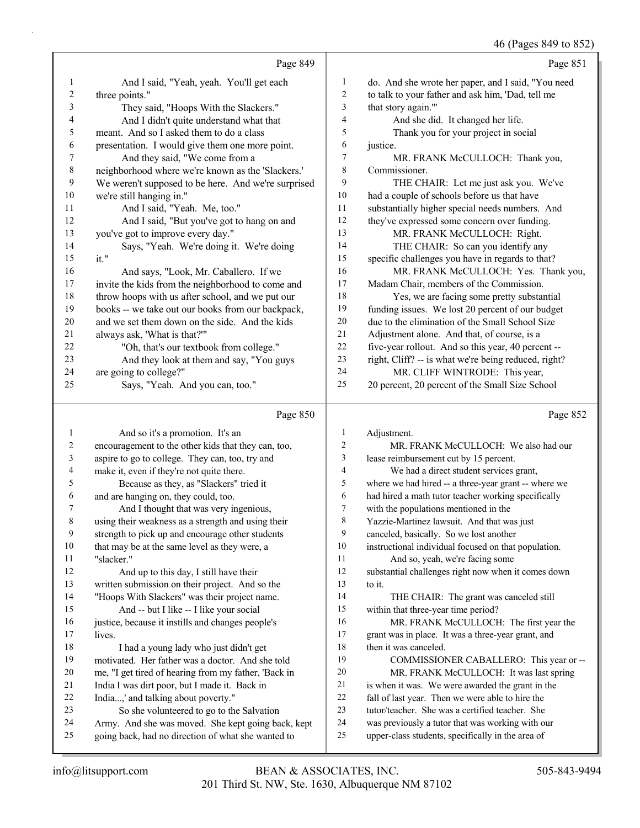#### 46 (Pages 849 to 852)

|    |                                                     |                | $-0.7.0$                                             |
|----|-----------------------------------------------------|----------------|------------------------------------------------------|
|    | Page 849                                            |                | Page 851                                             |
| 1  | And I said, "Yeah, yeah. You'll get each            | 1              | do. And she wrote her paper, and I said, "You need   |
| 2  | three points."                                      | $\overline{2}$ | to talk to your father and ask him, 'Dad, tell me    |
| 3  | They said, "Hoops With the Slackers."               | 3              | that story again.""                                  |
| 4  | And I didn't quite understand what that             | $\overline{4}$ | And she did. It changed her life.                    |
| 5  | meant. And so I asked them to do a class            | 5              | Thank you for your project in social                 |
| 6  | presentation. I would give them one more point.     | 6              | justice.                                             |
| 7  | And they said, "We come from a                      | 7              | MR. FRANK McCULLOCH: Thank you,                      |
| 8  | neighborhood where we're known as the 'Slackers.'   | 8              | Commissioner.                                        |
| 9  | We weren't supposed to be here. And we're surprised | 9              | THE CHAIR: Let me just ask you. We've                |
| 10 | we're still hanging in."                            | 10             | had a couple of schools before us that have          |
| 11 | And I said, "Yeah. Me, too."                        | 11             | substantially higher special needs numbers. And      |
| 12 | And I said, "But you've got to hang on and          | 12             | they've expressed some concern over funding.         |
| 13 | you've got to improve every day."                   | 13             | MR. FRANK McCULLOCH: Right.                          |
| 14 | Says, "Yeah. We're doing it. We're doing            | 14             | THE CHAIR: So can you identify any                   |
| 15 | it."                                                | 15             | specific challenges you have in regards to that?     |
| 16 | And says, "Look, Mr. Caballero. If we               | 16             | MR. FRANK McCULLOCH: Yes. Thank you,                 |
| 17 | invite the kids from the neighborhood to come and   | 17             | Madam Chair, members of the Commission.              |
| 18 | throw hoops with us after school, and we put our    | 18             | Yes, we are facing some pretty substantial           |
| 19 | books -- we take out our books from our backpack,   | 19             | funding issues. We lost 20 percent of our budget     |
| 20 | and we set them down on the side. And the kids      | 20             | due to the elimination of the Small School Size      |
| 21 | always ask, 'What is that?""                        | 21             | Adjustment alone. And that, of course, is a          |
| 22 | "Oh, that's our textbook from college."             | 22             | five-year rollout. And so this year, 40 percent --   |
| 23 | And they look at them and say, "You guys            | 23             | right, Cliff? -- is what we're being reduced, right? |
| 24 | are going to college?"                              | 24             | MR. CLIFF WINTRODE: This year,                       |
| 25 | Says, "Yeah. And you can, too."                     | 25             | 20 percent, 20 percent of the Small Size School      |
|    |                                                     |                |                                                      |

#### Page 850

1 And so it's a promotion. It's an encouragement to the other kids that they can, too, aspire to go to college. They can, too, try and make it, even if they're not quite there. 5 Because as they, as "Slackers" tried it and are hanging on, they could, too. 7 And I thought that was very ingenious, using their weakness as a strength and using their strength to pick up and encourage other students 10 that may be at the same level as they were, a<br>11 "slacker" "slacker." 12 And up to this day, I still have their written submission on their project. And so the "Hoops With Slackers" was their project name. 15 And -- but I like -- I like your social justice, because it instills and changes people's 17 lives. 18 I had a young lady who just didn't get motivated. Her father was a doctor. And she told me, "I get tired of hearing from my father, 'Back in India I was dirt poor, but I made it. Back in India...,' and talking about poverty." 23 So she volunteered to go to the Salvation Army. And she was moved. She kept going back, kept going back, had no direction of what she wanted to Adjustment. 2 MR. FRANK McCULLOCH: We also had our lease reimbursement cut by 15 percent. 4 We had a direct student services grant, where we had hired -- a three-year grant -- where we had hired a math tutor teacher working specifically with the populations mentioned in the Yazzie-Martinez lawsuit. And that was just canceled, basically. So we lost another instructional individual focused on that population. 11 And so, yeah, we're facing some substantial challenges right now when it comes down 13 to it. 14 THE CHAIR: The grant was canceled still within that three-year time period? 16 MR. FRANK McCULLOCH: The first year the grant was in place. It was a three-year grant, and 18 then it was canceled. 19 COMMISSIONER CABALLERO: This year or -- 20 MR. FRANK McCULLOCH: It was last spring is when it was. We were awarded the grant in the fall of last year. Then we were able to hire the tutor/teacher. She was a certified teacher. She was previously a tutor that was working with our upper-class students, specifically in the area of

Page 852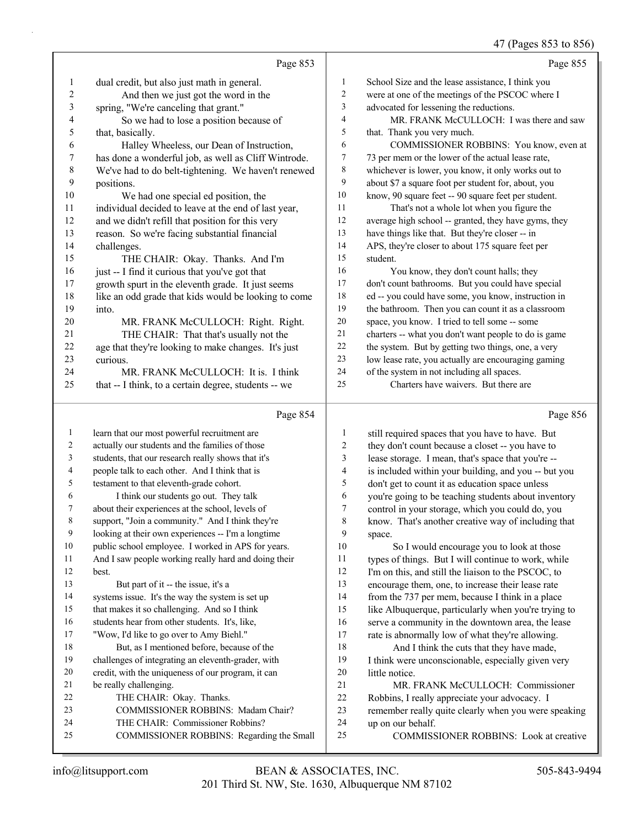|        |                                                      |                         | 47 (Pages 853 to 856)                                |
|--------|------------------------------------------------------|-------------------------|------------------------------------------------------|
|        | Page 853                                             |                         | Page 855                                             |
| 1      | dual credit, but also just math in general.          | $\mathbf{1}$            | School Size and the lease assistance, I think you    |
| 2      | And then we just got the word in the                 | $\overline{\mathbf{c}}$ | were at one of the meetings of the PSCOC where I     |
| 3      | spring, "We're canceling that grant."                | 3                       | advocated for lessening the reductions.              |
| 4      | So we had to lose a position because of              | 4                       | MR. FRANK McCULLOCH: I was there and saw             |
| 5      | that, basically.                                     | 5                       | that. Thank you very much.                           |
| 6      | Halley Wheeless, our Dean of Instruction,            | 6                       | COMMISSIONER ROBBINS: You know, even at              |
| 7      | has done a wonderful job, as well as Cliff Wintrode. | 7                       | 73 per mem or the lower of the actual lease rate,    |
| 8      | We've had to do belt-tightening. We haven't renewed  | 8                       | whichever is lower, you know, it only works out to   |
| 9      | positions.                                           | 9                       | about \$7 a square foot per student for, about, you  |
| $10\,$ | We had one special ed position, the                  | 10                      | know, 90 square feet -- 90 square feet per student.  |
| 11     | individual decided to leave at the end of last year, | 11                      | That's not a whole lot when you figure the           |
| 12     | and we didn't refill that position for this very     | 12                      | average high school -- granted, they have gyms, they |
| 13     | reason. So we're facing substantial financial        | 13                      | have things like that. But they're closer -- in      |
| 14     | challenges.                                          | 14                      | APS, they're closer to about 175 square feet per     |
| 15     | THE CHAIR: Okay. Thanks. And I'm                     | 15                      | student.                                             |
| 16     | just -- I find it curious that you've got that       | 16                      | You know, they don't count halls; they               |
| 17     | growth spurt in the eleventh grade. It just seems    | 17                      | don't count bathrooms. But you could have special    |
| 18     | like an odd grade that kids would be looking to come | 18                      | ed -- you could have some, you know, instruction in  |
| 19     | into.                                                | 19                      | the bathroom. Then you can count it as a classroom   |
| $20\,$ | MR. FRANK McCULLOCH: Right. Right.                   | 20                      | space, you know. I tried to tell some -- some        |
| 21     | THE CHAIR: That that's usually not the               | 21                      | charters -- what you don't want people to do is game |
| 22     | age that they're looking to make changes. It's just  | 22                      | the system. But by getting two things, one, a very   |
| 23     | curious.                                             | 23                      | low lease rate, you actually are encouraging gaming  |
| 24     | MR. FRANK McCULLOCH: It is. I think                  | 24                      | of the system in not including all spaces.           |
| 25     | that -- I think, to a certain degree, students -- we | 25                      | Charters have waivers. But there are                 |
|        | Page 854                                             |                         | Page 856                                             |
| 1      | learn that our most powerful recruitment are         | $\mathbf{1}$            | still required spaces that you have to have. But     |
| 2      | actually our students and the families of those      | $\sqrt{2}$              | they don't count because a closet -- you have to     |
| 3      | students, that our research really shows that it's   | 3                       | lease storage. I mean, that's space that you're --   |
| 4      | people talk to each other. And I think that is       | $\overline{4}$          | is included within your building, and you -- but you |
| 5      | testament to that eleventh-grade cohort.             | 5                       | don't get to count it as education space unless      |
| 6      | I think our students go out. They talk               | 6                       | you're going to be teaching students about inventory |
|        | about their experiences at the school, levels of     | $\boldsymbol{7}$        | control in your storage, which you could do, you     |
| 8      | support, "Join a community." And I think they're     | 8                       | know. That's another creative way of including that  |
| 9      | looking at their own experiences -- I'm a longtime   | 9                       | space.                                               |
| 10     | public school employee. I worked in APS for years.   | 10                      | So I would encourage you to look at those            |
| 11     | And I saw people working really hard and doing their | 11                      | types of things. But I will continue to work, while  |
| 12     | best.                                                | 12                      | I'm on this, and still the liaison to the PSCOC, to  |
| 13     | But part of it -- the issue, it's a                  | 13                      | encourage them, one, to increase their lease rate    |
| 14     | systems issue. It's the way the system is set up     | 14                      | from the 737 per mem, because I think in a place     |
| 15     | that makes it so challenging. And so I think         | 15                      | like Albuquerque, particularly when you're trying to |
| 16     | students hear from other students. It's, like,       | 16                      | serve a community in the downtown area, the lease    |
| 17     | "Wow, I'd like to go over to Amy Biehl."             | 17                      | rate is abnormally low of what they're allowing.     |
| 18     | But, as I mentioned before, because of the           | $18\,$                  | And I think the cuts that they have made,            |

- challenges of integrating an eleventh-grader, with
	- credit, with the uniqueness of our program, it can
	- be really challenging.
	- 22 THE CHAIR: Okay. Thanks.
- 23 COMMISSIONER ROBBINS: Madam Chair?
- 24 THE CHAIR: Commissioner Robbins?
- 25 COMMISSIONER ROBBINS: Regarding the Small
- 18 And I think the cuts that they have made, I think were unconscionable, especially given very
- 20 little notice.<br>21 MR. I MR. FRANK McCULLOCH: Commissioner
- Robbins, I really appreciate your advocacy. I
- remember really quite clearly when you were speaking
- up on our behalf.
- 25 COMMISSIONER ROBBINS: Look at creative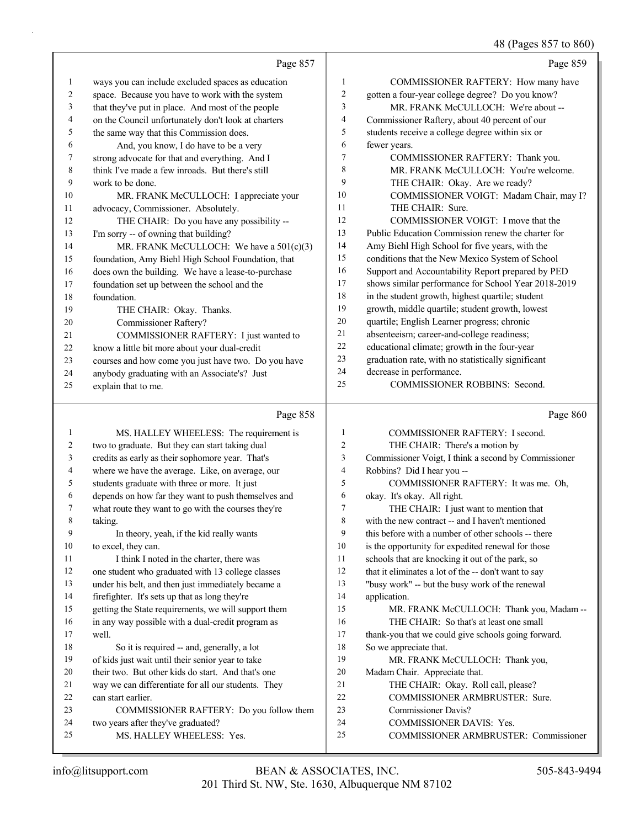48 (Pages 857 to 860)

|    | Page 857                                            |    | Page 859                                            |
|----|-----------------------------------------------------|----|-----------------------------------------------------|
| 1  | ways you can include excluded spaces as education   | 1  | COMMISSIONER RAFTERY: How many have                 |
| 2  | space. Because you have to work with the system     | 2  | gotten a four-year college degree? Do you know?     |
| 3  | that they've put in place. And most of the people   | 3  | MR. FRANK McCULLOCH: We're about --                 |
| 4  | on the Council unfortunately don't look at charters | 4  | Commissioner Raftery, about 40 percent of our       |
| 5  | the same way that this Commission does.             | 5  | students receive a college degree within six or     |
| 6  | And, you know, I do have to be a very               | 6  | fewer years.                                        |
| 7  | strong advocate for that and everything. And I      | 7  | COMMISSIONER RAFTERY: Thank you.                    |
| 8  | think I've made a few inroads. But there's still    | 8  | MR. FRANK McCULLOCH: You're welcome.                |
| 9  | work to be done.                                    | 9  | THE CHAIR: Okay. Are we ready?                      |
| 10 | MR. FRANK McCULLOCH: I appreciate your              | 10 | COMMISSIONER VOIGT: Madam Chair, may I?             |
| 11 | advocacy, Commissioner. Absolutely.                 | 11 | THE CHAIR: Sure.                                    |
| 12 | THE CHAIR: Do you have any possibility --           | 12 | COMMISSIONER VOIGT: I move that the                 |
| 13 | I'm sorry -- of owning that building?               | 13 | Public Education Commission renew the charter for   |
| 14 | MR. FRANK McCULLOCH: We have a 501(c)(3)            | 14 | Amy Biehl High School for five years, with the      |
| 15 | foundation, Amy Biehl High School Foundation, that  | 15 | conditions that the New Mexico System of School     |
| 16 | does own the building. We have a lease-to-purchase  | 16 | Support and Accountability Report prepared by PED   |
| 17 | foundation set up between the school and the        | 17 | shows similar performance for School Year 2018-2019 |
| 18 | foundation.                                         | 18 | in the student growth, highest quartile; student    |
| 19 | THE CHAIR: Okay. Thanks.                            | 19 | growth, middle quartile; student growth, lowest     |
| 20 | Commissioner Raftery?                               | 20 | quartile; English Learner progress; chronic         |
| 21 | COMMISSIONER RAFTERY: I just wanted to              | 21 | absenteeism; career-and-college readiness;          |
| 22 | know a little bit more about your dual-credit       | 22 | educational climate; growth in the four-year        |
| 23 | courses and how come you just have two. Do you have | 23 | graduation rate, with no statistically significant  |
| 24 | anybody graduating with an Associate's? Just        | 24 | decrease in performance.                            |
| 25 | explain that to me.                                 | 25 | COMMISSIONER ROBBINS: Second.                       |
|    | Page 858                                            |    | Page 860                                            |
|    | MS. HALLEY WHEELESS: The requirement is             | 1  | COMMISSIONER RAFTERY: I second.                     |
|    |                                                     | ⌒  | TTITCIIMID T1 I                                     |

| 2  | two to graduate. But they can start taking dual      | 2  | THE CHAIR: There's a motion by                       |
|----|------------------------------------------------------|----|------------------------------------------------------|
| 3  | credits as early as their sophomore year. That's     | 3  | Commissioner Voigt, I think a second by Commissioner |
| 4  | where we have the average. Like, on average, our     | 4  | Robbins? Did I hear you --                           |
| 5  | students graduate with three or more. It just        | 5  | COMMISSIONER RAFTERY: It was me. Oh,                 |
| 6  | depends on how far they want to push themselves and  | 6  | okay. It's okay. All right.                          |
| 7  | what route they want to go with the courses they're  | 7  | THE CHAIR: I just want to mention that               |
| 8  | taking.                                              | 8  | with the new contract -- and I haven't mentioned     |
| 9  | In theory, yeah, if the kid really wants             | 9  | this before with a number of other schools -- there  |
| 10 | to excel, they can.                                  | 10 | is the opportunity for expedited renewal for those   |
| 11 | I think I noted in the charter, there was            | 11 | schools that are knocking it out of the park, so     |
| 12 | one student who graduated with 13 college classes    | 12 | that it eliminates a lot of the -- don't want to say |
| 13 | under his belt, and then just immediately became a   | 13 | "busy work" -- but the busy work of the renewal      |
| 14 | firefighter. It's sets up that as long they're       | 14 | application.                                         |
| 15 | getting the State requirements, we will support them | 15 | MR. FRANK McCULLOCH: Thank you, Madam --             |
| 16 | in any way possible with a dual-credit program as    | 16 | THE CHAIR: So that's at least one small              |
| 17 | well.                                                | 17 | thank-you that we could give schools going forward.  |
| 18 | So it is required -- and, generally, a lot           | 18 | So we appreciate that.                               |
| 19 | of kids just wait until their senior year to take    | 19 | MR. FRANK McCULLOCH: Thank you,                      |
| 20 | their two. But other kids do start. And that's one   | 20 | Madam Chair. Appreciate that.                        |
| 21 | way we can differentiate for all our students. They  | 21 | THE CHAIR: Okay. Roll call, please?                  |
| 22 | can start earlier.                                   | 22 | <b>COMMISSIONER ARMBRUSTER: Sure.</b>                |
| 23 | COMMISSIONER RAFTERY: Do you follow them             | 23 | Commissioner Davis?                                  |
| 24 | two years after they've graduated?                   | 24 | <b>COMMISSIONER DAVIS: Yes.</b>                      |
| 25 | MS. HALLEY WHEELESS: Yes.                            | 25 | COMMISSIONER ARMBRUSTER: Commissioner                |
|    |                                                      |    |                                                      |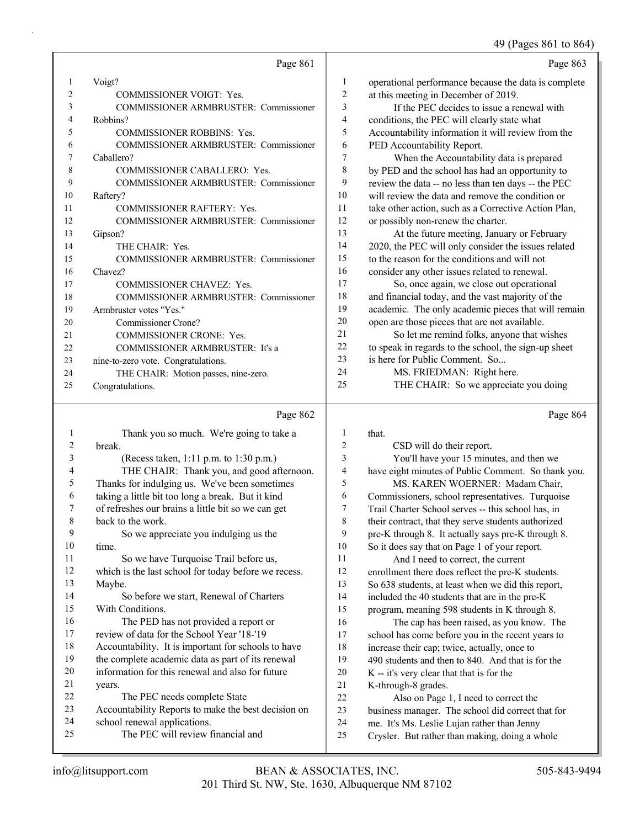# 49 (Pages 861 to 864)

|    | Page 861                                     |                | Page 863                                             |
|----|----------------------------------------------|----------------|------------------------------------------------------|
| 1  | Voigt?                                       | 1              | operational performance because the data is complete |
| 2  | <b>COMMISSIONER VOIGT: Yes.</b>              | $\overline{2}$ | at this meeting in December of 2019.                 |
| 3  | <b>COMMISSIONER ARMBRUSTER: Commissioner</b> | 3              | If the PEC decides to issue a renewal with           |
| 4  | Robbins?                                     | 4              | conditions, the PEC will clearly state what          |
| 5  | <b>COMMISSIONER ROBBINS: Yes.</b>            | 5              | Accountability information it will review from the   |
| 6  | <b>COMMISSIONER ARMBRUSTER: Commissioner</b> | 6              | PED Accountability Report.                           |
| 7  | Caballero?                                   | 7              | When the Accountability data is prepared             |
| 8  | <b>COMMISSIONER CABALLERO: Yes.</b>          | 8              | by PED and the school has had an opportunity to      |
| 9  | <b>COMMISSIONER ARMBRUSTER: Commissioner</b> | 9              | review the data -- no less than ten days -- the PEC  |
| 10 | Raftery?                                     | 10             | will review the data and remove the condition or     |
| 11 | <b>COMMISSIONER RAFTERY: Yes.</b>            | 11             | take other action, such as a Corrective Action Plan, |
| 12 | <b>COMMISSIONER ARMBRUSTER: Commissioner</b> | 12             | or possibly non-renew the charter.                   |
| 13 | Gipson?                                      | 13             | At the future meeting, January or February           |
| 14 | THE CHAIR: Yes.                              | 14             | 2020, the PEC will only consider the issues related  |
| 15 | <b>COMMISSIONER ARMBRUSTER: Commissioner</b> | 15             | to the reason for the conditions and will not        |
| 16 | Chavez?                                      | 16             | consider any other issues related to renewal.        |
| 17 | <b>COMMISSIONER CHAVEZ: Yes.</b>             | 17             | So, once again, we close out operational             |
| 18 | <b>COMMISSIONER ARMBRUSTER: Commissioner</b> | 18             | and financial today, and the vast majority of the    |
| 19 | Armbruster votes "Yes."                      | 19             | academic. The only academic pieces that will remain  |
| 20 | Commissioner Crone?                          | 20             | open are those pieces that are not available.        |
| 21 | <b>COMMISSIONER CRONE: Yes.</b>              | 21             | So let me remind folks, anyone that wishes           |
| 22 | <b>COMMISSIONER ARMBRUSTER: It's a</b>       | 22             | to speak in regards to the school, the sign-up sheet |
| 23 | nine-to-zero vote. Congratulations.          | 23             | is here for Public Comment. So                       |
| 24 | THE CHAIR: Motion passes, nine-zero.         | 24             | MS. FRIEDMAN: Right here.                            |
| 25 | Congratulations.                             | 25             | THE CHAIR: So we appreciate you doing                |

|                | Page 862                                             |    | Page 864                                            |
|----------------|------------------------------------------------------|----|-----------------------------------------------------|
| 1              | Thank you so much. We're going to take a             | 1  | that.                                               |
| 2              | break.                                               | 2  | CSD will do their report.                           |
| 3              | (Recess taken, 1:11 p.m. to 1:30 p.m.)               | 3  | You'll have your 15 minutes, and then we            |
| $\overline{4}$ | THE CHAIR: Thank you, and good afternoon.            | 4  | have eight minutes of Public Comment. So thank you. |
| 5              | Thanks for indulging us. We've been sometimes        | 5  | MS. KAREN WOERNER: Madam Chair,                     |
| 6              | taking a little bit too long a break. But it kind    | 6  | Commissioners, school representatives. Turquoise    |
| 7              | of refreshes our brains a little bit so we can get   | 7  | Trail Charter School serves -- this school has, in  |
| 8              | back to the work.                                    | 8  | their contract, that they serve students authorized |
| 9              | So we appreciate you indulging us the                | 9  | pre-K through 8. It actually says pre-K through 8.  |
| 10             | time.                                                | 10 | So it does say that on Page 1 of your report.       |
| 11             | So we have Turquoise Trail before us,                | 11 | And I need to correct, the current                  |
| 12             | which is the last school for today before we recess. | 12 | enrollment there does reflect the pre-K students.   |
| 13             | Maybe.                                               | 13 | So 638 students, at least when we did this report,  |
| 14             | So before we start, Renewal of Charters              | 14 | included the 40 students that are in the pre-K      |
| 15             | With Conditions.                                     | 15 | program, meaning 598 students in K through 8.       |
| 16             | The PED has not provided a report or                 | 16 | The cap has been raised, as you know. The           |
| 17             | review of data for the School Year '18-'19           | 17 | school has come before you in the recent years to   |
| 18             | Accountability. It is important for schools to have  | 18 | increase their cap; twice, actually, once to        |
| 19             | the complete academic data as part of its renewal    | 19 | 490 students and then to 840. And that is for the   |
| 20             | information for this renewal and also for future     | 20 | K -- it's very clear that that is for the           |
| 21             | years.                                               | 21 | K-through-8 grades.                                 |
| 22             | The PEC needs complete State                         | 22 | Also on Page 1, I need to correct the               |
| 23             | Accountability Reports to make the best decision on  | 23 | business manager. The school did correct that for   |
| 24             | school renewal applications.                         | 24 | me. It's Ms. Leslie Lujan rather than Jenny         |
| 25             | The PEC will review financial and                    | 25 | Crysler. But rather than making, doing a whole      |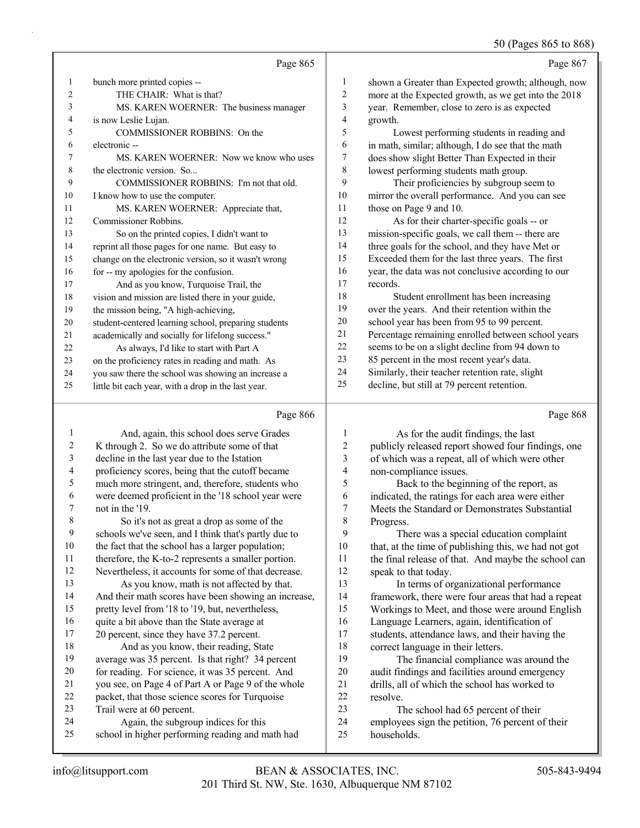50 (Pages 865 to 868)

|                | Page 865                                             |                | Page 867                                             |
|----------------|------------------------------------------------------|----------------|------------------------------------------------------|
| 1              | bunch more printed copies --                         | 1              | shown a Greater than Expected growth; although, now  |
| $\overline{c}$ | THE CHAIR: What is that?                             | $\overline{2}$ | more at the Expected growth, as we get into the 2018 |
| 3              | MS. KAREN WOERNER: The business manager              | 3              | year. Remember, close to zero is as expected         |
| 4              | is now Leslie Lujan.                                 | 4              | growth.                                              |
| 5.             | COMMISSIONER ROBBINS: On the                         | 5              | Lowest performing students in reading and            |
| 6              | electronic --                                        | 6              | in math, similar; although, I do see that the math   |
| 7              | MS. KAREN WOERNER: Now we know who uses              | 7              | does show slight Better Than Expected in their       |
| 8              | the electronic version. So                           | 8              | lowest performing students math group.               |
| 9              | COMMISSIONER ROBBINS: I'm not that old.              | 9              | Their proficiencies by subgroup seem to              |
| 10             | I know how to use the computer.                      | 10             | mirror the overall performance. And you can see      |
| 11             | MS. KAREN WOERNER: Appreciate that,                  | 11             | those on Page 9 and 10.                              |
| 12             | Commissioner Robbins.                                | 12             | As for their charter-specific goals -- or            |
| 13             | So on the printed copies, I didn't want to           | 13             | mission-specific goals, we call them -- there are    |
| 14             | reprint all those pages for one name. But easy to    | 14             | three goals for the school, and they have Met or     |
| 15             | change on the electronic version, so it wasn't wrong | 15             | Exceeded them for the last three years. The first    |
| 16             | for -- my apologies for the confusion.               | 16             | year, the data was not conclusive according to our   |
| 17             | And as you know, Turquoise Trail, the                | 17             | records.                                             |
| 18             | vision and mission are listed there in your guide,   | 18             | Student enrollment has been increasing               |
| 19             | the mission being, "A high-achieving,                | 19             | over the years. And their retention within the       |
| 20             | student-centered learning school, preparing students | 20             | school year has been from 95 to 99 percent.          |
| 21             | academically and socially for lifelong success."     | 21             | Percentage remaining enrolled between school years   |
| 22             | As always, I'd like to start with Part A             | 22             | seems to be on a slight decline from 94 down to      |
| 23             | on the proficiency rates in reading and math. As     | 23             | 85 percent in the most recent year's data.           |
| 24             | you saw there the school was showing an increase a   | 24             | Similarly, their teacher retention rate, slight      |
| 25             | little bit each year, with a drop in the last year.  | 25             | decline, but still at 79 percent retention.          |
|                | Page 866                                             |                | Page 868                                             |

| Page 866<br>IJ. |  |
|-----------------|--|
|-----------------|--|

|    | And, again, this school does serve Grades            |                  | As for the audit findings, the last                  |
|----|------------------------------------------------------|------------------|------------------------------------------------------|
| 2  | K through 2. So we do attribute some of that         | $\boldsymbol{2}$ | publicly released report showed four findings, one   |
| 3  | decline in the last year due to the Istation         | 3                | of which was a repeat, all of which were other       |
| 4  | proficiency scores, being that the cutoff became     | 4                | non-compliance issues.                               |
| 5  | much more stringent, and, therefore, students who    | 5                | Back to the beginning of the report, as              |
| 6  | were deemed proficient in the '18 school year were   | 6                | indicated, the ratings for each area were either     |
| 7  | not in the '19.                                      | 7                | Meets the Standard or Demonstrates Substantial       |
| 8  | So it's not as great a drop as some of the           | 8                | Progress.                                            |
| 9  | schools we've seen, and I think that's partly due to | 9                | There was a special education complaint              |
| 10 | the fact that the school has a larger population;    | 10               | that, at the time of publishing this, we had not got |
| 11 | therefore, the K-to-2 represents a smaller portion.  | 11               | the final release of that. And maybe the school can  |
| 12 | Nevertheless, it accounts for some of that decrease. | 12               | speak to that today.                                 |
| 13 | As you know, math is not affected by that.           | 13               | In terms of organizational performance               |
| 14 | And their math scores have been showing an increase, | 14               | framework, there were four areas that had a repeat   |
| 15 | pretty level from '18 to '19, but, nevertheless,     | 15               | Workings to Meet, and those were around English      |
| 16 | quite a bit above than the State average at          | 16               | Language Learners, again, identification of          |
| 17 | 20 percent, since they have 37.2 percent.            | 17               | students, attendance laws, and their having the      |
| 18 | And as you know, their reading, State                | 18               | correct language in their letters.                   |
| 19 | average was 35 percent. Is that right? 34 percent    | 19               | The financial compliance was around the              |
| 20 | for reading. For science, it was 35 percent. And     | 20               | audit findings and facilities around emergency       |
| 21 | you see, on Page 4 of Part A or Page 9 of the whole  | 21               | drills, all of which the school has worked to        |
| 22 | packet, that those science scores for Turquoise      | 22               | resolve.                                             |
| 23 | Trail were at 60 percent.                            | 23               | The school had 65 percent of their                   |
| 24 | Again, the subgroup indices for this                 | 24               | employees sign the petition, 76 percent of their     |
| 25 | school in higher performing reading and math had     | 25               | households.                                          |
|    |                                                      |                  |                                                      |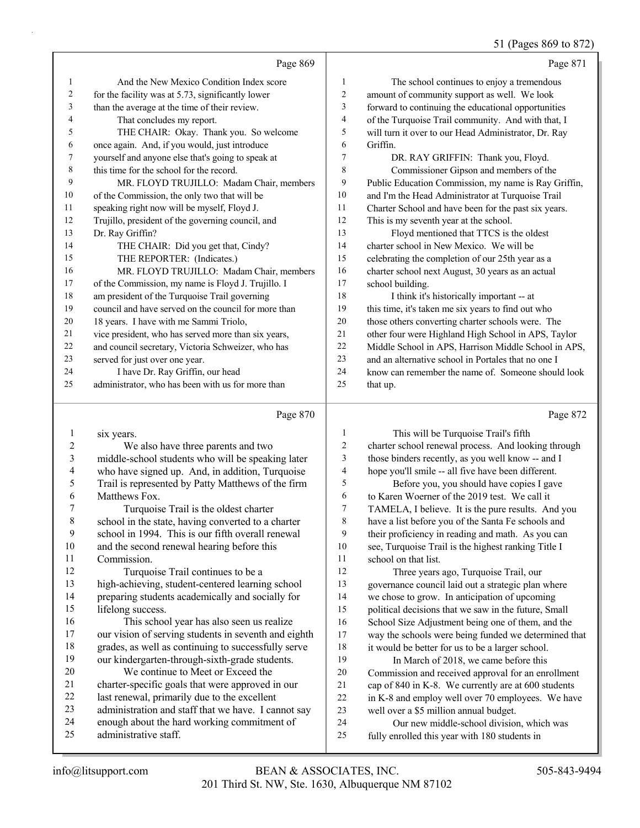# 51 (Pages 869 to 872)

|    | Page 869                                             |                | Page 871                                             |
|----|------------------------------------------------------|----------------|------------------------------------------------------|
| 1  | And the New Mexico Condition Index score             | 1              | The school continues to enjoy a tremendous           |
| 2  | for the facility was at 5.73, significantly lower    | $\overline{2}$ | amount of community support as well. We look         |
| 3  | than the average at the time of their review.        | 3              | forward to continuing the educational opportunities  |
| 4  | That concludes my report.                            | 4              | of the Turquoise Trail community. And with that, I   |
| 5  | THE CHAIR: Okay. Thank you. So welcome               | 5              | will turn it over to our Head Administrator, Dr. Ray |
| 6  | once again. And, if you would, just introduce        | 6              | Griffin.                                             |
| 7  | yourself and anyone else that's going to speak at    | 7              | DR. RAY GRIFFIN: Thank you, Floyd.                   |
| 8  | this time for the school for the record.             | 8              | Commissioner Gipson and members of the               |
| 9  | MR. FLOYD TRUJILLO: Madam Chair, members             | 9              | Public Education Commission, my name is Ray Griffin, |
| 10 | of the Commission, the only two that will be         | 10             | and I'm the Head Administrator at Turquoise Trail    |
| 11 | speaking right now will be myself, Floyd J.          | 11             | Charter School and have been for the past six years. |
| 12 | Trujillo, president of the governing council, and    | 12             | This is my seventh year at the school.               |
| 13 | Dr. Ray Griffin?                                     | 13             | Floyd mentioned that TTCS is the oldest              |
| 14 | THE CHAIR: Did you get that, Cindy?                  | 14             | charter school in New Mexico. We will be             |
| 15 | THE REPORTER: (Indicates.)                           | 15             | celebrating the completion of our 25th year as a     |
| 16 | MR. FLOYD TRUJILLO: Madam Chair, members             | 16             | charter school next August, 30 years as an actual    |
| 17 | of the Commission, my name is Floyd J. Trujillo. I   | 17             | school building.                                     |
| 18 | am president of the Turquoise Trail governing        | 18             | I think it's historically important -- at            |
| 19 | council and have served on the council for more than | 19             | this time, it's taken me six years to find out who   |
| 20 | 18 years. I have with me Sammi Triolo,               | 20             | those others converting charter schools were. The    |
| 21 | vice president, who has served more than six years,  | 21             | other four were Highland High School in APS, Taylor  |
| 22 | and council secretary, Victoria Schweizer, who has   | 22             | Middle School in APS, Harrison Middle School in APS, |
| 23 | served for just over one year.                       | 23             | and an alternative school in Portales that no one I  |
| 24 | I have Dr. Ray Griffin, our head                     | 24             | know can remember the name of. Someone should look   |
| 25 | administrator, who has been with us for more than    | 25             | that up.                                             |
|    | Page 870                                             |                | Page 872                                             |

| 1  | six years.                                           |                | This will be Turquoise Trail's fifth                 |
|----|------------------------------------------------------|----------------|------------------------------------------------------|
| 2  | We also have three parents and two                   | $\overline{2}$ | charter school renewal process. And looking through  |
| 3  | middle-school students who will be speaking later    | 3              | those binders recently, as you well know -- and I    |
| 4  | who have signed up. And, in addition, Turquoise      | 4              | hope you'll smile -- all five have been different.   |
| 5  | Trail is represented by Patty Matthews of the firm   | 5              | Before you, you should have copies I gave            |
| 6  | Matthews Fox.                                        | 6              | to Karen Woerner of the 2019 test. We call it        |
| 7  | Turquoise Trail is the oldest charter                | $\tau$         | TAMELA, I believe. It is the pure results. And you   |
| 8  | school in the state, having converted to a charter   | 8              | have a list before you of the Santa Fe schools and   |
| 9  | school in 1994. This is our fifth overall renewal    | 9              | their proficiency in reading and math. As you can    |
| 10 | and the second renewal hearing before this           | 10             | see, Turquoise Trail is the highest ranking Title I  |
| 11 | Commission.                                          | 11             | school on that list.                                 |
| 12 | Turquoise Trail continues to be a                    | 12             | Three years ago, Turquoise Trail, our                |
| 13 | high-achieving, student-centered learning school     | 13             | governance council laid out a strategic plan where   |
| 14 | preparing students academically and socially for     | 14             | we chose to grow. In anticipation of upcoming        |
| 15 | lifelong success.                                    | 15             | political decisions that we saw in the future, Small |
| 16 | This school year has also seen us realize            | 16             | School Size Adjustment being one of them, and the    |
| 17 | our vision of serving students in seventh and eighth | 17             | way the schools were being funded we determined that |
| 18 | grades, as well as continuing to successfully serve  | 18             | it would be better for us to be a larger school.     |
| 19 | our kindergarten-through-sixth-grade students.       | 19             | In March of 2018, we came before this                |
| 20 | We continue to Meet or Exceed the                    | 20             | Commission and received approval for an enrollment   |
| 21 | charter-specific goals that were approved in our     | 21             | cap of 840 in K-8. We currently are at 600 students  |
| 22 | last renewal, primarily due to the excellent         | 22             | in K-8 and employ well over 70 employees. We have    |
| 23 | administration and staff that we have. I cannot say  | 23             | well over a \$5 million annual budget.               |
| 24 | enough about the hard working commitment of          | 24             | Our new middle-school division, which was            |
| 25 | administrative staff.                                | 25             | fully enrolled this year with 180 students in        |
|    |                                                      |                |                                                      |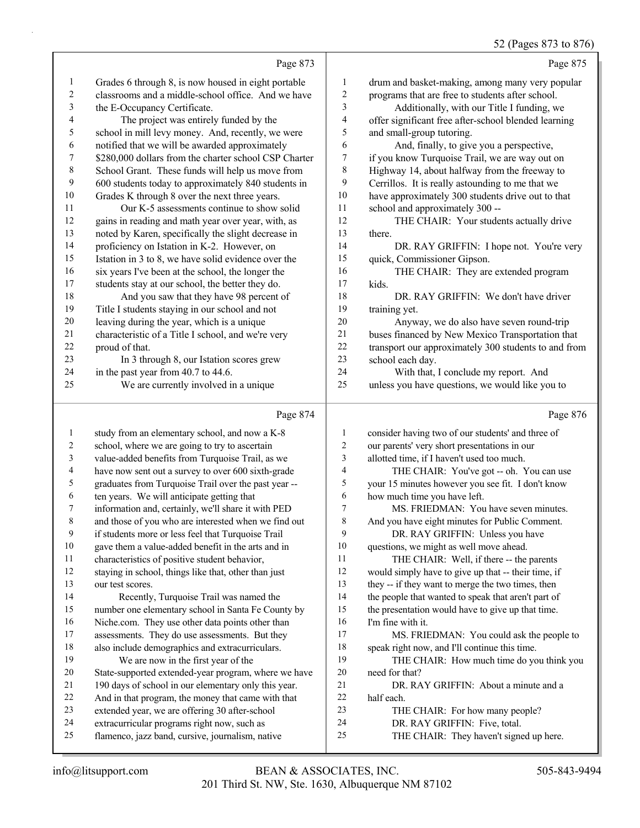#### 52 (Pages 873 to 876)

Page 873 Grades 6 through 8, is now housed in eight portable classrooms and a middle-school office. And we have the E-Occupancy Certificate. 4 The project was entirely funded by the school in mill levy money. And, recently, we were notified that we will be awarded approximately \$280,000 dollars from the charter school CSP Charter School Grant. These funds will help us move from 600 students today to approximately 840 students in Grades K through 8 over the next three years. 11 Our K-5 assessments continue to show solid gains in reading and math year over year, with, as noted by Karen, specifically the slight decrease in 14 proficiency on Istation in K-2. However, on<br>15 Istation in 3 to 8, we have solid evidence ove Istation in 3 to 8, we have solid evidence over the six years I've been at the school, the longer the students stay at our school, the better they do. 18 And you saw that they have 98 percent of Title I students staying in our school and not leaving during the year, which is a unique characteristic of a Title I school, and we're very proud of that. 23 In 3 through 8, our Istation scores grew 24 in the past year from 40.7 to 44.6. 25 We are currently involved in a unique Page 875 drum and basket-making, among many very popular programs that are free to students after school. 3 Additionally, with our Title I funding, we offer significant free after-school blended learning and small-group tutoring. 6 And, finally, to give you a perspective, if you know Turquoise Trail, we are way out on Highway 14, about halfway from the freeway to Cerrillos. It is really astounding to me that we have approximately 300 students drive out to that school and approximately 300 -- 12 THE CHAIR: Your students actually drive there. 14 DR. RAY GRIFFIN: I hope not. You're very quick, Commissioner Gipson. 16 THE CHAIR: They are extended program kids. 18 DR. RAY GRIFFIN: We don't have driver training yet. 20 Anyway, we do also have seven round-trip buses financed by New Mexico Transportation that 22 transport our approximately 300 students to and from school each day. 24 With that, I conclude my report. And unless you have questions, we would like you to Page 876

#### Page 874

 study from an elementary school, and now a K-8 school, where we are going to try to ascertain value-added benefits from Turquoise Trail, as we have now sent out a survey to over 600 sixth-grade graduates from Turquoise Trail over the past year -- ten years. We will anticipate getting that information and, certainly, we'll share it with PED and those of you who are interested when we find out if students more or less feel that Turquoise Trail gave them a value-added benefit in the arts and in characteristics of positive student behavior, staying in school, things like that, other than just our test scores. 14 Recently, Turquoise Trail was named the number one elementary school in Santa Fe County by Niche.com. They use other data points other than assessments. They do use assessments. But they also include demographics and extracurriculars. 19 We are now in the first year of the State-supported extended-year program, where we have 190 days of school in our elementary only this year. And in that program, the money that came with that extended year, we are offering 30 after-school extracurricular programs right now, such as flamenco, jazz band, cursive, journalism, native consider having two of our students' and three of our parents' very short presentations in our allotted time, if I haven't used too much. 4 THE CHAIR: You've got -- oh. You can use your 15 minutes however you see fit. I don't know how much time you have left. 7 MS. FRIEDMAN: You have seven minutes. And you have eight minutes for Public Comment. 9 DR. RAY GRIFFIN: Unless you have questions, we might as well move ahead. 11 THE CHAIR: Well, if there -- the parents would simply have to give up that -- their time, if they -- if they want to merge the two times, then the people that wanted to speak that aren't part of the presentation would have to give up that time. I'm fine with it. 17 MS. FRIEDMAN: You could ask the people to speak right now, and I'll continue this time. 19 THE CHAIR: How much time do you think you need for that? 21 DR. RAY GRIFFIN: About a minute and a half each. 23 THE CHAIR: For how many people? 24 DR. RAY GRIFFIN: Five, total. 25 THE CHAIR: They haven't signed up here.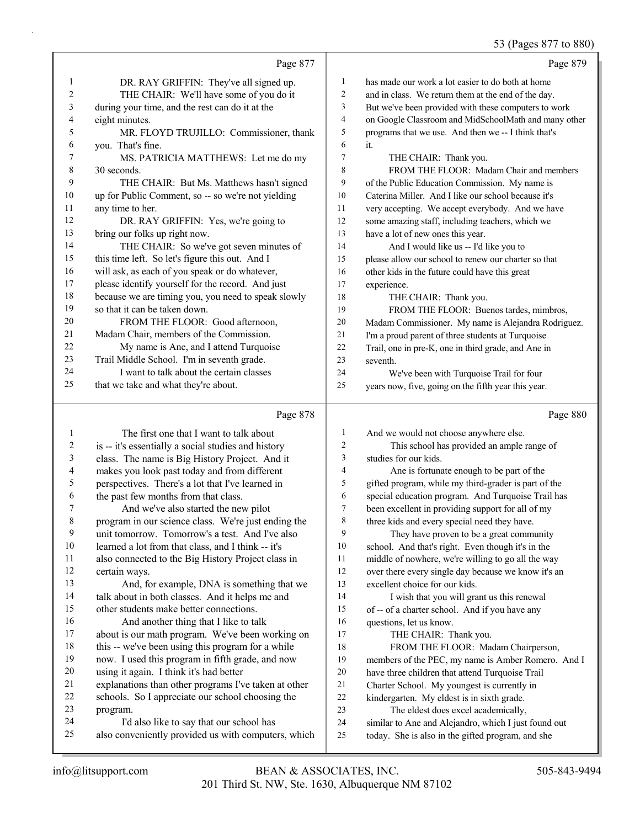### 53 (Pages 877 to 880)

|                |                                                     |                          | 33 (Pages 8/7 to 880                                 |
|----------------|-----------------------------------------------------|--------------------------|------------------------------------------------------|
|                | Page 877                                            |                          | Page 879                                             |
| 1              | DR. RAY GRIFFIN: They've all signed up.             | $\mathbf{1}$             | has made our work a lot easier to do both at home    |
| 2              | THE CHAIR: We'll have some of you do it             | $\overline{c}$           | and in class. We return them at the end of the day.  |
| 3              | during your time, and the rest can do it at the     | 3                        | But we've been provided with these computers to work |
| 4              | eight minutes.                                      | $\overline{\mathcal{A}}$ | on Google Classroom and MidSchoolMath and many other |
| 5              | MR. FLOYD TRUJILLO: Commissioner, thank             | 5                        | programs that we use. And then we -- I think that's  |
| 6              | you. That's fine.                                   | 6                        | it.                                                  |
| 7              | MS. PATRICIA MATTHEWS: Let me do my                 | 7                        | THE CHAIR: Thank you.                                |
| 8              | 30 seconds.                                         | 8                        | FROM THE FLOOR: Madam Chair and members              |
| 9              | THE CHAIR: But Ms. Matthews hasn't signed           | 9                        | of the Public Education Commission. My name is       |
| 10             | up for Public Comment, so -- so we're not yielding  | 10                       | Caterina Miller. And I like our school because it's  |
| 11             | any time to her.                                    | 11                       | very accepting. We accept everybody. And we have     |
| 12             | DR. RAY GRIFFIN: Yes, we're going to                | 12                       | some amazing staff, including teachers, which we     |
| 13             | bring our folks up right now.                       | 13                       | have a lot of new ones this year.                    |
| 14             | THE CHAIR: So we've got seven minutes of            | 14                       | And I would like us -- I'd like you to               |
| 15             | this time left. So let's figure this out. And I     | 15                       | please allow our school to renew our charter so that |
| 16             | will ask, as each of you speak or do whatever,      | 16                       | other kids in the future could have this great       |
| 17             | please identify yourself for the record. And just   | 17                       | experience.                                          |
| 18             | because we are timing you, you need to speak slowly | 18                       | THE CHAIR: Thank you.                                |
| 19             | so that it can be taken down.                       | 19                       | FROM THE FLOOR: Buenos tardes, mimbros,              |
| 20             | FROM THE FLOOR: Good afternoon,                     | 20                       | Madam Commissioner. My name is Alejandra Rodriguez.  |
| 21             | Madam Chair, members of the Commission.             | 21                       | I'm a proud parent of three students at Turquoise    |
| 22             | My name is Ane, and I attend Turquoise              | 22                       | Trail, one in pre-K, one in third grade, and Ane in  |
| 23             | Trail Middle School. I'm in seventh grade.          | 23                       | seventh.                                             |
| 24             | I want to talk about the certain classes            | 24                       | We've been with Turquoise Trail for four             |
| 25             | that we take and what they're about.                | 25                       | years now, five, going on the fifth year this year.  |
|                | Page 878                                            |                          | Page 880                                             |
| 1              | The first one that I want to talk about             | $\mathbf{1}$             | And we would not choose anywhere else.               |
| $\overline{c}$ | is -- it's essentially a social studies and history | $\sqrt{2}$               | This school has provided an ample range of           |
| $\mathfrak{Z}$ | class. The name is Big History Project. And it      | 3                        | studies for our kids.                                |
| 4              | makes you look past today and from different        | $\overline{4}$           | Ane is fortunate enough to be part of the            |
| 5              | perspectives. There's a lot that I've learned in    | 5                        | gifted program, while my third-grader is part of the |
| 6              | the past few months from that class.                | 6                        | special education program. And Turquoise Trail has   |
| 7              | And we've also started the new pilot                | 7                        | been excellent in providing support for all of my    |
| 8              | program in our science class. We're just ending the | 8                        | three kids and every special need they have.         |
| 9              | unit tomorrow. Tomorrow's a test. And I've also     | 9                        | They have proven to be a great community             |
| 10             | learned a lot from that class, and I think -- it's  | 10                       | school. And that's right. Even though it's in the    |
| 11             | also connected to the Big History Project class in  | 11                       | middle of nowhere, we're willing to go all the way   |
| 12             | certain ways.                                       | 12                       | over there every single day because we know it's an  |
| 13             | And, for example, DNA is something that we          | 13                       | excellent choice for our kids.                       |
| 14             | talk about in both classes. And it helps me and     | 14                       | I wish that you will grant us this renewal           |
| 15             | other students make better connections.             | 15                       | of -- of a charter school. And if you have any       |
| 16             | And another thing that I like to talk               | 16                       | questions, let us know.                              |
| 17             | about is our math program. We've been working on    | 17                       | THE CHAIR: Thank you.                                |
| 18             | this -- we've been using this program for a while   | 18                       | FROM THE FLOOR: Madam Chairperson,                   |
| 19             | now. I used this program in fifth grade, and now    | 19                       | members of the PEC, my name is Amber Romero. And I   |
| 20             | using it again. I think it's had better             | 20                       | have three children that attend Turquoise Trail      |
|                |                                                     |                          |                                                      |

- explanations than other programs I've taken at other 22 schools. So I appreciate our school choosing the program.
- program.
- 24 I'd also like to say that our school has<br>25 also conveniently provided us with compute also conveniently provided us with computers, which
- similar to Ane and Alejandro, which I just found out today. She is also in the gifted program, and she

21 Charter School. My youngest is currently in<br>22 kindergarten. My eldest is in sixth grade. kindergarten. My eldest is in sixth grade. 23 The eldest does excel academically,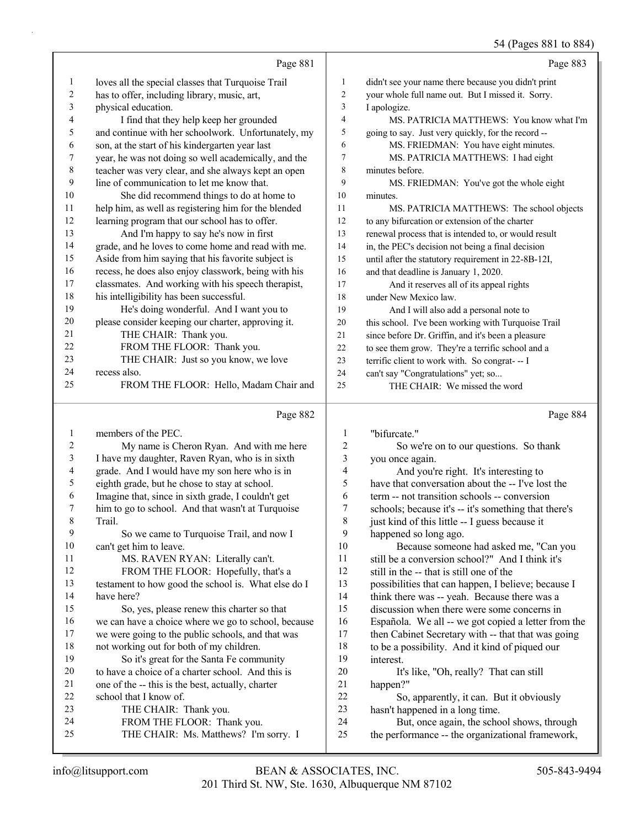54 (Pages 881 to 884)

|          |                                                      |                  | 54 (Pages 881 to 884)                                                         |
|----------|------------------------------------------------------|------------------|-------------------------------------------------------------------------------|
|          | Page 881                                             |                  | Page 883                                                                      |
| 1        | loves all the special classes that Turquoise Trail   | 1                | didn't see your name there because you didn't print                           |
| 2        | has to offer, including library, music, art,         | $\overline{c}$   | your whole full name out. But I missed it. Sorry.                             |
| 3        | physical education.                                  | 3                | I apologize.                                                                  |
| 4        | I find that they help keep her grounded              | 4                | MS. PATRICIA MATTHEWS: You know what I'm                                      |
| 5        | and continue with her schoolwork. Unfortunately, my  | 5                | going to say. Just very quickly, for the record --                            |
| 6        | son, at the start of his kindergarten year last      | 6                | MS. FRIEDMAN: You have eight minutes.                                         |
| 7        | year, he was not doing so well academically, and the | 7                | MS. PATRICIA MATTHEWS: I had eight                                            |
| 8        | teacher was very clear, and she always kept an open  | 8                | minutes before.                                                               |
| 9        | line of communication to let me know that.           | 9                | MS. FRIEDMAN: You've got the whole eight                                      |
| 10       | She did recommend things to do at home to            | $10\,$           | minutes.                                                                      |
| 11       | help him, as well as registering him for the blended | 11               | MS. PATRICIA MATTHEWS: The school objects                                     |
| 12       | learning program that our school has to offer.       | 12               | to any bifurcation or extension of the charter                                |
| 13       | And I'm happy to say he's now in first               | 13               | renewal process that is intended to, or would result                          |
| 14       | grade, and he loves to come home and read with me.   | 14               | in, the PEC's decision not being a final decision                             |
| 15       | Aside from him saying that his favorite subject is   | 15               | until after the statutory requirement in 22-8B-12I,                           |
| 16       | recess, he does also enjoy classwork, being with his | 16               | and that deadline is January 1, 2020.                                         |
| 17       | classmates. And working with his speech therapist,   | 17               | And it reserves all of its appeal rights                                      |
| 18       | his intelligibility has been successful.             | 18               | under New Mexico law.                                                         |
| 19       | He's doing wonderful. And I want you to              | 19               | And I will also add a personal note to                                        |
| 20       | please consider keeping our charter, approving it.   | 20               | this school. I've been working with Turquoise Trail                           |
| 21       | THE CHAIR: Thank you.                                | 21               | since before Dr. Griffin, and it's been a pleasure                            |
| 22       | FROM THE FLOOR: Thank you.                           | 22               | to see them grow. They're a terrific school and a                             |
| 23       | THE CHAIR: Just so you know, we love                 | 23               | terrific client to work with. So congrat- -- I                                |
| 24       | recess also.                                         | 24               | can't say "Congratulations" yet; so                                           |
| 25       | FROM THE FLOOR: Hello, Madam Chair and               | 25               | THE CHAIR: We missed the word                                                 |
|          | Page 882                                             |                  | Page 884                                                                      |
| 1        | members of the PEC.                                  | 1                | "bifurcate."                                                                  |
| 2        | My name is Cheron Ryan. And with me here             | $\boldsymbol{2}$ | So we're on to our questions. So thank                                        |
| 3        | I have my daughter, Raven Ryan, who is in sixth      | 3                | you once again.                                                               |
| 4        | grade. And I would have my son here who is in        | 4                | And you're right. It's interesting to                                         |
| 5        | eighth grade, but he chose to stay at school.        | 5                | have that conversation about the -- I've lost the                             |
| 6        | Imagine that, since in sixth grade, I couldn't get   | 6                | term -- not transition schools -- conversion                                  |
|          | him to go to school. And that wasn't at Turquoise    | 7                | schools; because it's -- it's something that there's                          |
| 8        | Trail.                                               | 8                | just kind of this little -- I guess because it                                |
| 9        | So we came to Turquoise Trail, and now I             | 9                |                                                                               |
| 10       |                                                      |                  | happened so long ago.                                                         |
|          | can't get him to leave.                              | 10               | Because someone had asked me, "Can you                                        |
| 11       | MS. RAVEN RYAN: Literally can't.                     | 11               | still be a conversion school?" And I think it's                               |
| 12       | FROM THE FLOOR: Hopefully, that's a                  | 12               | still in the -- that is still one of the                                      |
| 13       | testament to how good the school is. What else do I  | 13               | possibilities that can happen, I believe; because I                           |
| 14       | have here?                                           | 14               | think there was -- yeah. Because there was a                                  |
| 15       | So, yes, please renew this charter so that           | 15               | discussion when there were some concerns in                                   |
| 16       | we can have a choice where we go to school, because  | 16               | Española. We all -- we got copied a letter from the                           |
| 17       | we were going to the public schools, and that was    | 17               | then Cabinet Secretary with -- that that was going                            |
| 18       | not working out for both of my children.             | 18               | to be a possibility. And it kind of piqued our                                |
| 19       | So it's great for the Santa Fe community             | 19               | interest.                                                                     |
| 20       | to have a choice of a charter school. And this is    | $20\,$           | It's like, "Oh, really? That can still                                        |
| 21       | one of the -- this is the best, actually, charter    | 21               | happen?"                                                                      |
| 22       | school that I know of.                               | 22               | So, apparently, it can. But it obviously                                      |
| 23<br>24 | THE CHAIR: Thank you.<br>FROM THE FLOOR: Thank you.  | 23<br>24         | hasn't happened in a long time.<br>But, once again, the school shows, through |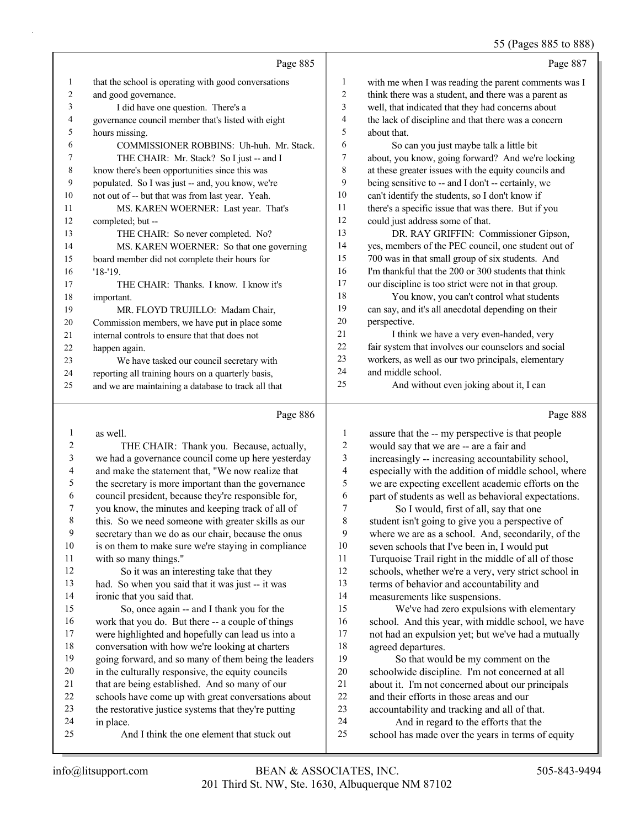# 55 (Pages 885 to 888)

|                | Page 885                                             |                | Page 887                                             |
|----------------|------------------------------------------------------|----------------|------------------------------------------------------|
| 1              | that the school is operating with good conversations | 1              | with me when I was reading the parent comments was I |
| 2              | and good governance.                                 | 2              | think there was a student, and there was a parent as |
| 3              | I did have one question. There's a                   | 3              | well, that indicated that they had concerns about    |
| 4              | governance council member that's listed with eight   | 4              | the lack of discipline and that there was a concern  |
| 5              | hours missing.                                       | 5              | about that.                                          |
| 6              | COMMISSIONER ROBBINS: Uh-huh. Mr. Stack.             | 6              | So can you just maybe talk a little bit              |
| 7              | THE CHAIR: Mr. Stack? So I just -- and I             | 7              | about, you know, going forward? And we're locking    |
| 8              | know there's been opportunities since this was       | 8              | at these greater issues with the equity councils and |
| 9              | populated. So I was just -- and, you know, we're     | 9              | being sensitive to -- and I don't -- certainly, we   |
| 10             | not out of -- but that was from last year. Yeah.     | 10             | can't identify the students, so I don't know if      |
| 11             | MS. KAREN WOERNER: Last year. That's                 | 11             | there's a specific issue that was there. But if you  |
| 12             | completed; but --                                    | 12             | could just address some of that.                     |
| 13             | THE CHAIR: So never completed. No?                   | 13             | DR. RAY GRIFFIN: Commissioner Gipson,                |
| 14             | MS. KAREN WOERNER: So that one governing             | 14             | yes, members of the PEC council, one student out of  |
| 15             | board member did not complete their hours for        | 15             | 700 was in that small group of six students. And     |
| 16             | $'18-'19.$                                           | 16             | I'm thankful that the 200 or 300 students that think |
| 17             | THE CHAIR: Thanks. I know. I know it's               | 17             | our discipline is too strict were not in that group. |
| 18             | important.                                           | 18             | You know, you can't control what students            |
| 19             | MR. FLOYD TRUJILLO: Madam Chair,                     | 19             | can say, and it's all anecdotal depending on their   |
| 20             | Commission members, we have put in place some        | 20             | perspective.                                         |
| 21             | internal controls to ensure that that does not       | 21             | I think we have a very even-handed, very             |
| 22             | happen again.                                        | 22             | fair system that involves our counselors and social  |
| 23             | We have tasked our council secretary with            | 23             | workers, as well as our two principals, elementary   |
| 24             | reporting all training hours on a quarterly basis,   | 24             | and middle school.                                   |
| 25             | and we are maintaining a database to track all that  | 25             | And without even joking about it, I can              |
|                | Page 886                                             |                | Page 888                                             |
| 1              | as well.                                             | 1              | assure that the -- my perspective is that people     |
| $\overline{2}$ | THE CHAIR: Thank you. Because, actually,             | $\overline{2}$ | would say that we are -- are a fair and              |
|                |                                                      |                |                                                      |

| $\bf{1}$ | as well.                                             | $\mathbf{I}$ | assure that the -- my perspective is that people     |
|----------|------------------------------------------------------|--------------|------------------------------------------------------|
| 2        | THE CHAIR: Thank you. Because, actually,             | 2            | would say that we are -- are a fair and              |
| 3        | we had a governance council come up here yesterday   | 3            | increasingly -- increasing accountability school,    |
| 4        | and make the statement that, "We now realize that    | 4            | especially with the addition of middle school, where |
| 5        | the secretary is more important than the governance  | 5            | we are expecting excellent academic efforts on the   |
| 6        | council president, because they're responsible for,  | 6            | part of students as well as behavioral expectations. |
| 7        | you know, the minutes and keeping track of all of    | 7            | So I would, first of all, say that one               |
| 8        | this. So we need someone with greater skills as our  | 8            | student isn't going to give you a perspective of     |
| 9        | secretary than we do as our chair, because the onus  | 9            | where we are as a school. And, secondarily, of the   |
| 10       | is on them to make sure we're staying in compliance  | 10           | seven schools that I've been in, I would put         |
| 11       | with so many things."                                | 11           | Turquoise Trail right in the middle of all of those  |
| 12       | So it was an interesting take that they              | 12           | schools, whether we're a very, very strict school in |
| 13       | had. So when you said that it was just -- it was     | 13           | terms of behavior and accountability and             |
| 14       | ironic that you said that.                           | 14           | measurements like suspensions.                       |
| 15       | So, once again -- and I thank you for the            | 15           | We've had zero expulsions with elementary            |
| 16       | work that you do. But there -- a couple of things    | 16           | school. And this year, with middle school, we have   |
| 17       | were highlighted and hopefully can lead us into a    | 17           | not had an expulsion yet; but we've had a mutually   |
| 18       | conversation with how we're looking at charters      | 18           | agreed departures.                                   |
| 19       | going forward, and so many of them being the leaders | 19           | So that would be my comment on the                   |
| 20       | in the culturally responsive, the equity councils    | 20           | schoolwide discipline. I'm not concerned at all      |
| 21       | that are being established. And so many of our       | 21           | about it. I'm not concerned about our principals     |
| 22       | schools have come up with great conversations about  | 22           | and their efforts in those areas and our             |
| 23       | the restorative justice systems that they're putting | 23           | accountability and tracking and all of that.         |
| 24       | in place.                                            | 24           | And in regard to the efforts that the                |
| 25       | And I think the one element that stuck out           | 25           | school has made over the years in terms of equity    |
|          |                                                      |              |                                                      |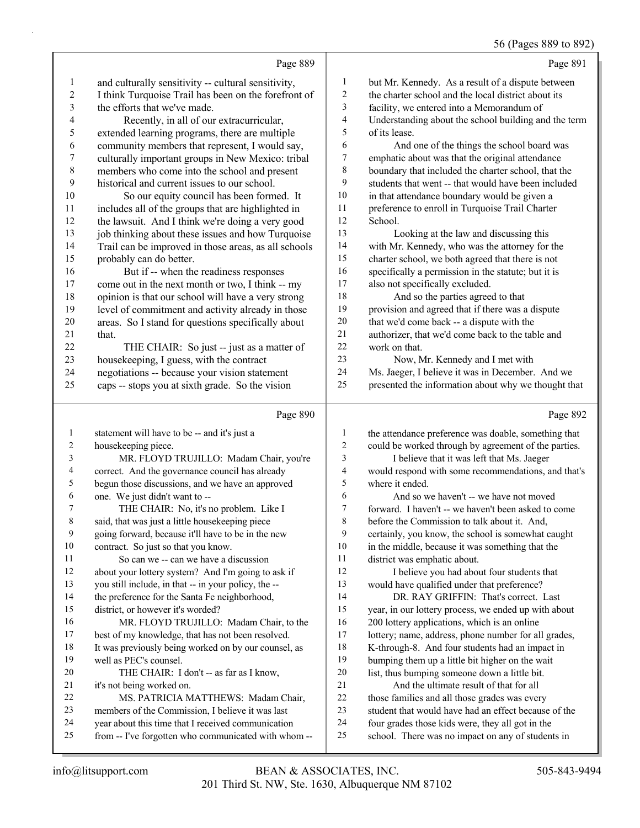### 56 (Pages 889 to 892)

|                  |                                                                                           |                          | $50(1450000)$ to $02$                                                                                  |
|------------------|-------------------------------------------------------------------------------------------|--------------------------|--------------------------------------------------------------------------------------------------------|
|                  | Page 889                                                                                  |                          | Page 891                                                                                               |
| 1                | and culturally sensitivity -- cultural sensitivity,                                       | $\mathbf{1}$             | but Mr. Kennedy. As a result of a dispute between                                                      |
| $\overline{c}$   | I think Turquoise Trail has been on the forefront of                                      | $\overline{c}$           | the charter school and the local district about its                                                    |
| 3                | the efforts that we've made.                                                              | 3                        | facility, we entered into a Memorandum of                                                              |
| 4                | Recently, in all of our extracurricular,                                                  | $\overline{4}$           | Understanding about the school building and the term                                                   |
| 5                | extended learning programs, there are multiple                                            | 5                        | of its lease.                                                                                          |
| 6                | community members that represent, I would say,                                            | 6                        | And one of the things the school board was                                                             |
| $\boldsymbol{7}$ | culturally important groups in New Mexico: tribal                                         | $\boldsymbol{7}$         | emphatic about was that the original attendance                                                        |
| $\,$ $\,$        | members who come into the school and present                                              | 8                        | boundary that included the charter school, that the                                                    |
| 9                | historical and current issues to our school.                                              | 9                        | students that went -- that would have been included                                                    |
| 10               | So our equity council has been formed. It                                                 | 10                       | in that attendance boundary would be given a                                                           |
| 11               | includes all of the groups that are highlighted in                                        | 11                       | preference to enroll in Turquoise Trail Charter                                                        |
| 12               | the lawsuit. And I think we're doing a very good                                          | 12                       | School.                                                                                                |
| 13               | job thinking about these issues and how Turquoise                                         | 13                       | Looking at the law and discussing this                                                                 |
| 14               | Trail can be improved in those areas, as all schools                                      | 14                       | with Mr. Kennedy, who was the attorney for the                                                         |
| 15               | probably can do better.                                                                   | 15                       | charter school, we both agreed that there is not                                                       |
| 16               | But if -- when the readiness responses                                                    | 16                       | specifically a permission in the statute; but it is                                                    |
| 17               | come out in the next month or two, I think -- my                                          | 17                       | also not specifically excluded.                                                                        |
| $18\,$           | opinion is that our school will have a very strong                                        | 18                       | And so the parties agreed to that                                                                      |
| 19               | level of commitment and activity already in those                                         | 19                       | provision and agreed that if there was a dispute                                                       |
| 20               | areas. So I stand for questions specifically about                                        | 20                       | that we'd come back -- a dispute with the                                                              |
| 21               | that.                                                                                     | $21\,$                   | authorizer, that we'd come back to the table and                                                       |
| 22               | THE CHAIR: So just -- just as a matter of                                                 | 22                       | work on that.                                                                                          |
| 23               | housekeeping, I guess, with the contract                                                  | 23                       | Now, Mr. Kennedy and I met with                                                                        |
| 24               | negotiations -- because your vision statement                                             | 24                       | Ms. Jaeger, I believe it was in December. And we                                                       |
| 25               | caps -- stops you at sixth grade. So the vision                                           | 25                       | presented the information about why we thought that                                                    |
|                  |                                                                                           |                          |                                                                                                        |
|                  |                                                                                           |                          |                                                                                                        |
|                  | Page 890                                                                                  |                          | Page 892                                                                                               |
| 1                |                                                                                           | 1                        |                                                                                                        |
| 2                | statement will have to be -- and it's just a                                              | $\overline{c}$           | the attendance preference was doable, something that                                                   |
| 3                | housekeeping piece.                                                                       | 3                        | could be worked through by agreement of the parties.                                                   |
| 4                | MR. FLOYD TRUJILLO: Madam Chair, you're                                                   | $\overline{\mathcal{A}}$ | I believe that it was left that Ms. Jaeger                                                             |
| 5                | correct. And the governance council has already                                           | 5                        | would respond with some recommendations, and that's<br>where it ended.                                 |
| 6                | begun those discussions, and we have an approved<br>one. We just didn't want to --        | 6                        | And so we haven't -- we have not moved                                                                 |
| 7                |                                                                                           | $\overline{7}$           | forward. I haven't -- we haven't been asked to come                                                    |
| $\,$ 8 $\,$      | THE CHAIR: No, it's no problem. Like I<br>said, that was just a little housekeeping piece | $\,$ $\,$                | before the Commission to talk about it. And,                                                           |
| 9                | going forward, because it'll have to be in the new                                        | 9                        |                                                                                                        |
| 10               | contract. So just so that you know.                                                       | 10                       | certainly, you know, the school is somewhat caught<br>in the middle, because it was something that the |
| 11               | So can we -- can we have a discussion                                                     | 11                       | district was emphatic about.                                                                           |
| 12               | about your lottery system? And I'm going to ask if                                        | 12                       | I believe you had about four students that                                                             |
| 13               | you still include, in that -- in your policy, the --                                      | 13                       | would have qualified under that preference?                                                            |
| 14               | the preference for the Santa Fe neighborhood,                                             | 14                       | DR. RAY GRIFFIN: That's correct. Last                                                                  |
| 15               | district, or however it's worded?                                                         | 15                       | year, in our lottery process, we ended up with about                                                   |
| 16               | MR. FLOYD TRUJILLO: Madam Chair, to the                                                   | 16                       | 200 lottery applications, which is an online                                                           |
| 17               | best of my knowledge, that has not been resolved.                                         | 17                       | lottery; name, address, phone number for all grades,                                                   |
| 18               | It was previously being worked on by our counsel, as                                      | 18                       | K-through-8. And four students had an impact in                                                        |
| 19               | well as PEC's counsel.                                                                    | 19                       | bumping them up a little bit higher on the wait                                                        |
| 20               | THE CHAIR: I don't -- as far as I know,                                                   | 20                       | list, thus bumping someone down a little bit.                                                          |
| 21               | it's not being worked on.                                                                 | 21                       | And the ultimate result of that for all                                                                |
| 22               | MS. PATRICIA MATTHEWS: Madam Chair,                                                       | 22                       | those families and all those grades was every                                                          |
| 23               | members of the Commission, I believe it was last                                          | $23\,$                   | student that would have had an effect because of the                                                   |
| 24               | year about this time that I received communication                                        | 24<br>25                 | four grades those kids were, they all got in the                                                       |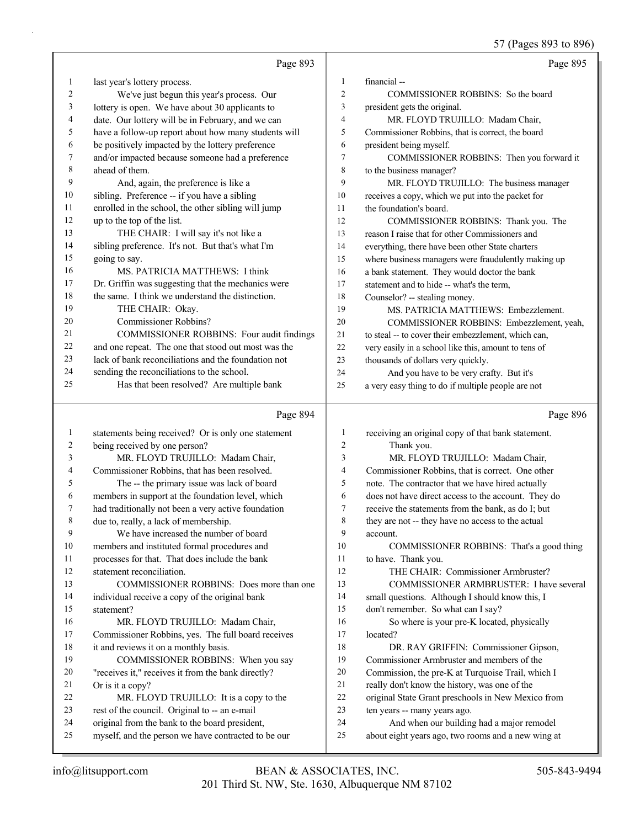57 (Pages 893 to 896)

|                |                                                      |                | 57 (Pages 893 to 896)                                |
|----------------|------------------------------------------------------|----------------|------------------------------------------------------|
|                | Page 893                                             |                | Page 895                                             |
| 1              | last year's lottery process.                         | $\mathbf{1}$   | financial-                                           |
| $\overline{c}$ | We've just begun this year's process. Our            | $\overline{2}$ | COMMISSIONER ROBBINS: So the board                   |
| 3              | lottery is open. We have about 30 applicants to      | 3              | president gets the original.                         |
| 4              | date. Our lottery will be in February, and we can    | $\overline{4}$ | MR. FLOYD TRUJILLO: Madam Chair,                     |
| 5              | have a follow-up report about how many students will | 5              | Commissioner Robbins, that is correct, the board     |
| 6              | be positively impacted by the lottery preference     | 6              | president being myself.                              |
| 7              | and/or impacted because someone had a preference     | 7              | COMMISSIONER ROBBINS: Then you forward it            |
| 8              | ahead of them.                                       | $\,$ $\,$      | to the business manager?                             |
| 9              | And, again, the preference is like a                 | 9              | MR. FLOYD TRUJILLO: The business manager             |
| 10             | sibling. Preference -- if you have a sibling         | 10             | receives a copy, which we put into the packet for    |
| 11             | enrolled in the school, the other sibling will jump  | 11             | the foundation's board.                              |
| 12             | up to the top of the list.                           | 12             | COMMISSIONER ROBBINS: Thank you. The                 |
| 13             | THE CHAIR: I will say it's not like a                | 13             | reason I raise that for other Commissioners and      |
| 14             | sibling preference. It's not. But that's what I'm    | 14             | everything, there have been other State charters     |
| 15             | going to say.                                        | 15             | where business managers were fraudulently making up  |
| 16             | MS. PATRICIA MATTHEWS: I think                       | 16             | a bank statement. They would doctor the bank         |
| 17             | Dr. Griffin was suggesting that the mechanics were   | 17             | statement and to hide -- what's the term,            |
| 18             | the same. I think we understand the distinction.     | 18             | Counselor? -- stealing money.                        |
| 19             | THE CHAIR: Okay.                                     | 19             | MS. PATRICIA MATTHEWS: Embezzlement.                 |
| 20             | Commissioner Robbins?                                | 20             | COMMISSIONER ROBBINS: Embezzlement, yeah,            |
| 21             | COMMISSIONER ROBBINS: Four audit findings            | 21             | to steal -- to cover their embezzlement, which can,  |
| 22             | and one repeat. The one that stood out most was the  | 22             | very easily in a school like this, amount to tens of |
| 23             | lack of bank reconciliations and the foundation not  | 23             | thousands of dollars very quickly.                   |
| 24             | sending the reconciliations to the school.           | 24             | And you have to be very crafty. But it's             |
| 25             | Has that been resolved? Are multiple bank            | 25             | a very easy thing to do if multiple people are not   |
|                | Page 894                                             |                | Page 896                                             |
| $\mathbf{1}$   | statements being received? Or is only one statement  | 1              | receiving an original copy of that bank statement.   |
| 2              | being received by one person?                        | 2              | Thank you.                                           |
| 3              | MR. FLOYD TRUJILLO: Madam Chair,                     | 3              | MR. FLOYD TRUJILLO: Madam Chair,                     |
| 4              | Commissioner Robbins, that has been resolved.        | 4              | Commissioner Robbins, that is correct. One other     |
| 5              | The -- the primary issue was lack of board           | 5              | note. The contractor that we have hired actually     |
| 6              | members in support at the foundation level, which    | 6              | does not have direct access to the account. They do  |
|                | had traditionally not been a very active foundation  | 7              | receive the statements from the bank, as do I; but   |
| 8              | due to, really, a lack of membership.                | 8              | they are not -- they have no access to the actual    |
| 9              | We have increased the number of board                | 9              | account.                                             |
| 10             | members and instituted formal procedures and         | 10             | COMMISSIONER ROBBINS: That's a good thing            |
| 11             | processes for that. That does include the bank       | 11             | to have. Thank you.                                  |
| 12             | statement reconciliation.                            | 12             | THE CHAIR: Commissioner Armbruster?                  |
| 13             | COMMISSIONER ROBBINS: Does more than one             | 13             | COMMISSIONER ARMBRUSTER: I have several              |
| 14             | individual receive a copy of the original bank       | 14             | small questions. Although I should know this, I      |
| 15             | statement?                                           | 15             | don't remember. So what can I say?                   |
| 16             | MR. FLOYD TRUJILLO: Madam Chair,                     | 16             | So where is your pre-K located, physically           |
| 17             | Commissioner Robbins, yes. The full board receives   | 17             | located?                                             |
| 18             | it and reviews it on a monthly basis.                | 18             | DR. RAY GRIFFIN: Commissioner Gipson,                |
| 19             | COMMISSIONER ROBBINS: When you say                   | 19             | Commissioner Armbruster and members of the           |
| 20             | "receives it," receives it from the bank directly?   | 20             | Commission, the pre-K at Turquoise Trail, which I    |
| 21             | Or is it a copy?                                     | 21             | really don't know the history, was one of the        |
| 22             | MR. FLOYD TRUJILLO: It is a copy to the              | 22             | original State Grant preschools in New Mexico from   |
| 23             | rest of the council. Original to -- an e-mail        | 23             | ten years -- many years ago.                         |
| 24             | original from the bank to the board president,       | 24             | And when our building had a major remodel            |
|                |                                                      |                |                                                      |

myself, and the person we have contracted to be our

about eight years ago, two rooms and a new wing at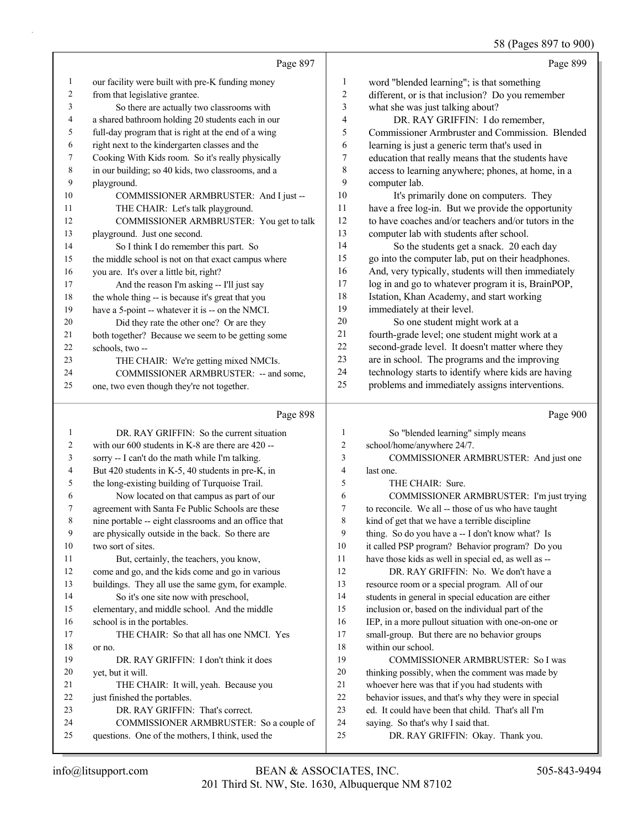58 (Pages 897 to 900)

|    |                                                     |                | $30$ (1 agus 07/ to $300$                            |
|----|-----------------------------------------------------|----------------|------------------------------------------------------|
|    | Page 897                                            |                | Page 899                                             |
| 1  | our facility were built with pre-K funding money    | 1              | word "blended learning"; is that something           |
| 2  | from that legislative grantee.                      | $\overline{c}$ | different, or is that inclusion? Do you remember     |
| 3  | So there are actually two classrooms with           | 3              | what she was just talking about?                     |
| 4  | a shared bathroom holding 20 students each in our   | $\overline{4}$ | DR. RAY GRIFFIN: I do remember,                      |
| 5  | full-day program that is right at the end of a wing | 5              | Commissioner Armbruster and Commission. Blended      |
| 6  | right next to the kindergarten classes and the      | 6              | learning is just a generic term that's used in       |
| 7  | Cooking With Kids room. So it's really physically   | 7              | education that really means that the students have   |
| 8  | in our building; so 40 kids, two classrooms, and a  | 8              | access to learning anywhere; phones, at home, in a   |
| 9  | playground.                                         | 9              | computer lab.                                        |
| 10 | COMMISSIONER ARMBRUSTER: And I just --              | 10             | It's primarily done on computers. They               |
| 11 | THE CHAIR: Let's talk playground.                   | 11             | have a free log-in. But we provide the opportunity   |
| 12 | COMMISSIONER ARMBRUSTER: You get to talk            | 12             | to have coaches and/or teachers and/or tutors in the |
| 13 | playground. Just one second.                        | 13             | computer lab with students after school.             |
| 14 | So I think I do remember this part. So              | 14             | So the students get a snack. 20 each day             |
| 15 | the middle school is not on that exact campus where | 15             | go into the computer lab, put on their headphones.   |
| 16 | you are. It's over a little bit, right?             | 16             | And, very typically, students will then immediately  |
| 17 | And the reason I'm asking -- I'll just say          | 17             | log in and go to whatever program it is, BrainPOP,   |
| 18 | the whole thing -- is because it's great that you   | 18             | Istation, Khan Academy, and start working            |
| 19 | have a 5-point -- whatever it is -- on the NMCI.    | 19             | immediately at their level.                          |
| 20 | Did they rate the other one? Or are they            | 20             | So one student might work at a                       |
| 21 | both together? Because we seem to be getting some   | 21             | fourth-grade level; one student might work at a      |
| 22 | schools, two --                                     | 22             | second-grade level. It doesn't matter where they     |
| 23 | THE CHAIR: We're getting mixed NMCIs.               | 23             | are in school. The programs and the improving        |
| 24 | COMMISSIONER ARMBRUSTER: -- and some,               | 24             | technology starts to identify where kids are having  |
| 25 | one, two even though they're not together.          | 25             | problems and immediately assigns interventions.      |
|    | Page 898                                            |                | Page 900                                             |

### Page 898 |

|    | DR. RAY GRIFFIN: So the current situation            | 1  | So "blended learning" simply means                   |
|----|------------------------------------------------------|----|------------------------------------------------------|
| 2  | with our $600$ students in K-8 are there are $420 -$ | 2  | school/home/anywhere 24/7.                           |
| 3  | sorry -- I can't do the math while I'm talking.      | 3  | COMMISSIONER ARMBRUSTER: And just one                |
| 4  | But 420 students in K-5, 40 students in pre-K, in    | 4  | last one.                                            |
| 5  | the long-existing building of Turquoise Trail.       | 5  | THE CHAIR: Sure.                                     |
| 6  | Now located on that campus as part of our            | 6  | COMMISSIONER ARMBRUSTER: I'm just trying             |
| 7  | agreement with Santa Fe Public Schools are these     | 7  | to reconcile. We all -- those of us who have taught  |
| 8  | nine portable -- eight classrooms and an office that | 8  | kind of get that we have a terrible discipline       |
| 9  | are physically outside in the back. So there are     | 9  | thing. So do you have a -- I don't know what? Is     |
| 10 | two sort of sites.                                   | 10 | it called PSP program? Behavior program? Do you      |
| 11 | But, certainly, the teachers, you know,              | 11 | have those kids as well in special ed, as well as -- |
| 12 | come and go, and the kids come and go in various     | 12 | DR. RAY GRIFFIN: No. We don't have a                 |
| 13 | buildings. They all use the same gym, for example.   | 13 | resource room or a special program. All of our       |
| 14 | So it's one site now with preschool,                 | 14 | students in general in special education are either  |
| 15 | elementary, and middle school. And the middle        | 15 | inclusion or, based on the individual part of the    |
| 16 | school is in the portables.                          | 16 | IEP, in a more pullout situation with one-on-one or  |
| 17 | THE CHAIR: So that all has one NMCI. Yes             | 17 | small-group. But there are no behavior groups        |
| 18 | or no.                                               | 18 | within our school.                                   |
| 19 | DR. RAY GRIFFIN: I don't think it does               | 19 | <b>COMMISSIONER ARMBRUSTER: So I was</b>             |
| 20 | yet, but it will.                                    | 20 | thinking possibly, when the comment was made by      |
| 21 | THE CHAIR: It will, yeah. Because you                | 21 | whoever here was that if you had students with       |
| 22 | just finished the portables.                         | 22 | behavior issues, and that's why they were in special |
| 23 | DR. RAY GRIFFIN: That's correct.                     | 23 | ed. It could have been that child. That's all I'm    |
| 24 | COMMISSIONER ARMBRUSTER: So a couple of              | 24 | saying. So that's why I said that.                   |
| 25 | questions. One of the mothers, I think, used the     | 25 | DR. RAY GRIFFIN: Okay. Thank you.                    |
|    |                                                      |    |                                                      |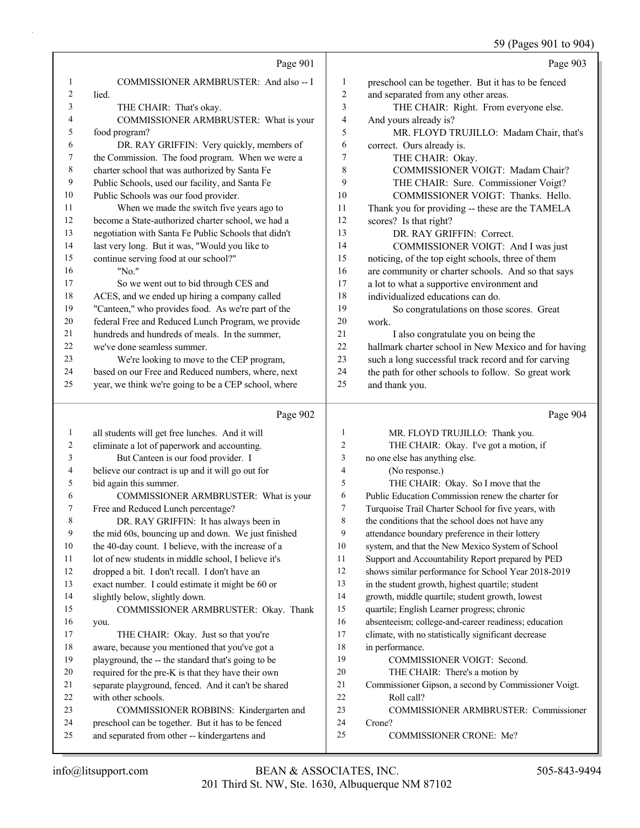### 59 (Pages 901 to 904)

|                |                                                      |                | 59 (Pages 901 to 904)                                |
|----------------|------------------------------------------------------|----------------|------------------------------------------------------|
|                | Page 901                                             |                | Page 903                                             |
| 1              | COMMISSIONER ARMBRUSTER: And also -- I               | 1              | preschool can be together. But it has to be fenced   |
| $\overline{c}$ | lied.                                                | 2              | and separated from any other areas.                  |
| 3              | THE CHAIR: That's okay.                              | 3              | THE CHAIR: Right. From everyone else.                |
| 4              | COMMISSIONER ARMBRUSTER: What is your                | 4              | And yours already is?                                |
| 5              | food program?                                        | 5              | MR. FLOYD TRUJILLO: Madam Chair, that's              |
| 6              | DR. RAY GRIFFIN: Very quickly, members of            | 6              | correct. Ours already is.                            |
| $\tau$         | the Commission. The food program. When we were a     | 7              | THE CHAIR: Okay.                                     |
| 8              | charter school that was authorized by Santa Fe       | 8              | COMMISSIONER VOIGT: Madam Chair?                     |
| 9              | Public Schools, used our facility, and Santa Fe      | 9              | THE CHAIR: Sure. Commissioner Voigt?                 |
| 10             | Public Schools was our food provider.                | 10             | COMMISSIONER VOIGT: Thanks. Hello.                   |
| 11             | When we made the switch five years ago to            | 11             | Thank you for providing -- these are the TAMELA      |
| 12             | become a State-authorized charter school, we had a   | 12             | scores? Is that right?                               |
| 13             | negotiation with Santa Fe Public Schools that didn't | 13             | DR. RAY GRIFFIN: Correct.                            |
| 14             | last very long. But it was, "Would you like to       | 14             | COMMISSIONER VOIGT: And I was just                   |
| 15             | continue serving food at our school?"                | 15             | noticing, of the top eight schools, three of them    |
| 16             | "No."                                                | 16             | are community or charter schools. And so that says   |
| 17             | So we went out to bid through CES and                | 17             | a lot to what a supportive environment and           |
| 18             | ACES, and we ended up hiring a company called        | 18             | individualized educations can do.                    |
| 19             | "Canteen," who provides food. As we're part of the   | 19             | So congratulations on those scores. Great            |
| 20             | federal Free and Reduced Lunch Program, we provide   | 20             | work.                                                |
| 21             | hundreds and hundreds of meals. In the summer,       | 21             | I also congratulate you on being the                 |
| 22             | we've done seamless summer.                          | 22             | hallmark charter school in New Mexico and for having |
| 23             | We're looking to move to the CEP program,            | 23             | such a long successful track record and for carving  |
| 24             | based on our Free and Reduced numbers, where, next   | 24             | the path for other schools to follow. So great work  |
| 25             | year, we think we're going to be a CEP school, where | 25             | and thank you.                                       |
|                | Page 902                                             |                | Page 904                                             |
| $\mathbf{1}$   | all students will get free lunches. And it will      | $\mathbf{1}$   | MR. FLOYD TRUJILLO: Thank you.                       |
| 2              | eliminate a lot of paperwork and accounting.         | $\overline{2}$ | THE CHAIR: Okay. I've got a motion, if               |
| 3              | But Canteen is our food provider. I                  | $\mathfrak{Z}$ | no one else has anything else.                       |
| 4              | believe our contract is up and it will go out for    | $\overline{4}$ | (No response.)                                       |
| 5              | bid again this summer.                               | 5              | THE CHAIR: Okay. So I move that the                  |
| 6              | COMMISSIONER ARMBRUSTER: What is your                | 6              | Public Education Commission renew the charter for    |
| 7              | Free and Reduced Lunch percentage?                   | 7              | Turquoise Trail Charter School for five years, with  |
| 8              | DR. RAY GRIFFIN: It has always been in               | 8              | the conditions that the school does not have any     |
| 9              | the mid 60s, bouncing up and down. We just finished  | 9              | attendance boundary preference in their lottery      |
| 10             | the 40-day count. I believe, with the increase of a  | 10             | system, and that the New Mexico System of School     |
| 11             | lot of new students in middle school, I believe it's | 11             | Support and Accountability Report prepared by PED    |
| 12             | dropped a bit. I don't recall. I don't have an       | 12             | shows similar performance for School Year 2018-2019  |
| 13             | exact number. I could estimate it might be 60 or     | 13             | in the student growth, highest quartile; student     |
| 14             | slightly below, slightly down.                       | 14             | growth, middle quartile; student growth, lowest      |
| 15             | COMMISSIONER ARMBRUSTER: Okay. Thank                 | 15             | quartile; English Learner progress; chronic          |
| 16             | you.                                                 | 16             | absenteeism; college-and-career readiness; education |
| 17             | THE CHAIR: Okay. Just so that you're                 | 17             | climate, with no statistically significant decrease  |

- aware, because you mentioned that you've got a playground, the -- the standard that's going to be required for the pre-K is that they have their own
- separate playground, fenced. And it can't be shared
- with other schools. 23 COMMISSIONER ROBBINS: Kindergarten and
- preschool can be together. But it has to be fenced
- and separated from other -- kindergartens and
- 23 COMMISSIONER ARMBRUSTER: Commissioner

Commissioner Gipson, a second by Commissioner Voigt.

19 COMMISSIONER VOIGT: Second. 20 THE CHAIR: There's a motion by

Crone?

in performance.

22 Roll call?

25 COMMISSIONER CRONE: Me?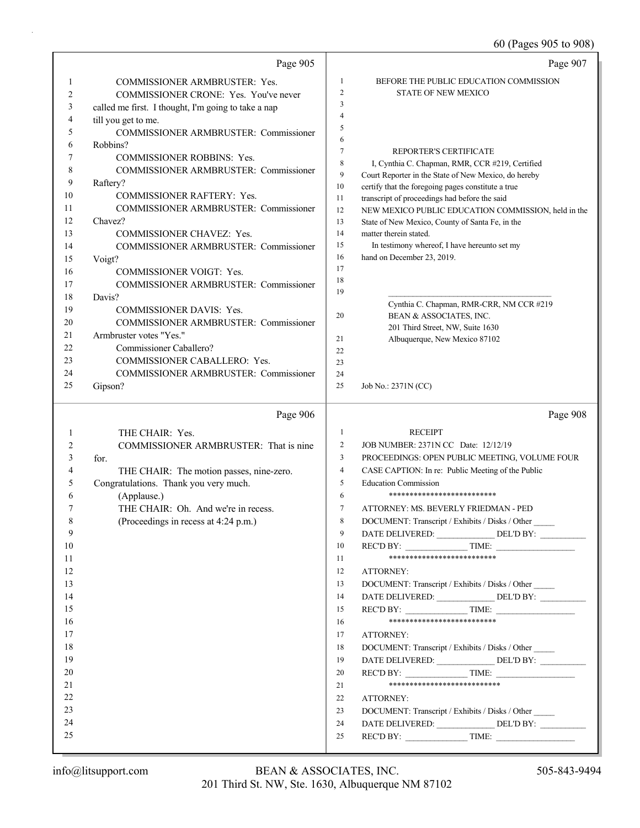60 (Pages 905 to 908)

|    | Page 905                                            |                | Page 907                                                                                                |
|----|-----------------------------------------------------|----------------|---------------------------------------------------------------------------------------------------------|
| 1  | <b>COMMISSIONER ARMBRUSTER: Yes.</b>                | 1              | BEFORE THE PUBLIC EDUCATION COMMISSION                                                                  |
| 2  | COMMISSIONER CRONE: Yes. You've never               | $\overline{2}$ | <b>STATE OF NEW MEXICO</b>                                                                              |
| 3  | called me first. I thought, I'm going to take a nap | 3              |                                                                                                         |
| 4  | till you get to me.                                 | 4              |                                                                                                         |
| 5  | COMMISSIONER ARMBRUSTER: Commissioner               | 5              |                                                                                                         |
| 6  | Robbins?                                            | 6              |                                                                                                         |
| 7  | <b>COMMISSIONER ROBBINS: Yes.</b>                   | 7<br>8         | REPORTER'S CERTIFICATE                                                                                  |
| 8  | COMMISSIONER ARMBRUSTER: Commissioner               | 9              | I, Cynthia C. Chapman, RMR, CCR #219, Certified<br>Court Reporter in the State of New Mexico, do hereby |
| 9  | Raftery?                                            | $10\,$         | certify that the foregoing pages constitute a true                                                      |
| 10 | COMMISSIONER RAFTERY: Yes.                          | 11             | transcript of proceedings had before the said                                                           |
| 11 | COMMISSIONER ARMBRUSTER: Commissioner               | 12             | NEW MEXICO PUBLIC EDUCATION COMMISSION, held in the                                                     |
| 12 | Chavez?                                             | 13             | State of New Mexico, County of Santa Fe, in the                                                         |
| 13 | COMMISSIONER CHAVEZ: Yes.                           | 14             | matter therein stated.                                                                                  |
| 14 | COMMISSIONER ARMBRUSTER: Commissioner               | 15             | In testimony whereof, I have hereunto set my                                                            |
| 15 | Voigt?                                              | 16             | hand on December 23, 2019.                                                                              |
| 16 | <b>COMMISSIONER VOIGT: Yes.</b>                     | 17             |                                                                                                         |
| 17 | COMMISSIONER ARMBRUSTER: Commissioner               | 18             |                                                                                                         |
| 18 | Davis?                                              | 19             |                                                                                                         |
| 19 | <b>COMMISSIONER DAVIS: Yes.</b>                     | 20             | Cynthia C. Chapman, RMR-CRR, NM CCR #219<br>BEAN & ASSOCIATES, INC.                                     |
| 20 | <b>COMMISSIONER ARMBRUSTER: Commissioner</b>        |                | 201 Third Street, NW, Suite 1630                                                                        |
| 21 | Armbruster votes "Yes."                             | 21             | Albuquerque, New Mexico 87102                                                                           |
| 22 | Commissioner Caballero?                             | 22             |                                                                                                         |
| 23 | COMMISSIONER CABALLERO: Yes.                        | 23             |                                                                                                         |
| 24 | <b>COMMISSIONER ARMBRUSTER: Commissioner</b>        | 24             |                                                                                                         |
| 25 | Gipson?                                             | 25             | Job No.: 2371N (CC)                                                                                     |
|    | Page 906                                            |                | Page 908                                                                                                |
| 1  | THE CHAIR: Yes.                                     | $\mathbf{1}$   | <b>RECEIPT</b>                                                                                          |
| 2  | COMMISSIONER ARMBRUSTER: That is nine               | $\overline{c}$ | JOB NUMBER: 2371N CC Date: 12/12/19                                                                     |
| 3  | for.                                                | 3              | PROCEEDINGS: OPEN PUBLIC MEETING, VOLUME FOUR                                                           |
| 4  | THE CHAIR: The motion passes, nine-zero.            | 4              | CASE CAPTION: In re: Public Meeting of the Public                                                       |
| 5  | Congratulations. Thank you very much.               | 5              | <b>Education Commission</b>                                                                             |
| 6  | (Applause.)                                         | 6              | **************************                                                                              |
| 7  | THE CHAIR: Oh. And we're in recess.                 | $\tau$         | ATTORNEY: MS. BEVERLY FRIEDMAN - PED                                                                    |
|    | (Proceedings in recess at 4:24 p.m.)                | 8              | DOCUMENT: Transcript / Exhibits / Disks / Other                                                         |
| 9  |                                                     | 9              | DATE DELIVERED: _____________________DEL'D BY: __________________________________                       |
| 10 |                                                     | 10             | REC'D BY: TIME:                                                                                         |
| 11 |                                                     | 11             | **************************                                                                              |
| 12 |                                                     |                |                                                                                                         |
| 13 |                                                     | 12             | ATTORNEY:                                                                                               |
|    |                                                     | 13             | DOCUMENT: Transcript / Exhibits / Disks / Other                                                         |
| 14 |                                                     | 14             |                                                                                                         |
| 15 |                                                     | 15             | $RECD BY:$ TIME:                                                                                        |
| 16 |                                                     | 16             | **************************                                                                              |
| 17 |                                                     | 17             | ATTORNEY:                                                                                               |
| 18 |                                                     | 18             | DOCUMENT: Transcript / Exhibits / Disks / Other                                                         |
| 19 |                                                     | 19             |                                                                                                         |
| 20 |                                                     | 20             | $RECD BY:$ TIME:                                                                                        |
| 21 |                                                     | 21             | ***************************                                                                             |
| 22 |                                                     | 22             | ATTORNEY:                                                                                               |
| 23 |                                                     | 23             | DOCUMENT: Transcript / Exhibits / Disks / Other                                                         |
| 24 |                                                     | 24             | DATE DELIVERED: ________________ DEL'D BY: _________                                                    |
| 25 |                                                     | 25             | REC'D BY: $\qquad \qquad \qquad$ TIME:                                                                  |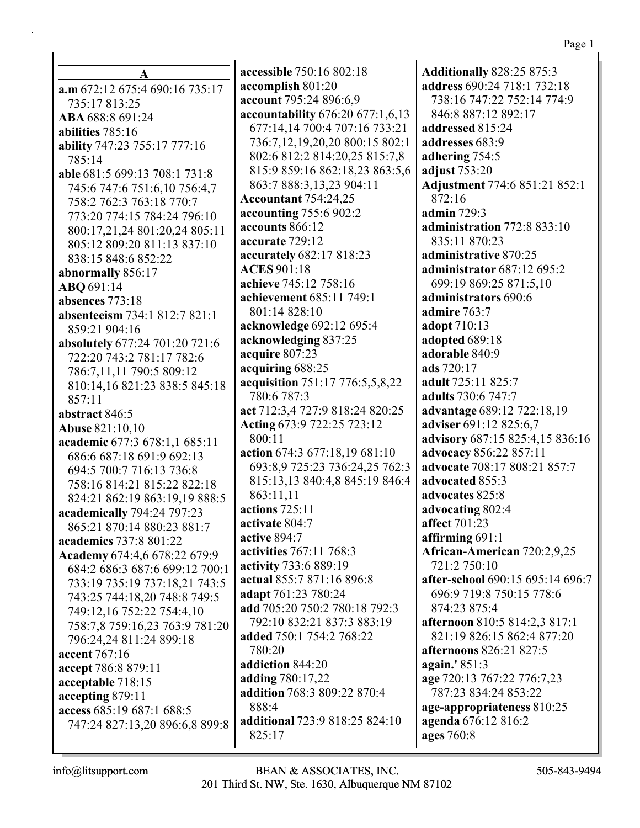**A a.m** 672:12 675:4 690:16 735:17 735:17 813:25 **ABA** 688:8 691:24 **abilities** 785:16 **ability** 747:23 755:17 777:16 785:14 **able** 681:5 699:13 708:1 731:8 745:6 747:6 751:6,10 756:4,7 758:2 762:3 763:18 770:7 773:20 774:15 784:24 796:10 800:17,21,24 801:20,24 805:11 805:12 809:20 811:13 837:10 838:15 848:6 852:22 **abnormally** 856:17 **ABQ** 691:14 **absences** 773:18 **absenteeism** 734:1 812:7 821:1 859:21 904:16 **absolutely** 677:24 701:20 721:6 722:20 743:2 781:17 782:6 786:7,11,11 790:5 809:12 810:14,16 821:23 838:5 845:18  $857:11$ **abstract** 846:5 **Abuse** 821:10,10 **academic** 677:3 678:1,1 685:11 686:6 687:18 691:9 692:13 694:5 700:7 716:13 736:8 758:16 814:21 815:22 822:18 824:21 862:19 863:19,19 888:5 **academically** 794:24 797:23 865:21 870:14 880:23 881:7 **academics** 737:8 801:22 **Academy** 674:4,6 678:22 679:9 684:2 686:3 687:6 699:12 700:1 733:19 735:19 737:18,21 743:5 743:25 744:18,20 748:8 749:5 749:12,16 752:22 754:4,10 758:7,8 759:16,23 763:9 781:20 796:24,24 811:24 899:18 **accent** 767:16 **accept** 786:8 879:11 **acceptable** 718:15 **accepting** 879:11 **access** 685:19 687:1 688:5 747:24 827:13,20 896:6,8 899:8

**accessible** 750:16 802:18 **accomplish** 801:20 **account** 795:24 896:6,9 **accountability** 676:20 677:1,6,13 677:14,14 700:4 707:16 733:21 736:7,12,19,20,20 800:15 802:1 802:6 812:2 814:20,25 815:7,8 815:9 859:16 862:18,23 863:5,6 863:7 888:3,13,23 904:11 **Accountant** 754:24,25 **accounting** 755:6 902:2 **accounts** 866:12 **accurate** 729:12 **accurately** 682:17 818:23 **ACES** 901:18 **achieve** 745:12 758:16 **achievement** 685:11 749:1 801:14 828:10 **acknowledge** 692:12 695:4 **acknowledging** 837:25 **acquire** 807:23 **acquiring** 688:25 **acquisition** 751:17 776:5,5,8,22 780:6 787:3 **act** 712:3,4 727:9 818:24 820:25 **Acting** 673:9 722:25 723:12 800:11 **action** 674:3 677:18,19 681:10 693:8,9 725:23 736:24,25 762:3 815:13,13 840:4,8 845:19 846:4 863:11,11 **actions** 725:11 **activate** 804:7 **active** 894:7 **activities** 767:11 768:3 **activity** 733:6 889:19 **actual** 855:7 871:16 896:8 **adapt** 761:23 780:24 **add** 705:20 750:2 780:18 792:3 792:10 832:21 837:3 883:19 **added** 750:1 754:2 768:22 780:20 **addiction** 844:20 **adding** 780:17,22 **addition** 768:3 809:22 870:4 888:4 **additional** 723:9 818:25 824:10 825:17

**Additionally** 828:25 875:3 **address** 690:24 718:1 732:18 738:16 747:22 752:14 774:9 846:8 887:12 892:17 **addressed** 815:24 **addresses** 683:9 **adhering** 754:5 **adjust** 753:20 **Adjustment** 774:6 851:21 852:1 872:16 **admin** 729:3 **administration** 772:8 833:10 835:11 870:23 **administrative** 870:25 **administrator** 687:12 695:2 699:19 869:25 871:5,10 **administrators** 690:6 **admire** 763:7 **adopt** 710:13 **adopted** 689:18 **adorable** 840:9 **ads** 720:17 **adult** 725:11 825:7 **adults** 730:6 747:7 **advantage** 689:12 722:18,19 **adviser** 691:12 825:6,7 **advisory** 687:15 825:4,15 836:16 **advocacy** 856:22 857:11 **advocate** 708:17 808:21 857:7 **advocated** 855:3 **advocates** 825:8 **advocating** 802:4 **affect** 701:23 **affirming** 691:1 **African-American** 720:2,9,25 721:2 750:10 **after-school** 690:15 695:14 696:7 696:9 719:8 750:15 778:6 874:23 875:4 **afternoon** 810:5 814:2,3 817:1 821:19 826:15 862:4 877:20 **afternoons** 826:21 827:5 **again.'** 851:3 **age** 720:13 767:22 776:7,23 787:23 834:24 853:22 **age-appropriateness** 810:25 **agenda** 676:12 816:2 **ages** 760:8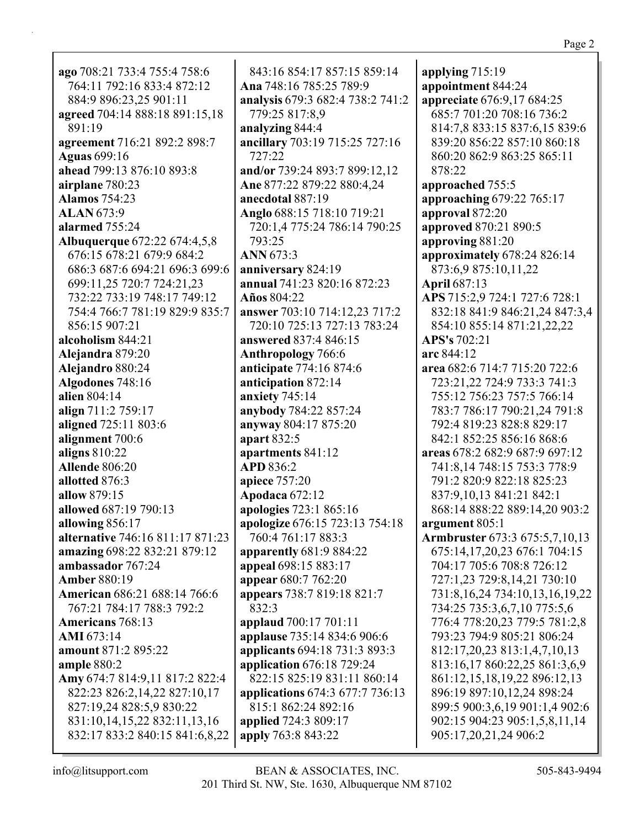**ago** 708:21 733:4 755:4 758:6 764:11 792:16 833:4 872:12 884:9 896:23,25 901:11 **agreed** 704:14 888:18 891:15,18 891:19 **agreement** 716:21 892:2 898:7 **Aguas** 699:16 **ahead** 799:13 876:10 893:8 **airplane** 780:23 **Alamos** 754:23 **ALAN** 673:9 **alarmed** 755:24 **Albuquerque** 672:22 674:4,5,8 676:15 678:21 679:9 684:2 686:3 687:6 694:21 696:3 699:6 699:11,25 720:7 724:21,23 732:22 733:19 748:17 749:12 754:4 766:7 781:19 829:9 835:7 856:15 907:21 **alcoholism** 844:21 **Alejandra** 879:20 **Alejandro** 880:24 **Algodones** 748:16 **alien** 804:14 **align** 711:2 759:17 **aligned** 725:11 803:6 **alignment** 700:6 **aligns** 810:22 **Allende** 806:20 **allotted** 876:3 **allow** 879:15 **allowed** 687:19 790:13 **allowing** 856:17 **alternative** 746:16 811:17 871:23 **amazing** 698:22 832:21 879:12 **ambassador** 767:24 **Amber** 880:19 **American** 686:21 688:14 766:6 767:21 784:17 788:3 792:2 **Americans** 768:13 **AMI** 673:14 **amount** 871:2 895:22 **ample** 880:2 **Amy** 674:7 814:9,11 817:2 822:4 822:23 826:2,14,22 827:10,17 827:19,24 828:5,9 830:22 831:10,14,15,22 832:11,13,16 832:17 833:2 840:15 841:6,8,22

843:16 854:17 857:15 859:14 **Ana** 748:16 785:25 789:9 **analysis** 679:3 682:4 738:2 741:2 779:25 817:8,9 **analyzing** 844:4 **ancillary** 703:19 715:25 727:16 727:22 **and/or** 739:24 893:7 899:12,12 **Ane** 877:22 879:22 880:4,24 **anecdotal** 887:19 **Anglo** 688:15 718:10 719:21 720:1,4 775:24 786:14 790:25 793:25 **ANN** 673:3 **anniversary** 824:19 **annual** 741:23 820:16 872:23 **Años** 804:22 **answer** 703:10 714:12,23 717:2 720:10 725:13 727:13 783:24 **answered** 837:4 846:15 **Anthropology** 766:6 **anticipate** 774:16 874:6 **anticipation** 872:14 **anxiety** 745:14 **anybody** 784:22 857:24 **anyway** 804:17 875:20 **apart** 832:5 **apartments** 841:12 **APD** 836:2 **apiece** 757:20 **Apodaca** 672:12 **apologies** 723:1 865:16 **apologize** 676:15 723:13 754:18 760:4 761:17 883:3 **apparently** 681:9 884:22 **appeal** 698:15 883:17 **appear** 680:7 762:20 **appears** 738:7 819:18 821:7 832:3 **applaud** 700:17 701:11 **applause** 735:14 834:6 906:6 **applicants** 694:18 731:3 893:3 **application** 676:18 729:24 822:15 825:19 831:11 860:14 **applications** 674:3 677:7 736:13 815:1 862:24 892:16 **applied** 724:3 809:17 **apply** 763:8 843:22

**applying** 715:19 **appointment** 844:24 **appreciate** 676:9,17 684:25 685:7 701:20 708:16 736:2 814:7,8 833:15 837:6,15 839:6 839:20 856:22 857:10 860:18 860:20 862:9 863:25 865:11 878:22 **approached** 755:5 **approaching** 679:22 765:17 **approval** 872:20 **approved** 870:21 890:5 **approving** 881:20 **approximately** 678:24 826:14 873:6,9 875:10,11,22 **April** 687:13 **APS** 715:2,9 724:1 727:6 728:1 832:18 841:9 846:21,24 847:3,4 854:10 855:14 871:21,22,22 **APS's** 702:21 **arc** 844:12 **area** 682:6 714:7 715:20 722:6 723:21,22 724:9 733:3 741:3 755:12 756:23 757:5 766:14 783:7 786:17 790:21,24 791:8 792:4 819:23 828:8 829:17 842:1 852:25 856:16 868:6 **areas** 678:2 682:9 687:9 697:12 741:8,14 748:15 753:3 778:9 791:2 820:9 822:18 825:23 837:9,10,13 841:21 842:1 868:14 888:22 889:14,20 903:2 **argument** 805:1 **Armbruster** 673:3 675:5,7,10,13 675:14,17,20,23 676:1 704:15 704:17 705:6 708:8 726:12 727:1,23 729:8,14,21 730:10 731:8,16,24 734:10,13,16,19,22 734:25 735:3,6,7,10 775:5,6 776:4 778:20,23 779:5 781:2,8 793:23 794:9 805:21 806:24 812:17,20,23 813:1,4,7,10,13 813:16,17 860:22,25 861:3,6,9 861:12,15,18,19,22 896:12,13 896:19 897:10,12,24 898:24 899:5 900:3,6,19 901:1,4 902:6 902:15 904:23 905:1,5,8,11,14 905:17,20,21,24 906:2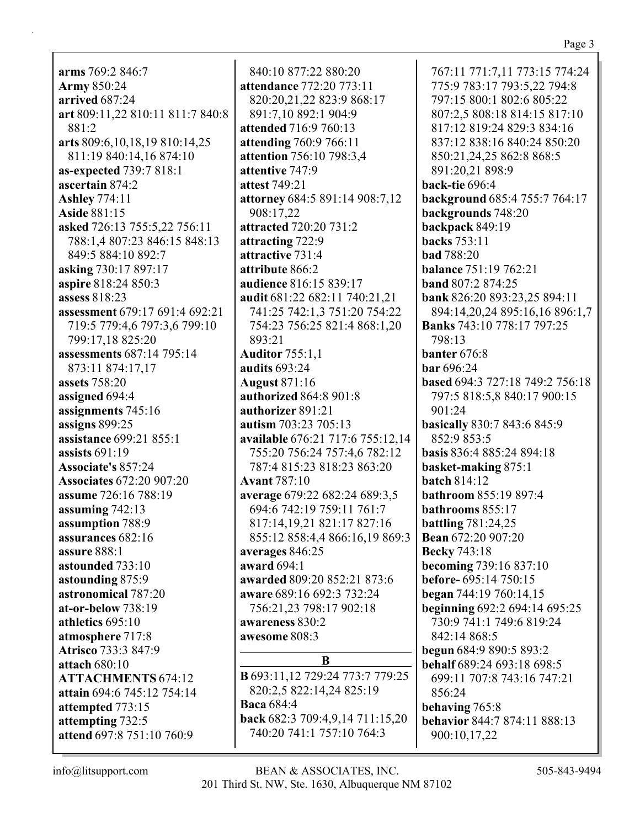### Page 3

**arms** 769:2 846:7 **Army** 850:24 **arrived** 687:24 **art** 809:11,22 810:11 811:7 840:8 881:2 **arts** 809:6,10,18,19 810:14,25 811:19 840:14,16 874:10 **as-expected** 739:7 818:1 **ascertain** 874:2 **Ashley** 774:11 **Aside** 881:15 **asked** 726:13 755:5,22 756:11 788:1,4 807:23 846:15 848:13 849:5 884:10 892:7 **asking** 730:17 897:17 **aspire** 818:24 850:3 **assess** 818:23 **assessment** 679:17 691:4 692:21 719:5 779:4,6 797:3,6 799:10 799:17,18 825:20 **assessments** 687:14 795:14 873:11 874:17,17 **assets** 758:20 **assigned** 694:4 **assignments** 745:16 **assigns** 899:25 **assistance** 699:21 855:1 **assists** 691:19 **Associate's** 857:24 **Associates** 672:20 907:20 **assume** 726:16 788:19 **assuming** 742:13 **assumption** 788:9 **assurances** 682:16 **assure** 888:1 **astounded** 733:10 **astounding** 875:9 **astronomical** 787:20 **at-or-below** 738:19 **athletics** 695:10 **atmosphere** 717:8 **Atrisco** 733:3 847:9 **attach** 680:10 **ATTACHMENTS** 674:12 **attain** 694:6 745:12 754:14 **attempted** 773:15 **attempting** 732:5 **attend** 697:8 751:10 760:9

840:10 877:22 880:20 **attendance** 772:20 773:11 820:20,21,22 823:9 868:17 891:7,10 892:1 904:9 **attended** 716:9 760:13 **attending** 760:9 766:11 **attention** 756:10 798:3,4 **attentive** 747:9 **attest** 749:21 **attorney** 684:5 891:14 908:7,12 908:17,22 **attracted** 720:20 731:2 **attracting** 722:9 **attractive** 731:4 **attribute** 866:2 **audience** 816:15 839:17 **audit** 681:22 682:11 740:21,21 741:25 742:1,3 751:20 754:22 754:23 756:25 821:4 868:1,20 893:21 **Auditor** 755:1,1 **audits** 693:24 **August** 871:16 **authorized** 864:8 901:8 **authorizer** 891:21 **autism** 703:23 705:13 **available** 676:21 717:6 755:12,14 755:20 756:24 757:4,6 782:12 787:4 815:23 818:23 863:20 **Avant** 787:10 **average** 679:22 682:24 689:3,5 694:6 742:19 759:11 761:7 817:14,19,21 821:17 827:16 855:12 858:4,4 866:16,19 869:3 **averages** 846:25 **award** 694:1 **awarded** 809:20 852:21 873:6 **aware** 689:16 692:3 732:24 756:21,23 798:17 902:18 **awareness** 830:2 **awesome** 808:3 **B B** 693:11,12 729:24 773:7 779:25 820:2,5 822:14,24 825:19 **Baca** 684:4

767:11 771:7,11 773:15 774:24 775:9 783:17 793:5,22 794:8 797:15 800:1 802:6 805:22 807:2,5 808:18 814:15 817:10 817:12 819:24 829:3 834:16 837:12 838:16 840:24 850:20 850:21,24,25 862:8 868:5 891:20,21 898:9 **back-tie** 696:4 **background** 685:4 755:7 764:17 **backgrounds** 748:20 **backpack** 849:19 **backs** 753:11 **bad** 788:20 **balance** 751:19 762:21 **band** 807:2 874:25 **bank** 826:20 893:23,25 894:11 894:14,20,24 895:16,16 896:1,7 **Banks** 743:10 778:17 797:25 798:13 **banter** 676:8 **bar** 696:24 **based** 694:3 727:18 749:2 756:18 797:5 818:5,8 840:17 900:15 901:24 **basically** 830:7 843:6 845:9 852:9 853:5 **basis** 836:4 885:24 894:18 **basket-making** 875:1 **batch** 814:12 **bathroom** 855:19 897:4 **bathrooms** 855:17 **battling** 781:24,25 **Bean** 672:20 907:20 **Becky** 743:18 **becoming** 739:16 837:10 **before-** 695:14 750:15 **began** 744:19 760:14,15 **beginning** 692:2 694:14 695:25 730:9 741:1 749:6 819:24 842:14 868:5 **begun** 684:9 890:5 893:2 **behalf** 689:24 693:18 698:5 699:11 707:8 743:16 747:21 856:24 **behaving** 765:8 **behavior** 844:7 874:11 888:13 900:10,17,22

**back** 682:3 709:4,9,14 711:15,20 740:20 741:1 757:10 764:3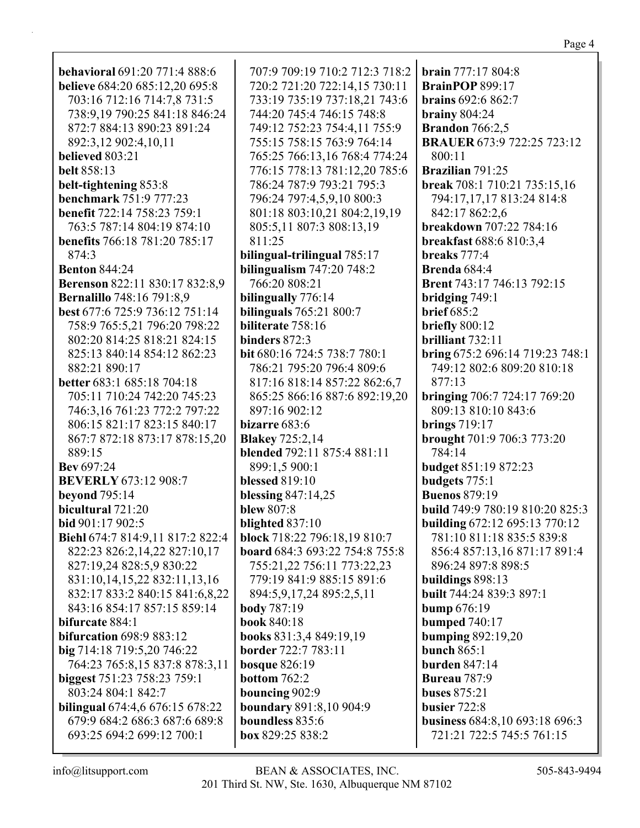720:2 721:20 722:14,15 730:11 733:19 735:19 737:18,21 743:6 744:20 745:4 746:15 748:8 749:12 752:23 754:4,11 755:9 755:15 758:15 763:9 764:14 765:25 766:13,16 768:4 774:24 776:15 778:13 781:12,20 785:6 786:24 787:9 793:21 795:3 796:24 797:4,5,9,10 800:3 801:18 803:10,21 804:2,19,19 805:5,11 807:3 808:13,19 **bilingual-trilingual** 785:17 **bilingualism** 747:20 748:2 **bilinguals** 765:21 800:7 **bit** 680:16 724:5 738:7 780:1 786:21 795:20 796:4 809:6 817:16 818:14 857:22 862:6,7 865:25 866:16 887:6 892:19,20 **blended** 792:11 875:4 881:11 **block** 718:22 796:18,19 810:7 **board** 684:3 693:22 754:8 755:8 755:21,22 756:11 773:22,23 779:19 841:9 885:15 891:6 894:5,9,17,24 895:2,5,11 **books** 831:3,4 849:19,19 **boundary** 891:8,10 904:9 **BrainPOP** 899:17 **brains** 692:6 862:7 **brainy** 804:24 **Brandon** 766:2,5 **BRAUER** 673:9 722:25 723:12 800:11 **Brazilian** 791:25 **break** 708:1 710:21 735:15,16 794:17,17,17 813:24 814:8 842:17 862:2,6 **breakdown** 707:22 784:16 **breakfast** 688:6 810:3,4 **breaks** 777:4 **Brenda** 684:4 **Brent** 743:17 746:13 792:15 **bridging** 749:1 **brief** 685:2 **briefly** 800:12 **brilliant** 732:11 **bring** 675:2 696:14 719:23 748:1 749:12 802:6 809:20 810:18 877:13 **bringing** 706:7 724:17 769:20 809:13 810:10 843:6 **brings** 719:17 **brought** 701:9 706:3 773:20 784:14 **budget** 851:19 872:23 **budgets** 775:1 **Buenos** 879:19 **build** 749:9 780:19 810:20 825:3 **building** 672:12 695:13 770:12 781:10 811:18 835:5 839:8 856:4 857:13,16 871:17 891:4 896:24 897:8 898:5 **buildings** 898:13 **built** 744:24 839:3 897:1 **bump** 676:19 **bumped** 740:17 **bumping** 892:19,20 **bunch** 865:1 **burden** 847:14 **Bureau** 787:9 **buses** 875:21 **busier** 722:8 **business** 684:8,10 693:18 696:3 721:21 722:5 745:5 761:15

**brain** 777:17 804:8

**behavioral** 691:20 771:4 888:6 **believe** 684:20 685:12,20 695:8 703:16 712:16 714:7,8 731:5 738:9,19 790:25 841:18 846:24 872:7 884:13 890:23 891:24 892:3,12 902:4,10,11 **believed** 803:21 **belt** 858:13 **belt-tightening** 853:8 **benchmark** 751:9 777:23 **benefit** 722:14 758:23 759:1 763:5 787:14 804:19 874:10 **benefits** 766:18 781:20 785:17 874:3 **Benton** 844:24 **Berenson** 822:11 830:17 832:8,9 **Bernalillo** 748:16 791:8,9 **best** 677:6 725:9 736:12 751:14 758:9 765:5,21 796:20 798:22 802:20 814:25 818:21 824:15 825:13 840:14 854:12 862:23 882:21 890:17 **better** 683:1 685:18 704:18 705:11 710:24 742:20 745:23 746:3,16 761:23 772:2 797:22 806:15 821:17 823:15 840:17 867:7 872:18 873:17 878:15,20 889:15 **Bev** 697:24 **BEVERLY** 673:12 908:7 **beyond** 795:14 **bicultural** 721:20 **bid** 901:17 902:5 **Biehl** 674:7 814:9,11 817:2 822:4 822:23 826:2,14,22 827:10,17 827:19,24 828:5,9 830:22 831:10,14,15,22 832:11,13,16 832:17 833:2 840:15 841:6,8,22 843:16 854:17 857:15 859:14 **bifurcate** 884:1 **bifurcation** 698:9 883:12 **big** 714:18 719:5,20 746:22 764:23 765:8,15 837:8 878:3,11 **biggest** 751:23 758:23 759:1 803:24 804:1 842:7 **bilingual** 674:4,6 676:15 678:22 679:9 684:2 686:3 687:6 689:8 693:25 694:2 699:12 700:1

707:9 709:19 710:2 712:3 718:2

811:25

766:20 808:21 **bilingually** 776:14

**biliterate** 758:16 **binders** 872:3

897:16 902:12 **bizarre** 683:6 **Blakey** 725:2,14

899:1,5 900:1 **blessed** 819:10 **blessing** 847:14,25

**blew** 807:8 **blighted** 837:10

**body** 787:19 **book** 840:18

**border** 722:7 783:11 **bosque** 826:19 **bottom** 762:2 **bouncing** 902:9

**boundless** 835:6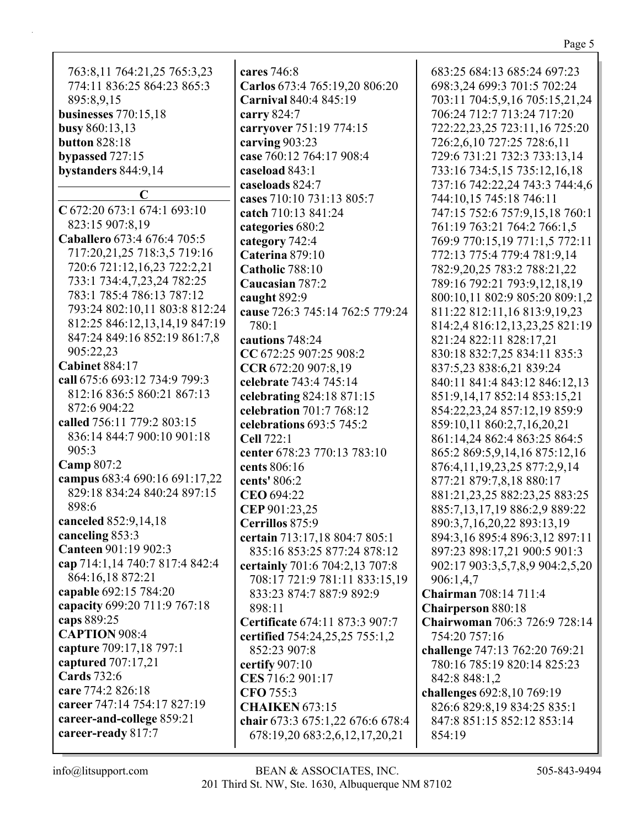| 763:8,11 764:21,25 765:3,23<br>774:11 836:25 864:23 865:3<br>895:8,9,15<br>businesses 770:15,18<br>busy 860:13,13<br><b>button 828:18</b><br>bypassed 727:15<br>bystanders 844:9,14 | cares 746:8<br>Carlos 673:4 765:19,20 806:20<br>Carnival 840:4 845:19<br>carry 824:7<br>carryover 751:19 774:15<br>carving 903:23<br>case 760:12 764:17 908:4<br>caseload 843:1<br>caseloads 824:7 | 683:25 684:13 685:24 697:23<br>698:3,24 699:3 701:5 702:24<br>703:11 704:5,9,16 705:15,21,24<br>706:24 712:7 713:24 717:20<br>722:22,23,25 723:11,16 725:20<br>726:2,6,10 727:25 728:6,11<br>729:6 731:21 732:3 733:13,14<br>733:16 734:5,15 735:12,16,18<br>737:16 742:22,24 743:3 744:4,6 |
|-------------------------------------------------------------------------------------------------------------------------------------------------------------------------------------|----------------------------------------------------------------------------------------------------------------------------------------------------------------------------------------------------|---------------------------------------------------------------------------------------------------------------------------------------------------------------------------------------------------------------------------------------------------------------------------------------------|
| $\mathbf C$                                                                                                                                                                         | cases 710:10 731:13 805:7                                                                                                                                                                          | 744:10,15 745:18 746:11                                                                                                                                                                                                                                                                     |
| C 672:20 673:1 674:1 693:10                                                                                                                                                         | catch 710:13 841:24                                                                                                                                                                                | 747:15 752:6 757:9,15,18 760:1                                                                                                                                                                                                                                                              |
| 823:15 907:8,19                                                                                                                                                                     | categories 680:2                                                                                                                                                                                   | 761:19 763:21 764:2 766:1,5                                                                                                                                                                                                                                                                 |
| Caballero 673:4 676:4 705:5                                                                                                                                                         | category 742:4                                                                                                                                                                                     | 769:9 770:15,19 771:1,5 772:11                                                                                                                                                                                                                                                              |
| 717:20,21,25 718:3,5 719:16                                                                                                                                                         | Caterina 879:10                                                                                                                                                                                    | 772:13 775:4 779:4 781:9,14                                                                                                                                                                                                                                                                 |
| 720:6 721:12,16,23 722:2,21<br>733:1 734:4,7,23,24 782:25                                                                                                                           | Catholic 788:10                                                                                                                                                                                    | 782:9, 20, 25 783: 2788: 21, 22                                                                                                                                                                                                                                                             |
| 783:1 785:4 786:13 787:12                                                                                                                                                           | Caucasian 787:2                                                                                                                                                                                    | 789:16 792:21 793:9,12,18,19                                                                                                                                                                                                                                                                |
| 793:24 802:10,11 803:8 812:24                                                                                                                                                       | caught 892:9                                                                                                                                                                                       | 800:10,11 802:9 805:20 809:1,2                                                                                                                                                                                                                                                              |
| 812:25 846:12,13,14,19 847:19                                                                                                                                                       | cause 726:3 745:14 762:5 779:24<br>780:1                                                                                                                                                           | 811:22 812:11,16 813:9,19,23<br>814:2,4 816:12,13,23,25 821:19                                                                                                                                                                                                                              |
| 847:24 849:16 852:19 861:7,8                                                                                                                                                        | cautions 748:24                                                                                                                                                                                    | 821:24 822:11 828:17,21                                                                                                                                                                                                                                                                     |
| 905:22,23                                                                                                                                                                           | CC 672:25 907:25 908:2                                                                                                                                                                             | 830:18 832:7,25 834:11 835:3                                                                                                                                                                                                                                                                |
| <b>Cabinet 884:17</b>                                                                                                                                                               | CCR 672:20 907:8,19                                                                                                                                                                                | 837:5,23 838:6,21 839:24                                                                                                                                                                                                                                                                    |
| call 675:6 693:12 734:9 799:3                                                                                                                                                       | celebrate 743:4 745:14                                                                                                                                                                             | 840:11 841:4 843:12 846:12,13                                                                                                                                                                                                                                                               |
| 812:16 836:5 860:21 867:13                                                                                                                                                          | celebrating 824:18 871:15                                                                                                                                                                          | 851:9,14,17 852:14 853:15,21                                                                                                                                                                                                                                                                |
| 872:6 904:22                                                                                                                                                                        | celebration 701:7 768:12                                                                                                                                                                           | 854:22,23,24 857:12,19 859:9                                                                                                                                                                                                                                                                |
| called 756:11 779:2 803:15                                                                                                                                                          | celebrations 693:5 745:2                                                                                                                                                                           | 859:10,11 860:2,7,16,20,21                                                                                                                                                                                                                                                                  |
| 836:14 844:7 900:10 901:18                                                                                                                                                          | <b>Cell 722:1</b>                                                                                                                                                                                  | 861:14,24 862:4 863:25 864:5                                                                                                                                                                                                                                                                |
| 905:3                                                                                                                                                                               | center 678:23 770:13 783:10                                                                                                                                                                        | 865:2 869:5, 9, 14, 16 875: 12, 16                                                                                                                                                                                                                                                          |
| Camp 807:2                                                                                                                                                                          | cents 806:16                                                                                                                                                                                       | 876:4,11,19,23,25 877:2,9,14                                                                                                                                                                                                                                                                |
| campus 683:4 690:16 691:17,22                                                                                                                                                       | cents' 806:2                                                                                                                                                                                       | 877:21 879:7,8,18 880:17                                                                                                                                                                                                                                                                    |
| 829:18 834:24 840:24 897:15                                                                                                                                                         | CEO 694:22                                                                                                                                                                                         | 881:21, 23, 25 882: 23, 25 883: 25                                                                                                                                                                                                                                                          |
| 898:6                                                                                                                                                                               | CEP 901:23,25                                                                                                                                                                                      | 885:7,13,17,19 886:2,9 889:22                                                                                                                                                                                                                                                               |
| canceled 852:9,14,18                                                                                                                                                                | Cerrillos 875:9                                                                                                                                                                                    | 890:3,7,16,20,22 893:13,19                                                                                                                                                                                                                                                                  |
| canceling 853:3                                                                                                                                                                     | certain 713:17,18 804:7 805:1                                                                                                                                                                      | 894:3,16 895:4 896:3,12 897:11                                                                                                                                                                                                                                                              |
| Canteen 901:19 902:3                                                                                                                                                                | 835:16 853:25 877:24 878:12                                                                                                                                                                        | 897:23 898:17,21 900:5 901:3                                                                                                                                                                                                                                                                |
| cap 714:1,14 740:7 817:4 842:4                                                                                                                                                      | certainly 701:6 704:2,13 707:8                                                                                                                                                                     | 902:17 903:3,5,7,8,9 904:2,5,20                                                                                                                                                                                                                                                             |
| 864:16,18 872:21                                                                                                                                                                    | 708:17 721:9 781:11 833:15,19                                                                                                                                                                      | 906:1,4,7                                                                                                                                                                                                                                                                                   |
| capable 692:15 784:20                                                                                                                                                               | 833:23 874:7 887:9 892:9                                                                                                                                                                           | Chairman 708:14 711:4                                                                                                                                                                                                                                                                       |
| capacity 699:20 711:9 767:18                                                                                                                                                        | 898:11                                                                                                                                                                                             | <b>Chairperson 880:18</b>                                                                                                                                                                                                                                                                   |
| caps 889:25<br><b>CAPTION 908:4</b>                                                                                                                                                 | Certificate 674:11 873:3 907:7                                                                                                                                                                     | Chairwoman 706:3 726:9 728:14                                                                                                                                                                                                                                                               |
| capture 709:17,18 797:1                                                                                                                                                             | certified 754:24,25,25 755:1,2                                                                                                                                                                     | 754:20 757:16                                                                                                                                                                                                                                                                               |
| captured 707:17,21                                                                                                                                                                  | 852:23 907:8                                                                                                                                                                                       | challenge 747:13 762:20 769:21                                                                                                                                                                                                                                                              |
| <b>Cards</b> 732:6                                                                                                                                                                  | certify $907:10$                                                                                                                                                                                   | 780:16 785:19 820:14 825:23                                                                                                                                                                                                                                                                 |
| care 774:2 826:18                                                                                                                                                                   | CES 716:2 901:17<br>CFO 755:3                                                                                                                                                                      | 842:8 848:1,2                                                                                                                                                                                                                                                                               |
| career 747:14 754:17 827:19                                                                                                                                                         | <b>CHAIKEN 673:15</b>                                                                                                                                                                              | challenges 692:8,10 769:19<br>826:6 829:8,19 834:25 835:1                                                                                                                                                                                                                                   |
| career-and-college 859:21                                                                                                                                                           | chair 673:3 675:1,22 676:6 678:4                                                                                                                                                                   | 847:8 851:15 852:12 853:14                                                                                                                                                                                                                                                                  |
| career-ready 817:7                                                                                                                                                                  | 678:19,20 683:2,6,12,17,20,21                                                                                                                                                                      | 854:19                                                                                                                                                                                                                                                                                      |
|                                                                                                                                                                                     |                                                                                                                                                                                                    |                                                                                                                                                                                                                                                                                             |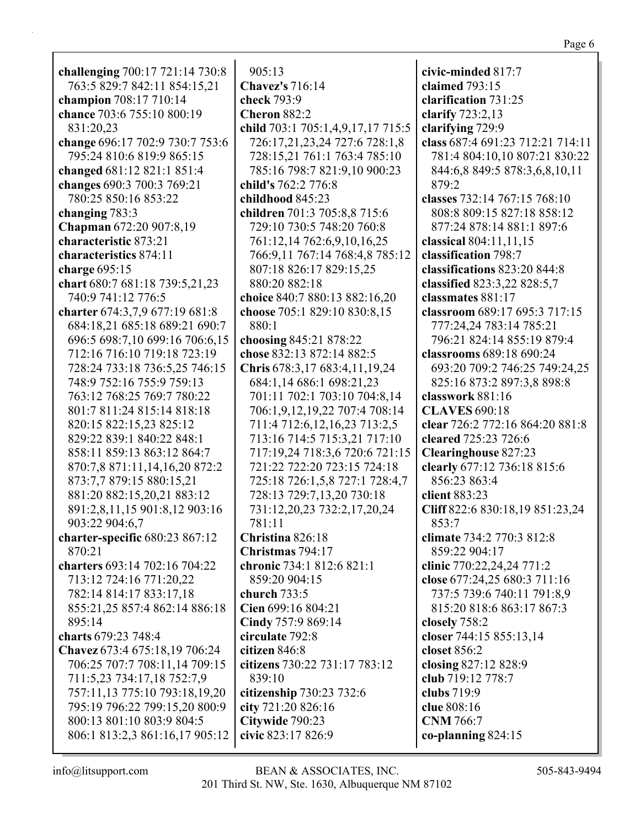| challenging 700:17 721:14 730:8 | 905:13                                              | civic-minded 817:7               |
|---------------------------------|-----------------------------------------------------|----------------------------------|
| 763:5 829:7 842:11 854:15,21    | <b>Chavez's</b> 716:14                              | claimed 793:15                   |
| champion 708:17 710:14          | check 793:9                                         | clarification 731:25             |
| chance 703:6 755:10 800:19      | <b>Cheron 882:2</b>                                 | clarify 723:2,13                 |
| 831:20,23                       | child 703:1 705:1,4,9,17,17 715:5                   | clarifying 729:9                 |
| change 696:17 702:9 730:7 753:6 | 726:17,21,23,24 727:6 728:1,8                       | class 687:4 691:23 712:21 714:11 |
| 795:24 810:6 819:9 865:15       | 728:15,21 761:1 763:4 785:10                        | 781:4 804:10,10 807:21 830:22    |
| changed 681:12 821:1 851:4      | 785:16 798:7 821:9,10 900:23                        | 844:6,8 849:5 878:3,6,8,10,11    |
| changes 690:3 700:3 769:21      | child's 762:2 776:8                                 | 879:2                            |
| 780:25 850:16 853:22            | childhood 845:23                                    | classes 732:14 767:15 768:10     |
| changing 783:3                  | children 701:3 705:8,8 715:6                        | 808:8 809:15 827:18 858:12       |
| Chapman 672:20 907:8,19         | 729:10 730:5 748:20 760:8                           | 877:24 878:14 881:1 897:6        |
| characteristic 873:21           | 761:12,14 762:6,9,10,16,25                          | classical $804:11,11,15$         |
| characteristics 874:11          | 766:9,11 767:14 768:4,8 785:12                      | classification 798:7             |
| charge $695:15$                 | 807:18 826:17 829:15,25                             | classifications 823:20 844:8     |
| chart 680:7 681:18 739:5,21,23  | 880:20 882:18                                       | classified 823:3,22 828:5,7      |
| 740:9 741:12 776:5              | choice 840:7 880:13 882:16,20                       | classmates 881:17                |
| charter 674:3,7,9 677:19 681:8  | choose 705:1 829:10 830:8,15                        | classroom 689:17 695:3 717:15    |
| 684:18,21 685:18 689:21 690:7   | 880:1                                               | 777:24,24 783:14 785:21          |
| 696:5 698:7,10 699:16 706:6,15  |                                                     | 796:21 824:14 855:19 879:4       |
| 712:16 716:10 719:18 723:19     | choosing 845:21 878:22<br>chose 832:13 872:14 882:5 | classrooms 689:18 690:24         |
|                                 |                                                     |                                  |
| 728:24 733:18 736:5,25 746:15   | Chris 678:3,17 683:4,11,19,24                       | 693:20 709:2 746:25 749:24,25    |
| 748:9 752:16 755:9 759:13       | 684:1,14 686:1 698:21,23                            | 825:16 873:2 897:3,8 898:8       |
| 763:12 768:25 769:7 780:22      | 701:11 702:1 703:10 704:8,14                        | classwork 881:16                 |
| 801:7 811:24 815:14 818:18      | 706:1,9,12,19,22 707:4 708:14                       | <b>CLAVES 690:18</b>             |
| 820:15 822:15,23 825:12         | 711:4 712:6,12,16,23 713:2,5                        | clear 726:2 772:16 864:20 881:8  |
| 829:22 839:1 840:22 848:1       | 713:16 714:5 715:3,21 717:10                        | cleared 725:23 726:6             |
| 858:11 859:13 863:12 864:7      | 717:19,24 718:3,6 720:6 721:15                      | <b>Clearinghouse 827:23</b>      |
| 870:7,8 871:11,14,16,20 872:2   | 721:22 722:20 723:15 724:18                         | clearly 677:12 736:18 815:6      |
| 873:7,7 879:15 880:15,21        | 725:18 726:1,5,8 727:1 728:4,7                      | 856:23 863:4                     |
| 881:20 882:15,20,21 883:12      | 728:13 729:7,13,20 730:18                           | client 883:23                    |
| 891:2,8,11,15 901:8,12 903:16   | 731:12,20,23 732:2,17,20,24                         | Cliff 822:6 830:18,19 851:23,24  |
| 903:22 904:6,7                  | 781:11                                              | 853:7                            |
| charter-specific 680:23 867:12  | Christina 826:18                                    | climate 734:2 770:3 812:8        |
| 870:21                          | Christmas 794:17                                    | 859:22 904:17                    |
| charters 693:14 702:16 704:22   | chronic 734:1 812:6 821:1                           | clinic 770:22,24,24 771:2        |
| 713:12 724:16 771:20,22         | 859:20 904:15                                       | close 677:24,25 680:3 711:16     |
| 782:14 814:17 833:17,18         | church $733:5$                                      | 737:5 739:6 740:11 791:8,9       |
| 855:21,25 857:4 862:14 886:18   | Cien 699:16 804:21                                  | 815:20 818:6 863:17 867:3        |
| 895:14                          | Cindy 757:9 869:14                                  | closely 758:2                    |
| charts 679:23 748:4             | circulate 792:8                                     | closer 744:15 855:13,14          |
| Chavez 673:4 675:18,19 706:24   | citizen 846:8                                       | closet 856:2                     |
| 706:25 707:7 708:11,14 709:15   | citizens 730:22 731:17 783:12                       | closing 827:12 828:9             |
| 711:5,23 734:17,18 752:7,9      | 839:10                                              | club 719:12 778:7                |
| 757:11,13 775:10 793:18,19,20   | citizenship 730:23 732:6                            | clubs 719:9                      |
| 795:19 796:22 799:15,20 800:9   | city 721:20 826:16                                  | clue 808:16                      |
| 800:13 801:10 803:9 804:5       | Citywide 790:23                                     | <b>CNM</b> 766:7                 |
| 806:1 813:2,3 861:16,17 905:12  | civic 823:17 826:9                                  | co-planning $824:15$             |
|                                 |                                                     |                                  |

Page 6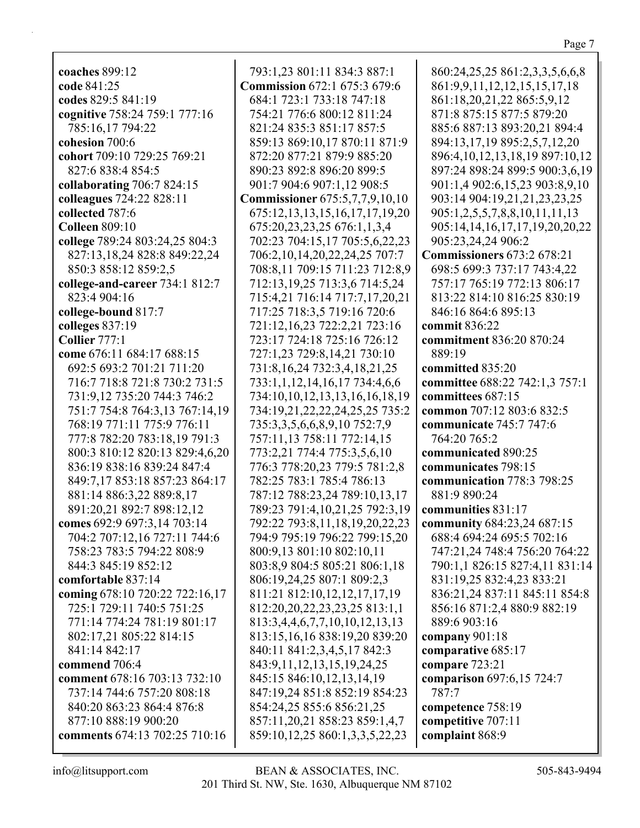Page 7

**coaches** 899:12 **code** 841:25 **codes** 829:5 841:19 **cognitive** 758:24 759:1 777:16 785:16,17 794:22 **cohesion** 700:6 **cohort** 709:10 729:25 769:21 827:6 838:4 854:5 **collaborating** 706:7 824:15 **colleagues** 724:22 828:11 **collected** 787:6 **Colleen** 809:10 **college** 789:24 803:24,25 804:3 827:13,18,24 828:8 849:22,24 850:3 858:12 859:2,5 **college-and-career** 734:1 812:7 823:4 904:16 **college-bound** 817:7 **colleges** 837:19 **Collier** 777:1 **come** 676:11 684:17 688:15 692:5 693:2 701:21 711:20 716:7 718:8 721:8 730:2 731:5 731:9,12 735:20 744:3 746:2 751:7 754:8 764:3,13 767:14,19 768:19 771:11 775:9 776:11 777:8 782:20 783:18,19 791:3 800:3 810:12 820:13 829:4,6,20 836:19 838:16 839:24 847:4 849:7,17 853:18 857:23 864:17 881:14 886:3,22 889:8,17 891:20,21 892:7 898:12,12 **comes** 692:9 697:3,14 703:14 704:2 707:12,16 727:11 744:6 758:23 783:5 794:22 808:9 844:3 845:19 852:12 **comfortable** 837:14 **coming** 678:10 720:22 722:16,17 725:1 729:11 740:5 751:25 771:14 774:24 781:19 801:17 802:17,21 805:22 814:15 841:14 842:17 **commend** 706:4 **comment** 678:16 703:13 732:10 737:14 744:6 757:20 808:18 840:20 863:23 864:4 876:8 877:10 888:19 900:20 **comments** 674:13 702:25 710:16

793:1,23 801:11 834:3 887:1 **Commission** 672:1 675:3 679:6 684:1 723:1 733:18 747:18 754:21 776:6 800:12 811:24 821:24 835:3 851:17 857:5 859:13 869:10,17 870:11 871:9 872:20 877:21 879:9 885:20 890:23 892:8 896:20 899:5 901:7 904:6 907:1,12 908:5 **Commissioner** 675:5,7,7,9,10,10 675:12,13,13,15,16,17,17,19,20 675:20,23,23,25 676:1,1,3,4 702:23 704:15,17 705:5,6,22,23 706:2,10,14,20,22,24,25 707:7 708:8,11 709:15 711:23 712:8,9 712:13,19,25 713:3,6 714:5,24 715:4,21 716:14 717:7,17,20,21 717:25 718:3,5 719:16 720:6 721:12,16,23 722:2,21 723:16 723:17 724:18 725:16 726:12 727:1,23 729:8,14,21 730:10 731:8,16,24 732:3,4,18,21,25 733:1,1,12,14,16,17 734:4,6,6 734:10,10,12,13,13,16,16,18,19 734:19,21,22,22,24,25,25 735:2 735:3,3,5,6,6,8,9,10 752:7,9 757:11,13 758:11 772:14,15 773:2,21 774:4 775:3,5,6,10 776:3 778:20,23 779:5 781:2,8 782:25 783:1 785:4 786:13 787:12 788:23,24 789:10,13,17 789:23 791:4,10,21,25 792:3,19 792:22 793:8,11,18,19,20,22,23 794:9 795:19 796:22 799:15,20 800:9,13 801:10 802:10,11 803:8,9 804:5 805:21 806:1,18 806:19,24,25 807:1 809:2,3 811:21 812:10,12,12,17,17,19 812:20,20,22,23,23,25 813:1,1 813:3,4,4,6,7,7,10,10,12,13,13 813:15,16,16 838:19,20 839:20 840:11 841:2,3,4,5,17 842:3 843:9,11,12,13,15,19,24,25 845:15 846:10,12,13,14,19 847:19,24 851:8 852:19 854:23 854:24,25 855:6 856:21,25 857:11,20,21 858:23 859:1,4,7 859:10,12,25 860:1,3,3,5,22,23

860:24,25,25 861:2,3,3,5,6,6,8 861:9,9,11,12,12,15,15,17,18 861:18,20,21,22 865:5,9,12 871:8 875:15 877:5 879:20 885:6 887:13 893:20,21 894:4 894:13,17,19 895:2,5,7,12,20 896:4,10,12,13,18,19 897:10,12 897:24 898:24 899:5 900:3,6,19 901:1,4 902:6,15,23 903:8,9,10 903:14 904:19,21,21,23,23,25 905:1,2,5,5,7,8,8,10,11,11,13 905:14,14,16,17,17,19,20,20,22 905:23,24,24 906:2 **Commissioners** 673:2 678:21 698:5 699:3 737:17 743:4,22 757:17 765:19 772:13 806:17 813:22 814:10 816:25 830:19 846:16 864:6 895:13 **commit** 836:22 **commitment** 836:20 870:24 889:19 **committed** 835:20 **committee** 688:22 742:1,3 757:1 **committees** 687:15 **common** 707:12 803:6 832:5 **communicate** 745:7 747:6 764:20 765:2 **communicated** 890:25 **communicates** 798:15 **communication** 778:3 798:25 881:9 890:24 **communities** 831:17 **community** 684:23,24 687:15 688:4 694:24 695:5 702:16 747:21,24 748:4 756:20 764:22 790:1,1 826:15 827:4,11 831:14 831:19,25 832:4,23 833:21 836:21,24 837:11 845:11 854:8 856:16 871:2,4 880:9 882:19 889:6 903:16 **company** 901:18 **comparative** 685:17 **compare** 723:21 **comparison** 697:6,15 724:7 787:7 **competence** 758:19 **competitive** 707:11 **complaint** 868:9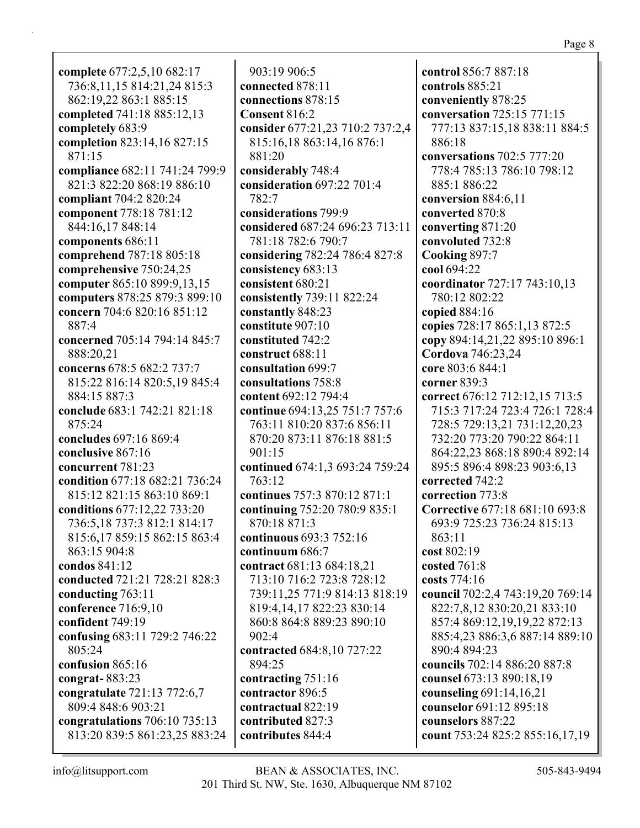**complete** 677:2,5,10 682:17 736:8,11,15 814:21,24 815:3 862:19,22 863:1 885:15 **completed** 741:18 885:12,13 **completely** 683:9 **completion** 823:14,16 827:15 871:15 **compliance** 682:11 741:24 799:9 821:3 822:20 868:19 886:10 **compliant** 704:2 820:24 **component** 778:18 781:12 844:16,17 848:14 **components** 686:11 **comprehend** 787:18 805:18 **comprehensive** 750:24,25 **computer** 865:10 899:9,13,15 **computers** 878:25 879:3 899:10 **concern** 704:6 820:16 851:12 887:4 **concerned** 705:14 794:14 845:7 888:20,21 **concerns** 678:5 682:2 737:7 815:22 816:14 820:5,19 845:4 884:15 887:3 **conclude** 683:1 742:21 821:18 875:24 **concludes** 697:16 869:4 **conclusive** 867:16 **concurrent** 781:23 **condition** 677:18 682:21 736:24 815:12 821:15 863:10 869:1 **conditions** 677:12,22 733:20 736:5,18 737:3 812:1 814:17 815:6,17 859:15 862:15 863:4 863:15 904:8 **condos** 841:12 **conducted** 721:21 728:21 828:3 **conducting** 763:11 **conference** 716:9,10 **confident** 749:19 **confusing** 683:11 729:2 746:22 805:24 **confusion** 865:16 **congrat-** 883:23 **congratulate** 721:13 772:6,7 809:4 848:6 903:21 **congratulations** 706:10 735:13 813:20 839:5 861:23,25 883:24

903:19 906:5 **connected** 878:11 **connections** 878:15 **Consent** 816:2 **consider** 677:21,23 710:2 737:2,4 815:16,18 863:14,16 876:1 881:20 **considerably** 748:4 **consideration** 697:22 701:4 782:7 **considerations** 799:9 **considered** 687:24 696:23 713:11 781:18 782:6 790:7 **considering** 782:24 786:4 827:8 **consistency** 683:13 **consistent** 680:21 **consistently** 739:11 822:24 **constantly** 848:23 **constitute** 907:10 **constituted** 742:2 **construct** 688:11 **consultation** 699:7 **consultations** 758:8 **content** 692:12 794:4 **continue** 694:13,25 751:7 757:6 763:11 810:20 837:6 856:11 870:20 873:11 876:18 881:5 901:15 **continued** 674:1,3 693:24 759:24 763:12 **continues** 757:3 870:12 871:1 **continuing** 752:20 780:9 835:1 870:18 871:3 **continuous** 693:3 752:16 **continuum** 686:7 **contract** 681:13 684:18,21 713:10 716:2 723:8 728:12 739:11,25 771:9 814:13 818:19 819:4,14,17 822:23 830:14 860:8 864:8 889:23 890:10 902:4 **contracted** 684:8,10 727:22 894:25 **contracting** 751:16 **contractor** 896:5 **contractual** 822:19 **contributed** 827:3 **contributes** 844:4

**control** 856:7 887:18 **controls** 885:21 **conveniently** 878:25 **conversation** 725:15 771:15 777:13 837:15,18 838:11 884:5 886:18 **conversations** 702:5 777:20 778:4 785:13 786:10 798:12 885:1 886:22 **conversion** 884:6,11 **converted** 870:8 **converting** 871:20 **convoluted** 732:8 **Cooking** 897:7 **cool** 694:22 **coordinator** 727:17 743:10,13 780:12 802:22 **copied** 884:16 **copies** 728:17 865:1,13 872:5 **copy** 894:14,21,22 895:10 896:1 **Cordova** 746:23,24 **core** 803:6 844:1 **corner** 839:3 **correct** 676:12 712:12,15 713:5 715:3 717:24 723:4 726:1 728:4 728:5 729:13,21 731:12,20,23 732:20 773:20 790:22 864:11 864:22,23 868:18 890:4 892:14 895:5 896:4 898:23 903:6,13 **corrected** 742:2 **correction** 773:8 **Corrective** 677:18 681:10 693:8 693:9 725:23 736:24 815:13 863:11 **cost** 802:19 **costed** 761:8 **costs** 774:16 **council** 702:2,4 743:19,20 769:14 822:7,8,12 830:20,21 833:10 857:4 869:12,19,19,22 872:13 885:4,23 886:3,6 887:14 889:10 890:4 894:23 **councils** 702:14 886:20 887:8 **counsel** 673:13 890:18,19 **counseling** 691:14,16,21 **counselor** 691:12 895:18 **counselors** 887:22 **count** 753:24 825:2 855:16,17,19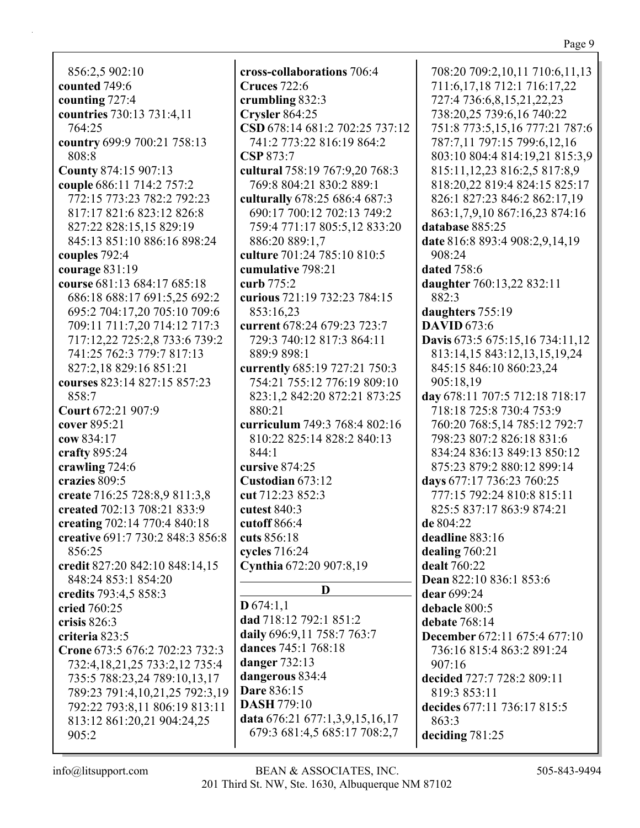856:2,5 902:10 **counted** 749:6 **counting** 727:4 **countries** 730:13 731:4,11 764:25 **country** 699:9 700:21 758:13 808:8 **County** 874:15 907:13 **couple** 686:11 714:2 757:2 772:15 773:23 782:2 792:23 817:17 821:6 823:12 826:8 827:22 828:15,15 829:19 845:13 851:10 886:16 898:24 **couples** 792:4 **courage** 831:19 **course** 681:13 684:17 685:18 686:18 688:17 691:5,25 692:2 695:2 704:17,20 705:10 709:6 709:11 711:7,20 714:12 717:3 717:12,22 725:2,8 733:6 739:2 741:25 762:3 779:7 817:13 827:2,18 829:16 851:21 **courses** 823:14 827:15 857:23 858:7 **Court** 672:21 907:9 **cover** 895:21 **cow** 834:17 **crafty** 895:24 **crawling** 724:6 **crazies** 809:5 **create** 716:25 728:8,9 811:3,8 **created** 702:13 708:21 833:9 **creating** 702:14 770:4 840:18 **creative** 691:7 730:2 848:3 856:8 856:25 **credit** 827:20 842:10 848:14,15 848:24 853:1 854:20 **credits** 793:4,5 858:3 **cried** 760:25 **crisis** 826:3 **criteria** 823:5 **Crone** 673:5 676:2 702:23 732:3 732:4,18,21,25 733:2,12 735:4 735:5 788:23,24 789:10,13,17 789:23 791:4,10,21,25 792:3,19 792:22 793:8,11 806:19 813:11 813:12 861:20,21 904:24,25 905:2

**cross-collaborations** 706:4 **Cruces** 722:6 **crumbling** 832:3 **Crysler** 864:25 **CSD** 678:14 681:2 702:25 737:12 741:2 773:22 816:19 864:2 **CSP** 873:7 **cultural** 758:19 767:9,20 768:3 769:8 804:21 830:2 889:1 **culturally** 678:25 686:4 687:3 690:17 700:12 702:13 749:2 759:4 771:17 805:5,12 833:20 886:20 889:1,7 **culture** 701:24 785:10 810:5 **cumulative** 798:21 **curb** 775:2 **curious** 721:19 732:23 784:15 853:16,23 **current** 678:24 679:23 723:7 729:3 740:12 817:3 864:11 889:9 898:1 **currently** 685:19 727:21 750:3 754:21 755:12 776:19 809:10 823:1,2 842:20 872:21 873:25 880:21 **curriculum** 749:3 768:4 802:16 810:22 825:14 828:2 840:13 844:1 **cursive** 874:25 **Custodian** 673:12 **cut** 712:23 852:3 **cutest** 840:3 **cutoff** 866:4 **cuts** 856:18 **cycles** 716:24 **Cynthia** 672:20 907:8,19 **D D** 674:1,1 **dad** 718:12 792:1 851:2 **daily** 696:9,11 758:7 763:7 **dances** 745:1 768:18 **danger** 732:13 **dangerous** 834:4 **Dare** 836:15 **DASH** 779:10 **data** 676:21 677:1,3,9,15,16,17 679:3 681:4,5 685:17 708:2,7

708:20 709:2,10,11 710:6,11,13 711:6,17,18 712:1 716:17,22 727:4 736:6,8,15,21,22,23 738:20,25 739:6,16 740:22 751:8 773:5,15,16 777:21 787:6 787:7,11 797:15 799:6,12,16 803:10 804:4 814:19,21 815:3,9 815:11,12,23 816:2,5 817:8,9 818:20,22 819:4 824:15 825:17 826:1 827:23 846:2 862:17,19 863:1,7,9,10 867:16,23 874:16 **database** 885:25 **date** 816:8 893:4 908:2,9,14,19 908:24 **dated** 758:6 **daughter** 760:13,22 832:11 882:3 **daughters** 755:19 **DAVID** 673:6 **Davis** 673:5 675:15,16 734:11,12 813:14,15 843:12,13,15,19,24 845:15 846:10 860:23,24 905:18,19 **day** 678:11 707:5 712:18 718:17 718:18 725:8 730:4 753:9 760:20 768:5,14 785:12 792:7 798:23 807:2 826:18 831:6 834:24 836:13 849:13 850:12 875:23 879:2 880:12 899:14 **days** 677:17 736:23 760:25 777:15 792:24 810:8 815:11 825:5 837:17 863:9 874:21 **de** 804:22 **deadline** 883:16 **dealing** 760:21 **dealt** 760:22 **Dean** 822:10 836:1 853:6 **dear** 699:24 **debacle** 800:5 **debate** 768:14 **December** 672:11 675:4 677:10 736:16 815:4 863:2 891:24 907:16 **decided** 727:7 728:2 809:11 819:3 853:11 **decides** 677:11 736:17 815:5 863:3 **deciding** 781:25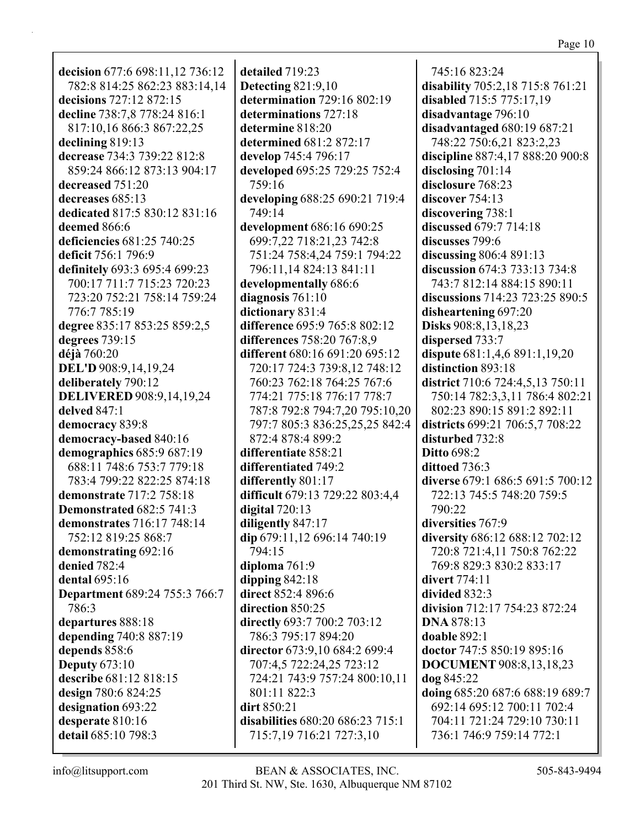**decision** 677:6 698:11,12 736:12 782:8 814:25 862:23 883:14,14 **decisions** 727:12 872:15 **decline** 738:7,8 778:24 816:1 817:10,16 866:3 867:22,25 **declining** 819:13 **decrease** 734:3 739:22 812:8 859:24 866:12 873:13 904:17 **decreased** 751:20 **decreases** 685:13 **dedicated** 817:5 830:12 831:16 **deemed** 866:6 **deficiencies** 681:25 740:25 **deficit** 756:1 796:9 **definitely** 693:3 695:4 699:23 700:17 711:7 715:23 720:23 723:20 752:21 758:14 759:24 776:7 785:19 **degree** 835:17 853:25 859:2,5 **degrees** 739:15 **déjà** 760:20 **DEL'D** 908:9,14,19,24 **deliberately** 790:12 **DELIVERED** 908:9,14,19,24 **delved** 847:1 **democracy** 839:8 **democracy-based** 840:16 **demographics** 685:9 687:19 688:11 748:6 753:7 779:18 783:4 799:22 822:25 874:18 **demonstrate** 717:2 758:18 **Demonstrated** 682:5 741:3 **demonstrates** 716:17 748:14 752:12 819:25 868:7 **demonstrating** 692:16 **denied** 782:4 **dental** 695:16 **Department** 689:24 755:3 766:7 786:3 **departures** 888:18 **depending** 740:8 887:19 **depends** 858:6 **Deputy** 673:10 **describe** 681:12 818:15 **design** 780:6 824:25 **designation** 693:22 **desperate** 810:16 **detail** 685:10 798:3

**detailed** 719:23 **Detecting** 821:9,10 **determination** 729:16 802:19 **determinations** 727:18 **determine** 818:20 **determined** 681:2 872:17 **develop** 745:4 796:17 **developed** 695:25 729:25 752:4 759:16 **developing** 688:25 690:21 719:4 749:14 **development** 686:16 690:25 699:7,22 718:21,23 742:8 751:24 758:4,24 759:1 794:22 796:11,14 824:13 841:11 **developmentally** 686:6 **diagnosis** 761:10 **dictionary** 831:4 **difference** 695:9 765:8 802:12 **differences** 758:20 767:8,9 **different** 680:16 691:20 695:12 720:17 724:3 739:8,12 748:12 760:23 762:18 764:25 767:6 774:21 775:18 776:17 778:7 787:8 792:8 794:7,20 795:10,20 797:7 805:3 836:25,25,25 842:4 872:4 878:4 899:2 **differentiate** 858:21 **differentiated** 749:2 **differently** 801:17 **difficult** 679:13 729:22 803:4,4 **digital** 720:13 **diligently** 847:17 **dip** 679:11,12 696:14 740:19 794:15 **diploma** 761:9 **dipping** 842:18 **direct** 852:4 896:6 **direction** 850:25 **directly** 693:7 700:2 703:12 786:3 795:17 894:20 **director** 673:9,10 684:2 699:4 707:4,5 722:24,25 723:12 724:21 743:9 757:24 800:10,11 801:11 822:3 **dirt** 850:21 **disabilities** 680:20 686:23 715:1 715:7,19 716:21 727:3,10

745:16 823:24 **disability** 705:2,18 715:8 761:21 **disabled** 715:5 775:17,19 **disadvantage** 796:10 **disadvantaged** 680:19 687:21 748:22 750:6,21 823:2,23 **discipline** 887:4,17 888:20 900:8 **disclosing** 701:14 **disclosure** 768:23 **discover** 754:13 **discovering** 738:1 **discussed** 679:7 714:18 **discusses** 799:6 **discussing** 806:4 891:13 **discussion** 674:3 733:13 734:8 743:7 812:14 884:15 890:11 **discussions** 714:23 723:25 890:5 **disheartening** 697:20 **Disks** 908:8,13,18,23 **dispersed** 733:7 **dispute** 681:1,4,6 891:1,19,20 **distinction** 893:18 **district** 710:6 724:4,5,13 750:11 750:14 782:3,3,11 786:4 802:21 802:23 890:15 891:2 892:11 **districts** 699:21 706:5,7 708:22 **disturbed** 732:8 **Ditto** 698:2 **dittoed** 736:3 **diverse** 679:1 686:5 691:5 700:12 722:13 745:5 748:20 759:5 790:22 **diversities** 767:9 **diversity** 686:12 688:12 702:12 720:8 721:4,11 750:8 762:22 769:8 829:3 830:2 833:17 **divert** 774:11 **divided** 832:3 **division** 712:17 754:23 872:24 **DNA** 878:13 **doable** 892:1 **doctor** 747:5 850:19 895:16 **DOCUMENT** 908:8,13,18,23 **dog** 845:22 **doing** 685:20 687:6 688:19 689:7 692:14 695:12 700:11 702:4 704:11 721:24 729:10 730:11 736:1 746:9 759:14 772:1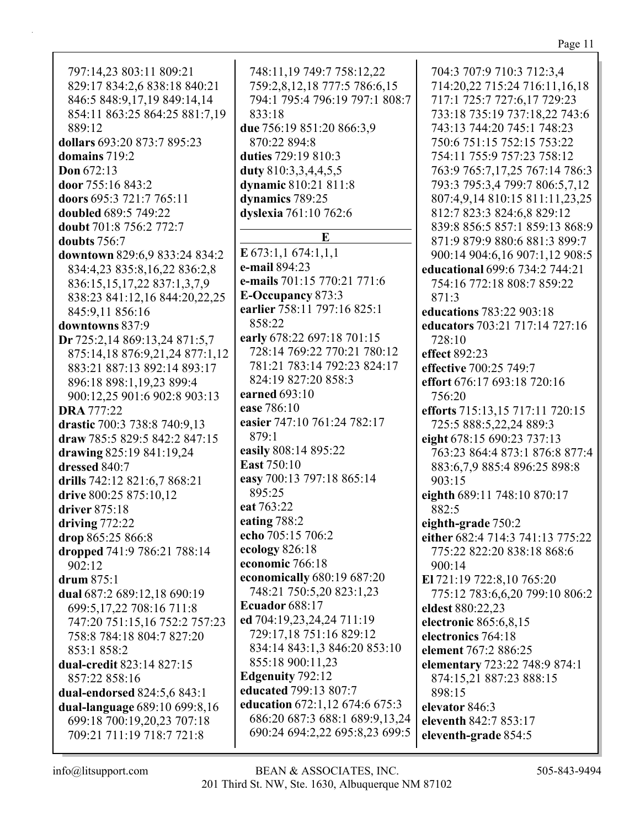Page 11

797:14,23 803:11 809:21 829:17 834:2,6 838:18 840:21 846:5 848:9,17,19 849:14,14 854:11 863:25 864:25 881:7,19 889:12 **dollars** 693:20 873:7 895:23 **domains** 719:2 **Don** 672:13 **door** 755:16 843:2 **doors** 695:3 721:7 765:11 **doubled** 689:5 749:22 **doubt** 701:8 756:2 772:7 **doubts** 756:7 **downtown** 829:6,9 833:24 834:2 834:4,23 835:8,16,22 836:2,8 836:15,15,17,22 837:1,3,7,9 838:23 841:12,16 844:20,22,25 845:9,11 856:16 **downtowns** 837:9 **Dr** 725:2,14 869:13,24 871:5,7 875:14,18 876:9,21,24 877:1,12 883:21 887:13 892:14 893:17 896:18 898:1,19,23 899:4 900:12,25 901:6 902:8 903:13 **DRA** 777:22 **drastic** 700:3 738:8 740:9,13 **draw** 785:5 829:5 842:2 847:15 **drawing** 825:19 841:19,24 **dressed** 840:7 **drills** 742:12 821:6,7 868:21 **drive** 800:25 875:10,12 **driver** 875:18 **driving** 772:22 **drop** 865:25 866:8 **dropped** 741:9 786:21 788:14 902:12 **drum** 875:1 **dual** 687:2 689:12,18 690:19 699:5,17,22 708:16 711:8 747:20 751:15,16 752:2 757:23 758:8 784:18 804:7 827:20 853:1 858:2 **dual-credit** 823:14 827:15 857:22 858:16 **dual-endorsed** 824:5,6 843:1 **dual-language** 689:10 699:8,16 699:18 700:19,20,23 707:18 709:21 711:19 718:7 721:8

748:11,19 749:7 758:12,22 759:2,8,12,18 777:5 786:6,15 794:1 795:4 796:19 797:1 808:7 833:18 **due** 756:19 851:20 866:3,9 870:22 894:8 **duties** 729:19 810:3 **duty** 810:3,3,4,4,5,5 **dynamic** 810:21 811:8 **dynamics** 789:25 **dyslexia** 761:10 762:6 **E E** 673:1,1 674:1,1,1 **e-mail** 894:23 **e-mails** 701:15 770:21 771:6 **E-Occupancy** 873:3 **earlier** 758:11 797:16 825:1 858:22 **early** 678:22 697:18 701:15 728:14 769:22 770:21 780:12 781:21 783:14 792:23 824:17 824:19 827:20 858:3 **earned** 693:10 **ease** 786:10 **easier** 747:10 761:24 782:17 879:1 **easily** 808:14 895:22 **East** 750:10 **easy** 700:13 797:18 865:14 895:25 **eat** 763:22 **eating** 788:2 **echo** 705:15 706:2 **ecology** 826:18 **economic** 766:18 **economically** 680:19 687:20 748:21 750:5,20 823:1,23 **Ecuador** 688:17 **ed** 704:19,23,24,24 711:19 729:17,18 751:16 829:12 834:14 843:1,3 846:20 853:10 855:18 900:11,23 **Edgenuity** 792:12 **educated** 799:13 807:7 **education** 672:1,12 674:6 675:3 686:20 687:3 688:1 689:9,13,24 690:24 694:2,22 695:8,23 699:5

704:3 707:9 710:3 712:3,4 714:20,22 715:24 716:11,16,18 717:1 725:7 727:6,17 729:23 733:18 735:19 737:18,22 743:6 743:13 744:20 745:1 748:23 750:6 751:15 752:15 753:22 754:11 755:9 757:23 758:12 763:9 765:7,17,25 767:14 786:3 793:3 795:3,4 799:7 806:5,7,12 807:4,9,14 810:15 811:11,23,25 812:7 823:3 824:6,8 829:12 839:8 856:5 857:1 859:13 868:9 871:9 879:9 880:6 881:3 899:7 900:14 904:6,16 907:1,12 908:5 **educational** 699:6 734:2 744:21 754:16 772:18 808:7 859:22 871:3 **educations** 783:22 903:18 **educators** 703:21 717:14 727:16 728:10 **effect** 892:23 **effective** 700:25 749:7 **effort** 676:17 693:18 720:16 756:20 **efforts** 715:13,15 717:11 720:15 725:5 888:5,22,24 889:3 **eight** 678:15 690:23 737:13 763:23 864:4 873:1 876:8 877:4 883:6,7,9 885:4 896:25 898:8 903:15 **eighth** 689:11 748:10 870:17 882:5 **eighth-grade** 750:2 **either** 682:4 714:3 741:13 775:22 775:22 822:20 838:18 868:6 900:14 **El** 721:19 722:8,10 765:20 775:12 783:6,6,20 799:10 806:2 **eldest** 880:22,23 **electronic** 865:6,8,15 **electronics** 764:18 **element** 767:2 886:25 **elementary** 723:22 748:9 874:1 874:15,21 887:23 888:15 898:15 **elevator** 846:3 **eleventh** 842:7 853:17 **eleventh-grade** 854:5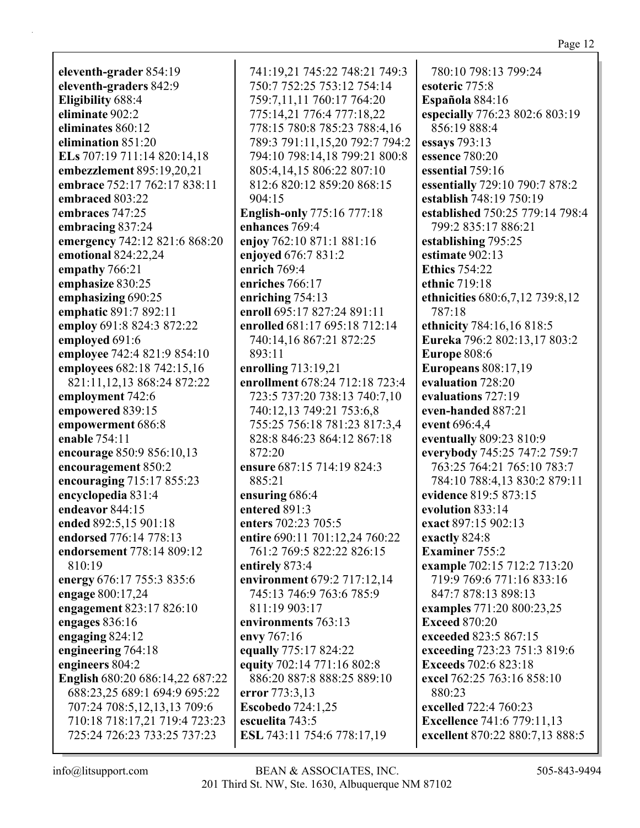**eleventh-grader** 854:19 **eleventh-graders** 842:9 **Eligibility** 688:4 **eliminate** 902:2 **eliminates** 860:12 **elimination** 851:20 **ELs** 707:19 711:14 820:14,18 **embezzlement** 895:19,20,21 **embrace** 752:17 762:17 838:11 **embraced** 803:22 **embraces** 747:25 **embracing** 837:24 **emergency** 742:12 821:6 868:20 **emotional** 824:22,24 **empathy** 766:21 **emphasize** 830:25 **emphasizing** 690:25 **emphatic** 891:7 892:11 **employ** 691:8 824:3 872:22 **employed** 691:6 **employee** 742:4 821:9 854:10 **employees** 682:18 742:15,16 821:11,12,13 868:24 872:22 **employment** 742:6 **empowered** 839:15 **empowerment** 686:8 **enable** 754:11 **encourage** 850:9 856:10,13 **encouragement** 850:2 **encouraging** 715:17 855:23 **encyclopedia** 831:4 **endeavor** 844:15 **ended** 892:5,15 901:18 **endorsed** 776:14 778:13 **endorsement** 778:14 809:12 810:19 **energy** 676:17 755:3 835:6 **engage** 800:17,24 **engagement** 823:17 826:10 **engages** 836:16 **engaging** 824:12 **engineering** 764:18 **engineers** 804:2 **English** 680:20 686:14,22 687:22 688:23,25 689:1 694:9 695:22 707:24 708:5,12,13,13 709:6 710:18 718:17,21 719:4 723:23 725:24 726:23 733:25 737:23

741:19,21 745:22 748:21 749:3 750:7 752:25 753:12 754:14 759:7,11,11 760:17 764:20 775:14,21 776:4 777:18,22 778:15 780:8 785:23 788:4,16 789:3 791:11,15,20 792:7 794:2 794:10 798:14,18 799:21 800:8 805:4,14,15 806:22 807:10 812:6 820:12 859:20 868:15 904:15 **English-only** 775:16 777:18 **enhances** 769:4 **enjoy** 762:10 871:1 881:16 **enjoyed** 676:7 831:2 **enrich** 769:4 **enriches** 766:17 **enriching** 754:13 **enroll** 695:17 827:24 891:11 **enrolled** 681:17 695:18 712:14 740:14,16 867:21 872:25 893:11 **enrolling** 713:19,21 **enrollment** 678:24 712:18 723:4 723:5 737:20 738:13 740:7,10 740:12,13 749:21 753:6,8 755:25 756:18 781:23 817:3,4 828:8 846:23 864:12 867:18 872:20 **ensure** 687:15 714:19 824:3 885:21 **ensuring** 686:4 **entered** 891:3 **enters** 702:23 705:5 **entire** 690:11 701:12,24 760:22 761:2 769:5 822:22 826:15 **entirely** 873:4 **environment** 679:2 717:12,14 745:13 746:9 763:6 785:9 811:19 903:17 **environments** 763:13 **envy** 767:16 **equally** 775:17 824:22 **equity** 702:14 771:16 802:8 886:20 887:8 888:25 889:10 **error** 773:3,13 **Escobedo** 724:1,25 **escuelita** 743:5 **ESL** 743:11 754:6 778:17,19

780:10 798:13 799:24 **esoteric** 775:8 **Española** 884:16 **especially** 776:23 802:6 803:19 856:19 888:4 **essays** 793:13 **essence** 780:20 **essential** 759:16 **essentially** 729:10 790:7 878:2 **establish** 748:19 750:19 **established** 750:25 779:14 798:4 799:2 835:17 886:21 **establishing** 795:25 **estimate** 902:13 **Ethics** 754:22 **ethnic** 719:18 **ethnicities** 680:6,7,12 739:8,12 787:18 **ethnicity** 784:16,16 818:5 **Eureka** 796:2 802:13,17 803:2 **Europe** 808:6 **Europeans** 808:17,19 **evaluation** 728:20 **evaluations** 727:19 **even-handed** 887:21 **event** 696:4,4 **eventually** 809:23 810:9 **everybody** 745:25 747:2 759:7 763:25 764:21 765:10 783:7 784:10 788:4,13 830:2 879:11 **evidence** 819:5 873:15 **evolution** 833:14 **exact** 897:15 902:13 **exactly** 824:8 **Examiner** 755:2 **example** 702:15 712:2 713:20 719:9 769:6 771:16 833:16 847:7 878:13 898:13 **examples** 771:20 800:23,25 **Exceed** 870:20 **exceeded** 823:5 867:15 **exceeding** 723:23 751:3 819:6 **Exceeds** 702:6 823:18 **excel** 762:25 763:16 858:10 880:23 **excelled** 722:4 760:23 **Excellence** 741:6 779:11,13 **excellent** 870:22 880:7,13 888:5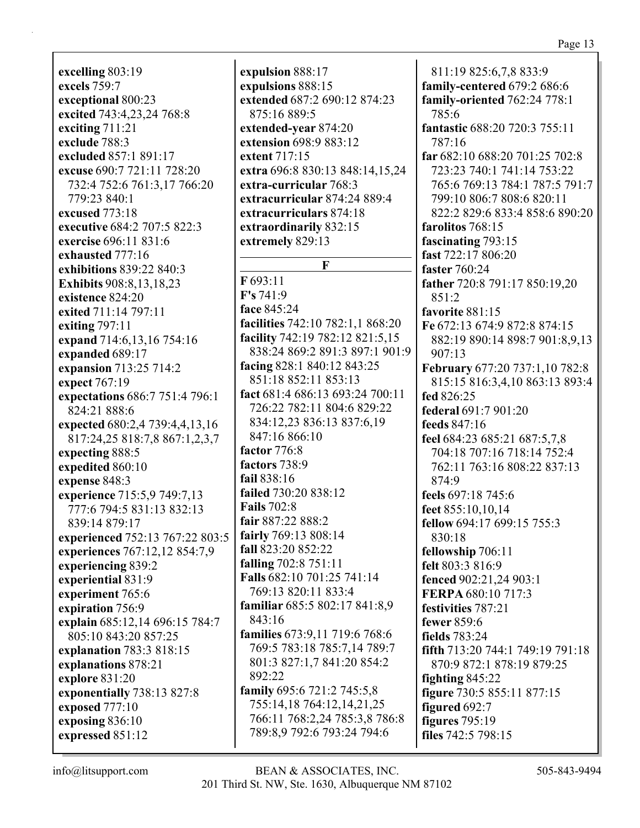**excelling** 803:19 **excels** 759:7 **exceptional** 800:23 **excited** 743:4,23,24 768:8 **exciting** 711:21 **exclude** 788:3 **excluded** 857:1 891:17 **excuse** 690:7 721:11 728:20 732:4 752:6 761:3,17 766:20 779:23 840:1 **excused** 773:18 **executive** 684:2 707:5 822:3 **exercise** 696:11 831:6 **exhausted** 777:16 **exhibitions** 839:22 840:3 **Exhibits** 908:8,13,18,23 **existence** 824:20 **exited** 711:14 797:11 **exiting** 797:11 **expand** 714:6,13,16 754:16 **expanded** 689:17 **expansion** 713:25 714:2 **expect** 767:19 **expectations** 686:7 751:4 796:1 824:21 888:6 **expected** 680:2,4 739:4,4,13,16 817:24,25 818:7,8 867:1,2,3,7 **expecting** 888:5 **expedited** 860:10 **expense** 848:3 **experience** 715:5,9 749:7,13 777:6 794:5 831:13 832:13 839:14 879:17 **experienced** 752:13 767:22 803:5 **experiences** 767:12,12 854:7,9 **experiencing** 839:2 **experiential** 831:9 **experiment** 765:6 **expiration** 756:9 **explain** 685:12,14 696:15 784:7 805:10 843:20 857:25 **explanation** 783:3 818:15 **explanations** 878:21 **explore** 831:20 **exponentially** 738:13 827:8 **exposed** 777:10 **exposing** 836:10 **expressed** 851:12

**expulsion** 888:17 **expulsions** 888:15 **extended** 687:2 690:12 874:23 875:16 889:5 **extended-year** 874:20 **extension** 698:9 883:12 **extent** 717:15 **extra** 696:8 830:13 848:14,15,24 **extra-curricular** 768:3 **extracurricular** 874:24 889:4 **extracurriculars** 874:18 **extraordinarily** 832:15 **extremely** 829:13 **F F** 693:11 **F's** 741:9 **face** 845:24 **facilities** 742:10 782:1,1 868:20 **facility** 742:19 782:12 821:5,15 838:24 869:2 891:3 897:1 901:9 **facing** 828:1 840:12 843:25 851:18 852:11 853:13 **fact** 681:4 686:13 693:24 700:11 726:22 782:11 804:6 829:22 834:12,23 836:13 837:6,19 847:16 866:10 **factor** 776:8 **factors** 738:9 **fail** 838:16 **failed** 730:20 838:12 **Fails** 702:8 **fair** 887:22 888:2 **fairly** 769:13 808:14 **fall** 823:20 852:22 **falling** 702:8 751:11 **Falls** 682:10 701:25 741:14 769:13 820:11 833:4 **familiar** 685:5 802:17 841:8,9 843:16 **families** 673:9,11 719:6 768:6 769:5 783:18 785:7,14 789:7 801:3 827:1,7 841:20 854:2 892:22 **family** 695:6 721:2 745:5,8 755:14,18 764:12,14,21,25 766:11 768:2,24 785:3,8 786:8 789:8,9 792:6 793:24 794:6

811:19 825:6,7,8 833:9 **family-centered** 679:2 686:6 **family-oriented** 762:24 778:1 785:6 **fantastic** 688:20 720:3 755:11 787:16 **far** 682:10 688:20 701:25 702:8 723:23 740:1 741:14 753:22 765:6 769:13 784:1 787:5 791:7 799:10 806:7 808:6 820:11 822:2 829:6 833:4 858:6 890:20 **farolitos** 768:15 **fascinating** 793:15 **fast** 722:17 806:20 **faster** 760:24 **father** 720:8 791:17 850:19,20 851:2 **favorite** 881:15 **Fe** 672:13 674:9 872:8 874:15 882:19 890:14 898:7 901:8,9,13 907:13 **February** 677:20 737:1,10 782:8 815:15 816:3,4,10 863:13 893:4 **fed** 826:25 **federal** 691:7 901:20 **feeds** 847:16 **feel** 684:23 685:21 687:5,7,8 704:18 707:16 718:14 752:4 762:11 763:16 808:22 837:13 874:9 **feels** 697:18 745:6 **feet** 855:10,10,14 **fellow** 694:17 699:15 755:3 830:18 **fellowship** 706:11 **felt** 803:3 816:9 **fenced** 902:21,24 903:1 **FERPA** 680:10 717:3 **festivities** 787:21 **fewer** 859:6 **fields** 783:24 **fifth** 713:20 744:1 749:19 791:18 870:9 872:1 878:19 879:25 **fighting** 845:22 **figure** 730:5 855:11 877:15 **figured** 692:7 **figures** 795:19 **files** 742:5 798:15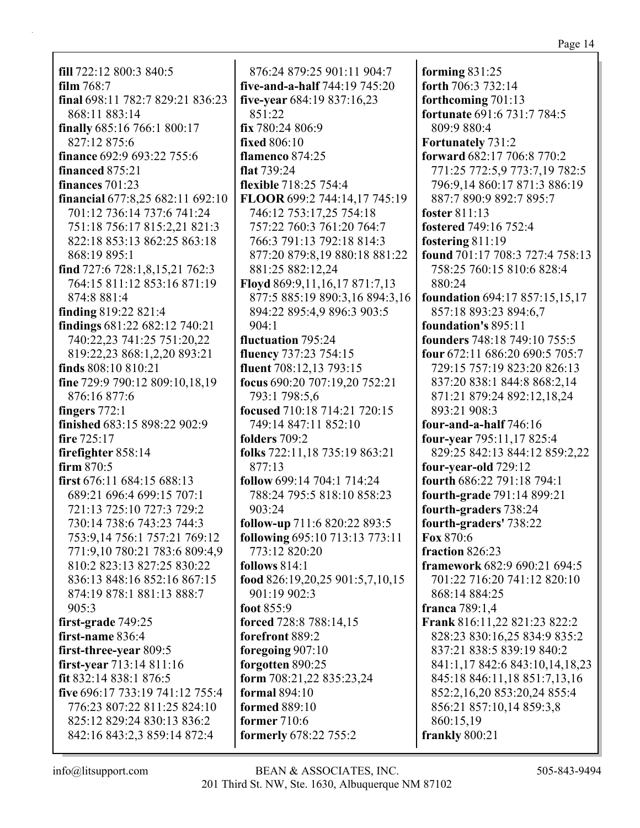**fill** 722:12 800:3 840:5 **film** 768:7 **final** 698:11 782:7 829:21 836:23 868:11 883:14 **finally** 685:16 766:1 800:17 827:12 875:6 **finance** 692:9 693:22 755:6 **financed** 875:21 **finances** 701:23 **financial** 677:8,25 682:11 692:10 701:12 736:14 737:6 741:24 751:18 756:17 815:2,21 821:3 822:18 853:13 862:25 863:18 868:19 895:1 **find** 727:6 728:1,8,15,21 762:3 764:15 811:12 853:16 871:19 874:8 881:4 **finding** 819:22 821:4 **findings** 681:22 682:12 740:21 740:22,23 741:25 751:20,22 819:22,23 868:1,2,20 893:21 **finds** 808:10 810:21 **fine** 729:9 790:12 809:10,18,19 876:16 877:6 **fingers** 772:1 **finished** 683:15 898:22 902:9 **fire** 725:17 **firefighter** 858:14 **firm** 870:5 **first** 676:11 684:15 688:13 689:21 696:4 699:15 707:1 721:13 725:10 727:3 729:2 730:14 738:6 743:23 744:3 753:9,14 756:1 757:21 769:12 771:9,10 780:21 783:6 809:4,9 810:2 823:13 827:25 830:22 836:13 848:16 852:16 867:15 874:19 878:1 881:13 888:7 905:3 **first-grade** 749:25 **first-name** 836:4 **first-three-year** 809:5 **first-year** 713:14 811:16 **fit** 832:14 838:1 876:5 **five** 696:17 733:19 741:12 755:4 776:23 807:22 811:25 824:10 825:12 829:24 830:13 836:2 842:16 843:2,3 859:14 872:4

876:24 879:25 901:11 904:7 **five-and-a-half** 744:19 745:20 **five-year** 684:19 837:16,23 851:22 **fix** 780:24 806:9 **fixed** 806:10 **flamenco** 874:25 **flat** 739:24 **flexible** 718:25 754:4 **FLOOR** 699:2 744:14,17 745:19 746:12 753:17,25 754:18 757:22 760:3 761:20 764:7 766:3 791:13 792:18 814:3 877:20 879:8,19 880:18 881:22 881:25 882:12,24 **Floyd** 869:9,11,16,17 871:7,13 877:5 885:19 890:3,16 894:3,16 894:22 895:4,9 896:3 903:5  $904:1$ **fluctuation** 795:24 **fluency** 737:23 754:15 **fluent** 708:12,13 793:15 **focus** 690:20 707:19,20 752:21 793:1 798:5,6 **focused** 710:18 714:21 720:15 749:14 847:11 852:10 **folders** 709:2 **folks** 722:11,18 735:19 863:21 877:13 **follow** 699:14 704:1 714:24 788:24 795:5 818:10 858:23 903:24 **follow-up** 711:6 820:22 893:5 **following** 695:10 713:13 773:11 773:12 820:20 **follows** 814:1 **food** 826:19,20,25 901:5,7,10,15 901:19 902:3 **foot** 855:9 **forced** 728:8 788:14,15 **forefront** 889:2 **foregoing** 907:10 **forgotten** 890:25 **form** 708:21,22 835:23,24 **formal** 894:10 **formed** 889:10 **former** 710:6 **formerly** 678:22 755:2

**forming** 831:25 **forth** 706:3 732:14 **forthcoming** 701:13 **fortunate** 691:6 731:7 784:5 809:9 880:4 **Fortunately** 731:2 **forward** 682:17 706:8 770:2 771:25 772:5,9 773:7,19 782:5 796:9,14 860:17 871:3 886:19 887:7 890:9 892:7 895:7 **foster** 811:13 **fostered** 749:16 752:4 **fostering** 811:19 **found** 701:17 708:3 727:4 758:13 758:25 760:15 810:6 828:4 880:24 **foundation** 694:17 857:15,15,17 857:18 893:23 894:6,7 **foundation's** 895:11 **founders** 748:18 749:10 755:5 **four** 672:11 686:20 690:5 705:7 729:15 757:19 823:20 826:13 837:20 838:1 844:8 868:2,14 871:21 879:24 892:12,18,24 893:21 908:3 **four-and-a-half** 746:16 **four-year** 795:11,17 825:4 829:25 842:13 844:12 859:2,22 **four-year-old** 729:12 **fourth** 686:22 791:18 794:1 **fourth-grade** 791:14 899:21 **fourth-graders** 738:24 **fourth-graders'** 738:22 **Fox** 870:6 **fraction** 826:23 **framework** 682:9 690:21 694:5 701:22 716:20 741:12 820:10 868:14 884:25 **franca** 789:1,4 **Frank** 816:11,22 821:23 822:2 828:23 830:16,25 834:9 835:2 837:21 838:5 839:19 840:2 841:1,17 842:6 843:10,14,18,23 845:18 846:11,18 851:7,13,16 852:2,16,20 853:20,24 855:4 856:21 857:10,14 859:3,8 860:15,19 **frankly** 800:21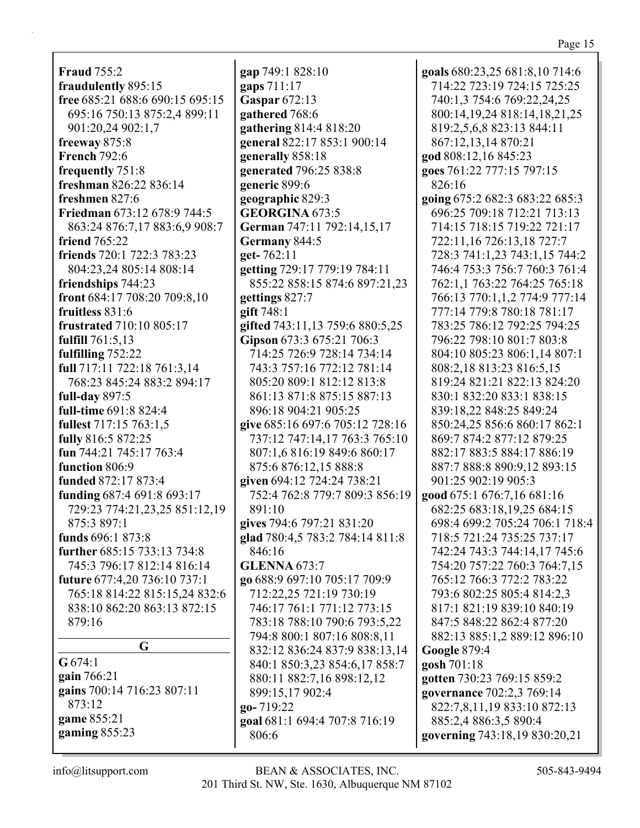| <b>Fraud 755:2</b>              |
|---------------------------------|
| fraudulently 895:15             |
| free 685:21 688:6 690:15 695:15 |
| 695:16 750:13 875:2,4 899:11    |
| 901:20,24 902:1,7               |
| freeway 875:8                   |
| <b>French 792:6</b>             |
| frequently 751:8                |
| freshman 826:22 836:14          |
| freshmen 827:6                  |
|                                 |
| Friedman 673:12 678:9 744:5     |
| 863:24 876:7,17 883:6,9 908:7   |
| friend 765:22                   |
| friends 720:1 722:3 783:23      |
| 804:23,24 805:14 808:14         |
| friendships 744:23              |
| front 684:17 708:20 709:8,10    |
| fruitless 831:6                 |
| frustrated 710:10 805:17        |
| fulfill 761:5,13                |
| fulfilling 752:22               |
| full 717:11 722:18 761:3,14     |
| 768:23 845:24 883:2 894:17      |
|                                 |
| full-day $897:5$                |
| full-time 691:8 824:4           |
| fullest 717:15 763:1,5          |
| fully 816:5 872:25              |
| fun 744:21 745:17 763:4         |
| function 806:9                  |
| funded 872:17 873:4             |
| funding 687:4 691:8 693:17      |
| 729:23 774:21,23,25 851:12,19   |
| 875:3 897:1                     |
| funds 696:1 873:8               |
| further 685:15 733:13 734:8     |
| 745:3 796:17 812:14 816:14      |
|                                 |
| future 677:4,20 736:10 737:1    |
| 765:18 814:22 815:15,24 832:6   |
| 838:10 862:20 863:13 872:15     |
| 879:16                          |
|                                 |
| G                               |
| $G$ 674:1                       |
| gain 766:21                     |
| gains 700:14 716:23 807:11      |
| 873:12                          |
| game 855:21                     |

**gap** 749:1 828:10 **gaps** 711:17 **Gaspar** 672:13 **gathered** 768:6 **gathering** 814:4 818:20 **general** 822:17 853:1 900:14 **generally** 858:18 **generated** 796:25 838:8 **generic** 899:6 **geographic** 829:3 **GEORGINA** 673:5 **German** 747:11 792:14,15,17 **Germany** 844:5 **get-** 762:11 **getting** 729:17 779:19 784:11 855:22 858:15 874:6 897:21,23 **gettings** 827:7 **gift** 748:1 **gifted** 743:11,13 759:6 880:5,25 **Gipson** 673:3 675:21 706:3 714:25 726:9 728:14 734:14 743:3 757:16 772:12 781:14 805:20 809:1 812:12 813:8 861:13 871:8 875:15 887:13 896:18 904:21 905:25 **give** 685:16 697:6 705:12 728:16 737:12 747:14,17 763:3 765:10 807:1,6 816:19 849:6 860:17 875:6 876:12,15 888:8 **given** 694:12 724:24 738:21 752:4 762:8 779:7 809:3 856:19 891:10 **gives** 794:6 797:21 831:20 **glad** 780:4,5 783:2 784:14 811:8 846:16 **GLENNA** 673:7 **go** 688:9 697:10 705:17 709:9 712:22,25 721:19 730:19 746:17 761:1 771:12 773:15 783:18 788:10 790:6 793:5,22 794:8 800:1 807:16 808:8,11 832:12 836:24 837:9 838:13,14 840:1 850:3,23 854:6,17 858:7 880:11 882:7,16 898:12,12 899:15,17 902:4 **go-** 719:22 **goal** 681:1 694:4 707:8 716:19 806:6

**goals** 680:23,25 681:8,10 714:6 714:22 723:19 724:15 725:25 740:1,3 754:6 769:22,24,25 800:14,19,24 818:14,18,21,25 819:2,5,6,8 823:13 844:11 867:12,13,14 870:21 **god** 808:12,16 845:23 **goes** 761:22 777:15 797:15 826:16 **going** 675:2 682:3 683:22 685:3 696:25 709:18 712:21 713:13 714:15 718:15 719:22 721:17 722:11,16 726:13,18 727:7 728:3 741:1,23 743:1,15 744:2 746:4 753:3 756:7 760:3 761:4 762:1,1 763:22 764:25 765:18 766:13 770:1,1,2 774:9 777:14 777:14 779:8 780:18 781:17 783:25 786:12 792:25 794:25 796:22 798:10 801:7 803:8 804:10 805:23 806:1,14 807:1 808:2,18 813:23 816:5,15 819:24 821:21 822:13 824:20 830:1 832:20 833:1 838:15 839:18,22 848:25 849:24 850:24,25 856:6 860:17 862:1 869:7 874:2 877:12 879:25 882:17 883:5 884:17 886:19 887:7 888:8 890:9,12 893:15 901:25 902:19 905:3 **good** 675:1 676:7,16 681:16 682:25 683:18,19,25 684:15 698:4 699:2 705:24 706:1 718:4 718:5 721:24 735:25 737:17 742:24 743:3 744:14,17 745:6 754:20 757:22 760:3 764:7,15 765:12 766:3 772:2 783:22 793:6 802:25 805:4 814:2,3 817:1 821:19 839:10 840:19 847:5 848:22 862:4 877:20 882:13 885:1,2 889:12 896:10 **Google** 879:4 **gosh** 701:18 **gotten** 730:23 769:15 859:2 **governance** 702:2,3 769:14 822:7,8,11,19 833:10 872:13 885:2,4 886:3,5 890:4 **governing** 743:18,19 830:20,21

**gaming** 855:23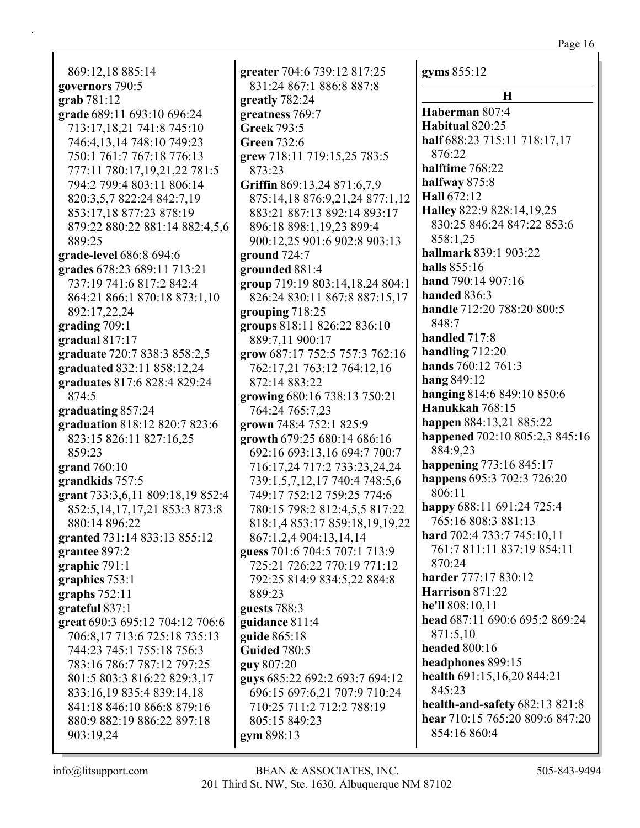869:12,18 885:14 **governors** 790:5 **grab** 781:12 **grade** 689:11 693:10 696:24 713:17,18,21 741:8 745:10 746:4,13,14 748:10 749:23 750:1 761:7 767:18 776:13 777:11 780:17,19,21,22 781:5 794:2 799:4 803:11 806:14 820:3,5,7 822:24 842:7,19 853:17,18 877:23 878:19 879:22 880:22 881:14 882:4,5,6 889:25 **grade-level** 686:8 694:6 **grades** 678:23 689:11 713:21 737:19 741:6 817:2 842:4 864:21 866:1 870:18 873:1,10 892:17,22,24 **grading** 709:1 **gradual** 817:17 **graduate** 720:7 838:3 858:2,5 **graduated** 832:11 858:12,24 **graduates** 817:6 828:4 829:24 874:5 **graduating** 857:24 **graduation** 818:12 820:7 823:6 823:15 826:11 827:16,25 859:23 **grand** 760:10 **grandkids** 757:5 **grant** 733:3,6,11 809:18,19 852:4 852:5,14,17,17,21 853:3 873:8 880:14 896:22 **granted** 731:14 833:13 855:12 **grantee** 897:2 **graphic** 791:1 **graphics** 753:1 **graphs** 752:11 **grateful** 837:1 **great** 690:3 695:12 704:12 706:6 706:8,17 713:6 725:18 735:13 744:23 745:1 755:18 756:3 783:16 786:7 787:12 797:25 801:5 803:3 816:22 829:3,17 833:16,19 835:4 839:14,18 841:18 846:10 866:8 879:16 880:9 882:19 886:22 897:18 903:19,24

**greater** 704:6 739:12 817:25 831:24 867:1 886:8 887:8 **greatly** 782:24 **greatness** 769:7 **Greek** 793:5 **Green** 732:6 **grew** 718:11 719:15,25 783:5 873:23 **Griffin** 869:13,24 871:6,7,9 875:14,18 876:9,21,24 877:1,12 883:21 887:13 892:14 893:17 896:18 898:1,19,23 899:4 900:12,25 901:6 902:8 903:13 **ground** 724:7 **grounded** 881:4 **group** 719:19 803:14,18,24 804:1 826:24 830:11 867:8 887:15,17 **grouping** 718:25 **groups** 818:11 826:22 836:10 889:7,11 900:17 **grow** 687:17 752:5 757:3 762:16 762:17,21 763:12 764:12,16 872:14 883:22 **growing** 680:16 738:13 750:21 764:24 765:7,23 **grown** 748:4 752:1 825:9 **growth** 679:25 680:14 686:16 692:16 693:13,16 694:7 700:7 716:17,24 717:2 733:23,24,24 739:1,5,7,12,17 740:4 748:5,6 749:17 752:12 759:25 774:6 780:15 798:2 812:4,5,5 817:22 818:1,4 853:17 859:18,19,19,22 867:1,2,4 904:13,14,14 **guess** 701:6 704:5 707:1 713:9 725:21 726:22 770:19 771:12 792:25 814:9 834:5,22 884:8 889:23 **guests** 788:3 **guidance** 811:4 **guide** 865:18 **Guided** 780:5 **guy** 807:20 **guys** 685:22 692:2 693:7 694:12 696:15 697:6,21 707:9 710:24 710:25 711:2 712:2 788:19 805:15 849:23 **gym** 898:13

**gyms** 855:12 **H Haberman** 807:4 **Habitual** 820:25 **half** 688:23 715:11 718:17,17 876:22 **halftime** 768:22 **halfway** 875:8 **Hall** 672:12 **Halley** 822:9 828:14,19,25 830:25 846:24 847:22 853:6 858:1,25 **hallmark** 839:1 903:22 **halls** 855:16 **hand** 790:14 907:16 **handed** 836:3 **handle** 712:20 788:20 800:5 848:7 **handled** 717:8 **handling** 712:20 **hands** 760:12 761:3 **hang** 849:12 **hanging** 814:6 849:10 850:6 **Hanukkah** 768:15 **happen** 884:13,21 885:22 **happened** 702:10 805:2,3 845:16 884:9,23 **happening** 773:16 845:17 **happens** 695:3 702:3 726:20 806:11 **happy** 688:11 691:24 725:4 765:16 808:3 881:13 **hard** 702:4 733:7 745:10,11 761:7 811:11 837:19 854:11 870:24 **harder** 777:17 830:12 **Harrison** 871:22 **he'll** 808:10,11 **head** 687:11 690:6 695:2 869:24 871:5,10 **headed** 800:16 **headphones** 899:15 **health** 691:15,16,20 844:21 845:23 **health-and-safety** 682:13 821:8 **hear** 710:15 765:20 809:6 847:20

854:16 860:4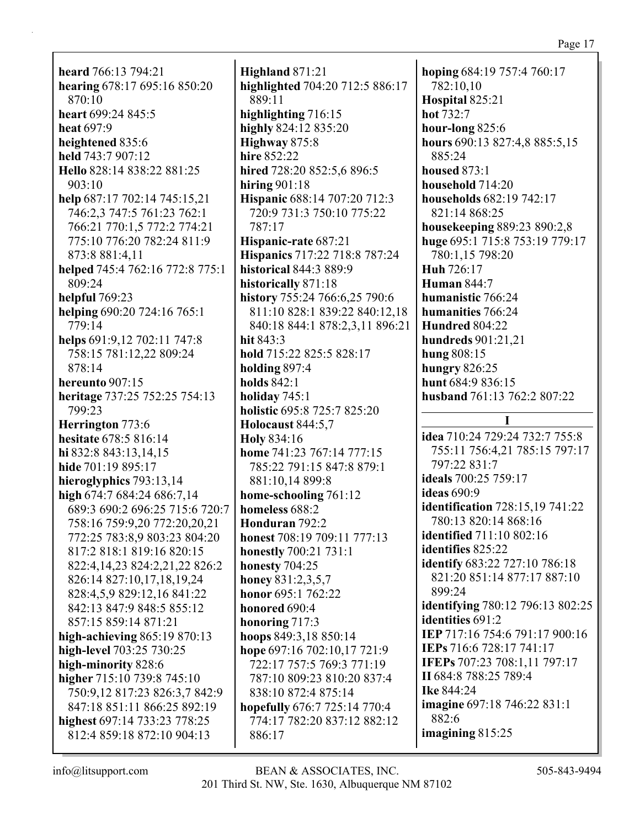**heard** 766:13 794:21 **hearing** 678:17 695:16 850:20 870:10 **heart** 699:24 845:5 **heat** 697:9 **heightened** 835:6 **held** 743:7 907:12 **Hello** 828:14 838:22 881:25 903:10 **help** 687:17 702:14 745:15,21 746:2,3 747:5 761:23 762:1 766:21 770:1,5 772:2 774:21 775:10 776:20 782:24 811:9 873:8 881:4,11 **helped** 745:4 762:16 772:8 775:1 809:24 **helpful** 769:23 **helping** 690:20 724:16 765:1 779:14 **helps** 691:9,12 702:11 747:8 758:15 781:12,22 809:24 878:14 **hereunto** 907:15 **heritage** 737:25 752:25 754:13 799:23 **Herrington** 773:6 **hesitate** 678:5 816:14 **hi** 832:8 843:13,14,15 **hide** 701:19 895:17 **hieroglyphics** 793:13,14 **high** 674:7 684:24 686:7,14 689:3 690:2 696:25 715:6 720:7 758:16 759:9,20 772:20,20,21 772:25 783:8,9 803:23 804:20 817:2 818:1 819:16 820:15 822:4,14,23 824:2,21,22 826:2 826:14 827:10,17,18,19,24 828:4,5,9 829:12,16 841:22 842:13 847:9 848:5 855:12 857:15 859:14 871:21 **high-achieving** 865:19 870:13 **high-level** 703:25 730:25 **high-minority** 828:6 **higher** 715:10 739:8 745:10 750:9,12 817:23 826:3,7 842:9 847:18 851:11 866:25 892:19 **highest** 697:14 733:23 778:25 812:4 859:18 872:10 904:13

**Highland** 871:21 **highlighted** 704:20 712:5 886:17 889:11 **highlighting** 716:15 **highly** 824:12 835:20 **Highway** 875:8 **hire** 852:22 **hired** 728:20 852:5,6 896:5 **hiring** 901:18 **Hispanic** 688:14 707:20 712:3 720:9 731:3 750:10 775:22 787:17 **Hispanic-rate** 687:21 **Hispanics** 717:22 718:8 787:24 **historical** 844:3 889:9 **historically** 871:18 **history** 755:24 766:6,25 790:6 811:10 828:1 839:22 840:12,18 840:18 844:1 878:2,3,11 896:21 **hit** 843:3 **hold** 715:22 825:5 828:17 **holding** 897:4 **holds** 842:1 **holiday** 745:1 **holistic** 695:8 725:7 825:20 **Holocaust** 844:5,7 **Holy** 834:16 **home** 741:23 767:14 777:15 785:22 791:15 847:8 879:1 881:10,14 899:8 **home-schooling** 761:12 **homeless** 688:2 **Honduran** 792:2 **honest** 708:19 709:11 777:13 **honestly** 700:21 731:1 **honesty** 704:25 **honey** 831:2,3,5,7 **honor** 695:1 762:22 **honored** 690:4 **honoring** 717:3 **hoops** 849:3,18 850:14 **hope** 697:16 702:10,17 721:9 722:17 757:5 769:3 771:19 787:10 809:23 810:20 837:4 838:10 872:4 875:14 **hopefully** 676:7 725:14 770:4 774:17 782:20 837:12 882:12 886:17

**hoping** 684:19 757:4 760:17 782:10,10 **Hospital** 825:21 **hot** 732:7 **hour-long** 825:6 **hours** 690:13 827:4,8 885:5,15 885:24 **housed** 873:1 **household** 714:20 **households** 682:19 742:17 821:14 868:25 **housekeeping** 889:23 890:2,8 **huge** 695:1 715:8 753:19 779:17 780:1,15 798:20 **Huh** 726:17 **Human** 844:7 **humanistic** 766:24 **humanities** 766:24 **Hundred** 804:22 **hundreds** 901:21,21 **hung** 808:15 **hungry** 826:25 **hunt** 684:9 836:15 **husband** 761:13 762:2 807:22 **I idea** 710:24 729:24 732:7 755:8 755:11 756:4,21 785:15 797:17 797:22 831:7 **ideals** 700:25 759:17 **ideas** 690:9 **identification** 728:15,19 741:22 780:13 820:14 868:16 **identified** 711:10 802:16 **identifies** 825:22 **identify** 683:22 727:10 786:18 821:20 851:14 877:17 887:10 899:24 **identifying** 780:12 796:13 802:25 **identities** 691:2 **IEP** 717:16 754:6 791:17 900:16 **IEPs** 716:6 728:17 741:17 **IFEPs** 707:23 708:1,11 797:17 **II** 684:8 788:25 789:4 **Ike** 844:24 **imagine** 697:18 746:22 831:1 882:6 **imagining** 815:25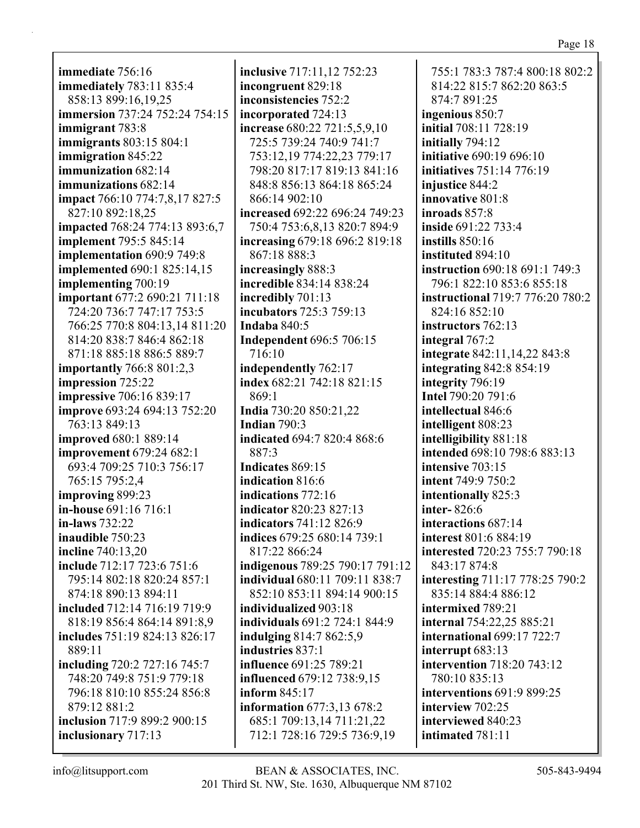**immediate** 756:16 **immediately** 783:11 835:4 858:13 899:16,19,25 **immersion** 737:24 752:24 754:15 **immigrant** 783:8 **immigrants** 803:15 804:1 **immigration** 845:22 **immunization** 682:14 **immunizations** 682:14 **impact** 766:10 774:7,8,17 827:5 827:10 892:18,25 **impacted** 768:24 774:13 893:6,7 **implement** 795:5 845:14 **implementation** 690:9 749:8 **implemented** 690:1 825:14,15 **implementing** 700:19 **important** 677:2 690:21 711:18 724:20 736:7 747:17 753:5 766:25 770:8 804:13,14 811:20 814:20 838:7 846:4 862:18 871:18 885:18 886:5 889:7 **importantly** 766:8 801:2,3 **impression** 725:22 **impressive** 706:16 839:17 **improve** 693:24 694:13 752:20 763:13 849:13 **improved** 680:1 889:14 **improvement** 679:24 682:1 693:4 709:25 710:3 756:17 765:15 795:2,4 **improving** 899:23 **in-house** 691:16 716:1 **in-laws** 732:22 **inaudible** 750:23 **incline** 740:13,20 **include** 712:17 723:6 751:6 795:14 802:18 820:24 857:1 874:18 890:13 894:11 **included** 712:14 716:19 719:9 818:19 856:4 864:14 891:8,9 **includes** 751:19 824:13 826:17 889:11 **including** 720:2 727:16 745:7 748:20 749:8 751:9 779:18 796:18 810:10 855:24 856:8 879:12 881:2 **inclusion** 717:9 899:2 900:15 **inclusionary** 717:13

**inclusive** 717:11,12 752:23 **incongruent** 829:18 **inconsistencies** 752:2 **incorporated** 724:13 **increase** 680:22 721:5,5,9,10 725:5 739:24 740:9 741:7 753:12,19 774:22,23 779:17 798:20 817:17 819:13 841:16 848:8 856:13 864:18 865:24 866:14 902:10 **increased** 692:22 696:24 749:23 750:4 753:6,8,13 820:7 894:9 **increasing** 679:18 696:2 819:18 867:18 888:3 **increasingly** 888:3 **incredible** 834:14 838:24 **incredibly** 701:13 **incubators** 725:3 759:13 **Indaba** 840:5 **Independent** 696:5 706:15 716:10 **independently** 762:17 **index** 682:21 742:18 821:15 869:1 **India** 730:20 850:21,22 **Indian** 790:3 **indicated** 694:7 820:4 868:6 887:3 **Indicates** 869:15 **indication** 816:6 **indications** 772:16 **indicator** 820:23 827:13 **indicators** 741:12 826:9 **indices** 679:25 680:14 739:1 817:22 866:24 **indigenous** 789:25 790:17 791:12 **individual** 680:11 709:11 838:7 852:10 853:11 894:14 900:15 **individualized** 903:18 **individuals** 691:2 724:1 844:9 **indulging** 814:7 862:5,9 **industries** 837:1 **influence** 691:25 789:21 **influenced** 679:12 738:9,15 **inform** 845:17 **information** 677:3,13 678:2 685:1 709:13,14 711:21,22 712:1 728:16 729:5 736:9,19

755:1 783:3 787:4 800:18 802:2 814:22 815:7 862:20 863:5 874:7 891:25 **ingenious** 850:7 **initial** 708:11 728:19 **initially** 794:12 **initiative** 690:19 696:10 **initiatives** 751:14 776:19 **injustice** 844:2 **innovative** 801:8 **inroads** 857:8 **inside** 691:22 733:4 **instills** 850:16 **instituted** 894:10 **instruction** 690:18 691:1 749:3 796:1 822:10 853:6 855:18 **instructional** 719:7 776:20 780:2 824:16 852:10 **instructors** 762:13 **integral** 767:2 **integrate** 842:11,14,22 843:8 **integrating** 842:8 854:19 **integrity** 796:19 **Intel** 790:20 791:6 **intellectual** 846:6 **intelligent** 808:23 **intelligibility** 881:18 **intended** 698:10 798:6 883:13 **intensive** 703:15 **intent** 749:9 750:2 **intentionally** 825:3 **inter-** 826:6 **interactions** 687:14 **interest** 801:6 884:19 **interested** 720:23 755:7 790:18 843:17 874:8 **interesting** 711:17 778:25 790:2 835:14 884:4 886:12 **intermixed** 789:21 **internal** 754:22,25 885:21 **international** 699:17 722:7 **interrupt** 683:13 **intervention** 718:20 743:12 780:10 835:13 **interventions** 691:9 899:25 **interview** 702:25 **interviewed** 840:23 **intimated** 781:11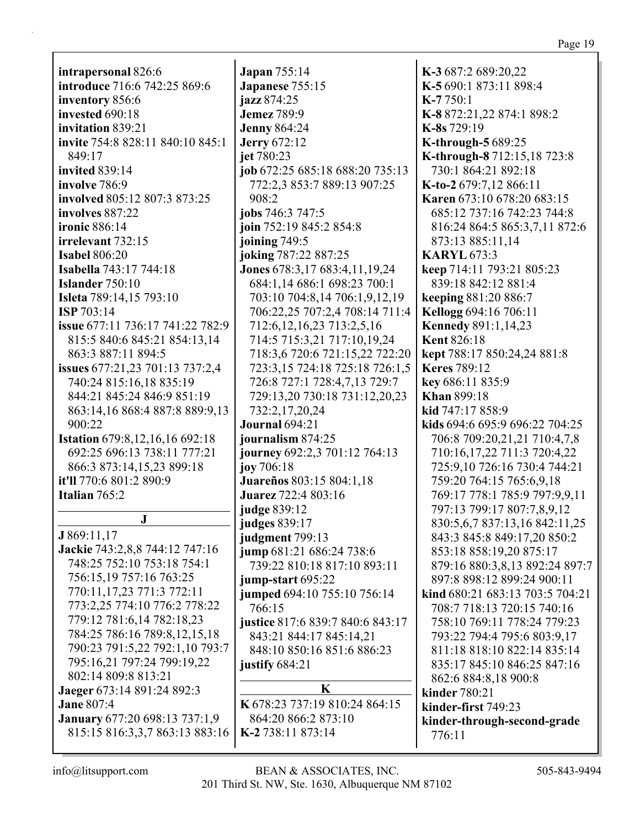| intrapersonal 826:6                   | <b>Japan</b> 755:14              | K-3 687:2 689:20,22             |
|---------------------------------------|----------------------------------|---------------------------------|
| introduce 716:6 742:25 869:6          | Japanese 755:15                  | K-5 690:1 873:11 898:4          |
| inventory 856:6                       | jazz 874:25                      | $K-7750:1$                      |
| invested 690:18                       | <b>Jemez 789:9</b>               | K-8872:21,22874:1898:2          |
| invitation 839:21                     | <b>Jenny 864:24</b>              | K-8s 729:19                     |
| invite 754:8 828:11 840:10 845:1      | <b>Jerry</b> 672:12              | K-through-5 689:25              |
| 849:17                                | jet 780:23                       | K-through-8712:15,18723:8       |
| invited 839:14                        | job 672:25 685:18 688:20 735:13  | 730:1 864:21 892:18             |
| involve 786:9                         | 772:2,3 853:7 889:13 907:25      | K-to-2 679:7,12 866:11          |
| involved 805:12 807:3 873:25          | 908:2                            | Karen 673:10 678:20 683:15      |
| involves 887:22                       | jobs 746:3 747:5                 | 685:12 737:16 742:23 744:8      |
| ironic 886:14                         | join 752:19 845:2 854:8          | 816:24 864:5 865:3,7,11 872:6   |
| irrelevant 732:15                     | joining 749:5                    | 873:13 885:11,14                |
| <b>Isabel 806:20</b>                  | joking 787:22 887:25             | <b>KARYL 673:3</b>              |
| <b>Isabella</b> 743:17 744:18         | Jones 678:3,17 683:4,11,19,24    | keep 714:11 793:21 805:23       |
| Islander 750:10                       | 684:1,14 686:1 698:23 700:1      | 839:18 842:12 881:4             |
| <b>Isleta</b> 789:14,15 793:10        | 703:10 704:8,14 706:1,9,12,19    | keeping 881:20 886:7            |
| ISP 703:14                            | 706:22,25 707:2,4 708:14 711:4   | Kellogg 694:16 706:11           |
| issue 677:11 736:17 741:22 782:9      | 712:6, 12, 16, 23 713:2, 5, 16   | <b>Kennedy 891:1,14,23</b>      |
| 815:5 840:6 845:21 854:13,14          | 714:5 715:3,21 717:10,19,24      | <b>Kent 826:18</b>              |
| 863:3 887:11 894:5                    | 718:3,6 720:6 721:15,22 722:20   | kept 788:17 850:24,24 881:8     |
| issues 677:21,23 701:13 737:2,4       | 723:3,15 724:18 725:18 726:1,5   | <b>Keres</b> 789:12             |
| 740:24 815:16,18 835:19               | 726:8 727:1 728:4,7,13 729:7     | key 686:11 835:9                |
| 844:21 845:24 846:9 851:19            | 729:13,20 730:18 731:12,20,23    | <b>Khan 899:18</b>              |
| 863:14,16 868:4 887:8 889:9,13        | 732:2,17,20,24                   | kid 747:17 858:9                |
| 900:22                                | <b>Journal</b> 694:21            | kids 694:6 695:9 696:22 704:25  |
| <b>Istation</b> 679:8,12,16,16 692:18 | journalism 874:25                | 706:8 709:20,21,21 710:4,7,8    |
| 692:25 696:13 738:11 777:21           | journey 692:2,3 701:12 764:13    | 710:16,17,22 711:3 720:4,22     |
| 866:3 873:14,15,23 899:18             | joy 706:18                       | 725:9,10 726:16 730:4 744:21    |
| it'll 770:6 801:2 890:9               | Juareños 803:15 804:1,18         | 759:20 764:15 765:6,9,18        |
| Italian 765:2                         | <b>Juarez</b> 722:4 803:16       | 769:17 778:1 785:9 797:9,9,11   |
|                                       | judge 839:12                     | 797:13 799:17 807:7,8,9,12      |
| ${\bf J}$                             | <b>judges</b> 839:17             | 830:5,6,7 837:13,16 842:11,25   |
| J869:11,17                            | judgment 799:13                  | 843:3 845:8 849:17,20 850:2     |
| Jackie 743:2,8,8 744:12 747:16        | jump 681:21 686:24 738:6         | 853:18 858:19,20 875:17         |
| 748:25 752:10 753:18 754:1            | 739:22 810:18 817:10 893:11      | 879:16 880:3,8,13 892:24 897:7  |
| 756:15,19 757:16 763:25               | jump-start 695:22                | 897:8 898:12 899:24 900:11      |
| 770:11,17,23 771:3 772:11             | jumped 694:10 755:10 756:14      | kind 680:21 683:13 703:5 704:21 |
| 773:2,25 774:10 776:2 778:22          | 766:15                           | 708:7 718:13 720:15 740:16      |
| 779:12 781:6,14 782:18,23             | justice 817:6 839:7 840:6 843:17 | 758:10 769:11 778:24 779:23     |
| 784:25 786:16 789:8,12,15,18          | 843:21 844:17 845:14,21          | 793:22 794:4 795:6 803:9,17     |
| 790:23 791:5,22 792:1,10 793:7        | 848:10 850:16 851:6 886:23       | 811:18 818:10 822:14 835:14     |
| 795:16,21 797:24 799:19,22            | justify $684:21$                 | 835:17 845:10 846:25 847:16     |
| 802:14 809:8 813:21                   |                                  | 862:6 884:8,18 900:8            |
| Jaeger 673:14 891:24 892:3            | $\mathbf K$                      | <b>kinder</b> 780:21            |
| <b>Jane 807:4</b>                     | K 678:23 737:19 810:24 864:15    | kinder-first 749:23             |
| <b>January 677:20 698:13 737:1,9</b>  | 864:20 866:2 873:10              | kinder-through-second-grade     |
| 815:15 816:3,3,7 863:13 883:16        | K-2738:11873:14                  | 776:11                          |
|                                       |                                  |                                 |

 $\overline{\mathbf{J}}$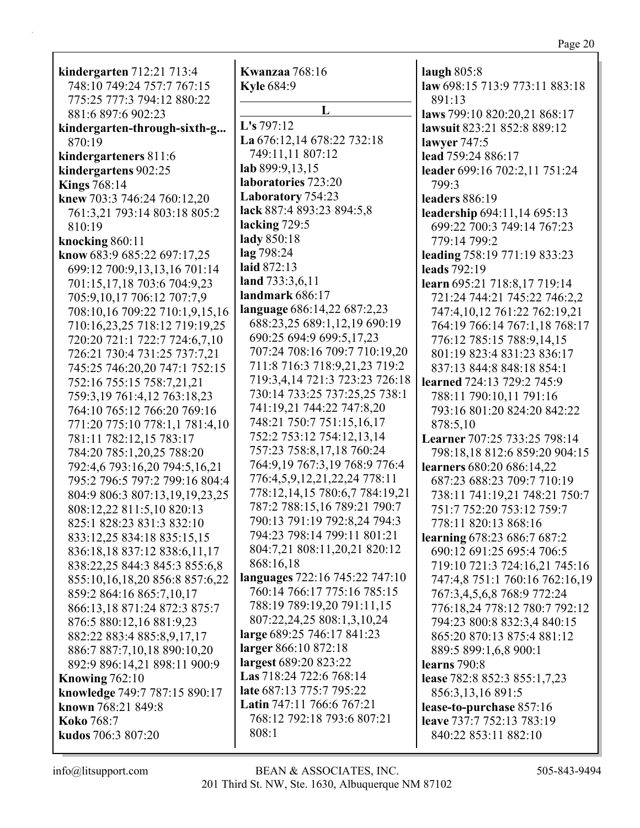| kindergarten 712:21 713:4                            | <b>Kwanzaa</b> 768:16                                    | laugh $805:8$                            |
|------------------------------------------------------|----------------------------------------------------------|------------------------------------------|
| 748:10 749:24 757:7 767:15                           | <b>Kyle 684:9</b>                                        | law 698:15 713:9 773:11 883:18           |
| 775:25 777:3 794:12 880:22                           |                                                          | 891:13                                   |
| 881:6 897:6 902:23                                   | L                                                        | laws 799:10 820:20,21 868:17             |
| kindergarten-through-sixth-g                         | L's 797:12                                               | lawsuit 823:21 852:8 889:12              |
| 870:19                                               | La 676:12,14 678:22 732:18                               | lawyer 747:5                             |
| kindergarteners 811:6                                | 749:11,11 807:12                                         | lead 759:24 886:17                       |
| kindergartens 902:25                                 | lab 899:9,13,15                                          | leader 699:16 702:2,11 751:24            |
| <b>Kings</b> 768:14                                  | laboratories 723:20                                      | 799:3                                    |
| knew 703:3 746:24 760:12,20                          | Laboratory 754:23                                        | leaders 886:19                           |
| 761:3,21 793:14 803:18 805:2                         | lack 887:4 893:23 894:5,8                                | leadership 694:11,14 695:13              |
| 810:19                                               | lacking $729:5$                                          | 699:22 700:3 749:14 767:23               |
| knocking 860:11                                      | lady 850:18                                              | 779:14 799:2                             |
| know 683:9 685:22 697:17,25                          | lag 798:24                                               | leading 758:19 771:19 833:23             |
| 699:12 700:9,13,13,16 701:14                         | laid 872:13                                              | leads 792:19                             |
| 701:15,17,18 703:6 704:9,23                          | land 733:3,6,11                                          | learn 695:21 718:8,17 719:14             |
| 705:9,10,17 706:12 707:7,9                           | landmark 686:17                                          | 721:24 744:21 745:22 746:2,2             |
| 708:10,16 709:22 710:1,9,15,16                       | language 686:14,22 687:2,23                              | 747:4,10,12 761:22 762:19,21             |
| 710:16,23,25 718:12 719:19,25                        | 688:23,25 689:1,12,19 690:19<br>690:25 694:9 699:5,17,23 | 764:19 766:14 767:1,18 768:17            |
| 720:20 721:1 722:7 724:6,7,10                        | 707:24 708:16 709:7 710:19,20                            | 776:12 785:15 788:9,14,15                |
| 726:21 730:4 731:25 737:7,21                         | 711:8 716:3 718:9,21,23 719:2                            | 801:19 823:4 831:23 836:17               |
| 745:25 746:20,20 747:1 752:15                        | 719:3,4,14 721:3 723:23 726:18                           | 837:13 844:8 848:18 854:1                |
| 752:16 755:15 758:7,21,21                            | 730:14 733:25 737:25,25 738:1                            | learned 724:13 729:2 745:9               |
| 759:3,19 761:4,12 763:18,23                          | 741:19,21 744:22 747:8,20                                | 788:11 790:10,11 791:16                  |
| 764:10 765:12 766:20 769:16                          | 748:21 750:7 751:15,16,17                                | 793:16 801:20 824:20 842:22              |
| 771:20 775:10 778:1,1 781:4,10                       | 752:2 753:12 754:12,13,14                                | 878:5,10<br>Learner 707:25 733:25 798:14 |
| 781:11 782:12,15 783:17<br>784:20 785:1,20,25 788:20 | 757:23 758:8,17,18 760:24                                | 798:18,18 812:6 859:20 904:15            |
| 792:4,6 793:16,20 794:5,16,21                        | 764:9,19 767:3,19 768:9 776:4                            | learners 680:20 686:14,22                |
| 795:2 796:5 797:2 799:16 804:4                       | 776:4,5,9,12,21,22,24 778:11                             | 687:23 688:23 709:7 710:19               |
| 804:9 806:3 807:13,19,19,23,25                       | 778:12,14,15 780:6,7 784:19,21                           | 738:11 741:19,21 748:21 750:7            |
| 808:12,22 811:5,10 820:13                            | 787:2 788:15,16 789:21 790:7                             | 751:7 752:20 753:12 759:7                |
| 825:1 828:23 831:3 832:10                            | 790:13 791:19 792:8,24 794:3                             | 778:11 820:13 868:16                     |
| 833:12,25 834:18 835:15,15                           | 794:23 798:14 799:11 801:21                              | learning 678:23 686:7 687:2              |
| 836:18,18 837:12 838:6,11,17                         | 804:7,21 808:11,20,21 820:12                             | 690:12 691:25 695:4 706:5                |
| 838:22,25 844:3 845:3 855:6,8                        | 868:16,18                                                | 719:10 721:3 724:16,21 745:16            |
| 855:10,16,18,20 856:8 857:6,22                       | languages 722:16 745:22 747:10                           | 747:4,8 751:1 760:16 762:16,19           |
| 859:2 864:16 865:7,10,17                             | 760:14 766:17 775:16 785:15                              | 767:3,4,5,6,8 768:9 772:24               |
| 866:13,18 871:24 872:3 875:7                         | 788:19 789:19,20 791:11,15                               | 776:18,24 778:12 780:7 792:12            |
| 876:5 880:12,16 881:9,23                             | 807:22,24,25 808:1,3,10,24                               | 794:23 800:8 832:3,4 840:15              |
| 882:22 883:4 885:8,9,17,17                           | large 689:25 746:17 841:23                               | 865:20 870:13 875:4 881:12               |
| 886:7 887:7,10,18 890:10,20                          | larger 866:10 872:18                                     | 889:5 899:1,6,8 900:1                    |
| 892:9 896:14,21 898:11 900:9                         | largest 689:20 823:22                                    | <b>learns</b> 790:8                      |
| <b>Knowing 762:10</b>                                | Las 718:24 722:6 768:14                                  | lease 782:8 852:3 855:1,7,23             |
| knowledge 749:7 787:15 890:17                        | late 687:13 775:7 795:22                                 | 856:3,13,16 891:5                        |
| known 768:21 849:8                                   | <b>Latin</b> 747:11 766:6 767:21                         | lease-to-purchase 857:16                 |
| <b>Koko</b> 768:7                                    | 768:12 792:18 793:6 807:21                               | leave 737:7 752:13 783:19                |
| kudos 706:3 807:20                                   | 808:1                                                    | 840:22 853:11 882:10                     |
|                                                      |                                                          |                                          |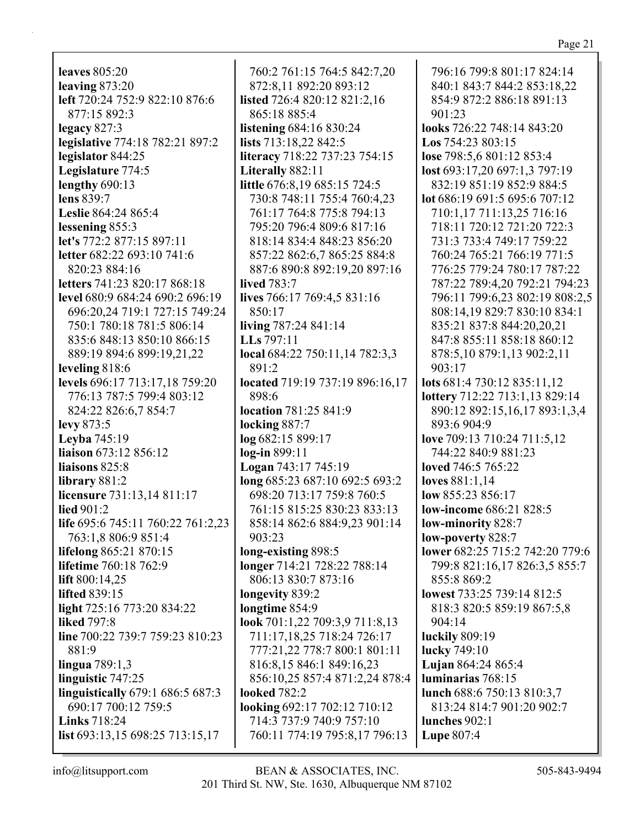**leaves** 805:20 **leaving** 873:20 **left** 720:24 752:9 822:10 876:6 877:15 892:3 **legacy** 827:3 **legislative** 774:18 782:21 897:2 **legislator** 844:25 **Legislature** 774:5 **lengthy** 690:13 **lens** 839:7 **Leslie** 864:24 865:4 **lessening** 855:3 **let's** 772:2 877:15 897:11 **letter** 682:22 693:10 741:6 820:23 884:16 **letters** 741:23 820:17 868:18 **level** 680:9 684:24 690:2 696:19 696:20,24 719:1 727:15 749:24 750:1 780:18 781:5 806:14 835:6 848:13 850:10 866:15 889:19 894:6 899:19,21,22 **leveling** 818:6 **levels** 696:17 713:17,18 759:20 776:13 787:5 799:4 803:12 824:22 826:6,7 854:7 **levy** 873:5 **Leyba** 745:19 **liaison** 673:12 856:12 **liaisons** 825:8 **library** 881:2 **licensure** 731:13,14 811:17 **lied** 901:2 **life** 695:6 745:11 760:22 761:2,23 763:1,8 806:9 851:4 **lifelong** 865:21 870:15 **lifetime** 760:18 762:9 **lift** 800:14,25 **lifted** 839:15 **light** 725:16 773:20 834:22 **liked** 797:8 **line** 700:22 739:7 759:23 810:23 881:9 **lingua** 789:1,3 **linguistic** 747:25 **linguistically** 679:1 686:5 687:3 690:17 700:12 759:5 **Links** 718:24 **list** 693:13,15 698:25 713:15,17

760:2 761:15 764:5 842:7,20 872:8,11 892:20 893:12 **listed** 726:4 820:12 821:2,16 865:18 885:4 **listening** 684:16 830:24 **lists** 713:18,22 842:5 **literacy** 718:22 737:23 754:15 **Literally** 882:11 **little** 676:8,19 685:15 724:5 730:8 748:11 755:4 760:4,23 761:17 764:8 775:8 794:13 795:20 796:4 809:6 817:16 818:14 834:4 848:23 856:20 857:22 862:6,7 865:25 884:8 887:6 890:8 892:19,20 897:16 **lived** 783:7 **lives** 766:17 769:4,5 831:16 850:17 **living** 787:24 841:14 **LLs** 797:11 **local** 684:22 750:11,14 782:3,3 891:2 **located** 719:19 737:19 896:16,17 898:6 **location** 781:25 841:9 **locking** 887:7 **log** 682:15 899:17 **log-in** 899:11 **Logan** 743:17 745:19 **long** 685:23 687:10 692:5 693:2 698:20 713:17 759:8 760:5 761:15 815:25 830:23 833:13 858:14 862:6 884:9,23 901:14 903:23 **long-existing** 898:5 **longer** 714:21 728:22 788:14 806:13 830:7 873:16 **longevity** 839:2 **longtime** 854:9 **look** 701:1,22 709:3,9 711:8,13 711:17,18,25 718:24 726:17 777:21,22 778:7 800:1 801:11 816:8,15 846:1 849:16,23 856:10,25 857:4 871:2,24 878:4 **looked** 782:2 **looking** 692:17 702:12 710:12 714:3 737:9 740:9 757:10 760:11 774:19 795:8,17 796:13

796:16 799:8 801:17 824:14 840:1 843:7 844:2 853:18,22 854:9 872:2 886:18 891:13 901:23 **looks** 726:22 748:14 843:20 **Los** 754:23 803:15 **lose** 798:5,6 801:12 853:4 **lost** 693:17,20 697:1,3 797:19 832:19 851:19 852:9 884:5 **lot** 686:19 691:5 695:6 707:12 710:1,17 711:13,25 716:16 718:11 720:12 721:20 722:3 731:3 733:4 749:17 759:22 760:24 765:21 766:19 771:5 776:25 779:24 780:17 787:22 787:22 789:4,20 792:21 794:23 796:11 799:6,23 802:19 808:2,5 808:14,19 829:7 830:10 834:1 835:21 837:8 844:20,20,21 847:8 855:11 858:18 860:12 878:5,10 879:1,13 902:2,11 903:17 **lots** 681:4 730:12 835:11,12 **lottery** 712:22 713:1,13 829:14 890:12 892:15,16,17 893:1,3,4 893:6 904:9 **love** 709:13 710:24 711:5,12 744:22 840:9 881:23 **loved** 746:5 765:22 **loves** 881:1,14 **low** 855:23 856:17 **low-income** 686:21 828:5 **low-minority** 828:7 **low-poverty** 828:7 **lower** 682:25 715:2 742:20 779:6 799:8 821:16,17 826:3,5 855:7 855:8 869:2 **lowest** 733:25 739:14 812:5 818:3 820:5 859:19 867:5,8 904:14 **luckily** 809:19 **lucky** 749:10 **Lujan** 864:24 865:4 **luminarias** 768:15 **lunch** 688:6 750:13 810:3,7 813:24 814:7 901:20 902:7 **lunches** 902:1 **Lupe** 807:4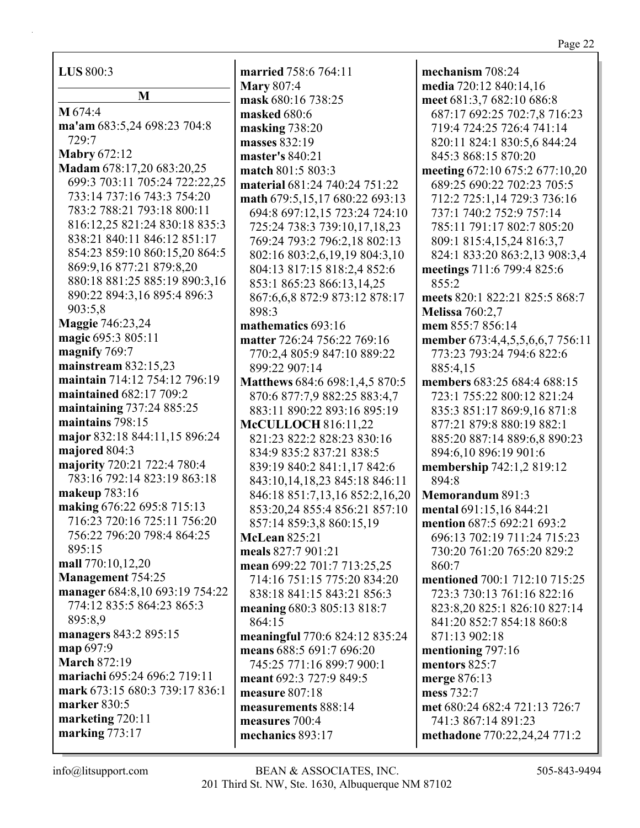| LUS 800:3                                                    | married 75%                       |
|--------------------------------------------------------------|-----------------------------------|
| M                                                            | <b>Mary 807:4</b><br>mask $680:1$ |
| M 674:4                                                      | masked 680                        |
| ma'am 683:5,24 698:23 704:8                                  | masking 73                        |
| 729:7                                                        | masses 832:                       |
| <b>Mabry 672:12</b>                                          | master's 84                       |
| Madam 678:17,20 683:20,25                                    | match $801$ :                     |
| 699:3 703:11 705:24 722:22,25                                | material 68                       |
| 733:14 737:16 743:3 754:20                                   | math 679:5.                       |
| 783:2 788:21 793:18 800:11                                   | 694:8 697                         |
| 816:12,25 821:24 830:18 835:3<br>838:21 840:11 846:12 851:17 | 725:24 73                         |
| 854:23 859:10 860:15,20 864:5                                | 769:24 79                         |
| 869:9,16 877:21 879:8,20                                     | 802:16 80<br>804:13 81            |
| 880:18 881:25 885:19 890:3,16                                | 853:1865                          |
| 890:22 894:3,16 895:4 896:3                                  | 867:6,6,8                         |
| 903:5,8                                                      | 898:3                             |
| <b>Maggie 746:23,24</b>                                      | mathematio                        |
| magic 695:3 805:11                                           | matter 726:                       |
| magnify 769:7                                                | 770:2,480                         |
| mainstream $832:15,23$                                       | 899:22 90                         |
| maintain 714:12 754:12 796:19                                | <b>Matthews 6</b>                 |
| maintained 682:17 709:2                                      | 870:6877                          |
| maintaining 737:24 885:25                                    | 883:11 89                         |
| maintains 798:15                                             | <b>McCULLO</b>                    |
| major 832:18 844:11,15 896:24                                | 821:23 82                         |
| majored 804:3                                                | 834:9835                          |
| majority 720:21 722:4 780:4                                  | 839:1984                          |
| 783:16 792:14 823:19 863:18                                  | 843:10,14                         |
| makeup 783:16                                                | 846:1885                          |
| making 676:22 695:8 715:13<br>716:23 720:16 725:11 756:20    | 853:20,24                         |
| 756:22 796:20 798:4 864:25                                   | 857:14 85                         |
| 895:15                                                       | McLean 82                         |
| mall 770:10,12,20                                            | meals $827:7$                     |
| Management 754:25                                            | mean 699:2<br>714:16 75           |
| manager 684:8,10 693:19 754:22                               | 838:1884                          |
| 774:12 835:5 864:23 865:3                                    | meaning 68                        |
| 895:8,9                                                      | 864:15                            |
| managers 843:2 895:15                                        | meaningful                        |
| map 697:9                                                    | means 688:                        |
| <b>March 872:19</b>                                          | 745:25 77                         |
| mariachi 695:24 696:2 719:11                                 | meant 692:3                       |
| mark 673:15 680:3 739:17 836:1                               | measure 80                        |
| marker 830:5                                                 | measureme                         |
| marketing 720:11                                             | measures 7                        |
| marking 773:17                                               | mechanics &                       |
|                                                              |                                   |

**married** 758:6 764:11 **16 738:25 m**:6 **masking** 738:20 **b**:19 **master's** 840:21 **match** 803:3 **material** 681:24 740:24 751:22 **math** 679:5,15,17 680:22 693:13 694:8 697:12,15 723:24 724:10 725:24 738:3 739:10,17,18,23 93:2 796:2,18 802:13 802:16 803:2,6,19,19 804:3,10 804:13 817:15 818:2,4 852:6 5:23 866:13,14,25 872:9 873:12 878:17 **ics** 693:16 **matter** 726:24 756:22 769:16 770:2,4 805:9 847:10 889:22 07:14 **Matthews** 684:6 698:1,4,5 870:5 870:6 877:7,9 882:25 883:4,7 90:22 893:16 895:19 **DCH** 816:11.22 821:23 822:2 828:23 830:16 834:9 835:2 837:21 838:5 839:19 840:2 841:1,17 842:6 843:10,14,18,23 845:18 846:11 846:18 851:7,13,16 852:2,16,20 853:20,24 855:4 856:21 857:10 857:14 859:3,8 860:15,19 **McLean** 825:21 **meals** 827:7 901:21 **mean** 699:22 701:7 713:25,25 714:16 751:15 775:20 834:20 838:18 841:15 843:21 856:3 **meaning** 680:3 805:13 818:7 **meaningful** 770:6 824:12 835:24 **means** 688:5 691:7 696:20 745:25 771:16 899:7 900:1 **meant** 692:3 727:9 849:5 **measure** 8 **ents** 888:14 **measures** 700:4 **mechanics** 893:17

**mechanism** 708:24 **media** 720:12 840:14,16 **meet** 681:3,7 682:10 686:8 687:17 692:25 702:7,8 716:23 719:4 724:25 726:4 741:14 820:11 824:1 830:5,6 844:24 845:3 868:15 870:20 **meeting** 672:10 675:2 677:10,20 689:25 690:22 702:23 705:5 712:2 725:1,14 729:3 736:16 737:1 740:2 752:9 757:14 785:11 791:17 802:7 805:20 809:1 815:4,15,24 816:3,7 824:1 833:20 863:2,13 908:3,4 **meetings** 711:6 799:4 825:6 855:2 **meets** 820:1 822:21 825:5 868:7 **Melissa** 760:2,7 **mem** 855:7 856:14 **member** 673:4,4,5,5,6,6,7 756:11 773:23 793:24 794:6 822:6 885:4,15 **members** 683:25 684:4 688:15 723:1 755:22 800:12 821:24 835:3 851:17 869:9,16 871:8 877:21 879:8 880:19 882:1 885:20 887:14 889:6,8 890:23 894:6,10 896:19 901:6 **membership** 742:1,2 819:12 894:8 **Memorandum** 891:3 **mental** 691:15,16 844:21 **mention** 687:5 692:21 693:2 696:13 702:19 711:24 715:23 730:20 761:20 765:20 829:2 860:7 **mentioned** 700:1 712:10 715:25 723:3 730:13 761:16 822:16 823:8,20 825:1 826:10 827:14 841:20 852:7 854:18 860:8 871:13 902:18 **mentioning** 797:16 **mentors** 825:7 **merge** 876:13 **mess** 732:7 **met** 680:24 682:4 721:13 726:7 741:3 867:14 891:23 **methadone** 770:22,24,24 771:2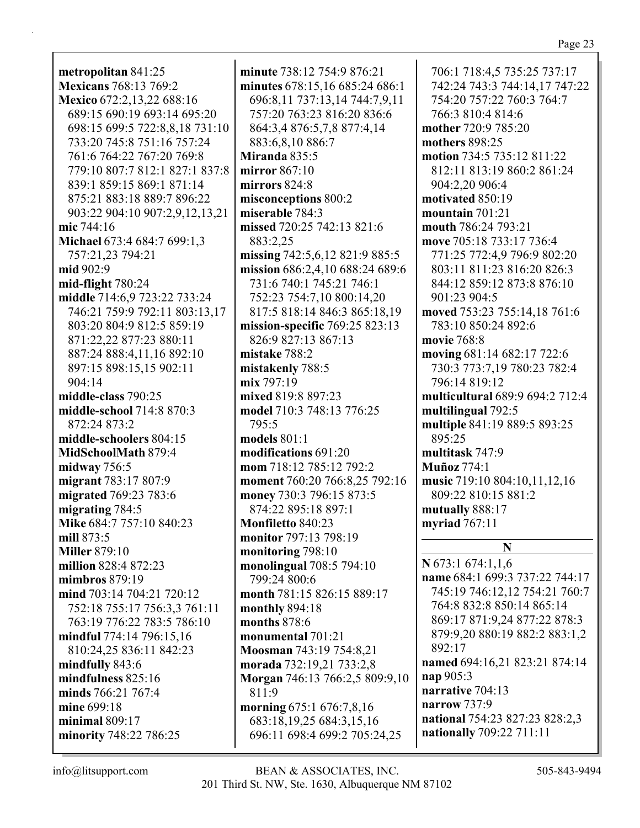**metropolitan** 841:25 **Mexicans** 768:13 769:2 **Mexico** 672:2,13,22 688:16 689:15 690:19 693:14 695:20 698:15 699:5 722:8,8,18 731:10 733:20 745:8 751:16 757:24 761:6 764:22 767:20 769:8 779:10 807:7 812:1 827:1 837:8 839:1 859:15 869:1 871:14 875:21 883:18 889:7 896:22 903:22 904:10 907:2,9,12,13,21 **mic** 744:16 **Michael** 673:4 684:7 699:1,3 757:21,23 794:21 **mid** 902:9 **mid-flight** 780:24 **middle** 714:6,9 723:22 733:24 746:21 759:9 792:11 803:13,17 803:20 804:9 812:5 859:19 871:22,22 877:23 880:11 887:24 888:4,11,16 892:10 897:15 898:15,15 902:11 904:14 **middle-class** 790:25 **middle-school** 714:8 870:3 872:24 873:2 **middle-schoolers** 804:15 **MidSchoolMath** 879:4 **midway** 756:5 **migrant** 783:17 807:9 **migrated** 769:23 783:6 **migrating** 784:5 **Mike** 684:7 757:10 840:23 **mill** 873:5 **Miller** 879:10 **million** 828:4 872:23 **mimbros** 879:19 **mind** 703:14 704:21 720:12 752:18 755:17 756:3,3 761:11 763:19 776:22 783:5 786:10 **mindful** 774:14 796:15,16 810:24,25 836:11 842:23 **mindfully** 843:6 **mindfulness** 825:16 **minds** 766:21 767:4 **mine** 699:18 **minimal** 809:17 **minority** 748:22 786:25

**minute** 738:12 754:9 876:21 **minutes** 678:15,16 685:24 686:1 696:8,11 737:13,14 744:7,9,11 757:20 763:23 816:20 836:6 864:3,4 876:5,7,8 877:4,14 883:6,8,10 886:7 **Miranda** 835:5 **mirror** 867:10 **mirrors** 824:8 **misconceptions** 800:2 **miserable** 784:3 **missed** 720:25 742:13 821:6 883:2,25 **missing** 742:5,6,12 821:9 885:5 **mission** 686:2,4,10 688:24 689:6 731:6 740:1 745:21 746:1 752:23 754:7,10 800:14,20 817:5 818:14 846:3 865:18,19 **mission-specific** 769:25 823:13 826:9 827:13 867:13 **mistake** 788:2 **mistakenly** 788:5 **mix** 797:19 **mixed** 819:8 897:23 **model** 710:3 748:13 776:25 795:5 **models** 801:1 **modifications** 691:20 **mom** 718:12 785:12 792:2 **moment** 760:20 766:8,25 792:16 **money** 730:3 796:15 873:5 874:22 895:18 897:1 **Monfiletto** 840:23 **monitor** 797:13 798:19 **monitoring** 798:10 **monolingual** 708:5 794:10 799:24 800:6 **month** 781:15 826:15 889:17 **monthly** 894:18 **months** 878:6 **monumental** 701:21 **Moosman** 743:19 754:8,21 **morada** 732:19,21 733:2,8 **Morgan** 746:13 766:2,5 809:9,10 811:9 **morning** 675:1 676:7,8,16 683:18,19,25 684:3,15,16 696:11 698:4 699:2 705:24,25

706:1 718:4,5 735:25 737:17 742:24 743:3 744:14,17 747:22 754:20 757:22 760:3 764:7 766:3 810:4 814:6 **mother** 720:9 785:20 **mothers** 898:25 **motion** 734:5 735:12 811:22 812:11 813:19 860:2 861:24 904:2,20 906:4 **motivated** 850:19 **mountain** 701:21 **mouth** 786:24 793:21 **move** 705:18 733:17 736:4 771:25 772:4,9 796:9 802:20 803:11 811:23 816:20 826:3 844:12 859:12 873:8 876:10 901:23 904:5 **moved** 753:23 755:14,18 761:6 783:10 850:24 892:6 **movie** 768:8 **moving** 681:14 682:17 722:6 730:3 773:7,19 780:23 782:4 796:14 819:12 **multicultural** 689:9 694:2 712:4 **multilingual** 792:5 **multiple** 841:19 889:5 893:25 895:25 **multitask** 747:9 **Muñoz** 774:1 **music** 719:10 804:10,11,12,16 809:22 810:15 881:2 **mutually** 888:17 **myriad** 767:11 **N N** 673:1 674:1,1,6

**name** 684:1 699:3 737:22 744:17 745:19 746:12,12 754:21 760:7 764:8 832:8 850:14 865:14 869:17 871:9,24 877:22 878:3 879:9,20 880:19 882:2 883:1,2 892:17 **named** 694:16,21 823:21 874:14 **nap** 905:3 **narrative** 704:13 **narrow** 737:9 **national** 754:23 827:23 828:2,3 **nationally** 709:22 711:11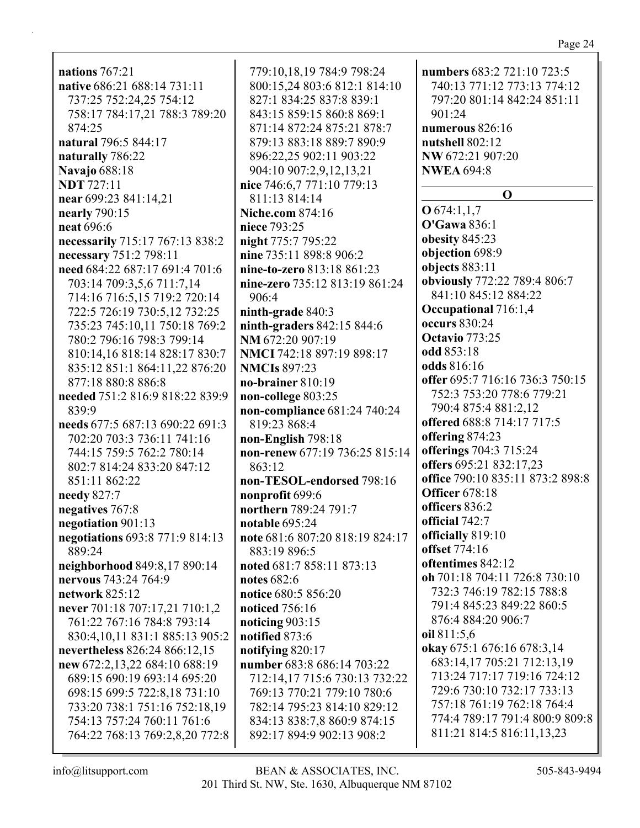**nations** 767:21 **native** 686:21 688:14 731:11 737:25 752:24,25 754:12 758:17 784:17,21 788:3 789:20 874:25 **natural** 796:5 844:17 **naturally** 786:22 **Navajo** 688:18 **NDT** 727:11 **near** 699:23 841:14,21 **nearly** 790:15 **neat** 696:6 **necessarily** 715:17 767:13 838:2 **necessary** 751:2 798:11 **need** 684:22 687:17 691:4 701:6 703:14 709:3,5,6 711:7,14 714:16 716:5,15 719:2 720:14 722:5 726:19 730:5,12 732:25 735:23 745:10,11 750:18 769:2 780:2 796:16 798:3 799:14 810:14,16 818:14 828:17 830:7 835:12 851:1 864:11,22 876:20 877:18 880:8 886:8 **needed** 751:2 816:9 818:22 839:9 839:9 **needs** 677:5 687:13 690:22 691:3 702:20 703:3 736:11 741:16 744:15 759:5 762:2 780:14 802:7 814:24 833:20 847:12 851:11 862:22 **needy** 827:7 **negatives** 767:8 **negotiation** 901:13 **negotiations** 693:8 771:9 814:13 889:24 **neighborhood** 849:8,17 890:14 **nervous** 743:24 764:9 **network** 825:12 **never** 701:18 707:17,21 710:1,2 761:22 767:16 784:8 793:14 830:4,10,11 831:1 885:13 905:2 **nevertheless** 826:24 866:12,15 **new** 672:2,13,22 684:10 688:19 689:15 690:19 693:14 695:20 698:15 699:5 722:8,18 731:10 733:20 738:1 751:16 752:18,19 754:13 757:24 760:11 761:6 764:22 768:13 769:2,8,20 772:8

779:10,18,19 784:9 798:24 800:15,24 803:6 812:1 814:10 827:1 834:25 837:8 839:1 843:15 859:15 860:8 869:1 871:14 872:24 875:21 878:7 879:13 883:18 889:7 890:9 896:22,25 902:11 903:22 904:10 907:2,9,12,13,21 **nice** 746:6,7 771:10 779:13 811:13 814:14 **Niche.com** 874:16 **niece** 793:25 **night** 775:7 795:22 **nine** 735:11 898:8 906:2 **nine-to-zero** 813:18 861:23 **nine-zero** 735:12 813:19 861:24 906:4 **ninth-grade** 840:3 **ninth-graders** 842:15 844:6 **NM** 672:20 907:19 **NMCI** 742:18 897:19 898:17 **NMCIs** 897:23 **no-brainer** 810:19 **non-college** 803:25 **non-compliance** 681:24 740:24 819:23 868:4 **non-English** 798:18 **non-renew** 677:19 736:25 815:14 863:12 **non-TESOL-endorsed** 798:16 **nonprofit** 699:6 **northern** 789:24 791:7 **notable** 695:24 **note** 681:6 807:20 818:19 824:17 883:19 896:5 **noted** 681:7 858:11 873:13 **notes** 682:6 **notice** 680:5 856:20 **noticed** 756:16 **noticing** 903:15 **notified** 873:6 **notifying** 820:17 **number** 683:8 686:14 703:22 712:14,17 715:6 730:13 732:22 769:13 770:21 779:10 780:6 782:14 795:23 814:10 829:12 834:13 838:7,8 860:9 874:15 892:17 894:9 902:13 908:2

**numbers** 683:2 721:10 723:5 740:13 771:12 773:13 774:12 797:20 801:14 842:24 851:11 901:24 **numerous** 826:16 **nutshell** 802:12 **NW** 672:21 907:20 **NWEA** 694:8 **O O** 674:1,1,7 **O'Gawa** 836:1 **obesity** 845:23 **objection** 698:9 **objects** 883:11 **obviously** 772:22 789:4 806:7 841:10 845:12 884:22 **Occupational** 716:1,4 **occurs** 830:24 **Octavio** 773:25 **odd** 853:18 **odds** 816:16 **offer** 695:7 716:16 736:3 750:15 752:3 753:20 778:6 779:21 790:4 875:4 881:2,12 **offered** 688:8 714:17 717:5 **offering** 874:23 **offerings** 704:3 715:24 **offers** 695:21 832:17,23 **office** 790:10 835:11 873:2 898:8 **Officer** 678:18 **officers** 836:2 **official** 742:7 **officially** 819:10 **offset** 774:16 **oftentimes** 842:12 **oh** 701:18 704:11 726:8 730:10 732:3 746:19 782:15 788:8 791:4 845:23 849:22 860:5 876:4 884:20 906:7 **oil** 811:5,6 **okay** 675:1 676:16 678:3,14 683:14,17 705:21 712:13,19 713:24 717:17 719:16 724:12 729:6 730:10 732:17 733:13 757:18 761:19 762:18 764:4 774:4 789:17 791:4 800:9 809:8 811:21 814:5 816:11,13,23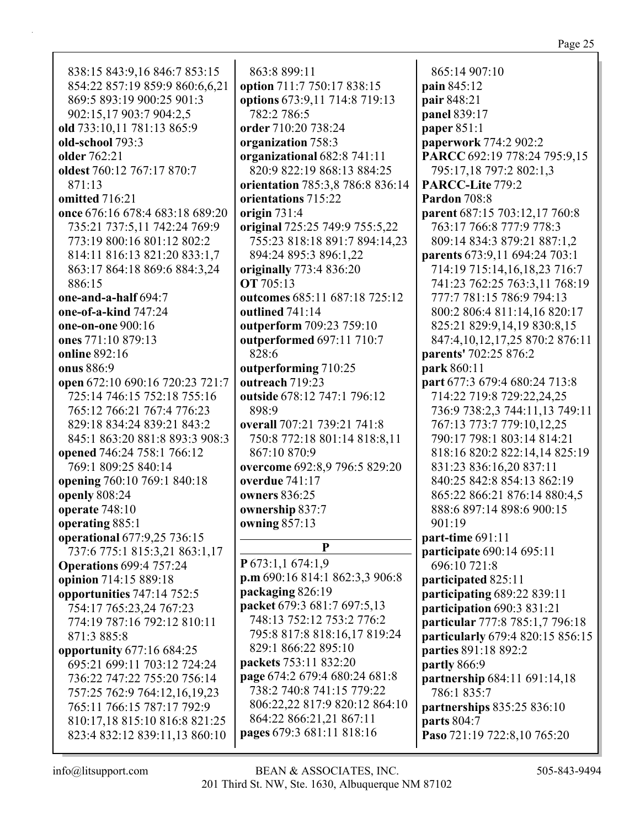838:15 843:9,16 846:7 853:15 854:22 857:19 859:9 860:6,6,21 869:5 893:19 900:25 901:3 902:15,17 903:7 904:2,5 **old** 733:10,11 781:13 865:9 **old-school** 793:3 **older** 762:21 **oldest** 760:12 767:17 870:7 871:13 **omitted** 716:21 **once** 676:16 678:4 683:18 689:20 735:21 737:5,11 742:24 769:9 773:19 800:16 801:12 802:2 814:11 816:13 821:20 833:1,7 863:17 864:18 869:6 884:3,24 886:15 **one-and-a-half** 694:7 **one-of-a-kind** 747:24 **one-on-one** 900:16 **ones** 771:10 879:13 **online** 892:16 **onus** 886:9 **open** 672:10 690:16 720:23 721:7 725:14 746:15 752:18 755:16 765:12 766:21 767:4 776:23 829:18 834:24 839:21 843:2 845:1 863:20 881:8 893:3 908:3 **opened** 746:24 758:1 766:12 769:1 809:25 840:14 **opening** 760:10 769:1 840:18 **openly** 808:24 **operate** 748:10 **operating** 885:1 **operational** 677:9,25 736:15 737:6 775:1 815:3,21 863:1,17 **Operations** 699:4 757:24 **opinion** 714:15 889:18 **opportunities** 747:14 752:5 754:17 765:23,24 767:23 774:19 787:16 792:12 810:11 871:3 885:8 **opportunity** 677:16 684:25 695:21 699:11 703:12 724:24 736:22 747:22 755:20 756:14 757:25 762:9 764:12,16,19,23 765:11 766:15 787:17 792:9 810:17,18 815:10 816:8 821:25 823:4 832:12 839:11,13 860:10

863:8 899:11 **option** 711:7 750:17 838:15 **options** 673:9,11 714:8 719:13 782:2 786:5 **order** 710:20 738:24 **organization** 758:3 **organizational** 682:8 741:11 820:9 822:19 868:13 884:25 **orientation** 785:3,8 786:8 836:14 **orientations** 715:22 **origin** 731:4 **original** 725:25 749:9 755:5,22 755:23 818:18 891:7 894:14,23 894:24 895:3 896:1,22 **originally** 773:4 836:20 **OT** 705:13 **outcomes** 685:11 687:18 725:12 **outlined** 741:14 **outperform** 709:23 759:10 **outperformed** 697:11 710:7 828:6 **outperforming** 710:25 **outreach** 719:23 **outside** 678:12 747:1 796:12 898:9 **overall** 707:21 739:21 741:8 750:8 772:18 801:14 818:8,11 867:10 870:9 **overcome** 692:8,9 796:5 829:20 **overdue** 741:17 **owners** 836:25 **ownership** 837:7 **owning** 857:13 **P P** 673:1,1 674:1,9 **p.m** 690:16 814:1 862:3,3 906:8 **packaging** 826:19 **packet** 679:3 681:7 697:5,13 748:13 752:12 753:2 776:2 795:8 817:8 818:16,17 819:24 829:1 866:22 895:10 **packets** 753:11 832:20 **page** 674:2 679:4 680:24 681:8 738:2 740:8 741:15 779:22 806:22,22 817:9 820:12 864:10 864:22 866:21,21 867:11 **pages** 679:3 681:11 818:16

865:14 907:10 **pain** 845:12 **pair** 848:21 **panel** 839:17 **paper** 851:1 **paperwork** 774:2 902:2 **PARCC** 692:19 778:24 795:9,15 795:17,18 797:2 802:1,3 **PARCC-Lite** 779:2 **Pardon** 708:8 **parent** 687:15 703:12,17 760:8 763:17 766:8 777:9 778:3 809:14 834:3 879:21 887:1,2 **parents** 673:9,11 694:24 703:1 714:19 715:14,16,18,23 716:7 741:23 762:25 763:3,11 768:19 777:7 781:15 786:9 794:13 800:2 806:4 811:14,16 820:17 825:21 829:9,14,19 830:8,15 847:4,10,12,17,25 870:2 876:11 **parents'** 702:25 876:2 **park** 860:11 **part** 677:3 679:4 680:24 713:8 714:22 719:8 729:22,24,25 736:9 738:2,3 744:11,13 749:11 767:13 773:7 779:10,12,25 790:17 798:1 803:14 814:21 818:16 820:2 822:14,14 825:19 831:23 836:16,20 837:11 840:25 842:8 854:13 862:19 865:22 866:21 876:14 880:4,5 888:6 897:14 898:6 900:15 901:19 **part-time** 691:11 **participate** 690:14 695:11 696:10 721:8 **participated** 825:11 **participating** 689:22 839:11 **participation** 690:3 831:21 **particular** 777:8 785:1,7 796:18 **particularly** 679:4 820:15 856:15 **parties** 891:18 892:2 **partly** 866:9 **partnership** 684:11 691:14,18 786:1 835:7 **partnerships** 835:25 836:10 **parts** 804:7 **Paso** 721:19 722:8,10 765:20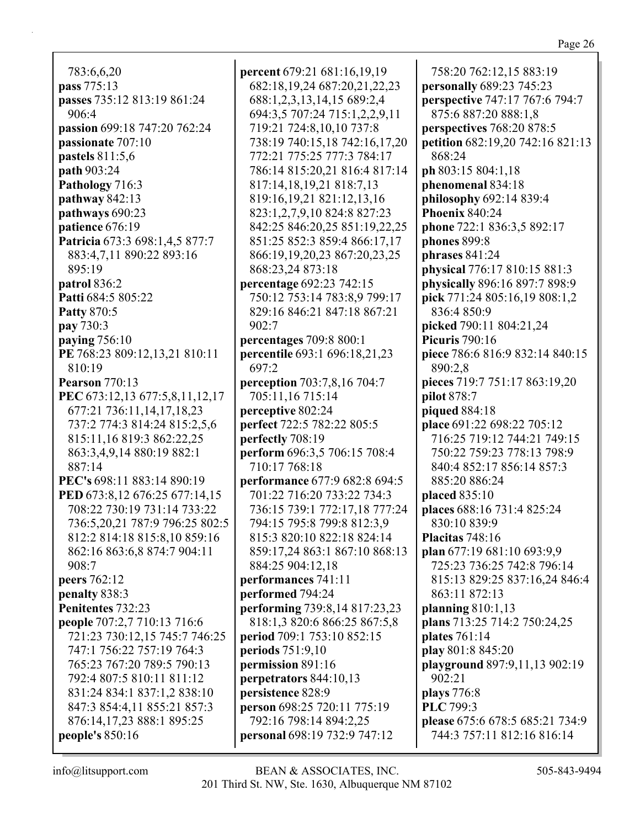783:6,6,20 **pass** 775:13 **passes** 735:12 813:19 861:24 906:4 **passion** 699:18 747:20 762:24 **passionate** 707:10 **pastels** 811:5,6 **path** 903:24 **Pathology** 716:3 **pathway** 842:13 **pathways** 690:23 **patience** 676:19 **Patricia** 673:3 698:1,4,5 877:7 883:4,7,11 890:22 893:16 895:19 **patrol** 836:2 **Patti** 684:5 805:22 **Patty** 870:5 **pay** 730:3 **paying** 756:10 **PE** 768:23 809:12,13,21 810:11 810:19 **Pearson** 770:13 **PEC** 673:12,13 677:5,8,11,12,17 677:21 736:11,14,17,18,23 737:2 774:3 814:24 815:2,5,6 815:11,16 819:3 862:22,25 863:3,4,9,14 880:19 882:1 887:14 **PEC's** 698:11 883:14 890:19 **PED** 673:8,12 676:25 677:14,15 708:22 730:19 731:14 733:22 736:5,20,21 787:9 796:25 802:5 812:2 814:18 815:8,10 859:16 862:16 863:6,8 874:7 904:11 908:7 **peers** 762:12 **penalty** 838:3 **Penitentes** 732:23 **people** 707:2,7 710:13 716:6 721:23 730:12,15 745:7 746:25 747:1 756:22 757:19 764:3 765:23 767:20 789:5 790:13 792:4 807:5 810:11 811:12 831:24 834:1 837:1,2 838:10 847:3 854:4,11 855:21 857:3 876:14,17,23 888:1 895:25 **people's** 850:16

**percent** 679:21 681:16,19,19 682:18,19,24 687:20,21,22,23 688:1,2,3,13,14,15 689:2,4 694:3,5 707:24 715:1,2,2,9,11 719:21 724:8,10,10 737:8 738:19 740:15,18 742:16,17,20 772:21 775:25 777:3 784:17 786:14 815:20,21 816:4 817:14 817:14,18,19,21 818:7,13 819:16,19,21 821:12,13,16 823:1,2,7,9,10 824:8 827:23 842:25 846:20,25 851:19,22,25 851:25 852:3 859:4 866:17,17 866:19,19,20,23 867:20,23,25 868:23,24 873:18 **percentage** 692:23 742:15 750:12 753:14 783:8,9 799:17 829:16 846:21 847:18 867:21 902:7 **percentages** 709:8 800:1 **percentile** 693:1 696:18,21,23 697:2 **perception** 703:7,8,16 704:7 705:11,16 715:14 **perceptive** 802:24 **perfect** 722:5 782:22 805:5 **perfectly** 708:19 **perform** 696:3,5 706:15 708:4 710:17 768:18 **performance** 677:9 682:8 694:5 701:22 716:20 733:22 734:3 736:15 739:1 772:17,18 777:24 794:15 795:8 799:8 812:3,9 815:3 820:10 822:18 824:14 859:17,24 863:1 867:10 868:13 884:25 904:12,18 **performances** 741:11 **performed** 794:24 **performing** 739:8,14 817:23,23 818:1,3 820:6 866:25 867:5,8 **period** 709:1 753:10 852:15 **periods** 751:9,10 **permission** 891:16 **perpetrators** 844:10,13 **persistence** 828:9 **person** 698:25 720:11 775:19 792:16 798:14 894:2,25 **personal** 698:19 732:9 747:12

758:20 762:12,15 883:19 **personally** 689:23 745:23 **perspective** 747:17 767:6 794:7 875:6 887:20 888:1,8 **perspectives** 768:20 878:5 **petition** 682:19,20 742:16 821:13 868:24 **ph** 803:15 804:1,18 **phenomenal** 834:18 **philosophy** 692:14 839:4 **Phoenix** 840:24 **phone** 722:1 836:3,5 892:17 **phones** 899:8 **phrases** 841:24 **physical** 776:17 810:15 881:3 **physically** 896:16 897:7 898:9 **pick** 771:24 805:16,19 808:1,2 836:4 850:9 **picked** 790:11 804:21,24 **Picuris** 790:16 **piece** 786:6 816:9 832:14 840:15 890:2,8 **pieces** 719:7 751:17 863:19,20 **pilot** 878:7 **piqued** 884:18 **place** 691:22 698:22 705:12 716:25 719:12 744:21 749:15 750:22 759:23 778:13 798:9 840:4 852:17 856:14 857:3 885:20 886:24 **placed** 835:10 **places** 688:16 731:4 825:24 830:10 839:9 **Placitas** 748:16 **plan** 677:19 681:10 693:9,9 725:23 736:25 742:8 796:14 815:13 829:25 837:16,24 846:4 863:11 872:13 **planning** 810:1,13 **plans** 713:25 714:2 750:24,25 **plates** 761:14 **play** 801:8 845:20 **playground** 897:9,11,13 902:19 902:21 **plays** 776:8 **PLC** 799:3 **please** 675:6 678:5 685:21 734:9 744:3 757:11 812:16 816:14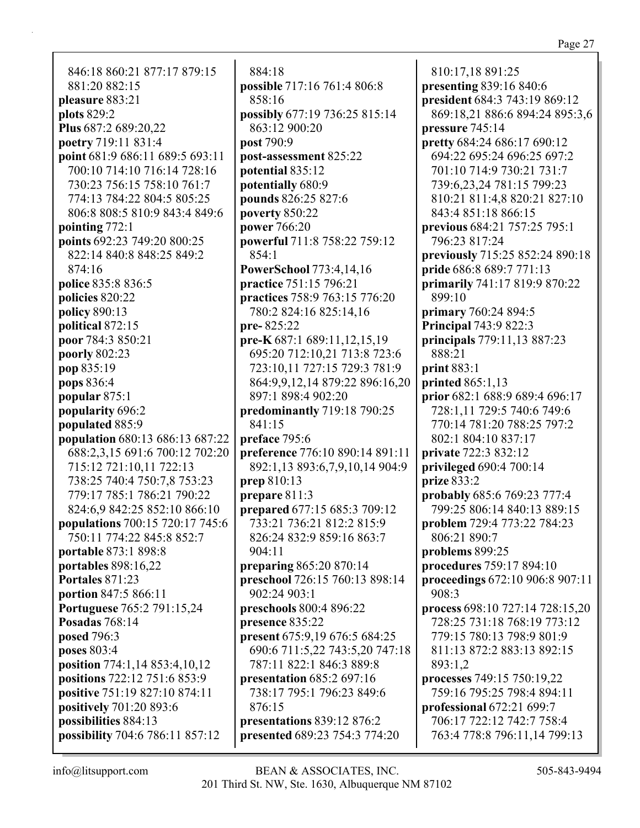846:18 860:21 877:17 879:15 881:20 882:15 **pleasure** 883:21 **plots** 829:2 **Plus** 687:2 689:20,22 **poetry** 719:11 831:4 **point** 681:9 686:11 689:5 693:11 700:10 714:10 716:14 728:16 730:23 756:15 758:10 761:7 774:13 784:22 804:5 805:25 806:8 808:5 810:9 843:4 849:6 **pointing** 772:1 **points** 692:23 749:20 800:25 822:14 840:8 848:25 849:2 874:16 **police** 835:8 836:5 **policies** 820:22 **policy** 890:13 **political** 872:15 **poor** 784:3 850:21 **poorly** 802:23 **pop** 835:19 **pops** 836:4 **popular** 875:1 **popularity** 696:2 **populated** 885:9 **population** 680:13 686:13 687:22 688:2,3,15 691:6 700:12 702:20 715:12 721:10,11 722:13 738:25 740:4 750:7,8 753:23 779:17 785:1 786:21 790:22 824:6,9 842:25 852:10 866:10 **populations** 700:15 720:17 745:6 750:11 774:22 845:8 852:7 **portable** 873:1 898:8 **portables** 898:16,22 **Portales** 871:23 **portion** 847:5 866:11 **Portuguese** 765:2 791:15,24 **Posadas** 768:14 **posed** 796:3 **poses** 803:4 **position** 774:1,14 853:4,10,12 **positions** 722:12 751:6 853:9 **positive** 751:19 827:10 874:11 **positively** 701:20 893:6 **possibilities** 884:13 **possibility** 704:6 786:11 857:12

884:18 **possible** 717:16 761:4 806:8 858:16 **possibly** 677:19 736:25 815:14 863:12 900:20 **post** 790:9 **post-assessment** 825:22 **potential** 835:12 **potentially** 680:9 **pounds** 826:25 827:6 **poverty** 850:22 **power** 766:20 **powerful** 711:8 758:22 759:12 854:1 **PowerSchool** 773:4,14,16 **practice** 751:15 796:21 **practices** 758:9 763:15 776:20 780:2 824:16 825:14,16 **pre-** 825:22 **pre-K** 687:1 689:11,12,15,19 695:20 712:10,21 713:8 723:6 723:10,11 727:15 729:3 781:9 864:9,9,12,14 879:22 896:16,20 897:1 898:4 902:20 **predominantly** 719:18 790:25 841:15 **preface** 795:6 **preference** 776:10 890:14 891:11 892:1,13 893:6,7,9,10,14 904:9 **prep** 810:13 **prepare** 811:3 **prepared** 677:15 685:3 709:12 733:21 736:21 812:2 815:9 826:24 832:9 859:16 863:7 904:11 **preparing** 865:20 870:14 **preschool** 726:15 760:13 898:14 902:24 903:1 **preschools** 800:4 896:22 **presence** 835:22 **present** 675:9,19 676:5 684:25 690:6 711:5,22 743:5,20 747:18 787:11 822:1 846:3 889:8 **presentation** 685:2 697:16 738:17 795:1 796:23 849:6 876:15 **presentations** 839:12 876:2 **presented** 689:23 754:3 774:20

810:17,18 891:25 **presenting** 839:16 840:6 **president** 684:3 743:19 869:12 869:18,21 886:6 894:24 895:3,6 **pressure** 745:14 **pretty** 684:24 686:17 690:12 694:22 695:24 696:25 697:2 701:10 714:9 730:21 731:7 739:6,23,24 781:15 799:23 810:21 811:4,8 820:21 827:10 843:4 851:18 866:15 **previous** 684:21 757:25 795:1 796:23 817:24 **previously** 715:25 852:24 890:18 **pride** 686:8 689:7 771:13 **primarily** 741:17 819:9 870:22 899:10 **primary** 760:24 894:5 **Principal** 743:9 822:3 **principals** 779:11,13 887:23 888:21 **print** 883:1 **printed** 865:1,13 **prior** 682:1 688:9 689:4 696:17 728:1,11 729:5 740:6 749:6 770:14 781:20 788:25 797:2 802:1 804:10 837:17 **private** 722:3 832:12 **privileged** 690:4 700:14 **prize** 833:2 **probably** 685:6 769:23 777:4 799:25 806:14 840:13 889:15 **problem** 729:4 773:22 784:23 806:21 890:7 **problems** 899:25 **procedures** 759:17 894:10 **proceedings** 672:10 906:8 907:11 908:3 **process** 698:10 727:14 728:15,20 728:25 731:18 768:19 773:12 779:15 780:13 798:9 801:9 811:13 872:2 883:13 892:15 893:1,2 **processes** 749:15 750:19,22 759:16 795:25 798:4 894:11 **professional** 672:21 699:7 706:17 722:12 742:7 758:4 763:4 778:8 796:11,14 799:13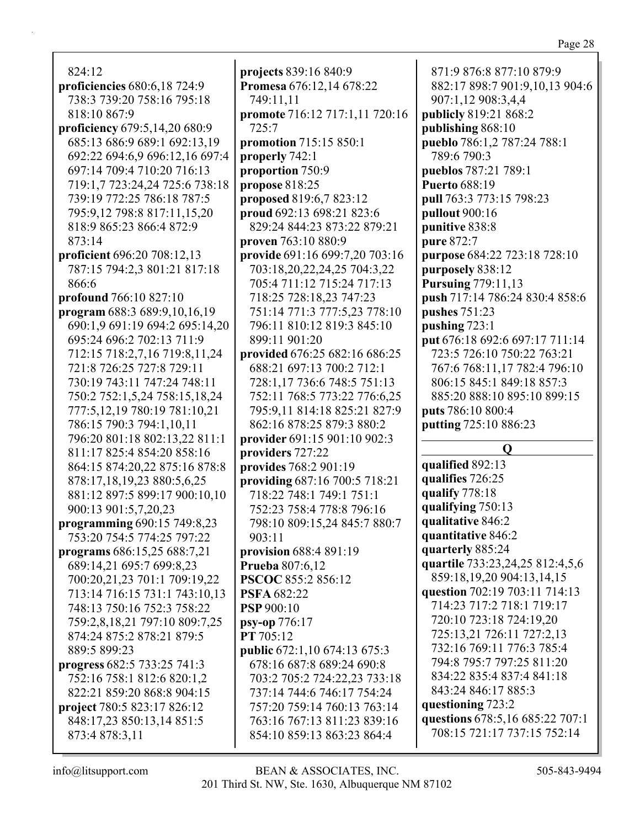824:12 **proficiencies** 680:6,18 724:9 738:3 739:20 758:16 795:18 818:10 867:9 **proficiency** 679:5,14,20 680:9 685:13 686:9 689:1 692:13,19 692:22 694:6,9 696:12,16 697:4 697:14 709:4 710:20 716:13 719:1,7 723:24,24 725:6 738:18 739:19 772:25 786:18 787:5 795:9,12 798:8 817:11,15,20 818:9 865:23 866:4 872:9 873:14 **proficient** 696:20 708:12,13 787:15 794:2,3 801:21 817:18 866:6 **profound** 766:10 827:10 **program** 688:3 689:9,10,16,19

690:1,9 691:19 694:2 695:14,20 695:24 696:2 702:13 711:9 712:15 718:2,7,16 719:8,11,24 721:8 726:25 727:8 729:11 730:19 743:11 747:24 748:11 750:2 752:1,5,24 758:15,18,24 777:5,12,19 780:19 781:10,21 786:15 790:3 794:1,10,11 796:20 801:18 802:13,22 811:1 811:17 825:4 854:20 858:16 864:15 874:20,22 875:16 878:8 878:17,18,19,23 880:5,6,25 881:12 897:5 899:17 900:10,10 900:13 901:5,7,20,23 **programming** 690:15 749:8,23 753:20 754:5 774:25 797:22 **programs** 686:15,25 688:7,21 689:14,21 695:7 699:8,23 700:20,21,23 701:1 709:19,22 713:14 716:15 731:1 743:10,13 748:13 750:16 752:3 758:22 759:2,8,18,21 797:10 809:7,25 874:24 875:2 878:21 879:5

889:5 899:23 **progress** 682:5 733:25 741:3 752:16 758:1 812:6 820:1,2 822:21 859:20 868:8 904:15 **project** 780:5 823:17 826:12 848:17,23 850:13,14 851:5 873:4 878:3,11

**projects** 839:16 840:9 **Promesa** 676:12,14 678:22 749:11,11 **promote** 716:12 717:1,11 720:16 725:7 **promotion** 715:15 850:1 **properly** 742:1 **proportion** 750:9 **propose** 818:25 **proposed** 819:6,7 823:12 **proud** 692:13 698:21 823:6 829:24 844:23 873:22 879:21 **proven** 763:10 880:9 **provide** 691:16 699:7,20 703:16 703:18,20,22,24,25 704:3,22 705:4 711:12 715:24 717:13 718:25 728:18,23 747:23 751:14 771:3 777:5,23 778:10 796:11 810:12 819:3 845:10 899:11 901:20 **provided** 676:25 682:16 686:25 688:21 697:13 700:2 712:1 728:1,17 736:6 748:5 751:13 752:11 768:5 773:22 776:6,25 795:9,11 814:18 825:21 827:9 862:16 878:25 879:3 880:2 **provider** 691:15 901:10 902:3 **providers** 727:22 **provides** 768:2 901:19 **providing** 687:16 700:5 718:21 718:22 748:1 749:1 751:1 752:23 758:4 778:8 796:16 798:10 809:15,24 845:7 880:7 903:11 **provision** 688:4 891:19 **Prueba** 807:6,12 **PSCOC** 855:2 856:12 **PSFA** 682:22 **PSP** 900:10 **psy-op** 776:17 **PT** 705:12 **public** 672:1,10 674:13 675:3 678:16 687:8 689:24 690:8 703:2 705:2 724:22,23 733:18 737:14 744:6 746:17 754:24 757:20 759:14 760:13 763:14 763:16 767:13 811:23 839:16 854:10 859:13 863:23 864:4

882:17 898:7 901:9,10,13 904:6 907:1,12 908:3,4,4 **publicly** 819:21 868:2 **publishing** 868:10 **pueblo** 786:1,2 787:24 788:1 789:6 790:3 **pueblos** 787:21 789:1 **Puerto** 688:19 **pull** 763:3 773:15 798:23 **pullout** 900:16 **punitive** 838:8 **pure** 872:7 **purpose** 684:22 723:18 728:10 **purposely** 838:12 **Pursuing** 779:11,13 **push** 717:14 786:24 830:4 858:6 **pushes** 751:23 **pushing** 723:1 **put** 676:18 692:6 697:17 711:14 723:5 726:10 750:22 763:21 767:6 768:11,17 782:4 796:10 806:15 845:1 849:18 857:3 885:20 888:10 895:10 899:15 **puts** 786:10 800:4 **putting** 725:10 886:23

871:9 876:8 877:10 879:9

**Q qualified** 892:13 **qualifies** 726:25 **qualify** 778:18 **qualifying** 750:13 **qualitative** 846:2 **quantitative** 846:2 **quarterly** 885:24 **quartile** 733:23,24,25 812:4,5,6 859:18,19,20 904:13,14,15 **question** 702:19 703:11 714:13 714:23 717:2 718:1 719:17 720:10 723:18 724:19,20 725:13,21 726:11 727:2,13 732:16 769:11 776:3 785:4 794:8 795:7 797:25 811:20 834:22 835:4 837:4 841:18 843:24 846:17 885:3 **questioning** 723:2 **questions** 678:5,16 685:22 707:1 708:15 721:17 737:15 752:14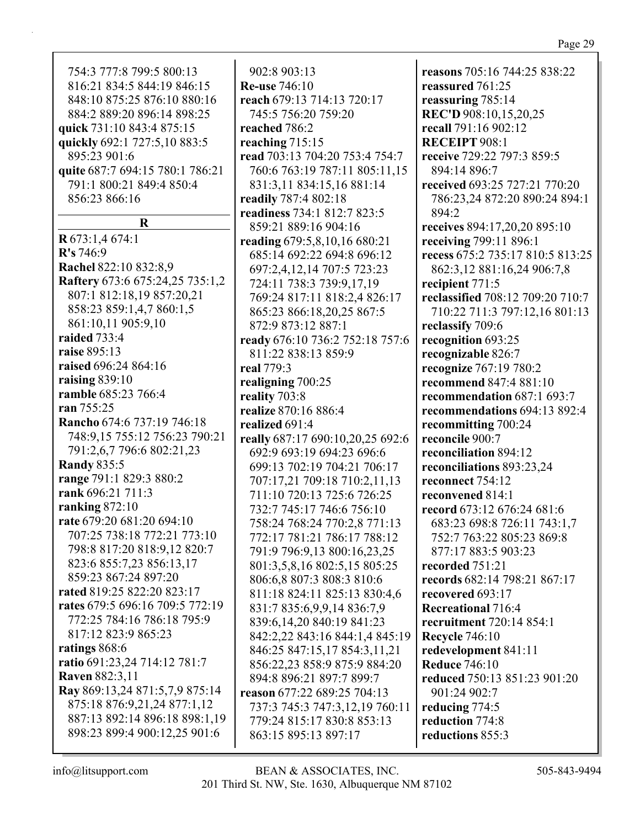| 8:10 875:25 876:10 880:16    | reach 679:13 714:13 720:17       | reassuring 785:14          |
|------------------------------|----------------------------------|----------------------------|
| 4:2 889:20 896:14 898:25     | 745:5 756:20 759:20              | REC'D 908:10,15,20,25      |
| k 731:10 843:4 875:15        | reached 786:2                    | recall 791:16 902:12       |
| kly 692:1 727:5,10 883:5     | reaching 715:15                  | <b>RECEIPT 908:1</b>       |
| 5:23 901:6                   | read 703:13 704:20 753:4 754:7   | receive 729:22 797:3 859:5 |
| e 687:7 694:15 780:1 786:21  | 760:6 763:19 787:11 805:11,15    | 894:14 896:7               |
| 1:1 800:21 849:4 850:4       | 831:3,11 834:15,16 881:14        | received 693:25 727:21 77  |
| 6:23 866:16                  | readily 787:4 802:18             | 786:23,24 872:20 890:24    |
|                              | readiness 734:1 812:7 823:5      | 894:2                      |
| R                            | 859:21 889:16 904:16             | receives 894:17,20,20 895: |
| 3:1,4674:1                   | reading 679:5,8,10,16 680:21     | receiving 799:11 896:1     |
| 746:9                        | 685:14 692:22 694:8 696:12       | recess 675:2 735:17 810:5  |
| hel 822:10 832:8,9           | 697:2,4,12,14 707:5 723:23       | 862:3,12 881:16,24 906:7   |
| tery 673:6 675:24,25 735:1,2 | 724:11 738:3 739:9,17,19         | recipient 771:5            |
| 7:1 812:18,19 857:20,21      | 769:24 817:11 818:2,4 826:17     | reclassified 708:12 709:20 |
| 8:23 859:1,4,7 860:1,5       | 865:23 866:18,20,25 867:5        | 710:22 711:3 797:12,16 8   |
| 1:10,11 905:9,10             | 872:9 873:12 887:1               | reclassify 709:6           |
| ed 733:4                     | ready 676:10 736:2 752:18 757:6  | recognition 693:25         |
| e 895:13                     | 811:22 838:13 859:9              | recognizable 826:7         |
| ed 696:24 864:16             | real 779:3                       | recognize 767:19 780:2     |
| ing 839:10                   | realigning 700:25                | recommend 847:4 881:10     |
| ble 685:23 766:4             | reality 703:8                    | recommendation 687:1 69    |
| 755:25                       | realize 870:16 886:4             | recommendations 694:13     |
| cho 674:6 737:19 746:18      | realized 691:4                   | recommitting 700:24        |
| 8:9,15 755:12 756:23 790:21  | really 687:17 690:10,20,25 692:6 | reconcile 900:7            |
| 1:2,6,7 796:6 802:21,23      | 692:9 693:19 694:23 696:6        | reconciliation 894:12      |
| dy 835:5                     | 699:13 702:19 704:21 706:17      | reconciliations 893:23,24  |
| ze 791:1 829:3 880:2         | 707:17,21 709:18 710:2,11,13     | reconnect 754:12           |
| x 696:21 711:3               | 711:10 720:13 725:6 726:25       | reconvened 814:1           |
| $\sin g 872:10$              | 732:7 745:17 746:6 756:10        | record 673:12 676:24 681:  |
| 679:20 681:20 694:10         | 758:24 768:24 770:2,8 771:13     | 683:23 698:8 726:11 743    |
| 7:25 738:18 772:21 773:10    | 772:17 781:21 786:17 788:12      | 752:7 763:22 805:23 869    |
| 8:8 817:20 818:9,12 820:7    | 791:9 796:9,13 800:16,23,25      | 877:17 883:5 903:23        |
| 3:6 855:7,23 856:13,17       | 801:3,5,8,16 802:5,15 805:25     | recorded 751:21            |
| 9:23 867:24 897:20           | 806:6,8 807:3 808:3 810:6        | records 682:14 798:21 867  |
| d 819:25 822:20 823:17       | 811:18 824:11 825:13 830:4,6     | recovered 693:17           |
| s 679:5 696:16 709:5 772:19  | 831:7 835:6,9,9,14 836:7,9       | <b>Recreational 716:4</b>  |
| 2:25 784:16 786:18 795:9     | 839:6,14,20 840:19 841:23        | recruitment 720:14 854:1   |
| 7:12 823:9 865:23            | 842:2,22 843:16 844:1,4 845:19   | <b>Recycle 746:10</b>      |
| ngs 868:6                    | 846:25 847:15,17 854:3,11,21     | redevelopment 841:11       |
| 1691:23,24 714:12 781:7      | 856:22,23 858:9 875:9 884:20     | <b>Reduce 746:10</b>       |
| en 882:3,11                  | 894:8 896:21 897:7 899:7         | reduced 750:13 851:23 90   |
| 869:13,24 871:5,7,9 875:14   | reason 677:22 689:25 704:13      | 901:24 902:7               |
| 5:18 876:9,21,24 877:1,12    | 737:3 745:3 747:3,12,19 760:11   | reducing 774:5             |
| 7:13 892:14 896:18 898:1,19  | 779:24 815:17 830:8 853:13       | reduction 774:8            |
| 8:23 899:4 900:12,25 901:6   | 863:15 895:13 897:17             | reductions 855:3           |
|                              |                                  |                            |

902:8 903:13 **Re-use** 746:10

754:3 777:8 799:5 800:13 816:21 834:5 844:19 846:15 848:10 875:25 876:10 880:16 884:2 889:20 896:14 898:25 **quic** quic  $89.5$ quite 791:1 800:21 849:4 850:4 85

**R** 67  $R's'$ **Racl Raft** 807:1 812:18,19 857:20,21 858:23 859:1,4,7 860:1,5 86 raid  $raise(1)$ raiso raisi ram ran<sup>2</sup>  $Ran$ 748:9,15 755:12 756:23 790:21 791:2,6,7 796:6 802:21,23  $Ran$ rang rank rank rate 707:25 738:18 772:21 773:10 798:8 817:20 818:9,12 820:7 823:6 855:7,23 856:13,17 85 rate rates 772:25 784:16 786:18 795:9 81<sup>'</sup> ratir ratio  $\mathbf{R}$ ave  $Ray$ 875:18 876:9,21,24 877:1,12 887:13 892:14 896:18 898:1,19 898:23 899:4 900:12,25 901:6

201 Third St. NW, Ste. 1630, Albuquerque NM 87102 info@litsupport.com BEAN & ASSOCIATES, INC. 505-843-9494

Page 29

**receive** 729:22 797:3 859:5 **0:20** 894:1 **receives** 894:17,20,20 895:10 813:25 862:3,12 881:16,24 906:7,8 **710:7**  $301:13$  $3:7$ **892:4 record** 673:12 676:24 681:6  $\cdot 1,7$ 752:7 763:22 805:23 869:8 **records** 682:14 798:21 867:17 **reduced** 

**reasons** 705:16 744:25 838:22

**reassured** 761:25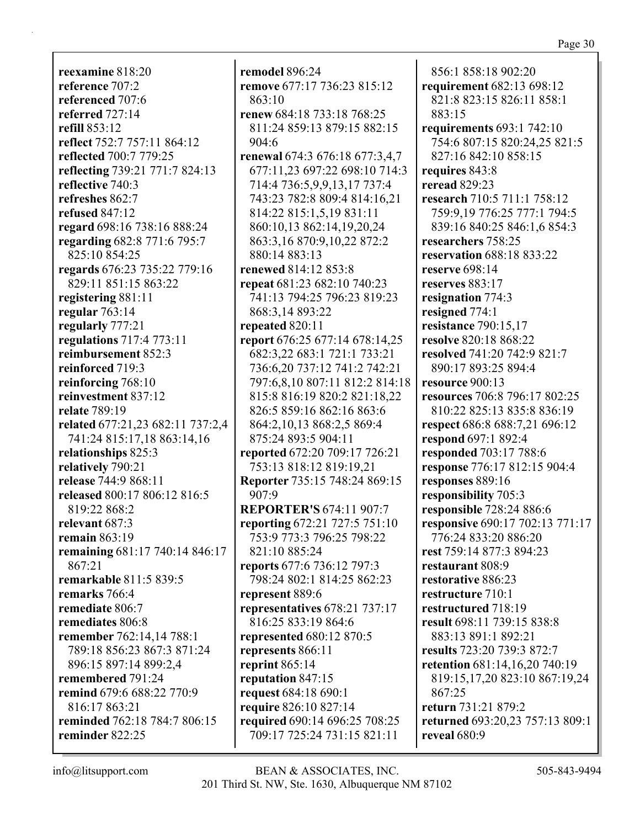**reexamine** 818:20 **reference** 707:2 **referenced** 707:6 **referred** 727:14 **refill** 853:12 **reflect** 752:7 757:11 864:12 **reflected** 700:7 779:25 **reflecting** 739:21 771:7 824:13 **reflective** 740:3 **refreshes** 862:7 **refused** 847:12 **regard** 698:16 738:16 888:24 **regarding** 682:8 771:6 795:7 825:10 854:25 **regards** 676:23 735:22 779:16 829:11 851:15 863:22 **registering** 881:11 **regular** 763:14 **regularly** 777:21 **regulations** 717:4 773:11 **reimbursement** 852:3 **reinforced** 719:3 **reinforcing** 768:10 **reinvestment** 837:12 **relate** 789:19 **related** 677:21,23 682:11 737:2,4 741:24 815:17,18 863:14,16 **relationships** 825:3 **relatively** 790:21 **release** 744:9 868:11 **released** 800:17 806:12 816:5 819:22 868:2 **relevant** 687:3 **remain** 863:19 **remaining** 681:17 740:14 846:17 867:21 **remarkable** 811:5 839:5 **remarks** 766:4 **remediate** 806:7 **remediates** 806:8 **remember** 762:14,14 788:1 789:18 856:23 867:3 871:24 896:15 897:14 899:2,4 **remembered** 791:24 **remind** 679:6 688:22 770:9 816:17 863:21 **reminded** 762:18 784:7 806:15 **reminder** 822:25

**remodel** 896:24 **remove** 677:17 736:23 815:12 863:10 **renew** 684:18 733:18 768:25 811:24 859:13 879:15 882:15 904:6 **renewal** 674:3 676:18 677:3,4,7 677:11,23 697:22 698:10 714:3 714:4 736:5,9,9,13,17 737:4 743:23 782:8 809:4 814:16,21 814:22 815:1,5,19 831:11 860:10,13 862:14,19,20,24 863:3,16 870:9,10,22 872:2 880:14 883:13 **renewed** 814:12 853:8 **repeat** 681:23 682:10 740:23 741:13 794:25 796:23 819:23 868:3,14 893:22 **repeated** 820:11 **report** 676:25 677:14 678:14,25 682:3,22 683:1 721:1 733:21 736:6,20 737:12 741:2 742:21 797:6,8,10 807:11 812:2 814:18 815:8 816:19 820:2 821:18,22 826:5 859:16 862:16 863:6 864:2,10,13 868:2,5 869:4 875:24 893:5 904:11 **reported** 672:20 709:17 726:21 753:13 818:12 819:19,21 **Reporter** 735:15 748:24 869:15 907:9 **REPORTER'S** 674:11 907:7 **reporting** 672:21 727:5 751:10 753:9 773:3 796:25 798:22 821:10 885:24 **reports** 677:6 736:12 797:3 798:24 802:1 814:25 862:23 **represent** 889:6 **representatives** 678:21 737:17 816:25 833:19 864:6 **represented** 680:12 870:5 **represents** 866:11 **reprint** 865:14 **reputation** 847:15 **request** 684:18 690:1 **require** 826:10 827:14 **required** 690:14 696:25 708:25 709:17 725:24 731:15 821:11

856:1 858:18 902:20 **requirement** 682:13 698:12 821:8 823:15 826:11 858:1 883:15 **requirements** 693:1 742:10 754:6 807:15 820:24,25 821:5 827:16 842:10 858:15 **requires** 843:8 **reread** 829:23 **research** 710:5 711:1 758:12 759:9,19 776:25 777:1 794:5 839:16 840:25 846:1,6 854:3 **researchers** 758:25 **reservation** 688:18 833:22 **reserve** 698:14 **reserves** 883:17 **resignation** 774:3 **resigned** 774:1 **resistance** 790:15,17 **resolve** 820:18 868:22 **resolved** 741:20 742:9 821:7 890:17 893:25 894:4 **resource** 900:13 **resources** 706:8 796:17 802:25 810:22 825:13 835:8 836:19 **respect** 686:8 688:7,21 696:12 **respond** 697:1 892:4 **responded** 703:17 788:6 **response** 776:17 812:15 904:4 **responses** 889:16 **responsibility** 705:3 **responsible** 728:24 886:6 **responsive** 690:17 702:13 771:17 776:24 833:20 886:20 **rest** 759:14 877:3 894:23 **restaurant** 808:9 **restorative** 886:23 **restructure** 710:1 **restructured** 718:19 **result** 698:11 739:15 838:8 883:13 891:1 892:21 **results** 723:20 739:3 872:7 **retention** 681:14,16,20 740:19 819:15,17,20 823:10 867:19,24 867:25 **return** 731:21 879:2 **returned** 693:20,23 757:13 809:1 **reveal** 680:9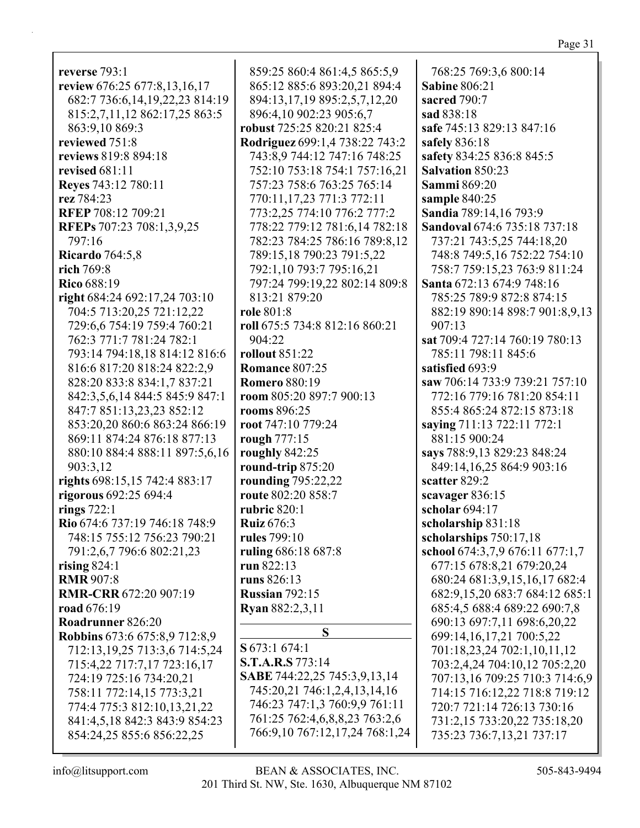| reverse 793:1                     | 859:25 860:4 861:4,5 865:5,9   | 768:25 769:3,6 800:14           |
|-----------------------------------|--------------------------------|---------------------------------|
| review 676:25 677:8,13,16,17      | 865:12 885:6 893:20,21 894:4   | <b>Sabine 806:21</b>            |
| 682:7 736:6,14,19,22,23 814:19    | 894:13,17,19 895:2,5,7,12,20   | sacred 790:7                    |
| 815:2,7,11,12 862:17,25 863:5     | 896:4,10 902:23 905:6,7        | sad 838:18                      |
| 863:9,10 869:3                    | robust 725:25 820:21 825:4     | safe 745:13 829:13 847:16       |
| reviewed 751:8                    | Rodriguez 699:1,4 738:22 743:2 | safely 836:18                   |
| reviews 819:8 894:18              | 743:8,9 744:12 747:16 748:25   | safety 834:25 836:8 845:5       |
| revised 681:11                    | 752:10 753:18 754:1 757:16,21  | <b>Salvation 850:23</b>         |
|                                   | 757:23 758:6 763:25 765:14     | <b>Sammi</b> 869:20             |
| Reyes 743:12 780:11<br>rez 784:23 | 770:11,17,23 771:3 772:11      | sample 840:25                   |
| <b>RFEP 708:12 709:21</b>         | 773:2,25 774:10 776:2 777:2    | Sandia 789:14,16 793:9          |
|                                   |                                |                                 |
| RFEPs 707:23 708:1,3,9,25         | 778:22 779:12 781:6,14 782:18  | Sandoval 674:6 735:18 737:18    |
| 797:16                            | 782:23 784:25 786:16 789:8,12  | 737:21 743:5,25 744:18,20       |
| <b>Ricardo</b> 764:5,8            | 789:15,18 790:23 791:5,22      | 748:8 749:5,16 752:22 754:10    |
| rich 769:8                        | 792:1,10 793:7 795:16,21       | 758:7 759:15,23 763:9 811:24    |
| <b>Rico 688:19</b>                | 797:24 799:19,22 802:14 809:8  | Santa 672:13 674:9 748:16       |
| right 684:24 692:17,24 703:10     | 813:21 879:20                  | 785:25 789:9 872:8 874:15       |
| 704:5 713:20,25 721:12,22         | role 801:8                     | 882:19 890:14 898:7 901:8,9,13  |
| 729:6,6 754:19 759:4 760:21       | roll 675:5 734:8 812:16 860:21 | 907:13                          |
| 762:3 771:7 781:24 782:1          | 904:22                         | sat 709:4 727:14 760:19 780:13  |
| 793:14 794:18,18 814:12 816:6     | rollout $851:22$               | 785:11 798:11 845:6             |
| 816:6 817:20 818:24 822:2,9       | <b>Romance 807:25</b>          | satisfied 693:9                 |
| 828:20 833:8 834:1,7 837:21       | <b>Romero</b> 880:19           | saw 706:14 733:9 739:21 757:10  |
| 842:3,5,6,14 844:5 845:9 847:1    | room 805:20 897:7 900:13       | 772:16 779:16 781:20 854:11     |
| 847:7 851:13,23,23 852:12         | rooms 896:25                   | 855:4 865:24 872:15 873:18      |
| 853:20,20 860:6 863:24 866:19     | root 747:10 779:24             | saying 711:13 722:11 772:1      |
| 869:11 874:24 876:18 877:13       | rough 777:15                   | 881:15 900:24                   |
| 880:10 884:4 888:11 897:5,6,16    | roughly 842:25                 | says 788:9,13 829:23 848:24     |
| 903:3,12                          | round-trip 875:20              | 849:14,16,25 864:9 903:16       |
| rights 698:15,15 742:4 883:17     | rounding 795:22,22             | scatter 829:2                   |
| rigorous 692:25 694:4             | route 802:20 858:7             | scavager 836:15                 |
| rings $722:1$                     | <b>rubric</b> 820:1            | scholar 694:17                  |
| Rio 674:6 737:19 746:18 748:9     | <b>Ruiz</b> 676:3              | scholarship 831:18              |
| 748:15 755:12 756:23 790:21       | rules 799:10                   | scholarships 750:17,18          |
| 791:2,6,7 796:6 802:21,23         | ruling 686:18 687:8            | school 674:3,7,9 676:11 677:1,7 |
| rising $824:1$                    | run 822:13                     | 677:15 678:8,21 679:20,24       |
| <b>RMR 907:8</b>                  | runs 826:13                    | 680:24 681:3,9,15,16,17 682:4   |
| <b>RMR-CRR 672:20 907:19</b>      | <b>Russian 792:15</b>          | 682:9,15,20 683:7 684:12 685:1  |
| road 676:19                       | Ryan 882:2,3,11                | 685:4,5 688:4 689:22 690:7,8    |
| Roadrunner 826:20                 |                                | 690:13 697:7,11 698:6,20,22     |
| Robbins 673:6 675:8,9 712:8,9     | S                              | 699:14, 16, 17, 21 700: 5, 22   |
| 712:13, 19, 25 713:3, 6 714:5, 24 | S 673:1 674:1                  | 701:18,23,24 702:1,10,11,12     |
| 715:4,22 717:7,17 723:16,17       | <b>S.T.A.R.S</b> 773:14        | 703:2,4,24 704:10,12 705:2,20   |
| 724:19 725:16 734:20,21           | SABE 744:22,25 745:3,9,13,14   | 707:13,16 709:25 710:3 714:6,9  |
| 758:11 772:14,15 773:3,21         | 745:20,21 746:1,2,4,13,14,16   | 714:15 716:12,22 718:8 719:12   |
| 774:4 775:3 812:10,13,21,22       | 746:23 747:1,3 760:9,9 761:11  | 720:7 721:14 726:13 730:16      |
| 841:4,5,18 842:3 843:9 854:23     | 761:25 762:4,6,8,8,23 763:2,6  | 731:2,15 733:20,22 735:18,20    |
| 854:24,25 855:6 856:22,25         | 766:9,10 767:12,17,24 768:1,24 | 735:23 736:7,13,21 737:17       |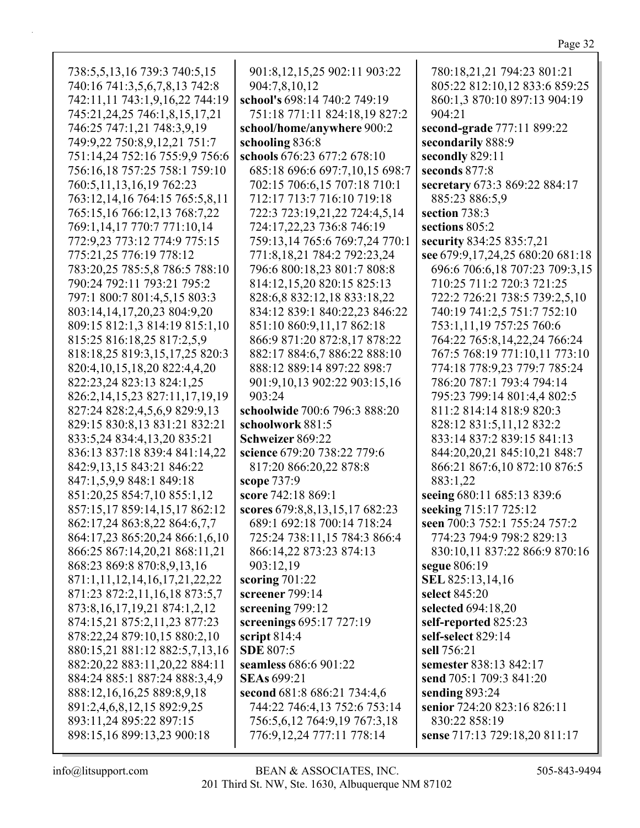738:5,5,13,16 739:3 740:5,15 740:16 741:3,5,6,7,8,13 742:8 742:11,11 743:1,9,16,22 744:19 745:21,24,25 746:1,8,15,17,21 746:25 747:1,21 748:3,9,19 749:9,22 750:8,9,12,21 751:7 751:14,24 752:16 755:9,9 756:6 756:16,18 757:25 758:1 759:10 760:5,11,13,16,19 762:23 763:12,14,16 764:15 765:5,8,11 765:15,16 766:12,13 768:7,22 769:1,14,17 770:7 771:10,14 772:9,23 773:12 774:9 775:15 775:21,25 776:19 778:12 783:20,25 785:5,8 786:5 788:10 790:24 792:11 793:21 795:2 797:1 800:7 801:4,5,15 803:3 803:14,14,17,20,23 804:9,20 809:15 812:1,3 814:19 815:1,10 815:25 816:18,25 817:2,5,9 818:18,25 819:3,15,17,25 820:3 820:4,10,15,18,20 822:4,4,20 822:23,24 823:13 824:1,25 826:2,14,15,23 827:11,17,19,19 827:24 828:2,4,5,6,9 829:9,13 829:15 830:8,13 831:21 832:21 833:5,24 834:4,13,20 835:21 836:13 837:18 839:4 841:14,22 842:9,13,15 843:21 846:22 847:1,5,9,9 848:1 849:18 851:20,25 854:7,10 855:1,12 857:15,17 859:14,15,17 862:12 862:17,24 863:8,22 864:6,7,7 864:17,23 865:20,24 866:1,6,10 866:25 867:14,20,21 868:11,21 868:23 869:8 870:8,9,13,16 871:1,11,12,14,16,17,21,22,22 871:23 872:2,11,16,18 873:5,7 873:8,16,17,19,21 874:1,2,12 874:15,21 875:2,11,23 877:23 878:22,24 879:10,15 880:2,10 880:15,21 881:12 882:5,7,13,16 882:20,22 883:11,20,22 884:11 884:24 885:1 887:24 888:3,4,9 888:12,16,16,25 889:8,9,18 891:2,4,6,8,12,15 892:9,25 893:11,24 895:22 897:15 898:15,16 899:13,23 900:18 901:8,12,15,25 902:11 903:22 904:7,8,10,12 **school's** 698:14 740:2 749:19 751:18 771:11 824:18,19 827:2 **school/home/anywhere** 900:2 **schooling** 836:8 **schools** 676:23 677:2 678:10 685:18 696:6 697:7,10,15 698:7 702:15 706:6,15 707:18 710:1 712:17 713:7 716:10 719:18 722:3 723:19,21,22 724:4,5,14 724:17,22,23 736:8 746:19 759:13,14 765:6 769:7,24 770:1 771:8,18,21 784:2 792:23,24 796:6 800:18,23 801:7 808:8 814:12,15,20 820:15 825:13 828:6,8 832:12,18 833:18,22 834:12 839:1 840:22,23 846:22 851:10 860:9,11,17 862:18 866:9 871:20 872:8,17 878:22 882:17 884:6,7 886:22 888:10 888:12 889:14 897:22 898:7 901:9,10,13 902:22 903:15,16 903:24 **schoolwide** 700:6 796:3 888:20 **schoolwork** 881:5 **Schweizer** 869:22 **science** 679:20 738:22 779:6 817:20 866:20,22 878:8 **scope** 737:9 **score** 742:18 869:1 **scores** 679:8,8,13,15,17 682:23 689:1 692:18 700:14 718:24 725:24 738:11,15 784:3 866:4 866:14,22 873:23 874:13 903:12,19 **scoring** 701:22 **screener** 799:14 **screening** 799:12 **screenings** 695:17 727:19 **script** 814:4 **SDE** 807:5 **seamless** 686:6 901:22 **SEAs** 699:21 **second** 681:8 686:21 734:4,6 744:22 746:4,13 752:6 753:14 756:5,6,12 764:9,19 767:3,18 776:9,12,24 777:11 778:14 780:18,21,21 794:23 801:21 805:22 812:10,12 833:6 859:25 860:1,3 870:10 897:13 904:19 904:21 **second-grade** 777:11 899:22 **secondarily** 888:9 **secondly** 829:11 **seconds** 877:8 **secretary** 673:3 869:22 884:17 885:23 886:5,9 **section** 738:3 **sections** 805:2 **security** 834:25 835:7,21 **see** 679:9,17,24,25 680:20 681:18 696:6 706:6,18 707:23 709:3,15 710:25 711:2 720:3 721:25 722:2 726:21 738:5 739:2,5,10 740:19 741:2,5 751:7 752:10 753:1,11,19 757:25 760:6 764:22 765:8,14,22,24 766:24 767:5 768:19 771:10,11 773:10 774:18 778:9,23 779:7 785:24 786:20 787:1 793:4 794:14 795:23 799:14 801:4,4 802:5 811:2 814:14 818:9 820:3 828:12 831:5,11,12 832:2 833:14 837:2 839:15 841:13 844:20,20,21 845:10,21 848:7 866:21 867:6,10 872:10 876:5 883:1,22 **seeing** 680:11 685:13 839:6 **seeking** 715:17 725:12 **seen** 700:3 752:1 755:24 757:2 774:23 794:9 798:2 829:13 830:10,11 837:22 866:9 870:16 **segue** 806:19 **SEL** 825:13,14,16 **select** 845:20 **selected** 694:18,20 **self-reported** 825:23 **self-select** 829:14 **sell** 756:21 **semester** 838:13 842:17 **send** 705:1 709:3 841:20 **sending** 893:24 **senior** 724:20 823:16 826:11 830:22 858:19 **sense** 717:13 729:18,20 811:17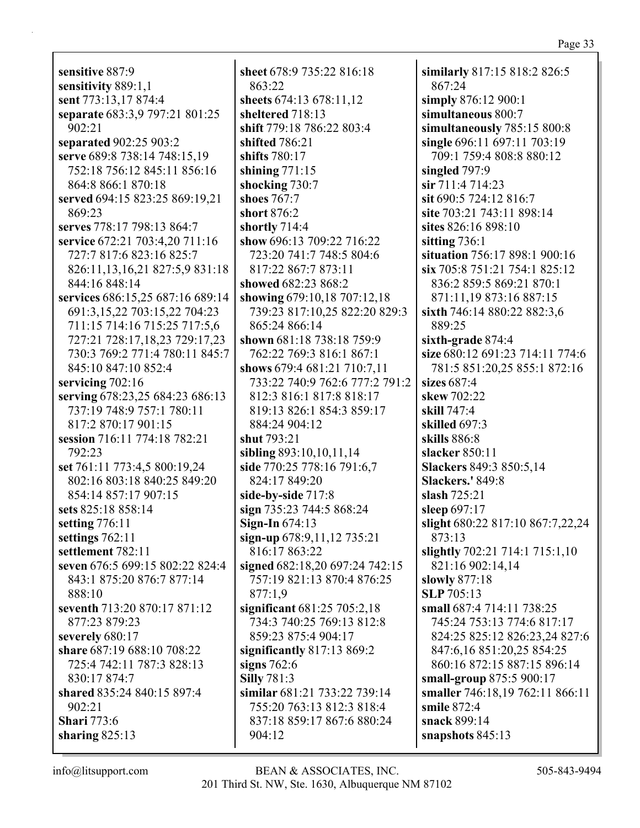**sensitive** 887:9 **sensitivity** 889:1,1 **sent** 773:13,17 874:4 **separate** 683:3,9 797:21 801:25 902:21 **separated** 902:25 903:2 **serve** 689:8 738:14 748:15,19 752:18 756:12 845:11 856:16 864:8 866:1 870:18 **served** 694:15 823:25 869:19,21 869:23 **serves** 778:17 798:13 864:7 **service** 672:21 703:4,20 711:16 727:7 817:6 823:16 825:7 826:11,13,16,21 827:5,9 831:18 844:16 848:14 **services** 686:15,25 687:16 689:14 691:3,15,22 703:15,22 704:23 711:15 714:16 715:25 717:5,6 727:21 728:17,18,23 729:17,23 730:3 769:2 771:4 780:11 845:7 845:10 847:10 852:4 **servicing** 702:16 **serving** 678:23,25 684:23 686:13 737:19 748:9 757:1 780:11 817:2 870:17 901:15 **session** 716:11 774:18 782:21 792:23 **set** 761:11 773:4,5 800:19,24 802:16 803:18 840:25 849:20 854:14 857:17 907:15 **sets** 825:18 858:14 **setting** 776:11 **settings** 762:11 **settlement** 782:11 **seven** 676:5 699:15 802:22 824:4 843:1 875:20 876:7 877:14 888:10 **seventh** 713:20 870:17 871:12 877:23 879:23 **severely** 680:17 **share** 687:19 688:10 708:22 725:4 742:11 787:3 828:13 830:17 874:7 **shared** 835:24 840:15 897:4 902:21 **Shari** 773:6 **sharing** 825:13

**sheet** 678:9 735:22 816:18 863:22 **sheets** 674:13 678:11,12 **sheltered** 718:13 **shift** 779:18 786:22 803:4 **shifted** 786:21 **shifts** 780:17 **shining** 771:15 **shocking** 730:7 **shoes** 767:7 **short** 876:2 **shortly** 714:4 **show** 696:13 709:22 716:22 723:20 741:7 748:5 804:6 817:22 867:7 873:11 **showed** 682:23 868:2 **showing** 679:10,18 707:12,18 739:23 817:10,25 822:20 829:3 865:24 866:14 **shown** 681:18 738:18 759:9 762:22 769:3 816:1 867:1 **shows** 679:4 681:21 710:7,11 733:22 740:9 762:6 777:2 791:2 812:3 816:1 817:8 818:17 819:13 826:1 854:3 859:17 884:24 904:12 **shut** 793:21 **sibling** 893:10,10,11,14 **side** 770:25 778:16 791:6,7 824:17 849:20 **side-by-side** 717:8 **sign** 735:23 744:5 868:24 **Sign-In** 674:13 **sign-up** 678:9,11,12 735:21 816:17 863:22 **signed** 682:18,20 697:24 742:15 757:19 821:13 870:4 876:25 877:1,9 **significant** 681:25 705:2,18 734:3 740:25 769:13 812:8 859:23 875:4 904:17 **significantly** 817:13 869:2 **signs** 762:6 **Silly** 781:3 **similar** 681:21 733:22 739:14 755:20 763:13 812:3 818:4 837:18 859:17 867:6 880:24 904:12

**similarly** 817:15 818:2 826:5 867:24 **simply** 876:12 900:1 **simultaneous** 800:7 **simultaneously** 785:15 800:8 **single** 696:11 697:11 703:19 709:1 759:4 808:8 880:12 **singled** 797:9 **sir** 711:4 714:23 **sit** 690:5 724:12 816:7 **site** 703:21 743:11 898:14 **sites** 826:16 898:10 **sitting** 736:1 **situation** 756:17 898:1 900:16 **six** 705:8 751:21 754:1 825:12 836:2 859:5 869:21 870:1 871:11,19 873:16 887:15 **sixth** 746:14 880:22 882:3,6 889:25 **sixth-grade** 874:4 **size** 680:12 691:23 714:11 774:6 781:5 851:20,25 855:1 872:16 **sizes** 687:4 **skew** 702:22 **skill** 747:4 **skilled** 697:3 **skills** 886:8 **slacker** 850:11 **Slackers** 849:3 850:5,14 **Slackers.'** 849:8 **slash** 725:21 **sleep** 697:17 **slight** 680:22 817:10 867:7,22,24 873:13 **slightly** 702:21 714:1 715:1,10 821:16 902:14,14 **slowly** 877:18 **SLP** 705:13 **small** 687:4 714:11 738:25 745:24 753:13 774:6 817:17 824:25 825:12 826:23,24 827:6 847:6,16 851:20,25 854:25 860:16 872:15 887:15 896:14 **small-group** 875:5 900:17 **smaller** 746:18,19 762:11 866:11 **smile** 872:4 **snack** 899:14 **snapshots** 845:13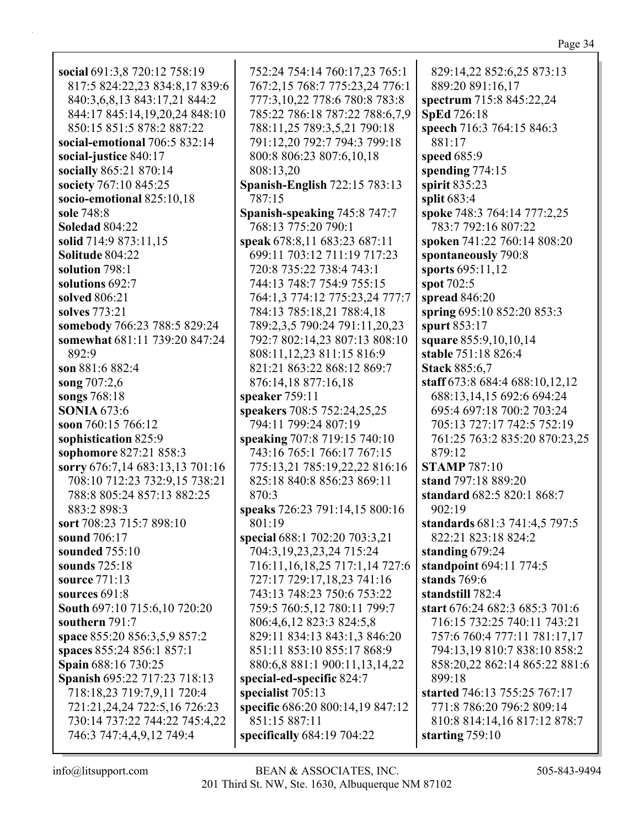| social 691:3,8 720:12 758:19    | 752:24 754:14 760:17,23 765:1      | 829:14,22 852:6,25 873:13      |
|---------------------------------|------------------------------------|--------------------------------|
| 817:5 824:22,23 834:8,17 839:6  | 767:2,15 768:7 775:23,24 776:1     | 889:20 891:16,17               |
| 840:3,6,8,13 843:17,21 844:2    | 777:3,10,22 778:6 780:8 783:8      | spectrum 715:8 845:22,24       |
| 844:17 845:14,19,20,24 848:10   | 785:22 786:18 787:22 788:6,7,9     | <b>SpEd 726:18</b>             |
| 850:15 851:5 878:2 887:22       | 788:11,25 789:3,5,21 790:18        | speech 716:3 764:15 846:3      |
| social-emotional 706:5 832:14   | 791:12,20 792:7 794:3 799:18       | 881:17                         |
| social-justice 840:17           | 800:8 806:23 807:6,10,18           | speed 685:9                    |
| socially 865:21 870:14          | 808:13,20                          | spending 774:15                |
| society 767:10 845:25           | Spanish-English 722:15 783:13      | spirit 835:23                  |
| socio-emotional 825:10,18       | 787:15                             | split 683:4                    |
| sole 748:8                      | Spanish-speaking 745:8 747:7       | spoke 748:3 764:14 777:2,25    |
| <b>Soledad 804:22</b>           | 768:13 775:20 790:1                | 783:7 792:16 807:22            |
| solid 714:9 873:11,15           | speak 678:8,11 683:23 687:11       | spoken 741:22 760:14 808:20    |
| <b>Solitude 804:22</b>          | 699:11 703:12 711:19 717:23        | spontaneously 790:8            |
| solution 798:1                  | 720:8 735:22 738:4 743:1           | sports 695:11,12               |
| solutions 692:7                 | 744:13 748:7 754:9 755:15          | spot 702:5                     |
| solved 806:21                   | 764:1,3 774:12 775:23,24 777:7     | spread 846:20                  |
| solves 773:21                   | 784:13 785:18,21 788:4,18          | spring 695:10 852:20 853:3     |
| somebody 766:23 788:5 829:24    | 789:2,3,5 790:24 791:11,20,23      | spurt 853:17                   |
| somewhat 681:11 739:20 847:24   | 792:7 802:14,23 807:13 808:10      | square 855:9,10,10,14          |
| 892:9                           | 808:11,12,23 811:15 816:9          | stable 751:18 826:4            |
| son 881:6 882:4                 | 821:21 863:22 868:12 869:7         | <b>Stack 885:6,7</b>           |
| song 707:2,6                    | 876:14,18 877:16,18                | staff 673:8 684:4 688:10,12,12 |
| songs 768:18                    | speaker 759:11                     | 688:13,14,15 692:6 694:24      |
| <b>SONIA 673:6</b>              | speakers 708:5 752:24,25,25        | 695:4 697:18 700:2 703:24      |
| soon 760:15 766:12              | 794:11 799:24 807:19               | 705:13 727:17 742:5 752:19     |
| sophistication 825:9            | speaking 707:8 719:15 740:10       | 761:25 763:2 835:20 870:23,25  |
| sophomore 827:21 858:3          | 743:16 765:1 766:17 767:15         | 879:12                         |
| sorry 676:7,14 683:13,13 701:16 | 775:13,21 785:19,22,22 816:16      | <b>STAMP 787:10</b>            |
| 708:10 712:23 732:9,15 738:21   | 825:18 840:8 856:23 869:11         | stand 797:18 889:20            |
| 788:8 805:24 857:13 882:25      | 870:3                              | standard 682:5 820:1 868:7     |
| 883:2 898:3                     | speaks 726:23 791:14,15 800:16     | 902:19                         |
| sort 708:23 715:7 898:10        | 801:19                             | standards 681:3 741:4,5 797:5  |
| sound 706:17                    | special 688:1 702:20 703:3,21      | 822:21 823:18 824:2            |
| sounded 755:10                  | 704:3,19,23,23,24 715:24           | standing $679:24$              |
| sounds 725:18                   | 716:11, 16, 18, 25 717:1, 14 727:6 | standpoint 694:11 774:5        |
| source 771:13                   | 727:17 729:17,18,23 741:16         | stands $769:6$                 |
| <b>sources 691:8</b>            | 743:13 748:23 750:6 753:22         | standstill 782:4               |
| South 697:10 715:6,10 720:20    | 759:5 760:5,12 780:11 799:7        | start 676:24 682:3 685:3 701:6 |
| southern 791:7                  | 806:4,6,12 823:3 824:5,8           | 716:15 732:25 740:11 743:21    |
| space 855:20 856:3,5,9 857:2    | 829:11 834:13 843:1,3 846:20       | 757:6 760:4 777:11 781:17,17   |
| spaces 855:24 856:1 857:1       | 851:11 853:10 855:17 868:9         | 794:13,19 810:7 838:10 858:2   |
| <b>Spain</b> 688:16 730:25      | 880:6,8 881:1 900:11,13,14,22      | 858:20,22 862:14 865:22 881:6  |
| Spanish 695:22 717:23 718:13    | special-ed-specific 824:7          | 899:18                         |
| 718:18,23 719:7,9,11 720:4      | specialist 705:13                  | started 746:13 755:25 767:17   |
| 721:21,24,24 722:5,16 726:23    | specific 686:20 800:14,19 847:12   | 771:8 786:20 796:2 809:14      |
| 730:14 737:22 744:22 745:4,22   | 851:15 887:11                      | 810:8 814:14,16 817:12 878:7   |
| 746:3 747:4,4,9,12 749:4        | specifically $684:19704:22$        | starting $759:10$              |
|                                 |                                    |                                |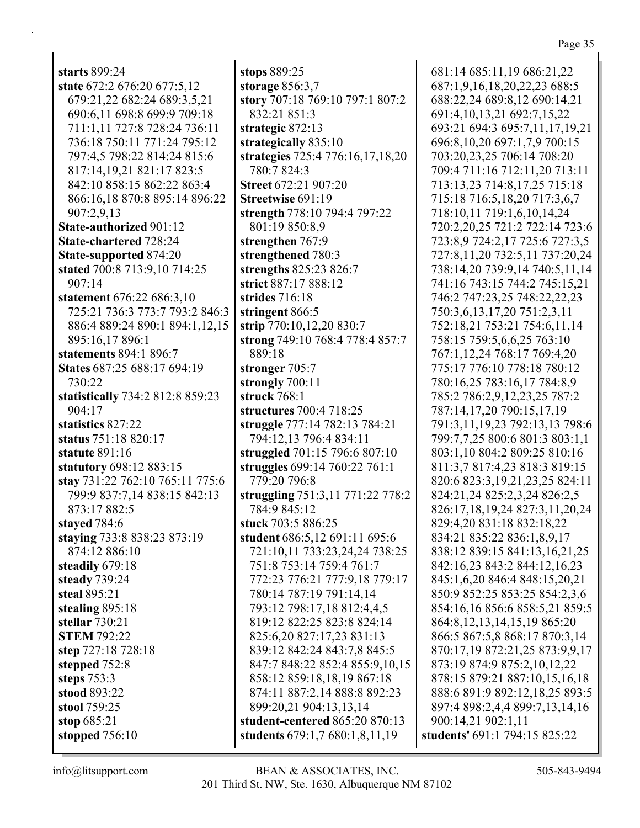| starts 899:24                    |
|----------------------------------|
| state 672:2 676:20 677:5,12      |
| 679:21,22 682:24 689:3,5,21      |
| 690:6,11 698:8 699:9 709:18      |
| 711:1,11 727:8 728:24 736:11     |
| 736:18 750:11 771:24 795:12      |
| 797:4,5 798:22 814:24 815:6      |
| 817:14,19,21 821:17 823:5        |
| 842:10 858:15 862:22 863:4       |
| 866:16,18 870:8 895:14 896:22    |
| 907:2,9,13                       |
|                                  |
| <b>State-authorized 901:12</b>   |
| <b>State-chartered 728:24</b>    |
| <b>State-supported 874:20</b>    |
| stated 700:8 713:9,10 714:25     |
| 907:14                           |
| statement 676:22 686:3,10        |
| 725:21 736:3 773:7 793:2 846:3   |
| 886:4 889:24 890:1 894:1,12,15   |
| 895:16,17 896:1                  |
| statements 894:1 896:7           |
| States 687:25 688:17 694:19      |
|                                  |
| 730:22                           |
| statistically 734:2 812:8 859:23 |
| 904:17                           |
| statistics 827:22                |
| status 751:18 820:17             |
| <b>statute 891:16</b>            |
| statutory 698:12 883:15          |
| stay 731:22 762:10 765:11 775:6  |
| 799:9 837:7,14 838:15 842:13     |
| 873:17 882:5                     |
|                                  |
| stayed 784:6                     |
| staying 733:8 838:23 873:19      |
| 874:12 886:10                    |
| steadily 679:18                  |
| steady 739:24                    |
| steal 895:21                     |
| stealing 895:18                  |
| stellar 730:21                   |
| <b>STEM 792:22</b>               |
| step 727:18 728:18               |
| stepped 752:8                    |
| steps 753:3                      |
|                                  |
| stood 893:22                     |
| stool 759:25                     |
| stop $685:21$                    |
| stopped $756:10$                 |

**stops** 889:25 **storage** 856:3,7 **story** 707:18 769:10 797:1 807:2 832:21 851:3 **strategic** 872:13 **strategically** 835:10 **strategies** 725:4 776:16,17,18,20 780:7 824:3 **Street** 672:21 907:20 **Streetwise** 691:19 **strength** 778:10 794:4 797:22 801:19 850:8,9 **strengthen** 767:9 **strengthened** 780:3 **strengths** 825:23 826:7 **strict** 887:17 888:12 **strides** 716:18 **stringent** 866:5 **strip** 770:10,12,20 830:7 **strong** 749:10 768:4 778:4 857:7 889:18 **stronger** 705:7 **strongly** 700:11 **struck** 768:1 **structures** 700:4 718:25 **struggle** 777:14 782:13 784:21 794:12,13 796:4 834:11 **struggled** 701:15 796:6 807:10 **struggles** 699:14 760:22 761:1 779:20 796:8 **struggling** 751:3,11 771:22 778:2 784:9 845:12 **stuck** 703:5 886:25 **student** 686:5,12 691:11 695:6 721:10,11 733:23,24,24 738:25 751:8 753:14 759:4 761:7 772:23 776:21 777:9,18 779:17 780:14 787:19 791:14,14 793:12 798:17,18 812:4,4,5 819:12 822:25 823:8 824:14 825:6,20 827:17,23 831:13 839:12 842:24 843:7,8 845:5 847:7 848:22 852:4 855:9,10,15 858:12 859:18,18,19 867:18 874:11 887:2,14 888:8 892:23 899:20,21 904:13,13,14 **student-centered** 865:20 870:13 **students** 679:1,7 680:1,8,11,19

681:14 685:11,19 686:21,22 687:1,9,16,18,20,22,23 688:5 688:22,24 689:8,12 690:14,21 691:4,10,13,21 692:7,15,22 693:21 694:3 695:7,11,17,19,21 696:8,10,20 697:1,7,9 700:15 703:20,23,25 706:14 708:20 709:4 711:16 712:11,20 713:11 713:13,23 714:8,17,25 715:18 715:18 716:5,18,20 717:3,6,7 718:10,11 719:1,6,10,14,24 720:2,20,25 721:2 722:14 723:6 723:8,9 724:2,17 725:6 727:3,5 727:8,11,20 732:5,11 737:20,24 738:14,20 739:9,14 740:5,11,14 741:16 743:15 744:2 745:15,21 746:2 747:23,25 748:22,22,23 750:3,6,13,17,20 751:2,3,11 752:18,21 753:21 754:6,11,14 758:15 759:5,6,6,25 763:10 767:1,12,24 768:17 769:4,20 775:17 776:10 778:18 780:12 780:16,25 783:16,17 784:8,9 785:2 786:2,9,12,23,25 787:2 787:14,17,20 790:15,17,19 791:3,11,19,23 792:13,13 798:6 799:7,7,25 800:6 801:3 803:1,1 803:1,10 804:2 809:25 810:16 811:3,7 817:4,23 818:3 819:15 820:6 823:3,19,21,23,25 824:11 824:21,24 825:2,3,24 826:2,5 826:17,18,19,24 827:3,11,20,24 829:4,20 831:18 832:18,22 834:21 835:22 836:1,8,9,17 838:12 839:15 841:13,16,21,25 842:16,23 843:2 844:12,16,23 845:1,6,20 846:4 848:15,20,21 850:9 852:25 853:25 854:2,3,6 854:16,16 856:6 858:5,21 859:5 864:8,12,13,14,15,19 865:20 866:5 867:5,8 868:17 870:3,14 870:17,19 872:21,25 873:9,9,17 873:19 874:9 875:2,10,12,22 878:15 879:21 887:10,15,16,18 888:6 891:9 892:12,18,25 893:5 897:4 898:2,4,4 899:7,13,14,16 900:14,21 902:1,11 **students'** 691:1 794:15 825:22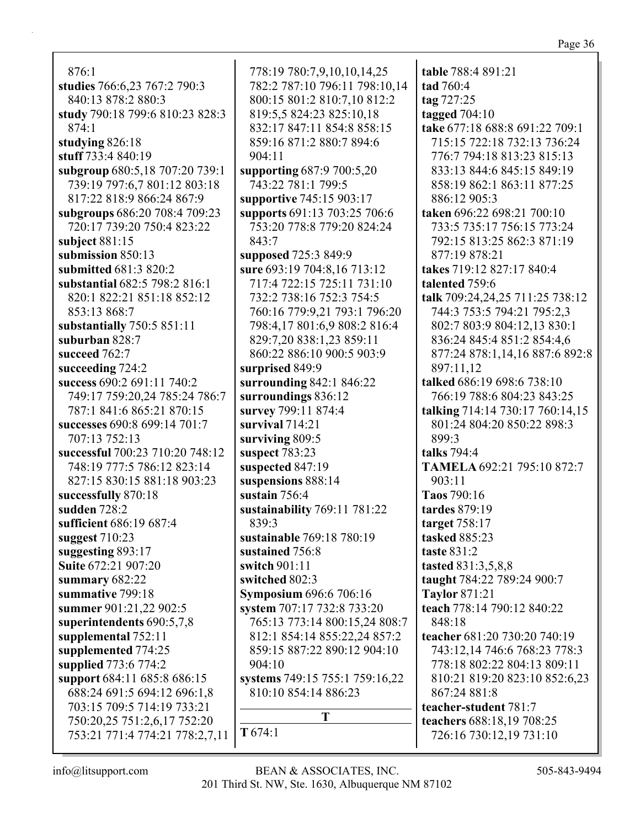876:1 **studies** 766:6,23 767:2 790:3 840:13 878:2 880:3 **study** 790:18 799:6 810:23 828:3 874:1 **studying** 826:18 **stuff** 733:4 840:19 **subgroup** 680:5,18 707:20 739:1 739:19 797:6,7 801:12 803:18 817:22 818:9 866:24 867:9 **subgroups** 686:20 708:4 709:23 720:17 739:20 750:4 823:22 **subject** 881:15 **submission** 850:13 **submitted** 681:3 820:2 **substantial** 682:5 798:2 816:1 820:1 822:21 851:18 852:12 853:13 868:7 **substantially** 750:5 851:11 **suburban** 828:7 **succeed** 762:7 **succeeding** 724:2 **success** 690:2 691:11 740:2 749:17 759:20,24 785:24 786:7 787:1 841:6 865:21 870:15 **successes** 690:8 699:14 701:7 707:13 752:13 **successful** 700:23 710:20 748:12 748:19 777:5 786:12 823:14 827:15 830:15 881:18 903:23 **successfully** 870:18 **sudden** 728:2 **sufficient** 686:19 687:4 **suggest** 710:23 **suggesting** 893:17 **Suite** 672:21 907:20 **summary** 682:22 **summative** 799:18 **summer** 901:21,22 902:5 **superintendents** 690:5,7,8 **supplemental** 752:11 **supplemented** 774:25 **supplied** 773:6 774:2 **support** 684:11 685:8 686:15 688:24 691:5 694:12 696:1,8 703:15 709:5 714:19 733:21 750:20,25 751:2,6,17 752:20 753:21 771:4 774:21 778:2,7,11

778:19 780:7,9,10,10,14,25 782:2 787:10 796:11 798:10,14 800:15 801:2 810:7,10 812:2 819:5,5 824:23 825:10,18 832:17 847:11 854:8 858:15 859:16 871:2 880:7 894:6 904:11 **supporting** 687:9 700:5,20 743:22 781:1 799:5 **supportive** 745:15 903:17 **supports** 691:13 703:25 706:6 753:20 778:8 779:20 824:24 843:7 **supposed** 725:3 849:9 **sure** 693:19 704:8,16 713:12 717:4 722:15 725:11 731:10 732:2 738:16 752:3 754:5 760:16 779:9,21 793:1 796:20 798:4,17 801:6,9 808:2 816:4 829:7,20 838:1,23 859:11 860:22 886:10 900:5 903:9 **surprised** 849:9 **surrounding** 842:1 846:22 **surroundings** 836:12 **survey** 799:11 874:4 **survival** 714:21 **surviving** 809:5 **suspect** 783:23 **suspected** 847:19 **suspensions** 888:14 **sustain** 756:4 **sustainability** 769:11 781:22 839:3 **sustainable** 769:18 780:19 **sustained** 756:8 **switch** 901:11 **switched** 802:3 **Symposium** 696:6 706:16 **system** 707:17 732:8 733:20 765:13 773:14 800:15,24 808:7 812:1 854:14 855:22,24 857:2 859:15 887:22 890:12 904:10 904:10 **systems** 749:15 755:1 759:16,22 810:10 854:14 886:23 **T T** 674:1

**table** 788:4 891:21 **tad** 760:4 **tag** 727:25 **tagged** 704:10 **take** 677:18 688:8 691:22 709:1 715:15 722:18 732:13 736:24 776:7 794:18 813:23 815:13 833:13 844:6 845:15 849:19 858:19 862:1 863:11 877:25 886:12 905:3 **taken** 696:22 698:21 700:10 733:5 735:17 756:15 773:24 792:15 813:25 862:3 871:19 877:19 878:21 **takes** 719:12 827:17 840:4 **talented** 759:6 **talk** 709:24,24,25 711:25 738:12 744:3 753:5 794:21 795:2,3 802:7 803:9 804:12,13 830:1 836:24 845:4 851:2 854:4,6 877:24 878:1,14,16 887:6 892:8 897:11,12 **talked** 686:19 698:6 738:10 766:19 788:6 804:23 843:25 **talking** 714:14 730:17 760:14,15 801:24 804:20 850:22 898:3 899:3 **talks** 794:4 **TAMELA** 692:21 795:10 872:7 903:11 **Taos** 790:16 **tardes** 879:19 **target** 758:17 **tasked** 885:23 **taste** 831:2 **tasted** 831:3,5,8,8 **taught** 784:22 789:24 900:7 **Taylor** 871:21 **teach** 778:14 790:12 840:22 848:18 **teacher** 681:20 730:20 740:19 743:12,14 746:6 768:23 778:3 778:18 802:22 804:13 809:11 810:21 819:20 823:10 852:6,23 867:24 881:8 **teacher-student** 781:7 **teachers** 688:18,19 708:25 726:16 730:12,19 731:10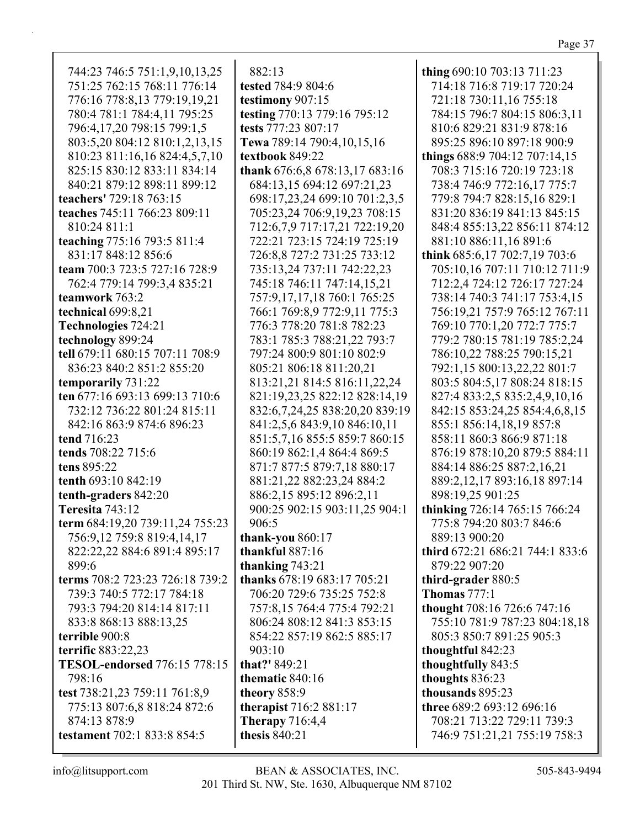| 744:23 746:5 751:1,9,10,13,25       |
|-------------------------------------|
| 751:25 762:15 768:11 776:14         |
| 776:16 778:8,13 779:19,19,21        |
| 780:4 781:1 784:4,11 795:25         |
| 796:4,17,20 798:15 799:1,5          |
| 803:5,20 804:12 810:1,2,13,15       |
| 810:23 811:16,16 824:4,5,7,10       |
|                                     |
| 825:15 830:12 833:11 834:14         |
| 840:21 879:12 898:11 899:12         |
| teachers' 729:18 763:15             |
| teaches 745:11 766:23 809:11        |
| 810:24 811:1                        |
| teaching 775:16 793:5 811:4         |
| 831:17 848:12 856:6                 |
| team 700:3 723:5 727:16 728:9       |
| 762:4 779:14 799:3,4 835:21         |
| teamwork 763:2                      |
| technical 699:8,21                  |
| Technologies 724:21                 |
| technology 899:24                   |
|                                     |
| tell 679:11 680:15 707:11 708:9     |
| 836:23 840:2 851:2 855:20           |
| temporarily 731:22                  |
| ten 677:16 693:13 699:13 710:6      |
| 732:12 736:22 801:24 815:11         |
| 842:16 863:9 874:6 896:23           |
| tend 716:23                         |
| tends 708:22 715:6                  |
| tens 895:22                         |
| tenth 693:10 842:19                 |
| tenth-graders 842:20                |
| Teresita 743:12                     |
| term 684:19,20 739:11,24 755:23     |
| 756:9,12 759:8 819:4,14,17          |
|                                     |
| 822:22,22 884:6 891:4 895:17        |
| 899:6                               |
| terms 708:2 723:23 726:18 739:2     |
| 739:3 740:5 772:17 784:18           |
| 793:3 794:20 814:14 817:11          |
| 833:8 868:13 888:13,25              |
| terrible 900:8                      |
| terrific $883:22,23$                |
| <b>TESOL-endorsed 776:15 778:15</b> |
| 798:16                              |
| test 738:21,23 759:11 761:8,9       |
| 775:13 807:6,8 818:24 872:6         |
| 874:13 878:9                        |
| testament 702:1 833:8 854:5         |
|                                     |

882:13 **tested** 784:9 804:6 **testimony** 907:15 **testing** 770:13 779:16 795:12 **tests** 777:23 807:17 **Tewa** 789:14 790:4,10,15,16 **textbook** 849:22 **thank** 676:6,8 678:13,17 683:16 684:13,15 694:12 697:21,23 698:17,23,24 699:10 701:2,3,5 705:23,24 706:9,19,23 708:15 712:6,7,9 717:17,21 722:19,20 722:21 723:15 724:19 725:19 726:8,8 727:2 731:25 733:12 735:13,24 737:11 742:22,23 745:18 746:11 747:14,15,21 757:9,17,17,18 760:1 765:25 766:1 769:8,9 772:9,11 775:3 776:3 778:20 781:8 782:23 783:1 785:3 788:21,22 793:7 797:24 800:9 801:10 802:9 805:21 806:18 811:20,21 813:21,21 814:5 816:11,22,24 821:19,23,25 822:12 828:14,19 832:6,7,24,25 838:20,20 839:19 841:2,5,6 843:9,10 846:10,11 851:5,7,16 855:5 859:7 860:15 860:19 862:1,4 864:4 869:5 871:7 877:5 879:7,18 880:17 881:21,22 882:23,24 884:2 886:2,15 895:12 896:2,11 900:25 902:15 903:11,25 904:1 906:5 **thank-you** 860:17 **thankful** 887:16 **thanking** 743:21 **thanks** 678:19 683:17 705:21 706:20 729:6 735:25 752:8 757:8,15 764:4 775:4 792:21 806:24 808:12 841:3 853:15 854:22 857:19 862:5 885:17 903:10 **that?'** 849:21 **thematic** 840:16 **theory** 858:9 **therapist** 716:2 881:17 **Therapy** 716:4,4 **thesis** 840:21

**thing** 690:10 703:13 711:23 714:18 716:8 719:17 720:24 721:18 730:11,16 755:18 784:15 796:7 804:15 806:3,11 810:6 829:21 831:9 878:16 895:25 896:10 897:18 900:9 **things** 688:9 704:12 707:14,15 708:3 715:16 720:19 723:18 738:4 746:9 772:16,17 775:7 779:8 794:7 828:15,16 829:1 831:20 836:19 841:13 845:15 848:4 855:13,22 856:11 874:12 881:10 886:11,16 891:6 **think** 685:6,17 702:7,19 703:6 705:10,16 707:11 710:12 711:9 712:2,4 724:12 726:17 727:24 738:14 740:3 741:17 753:4,15 756:19,21 757:9 765:12 767:11 769:10 770:1,20 772:7 775:7 779:2 780:15 781:19 785:2,24 786:10,22 788:25 790:15,21 792:1,15 800:13,22,22 801:7 803:5 804:5,17 808:24 818:15 827:4 833:2,5 835:2,4,9,10,16 842:15 853:24,25 854:4,6,8,15 855:1 856:14,18,19 857:8 858:11 860:3 866:9 871:18 876:19 878:10,20 879:5 884:11 884:14 886:25 887:2,16,21 889:2,12,17 893:16,18 897:14 898:19,25 901:25 **thinking** 726:14 765:15 766:24 775:8 794:20 803:7 846:6 889:13 900:20 **third** 672:21 686:21 744:1 833:6 879:22 907:20 **third-grader** 880:5 **Thomas** 777:1 **thought** 708:16 726:6 747:16 755:10 781:9 787:23 804:18,18 805:3 850:7 891:25 905:3 **thoughtful** 842:23 **thoughtfully** 843:5 **thoughts** 836:23 **thousands** 895:23 **three** 689:2 693:12 696:16 708:21 713:22 729:11 739:3 746:9 751:21,21 755:19 758:3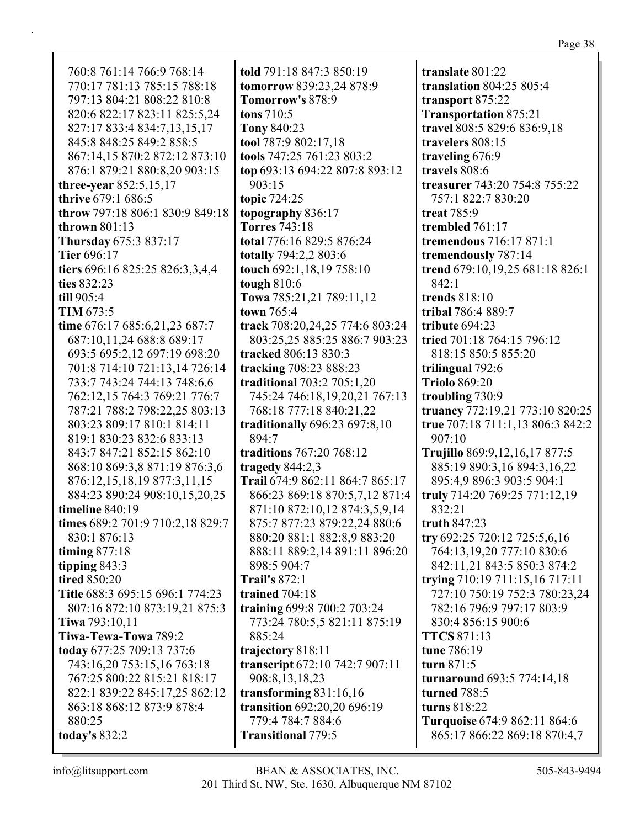| told 791:18 847:3 850:19<br>translate 801:22<br>760:8 761:14 766:9 768:14<br>770:17 781:13 785:15 788:18<br>tomorrow 839:23,24 878:9<br><b>translation 804:25 805:4</b><br>797:13 804:21 808:22 810:8<br>Tomorrow's 878:9<br>transport 875:22<br>820:6 822:17 823:11 825:5,24<br>tons 710:5<br><b>Transportation 875:21</b><br>827:17 833:4 834:7,13,15,17<br>Tony 840:23<br>travel 808:5 829:6 836:9,18<br>tool 787:9 802:17,18<br>845:8 848:25 849:2 858:5<br>travelers 808:15<br>867:14,15 870:2 872:12 873:10<br>tools 747:25 761:23 803:2<br>traveling 676:9<br>876:1 879:21 880:8,20 903:15<br>top 693:13 694:22 807:8 893:12<br>travels 808:6<br>three-year $852:5,15,17$<br>903:15<br>thrive 679:1 686:5<br>topic 724:25<br>757:1 822:7 830:20<br>throw 797:18 806:1 830:9 849:18<br>topography 836:17<br>treat 785:9<br>thrown 801:13<br><b>Torres</b> 743:18<br>trembled 761:17<br>Thursday 675:3 837:17<br>total 776:16 829:5 876:24<br>tremendous 716:17 871:1<br><b>Tier 696:17</b><br>totally 794:2,2 803:6<br>tremendously 787:14<br>tiers 696:16 825:25 826:3,3,4,4<br>touch 692:1,18,19 758:10<br>trend 679:10,19,25 681:18 826:1<br>tough 810:6<br>ties 832:23<br>842:1<br>Towa 785:21,21 789:11,12<br>trends 818:10<br>till 905:4<br>TIM 673:5<br>town 765:4<br>tribal 786:4 889:7<br>time 676:17 685:6,21,23 687:7<br>track 708:20,24,25 774:6 803:24<br>tribute 694:23<br>687:10,11,24 688:8 689:17<br>803:25,25 885:25 886:7 903:23<br>tried 701:18 764:15 796:12<br>693:5 695:2,12 697:19 698:20<br>tracked 806:13 830:3<br>818:15 850:5 855:20<br>701:8 714:10 721:13,14 726:14<br>tracking 708:23 888:23<br>trilingual 792:6<br>733:7 743:24 744:13 748:6,6<br>traditional 703:2 705:1,20<br><b>Triolo 869:20</b><br>762:12,15 764:3 769:21 776:7<br>745:24 746:18,19,20,21 767:13<br>troubling 730:9<br>787:21 788:2 798:22,25 803:13<br>768:18 777:18 840:21,22<br>truancy 772:19,21 773:10 820:25<br>true 707:18 711:1,13 806:3 842:2<br>803:23 809:17 810:1 814:11<br>traditionally 696:23 697:8,10<br>819:1 830:23 832:6 833:13<br>894:7<br>907:10<br>843:7 847:21 852:15 862:10<br>traditions 767:20 768:12<br>Trujillo 869:9,12,16,17 877:5<br>868:10 869:3,8 871:19 876:3,6<br>tragedy $844:2,3$<br>885:19 890:3,16 894:3,16,22<br>876:12,15,18,19 877:3,11,15<br>Trail 674:9 862:11 864:7 865:17<br>895:4,9 896:3 903:5 904:1<br>884:23 890:24 908:10,15,20,25<br>truly 714:20 769:25 771:12,19<br>866:23 869:18 870:5,7,12 871:4<br>timeline 840:19<br>871:10 872:10,12 874:3,5,9,14<br>832:21<br>times 689:2 701:9 710:2,18 829:7<br>875:7 877:23 879:22,24 880:6<br>truth $847:23$<br>880:20 881:1 882:8,9 883:20<br>try 692:25 720:12 725:5,6,16<br>830:1 876:13<br>timing $877:18$<br>764:13,19,20 777:10 830:6<br>888:11 889:2,14 891:11 896:20<br>tipping $843:3$<br>842:11,21 843:5 850:3 874:2<br>898:5 904:7<br>tired 850:20<br>trying 710:19 711:15,16 717:11<br><b>Trail's 872:1</b><br>Title 688:3 695:15 696:1 774:23<br>trained 704:18<br>727:10 750:19 752:3 780:23,24<br>training 699:8 700:2 703:24<br>782:16 796:9 797:17 803:9<br>807:16 872:10 873:19,21 875:3<br><b>Tiwa</b> 793:10,11<br>773:24 780:5,5 821:11 875:19<br>830:4 856:15 900:6<br>Tiwa-Tewa-Towa 789:2<br>885:24<br><b>TTCS</b> 871:13<br>today 677:25 709:13 737:6<br>tune 786:19<br>trajectory 818:11 |  |                               |
|-------------------------------------------------------------------------------------------------------------------------------------------------------------------------------------------------------------------------------------------------------------------------------------------------------------------------------------------------------------------------------------------------------------------------------------------------------------------------------------------------------------------------------------------------------------------------------------------------------------------------------------------------------------------------------------------------------------------------------------------------------------------------------------------------------------------------------------------------------------------------------------------------------------------------------------------------------------------------------------------------------------------------------------------------------------------------------------------------------------------------------------------------------------------------------------------------------------------------------------------------------------------------------------------------------------------------------------------------------------------------------------------------------------------------------------------------------------------------------------------------------------------------------------------------------------------------------------------------------------------------------------------------------------------------------------------------------------------------------------------------------------------------------------------------------------------------------------------------------------------------------------------------------------------------------------------------------------------------------------------------------------------------------------------------------------------------------------------------------------------------------------------------------------------------------------------------------------------------------------------------------------------------------------------------------------------------------------------------------------------------------------------------------------------------------------------------------------------------------------------------------------------------------------------------------------------------------------------------------------------------------------------------------------------------------------------------------------------------------------------------------------------------------------------------------------------------------------------------------------------------------------------------------------------------------------------------------------------------------------------------------------------------------------------------------------------------------------------------------------------------------------------------------------------------------------------------------------------------------------------------------------------------------------------------------------------------------|--|-------------------------------|
|                                                                                                                                                                                                                                                                                                                                                                                                                                                                                                                                                                                                                                                                                                                                                                                                                                                                                                                                                                                                                                                                                                                                                                                                                                                                                                                                                                                                                                                                                                                                                                                                                                                                                                                                                                                                                                                                                                                                                                                                                                                                                                                                                                                                                                                                                                                                                                                                                                                                                                                                                                                                                                                                                                                                                                                                                                                                                                                                                                                                                                                                                                                                                                                                                                                                                                                               |  |                               |
|                                                                                                                                                                                                                                                                                                                                                                                                                                                                                                                                                                                                                                                                                                                                                                                                                                                                                                                                                                                                                                                                                                                                                                                                                                                                                                                                                                                                                                                                                                                                                                                                                                                                                                                                                                                                                                                                                                                                                                                                                                                                                                                                                                                                                                                                                                                                                                                                                                                                                                                                                                                                                                                                                                                                                                                                                                                                                                                                                                                                                                                                                                                                                                                                                                                                                                                               |  |                               |
|                                                                                                                                                                                                                                                                                                                                                                                                                                                                                                                                                                                                                                                                                                                                                                                                                                                                                                                                                                                                                                                                                                                                                                                                                                                                                                                                                                                                                                                                                                                                                                                                                                                                                                                                                                                                                                                                                                                                                                                                                                                                                                                                                                                                                                                                                                                                                                                                                                                                                                                                                                                                                                                                                                                                                                                                                                                                                                                                                                                                                                                                                                                                                                                                                                                                                                                               |  |                               |
|                                                                                                                                                                                                                                                                                                                                                                                                                                                                                                                                                                                                                                                                                                                                                                                                                                                                                                                                                                                                                                                                                                                                                                                                                                                                                                                                                                                                                                                                                                                                                                                                                                                                                                                                                                                                                                                                                                                                                                                                                                                                                                                                                                                                                                                                                                                                                                                                                                                                                                                                                                                                                                                                                                                                                                                                                                                                                                                                                                                                                                                                                                                                                                                                                                                                                                                               |  |                               |
|                                                                                                                                                                                                                                                                                                                                                                                                                                                                                                                                                                                                                                                                                                                                                                                                                                                                                                                                                                                                                                                                                                                                                                                                                                                                                                                                                                                                                                                                                                                                                                                                                                                                                                                                                                                                                                                                                                                                                                                                                                                                                                                                                                                                                                                                                                                                                                                                                                                                                                                                                                                                                                                                                                                                                                                                                                                                                                                                                                                                                                                                                                                                                                                                                                                                                                                               |  |                               |
|                                                                                                                                                                                                                                                                                                                                                                                                                                                                                                                                                                                                                                                                                                                                                                                                                                                                                                                                                                                                                                                                                                                                                                                                                                                                                                                                                                                                                                                                                                                                                                                                                                                                                                                                                                                                                                                                                                                                                                                                                                                                                                                                                                                                                                                                                                                                                                                                                                                                                                                                                                                                                                                                                                                                                                                                                                                                                                                                                                                                                                                                                                                                                                                                                                                                                                                               |  |                               |
|                                                                                                                                                                                                                                                                                                                                                                                                                                                                                                                                                                                                                                                                                                                                                                                                                                                                                                                                                                                                                                                                                                                                                                                                                                                                                                                                                                                                                                                                                                                                                                                                                                                                                                                                                                                                                                                                                                                                                                                                                                                                                                                                                                                                                                                                                                                                                                                                                                                                                                                                                                                                                                                                                                                                                                                                                                                                                                                                                                                                                                                                                                                                                                                                                                                                                                                               |  |                               |
|                                                                                                                                                                                                                                                                                                                                                                                                                                                                                                                                                                                                                                                                                                                                                                                                                                                                                                                                                                                                                                                                                                                                                                                                                                                                                                                                                                                                                                                                                                                                                                                                                                                                                                                                                                                                                                                                                                                                                                                                                                                                                                                                                                                                                                                                                                                                                                                                                                                                                                                                                                                                                                                                                                                                                                                                                                                                                                                                                                                                                                                                                                                                                                                                                                                                                                                               |  |                               |
|                                                                                                                                                                                                                                                                                                                                                                                                                                                                                                                                                                                                                                                                                                                                                                                                                                                                                                                                                                                                                                                                                                                                                                                                                                                                                                                                                                                                                                                                                                                                                                                                                                                                                                                                                                                                                                                                                                                                                                                                                                                                                                                                                                                                                                                                                                                                                                                                                                                                                                                                                                                                                                                                                                                                                                                                                                                                                                                                                                                                                                                                                                                                                                                                                                                                                                                               |  | treasurer 743:20 754:8 755:22 |
|                                                                                                                                                                                                                                                                                                                                                                                                                                                                                                                                                                                                                                                                                                                                                                                                                                                                                                                                                                                                                                                                                                                                                                                                                                                                                                                                                                                                                                                                                                                                                                                                                                                                                                                                                                                                                                                                                                                                                                                                                                                                                                                                                                                                                                                                                                                                                                                                                                                                                                                                                                                                                                                                                                                                                                                                                                                                                                                                                                                                                                                                                                                                                                                                                                                                                                                               |  |                               |
|                                                                                                                                                                                                                                                                                                                                                                                                                                                                                                                                                                                                                                                                                                                                                                                                                                                                                                                                                                                                                                                                                                                                                                                                                                                                                                                                                                                                                                                                                                                                                                                                                                                                                                                                                                                                                                                                                                                                                                                                                                                                                                                                                                                                                                                                                                                                                                                                                                                                                                                                                                                                                                                                                                                                                                                                                                                                                                                                                                                                                                                                                                                                                                                                                                                                                                                               |  |                               |
|                                                                                                                                                                                                                                                                                                                                                                                                                                                                                                                                                                                                                                                                                                                                                                                                                                                                                                                                                                                                                                                                                                                                                                                                                                                                                                                                                                                                                                                                                                                                                                                                                                                                                                                                                                                                                                                                                                                                                                                                                                                                                                                                                                                                                                                                                                                                                                                                                                                                                                                                                                                                                                                                                                                                                                                                                                                                                                                                                                                                                                                                                                                                                                                                                                                                                                                               |  |                               |
|                                                                                                                                                                                                                                                                                                                                                                                                                                                                                                                                                                                                                                                                                                                                                                                                                                                                                                                                                                                                                                                                                                                                                                                                                                                                                                                                                                                                                                                                                                                                                                                                                                                                                                                                                                                                                                                                                                                                                                                                                                                                                                                                                                                                                                                                                                                                                                                                                                                                                                                                                                                                                                                                                                                                                                                                                                                                                                                                                                                                                                                                                                                                                                                                                                                                                                                               |  |                               |
|                                                                                                                                                                                                                                                                                                                                                                                                                                                                                                                                                                                                                                                                                                                                                                                                                                                                                                                                                                                                                                                                                                                                                                                                                                                                                                                                                                                                                                                                                                                                                                                                                                                                                                                                                                                                                                                                                                                                                                                                                                                                                                                                                                                                                                                                                                                                                                                                                                                                                                                                                                                                                                                                                                                                                                                                                                                                                                                                                                                                                                                                                                                                                                                                                                                                                                                               |  |                               |
|                                                                                                                                                                                                                                                                                                                                                                                                                                                                                                                                                                                                                                                                                                                                                                                                                                                                                                                                                                                                                                                                                                                                                                                                                                                                                                                                                                                                                                                                                                                                                                                                                                                                                                                                                                                                                                                                                                                                                                                                                                                                                                                                                                                                                                                                                                                                                                                                                                                                                                                                                                                                                                                                                                                                                                                                                                                                                                                                                                                                                                                                                                                                                                                                                                                                                                                               |  |                               |
|                                                                                                                                                                                                                                                                                                                                                                                                                                                                                                                                                                                                                                                                                                                                                                                                                                                                                                                                                                                                                                                                                                                                                                                                                                                                                                                                                                                                                                                                                                                                                                                                                                                                                                                                                                                                                                                                                                                                                                                                                                                                                                                                                                                                                                                                                                                                                                                                                                                                                                                                                                                                                                                                                                                                                                                                                                                                                                                                                                                                                                                                                                                                                                                                                                                                                                                               |  |                               |
|                                                                                                                                                                                                                                                                                                                                                                                                                                                                                                                                                                                                                                                                                                                                                                                                                                                                                                                                                                                                                                                                                                                                                                                                                                                                                                                                                                                                                                                                                                                                                                                                                                                                                                                                                                                                                                                                                                                                                                                                                                                                                                                                                                                                                                                                                                                                                                                                                                                                                                                                                                                                                                                                                                                                                                                                                                                                                                                                                                                                                                                                                                                                                                                                                                                                                                                               |  |                               |
|                                                                                                                                                                                                                                                                                                                                                                                                                                                                                                                                                                                                                                                                                                                                                                                                                                                                                                                                                                                                                                                                                                                                                                                                                                                                                                                                                                                                                                                                                                                                                                                                                                                                                                                                                                                                                                                                                                                                                                                                                                                                                                                                                                                                                                                                                                                                                                                                                                                                                                                                                                                                                                                                                                                                                                                                                                                                                                                                                                                                                                                                                                                                                                                                                                                                                                                               |  |                               |
|                                                                                                                                                                                                                                                                                                                                                                                                                                                                                                                                                                                                                                                                                                                                                                                                                                                                                                                                                                                                                                                                                                                                                                                                                                                                                                                                                                                                                                                                                                                                                                                                                                                                                                                                                                                                                                                                                                                                                                                                                                                                                                                                                                                                                                                                                                                                                                                                                                                                                                                                                                                                                                                                                                                                                                                                                                                                                                                                                                                                                                                                                                                                                                                                                                                                                                                               |  |                               |
|                                                                                                                                                                                                                                                                                                                                                                                                                                                                                                                                                                                                                                                                                                                                                                                                                                                                                                                                                                                                                                                                                                                                                                                                                                                                                                                                                                                                                                                                                                                                                                                                                                                                                                                                                                                                                                                                                                                                                                                                                                                                                                                                                                                                                                                                                                                                                                                                                                                                                                                                                                                                                                                                                                                                                                                                                                                                                                                                                                                                                                                                                                                                                                                                                                                                                                                               |  |                               |
|                                                                                                                                                                                                                                                                                                                                                                                                                                                                                                                                                                                                                                                                                                                                                                                                                                                                                                                                                                                                                                                                                                                                                                                                                                                                                                                                                                                                                                                                                                                                                                                                                                                                                                                                                                                                                                                                                                                                                                                                                                                                                                                                                                                                                                                                                                                                                                                                                                                                                                                                                                                                                                                                                                                                                                                                                                                                                                                                                                                                                                                                                                                                                                                                                                                                                                                               |  |                               |
|                                                                                                                                                                                                                                                                                                                                                                                                                                                                                                                                                                                                                                                                                                                                                                                                                                                                                                                                                                                                                                                                                                                                                                                                                                                                                                                                                                                                                                                                                                                                                                                                                                                                                                                                                                                                                                                                                                                                                                                                                                                                                                                                                                                                                                                                                                                                                                                                                                                                                                                                                                                                                                                                                                                                                                                                                                                                                                                                                                                                                                                                                                                                                                                                                                                                                                                               |  |                               |
|                                                                                                                                                                                                                                                                                                                                                                                                                                                                                                                                                                                                                                                                                                                                                                                                                                                                                                                                                                                                                                                                                                                                                                                                                                                                                                                                                                                                                                                                                                                                                                                                                                                                                                                                                                                                                                                                                                                                                                                                                                                                                                                                                                                                                                                                                                                                                                                                                                                                                                                                                                                                                                                                                                                                                                                                                                                                                                                                                                                                                                                                                                                                                                                                                                                                                                                               |  |                               |
|                                                                                                                                                                                                                                                                                                                                                                                                                                                                                                                                                                                                                                                                                                                                                                                                                                                                                                                                                                                                                                                                                                                                                                                                                                                                                                                                                                                                                                                                                                                                                                                                                                                                                                                                                                                                                                                                                                                                                                                                                                                                                                                                                                                                                                                                                                                                                                                                                                                                                                                                                                                                                                                                                                                                                                                                                                                                                                                                                                                                                                                                                                                                                                                                                                                                                                                               |  |                               |
|                                                                                                                                                                                                                                                                                                                                                                                                                                                                                                                                                                                                                                                                                                                                                                                                                                                                                                                                                                                                                                                                                                                                                                                                                                                                                                                                                                                                                                                                                                                                                                                                                                                                                                                                                                                                                                                                                                                                                                                                                                                                                                                                                                                                                                                                                                                                                                                                                                                                                                                                                                                                                                                                                                                                                                                                                                                                                                                                                                                                                                                                                                                                                                                                                                                                                                                               |  |                               |
|                                                                                                                                                                                                                                                                                                                                                                                                                                                                                                                                                                                                                                                                                                                                                                                                                                                                                                                                                                                                                                                                                                                                                                                                                                                                                                                                                                                                                                                                                                                                                                                                                                                                                                                                                                                                                                                                                                                                                                                                                                                                                                                                                                                                                                                                                                                                                                                                                                                                                                                                                                                                                                                                                                                                                                                                                                                                                                                                                                                                                                                                                                                                                                                                                                                                                                                               |  |                               |
|                                                                                                                                                                                                                                                                                                                                                                                                                                                                                                                                                                                                                                                                                                                                                                                                                                                                                                                                                                                                                                                                                                                                                                                                                                                                                                                                                                                                                                                                                                                                                                                                                                                                                                                                                                                                                                                                                                                                                                                                                                                                                                                                                                                                                                                                                                                                                                                                                                                                                                                                                                                                                                                                                                                                                                                                                                                                                                                                                                                                                                                                                                                                                                                                                                                                                                                               |  |                               |
|                                                                                                                                                                                                                                                                                                                                                                                                                                                                                                                                                                                                                                                                                                                                                                                                                                                                                                                                                                                                                                                                                                                                                                                                                                                                                                                                                                                                                                                                                                                                                                                                                                                                                                                                                                                                                                                                                                                                                                                                                                                                                                                                                                                                                                                                                                                                                                                                                                                                                                                                                                                                                                                                                                                                                                                                                                                                                                                                                                                                                                                                                                                                                                                                                                                                                                                               |  |                               |
|                                                                                                                                                                                                                                                                                                                                                                                                                                                                                                                                                                                                                                                                                                                                                                                                                                                                                                                                                                                                                                                                                                                                                                                                                                                                                                                                                                                                                                                                                                                                                                                                                                                                                                                                                                                                                                                                                                                                                                                                                                                                                                                                                                                                                                                                                                                                                                                                                                                                                                                                                                                                                                                                                                                                                                                                                                                                                                                                                                                                                                                                                                                                                                                                                                                                                                                               |  |                               |
|                                                                                                                                                                                                                                                                                                                                                                                                                                                                                                                                                                                                                                                                                                                                                                                                                                                                                                                                                                                                                                                                                                                                                                                                                                                                                                                                                                                                                                                                                                                                                                                                                                                                                                                                                                                                                                                                                                                                                                                                                                                                                                                                                                                                                                                                                                                                                                                                                                                                                                                                                                                                                                                                                                                                                                                                                                                                                                                                                                                                                                                                                                                                                                                                                                                                                                                               |  |                               |
|                                                                                                                                                                                                                                                                                                                                                                                                                                                                                                                                                                                                                                                                                                                                                                                                                                                                                                                                                                                                                                                                                                                                                                                                                                                                                                                                                                                                                                                                                                                                                                                                                                                                                                                                                                                                                                                                                                                                                                                                                                                                                                                                                                                                                                                                                                                                                                                                                                                                                                                                                                                                                                                                                                                                                                                                                                                                                                                                                                                                                                                                                                                                                                                                                                                                                                                               |  |                               |
|                                                                                                                                                                                                                                                                                                                                                                                                                                                                                                                                                                                                                                                                                                                                                                                                                                                                                                                                                                                                                                                                                                                                                                                                                                                                                                                                                                                                                                                                                                                                                                                                                                                                                                                                                                                                                                                                                                                                                                                                                                                                                                                                                                                                                                                                                                                                                                                                                                                                                                                                                                                                                                                                                                                                                                                                                                                                                                                                                                                                                                                                                                                                                                                                                                                                                                                               |  |                               |
|                                                                                                                                                                                                                                                                                                                                                                                                                                                                                                                                                                                                                                                                                                                                                                                                                                                                                                                                                                                                                                                                                                                                                                                                                                                                                                                                                                                                                                                                                                                                                                                                                                                                                                                                                                                                                                                                                                                                                                                                                                                                                                                                                                                                                                                                                                                                                                                                                                                                                                                                                                                                                                                                                                                                                                                                                                                                                                                                                                                                                                                                                                                                                                                                                                                                                                                               |  |                               |
|                                                                                                                                                                                                                                                                                                                                                                                                                                                                                                                                                                                                                                                                                                                                                                                                                                                                                                                                                                                                                                                                                                                                                                                                                                                                                                                                                                                                                                                                                                                                                                                                                                                                                                                                                                                                                                                                                                                                                                                                                                                                                                                                                                                                                                                                                                                                                                                                                                                                                                                                                                                                                                                                                                                                                                                                                                                                                                                                                                                                                                                                                                                                                                                                                                                                                                                               |  |                               |
|                                                                                                                                                                                                                                                                                                                                                                                                                                                                                                                                                                                                                                                                                                                                                                                                                                                                                                                                                                                                                                                                                                                                                                                                                                                                                                                                                                                                                                                                                                                                                                                                                                                                                                                                                                                                                                                                                                                                                                                                                                                                                                                                                                                                                                                                                                                                                                                                                                                                                                                                                                                                                                                                                                                                                                                                                                                                                                                                                                                                                                                                                                                                                                                                                                                                                                                               |  |                               |
|                                                                                                                                                                                                                                                                                                                                                                                                                                                                                                                                                                                                                                                                                                                                                                                                                                                                                                                                                                                                                                                                                                                                                                                                                                                                                                                                                                                                                                                                                                                                                                                                                                                                                                                                                                                                                                                                                                                                                                                                                                                                                                                                                                                                                                                                                                                                                                                                                                                                                                                                                                                                                                                                                                                                                                                                                                                                                                                                                                                                                                                                                                                                                                                                                                                                                                                               |  |                               |
|                                                                                                                                                                                                                                                                                                                                                                                                                                                                                                                                                                                                                                                                                                                                                                                                                                                                                                                                                                                                                                                                                                                                                                                                                                                                                                                                                                                                                                                                                                                                                                                                                                                                                                                                                                                                                                                                                                                                                                                                                                                                                                                                                                                                                                                                                                                                                                                                                                                                                                                                                                                                                                                                                                                                                                                                                                                                                                                                                                                                                                                                                                                                                                                                                                                                                                                               |  |                               |
|                                                                                                                                                                                                                                                                                                                                                                                                                                                                                                                                                                                                                                                                                                                                                                                                                                                                                                                                                                                                                                                                                                                                                                                                                                                                                                                                                                                                                                                                                                                                                                                                                                                                                                                                                                                                                                                                                                                                                                                                                                                                                                                                                                                                                                                                                                                                                                                                                                                                                                                                                                                                                                                                                                                                                                                                                                                                                                                                                                                                                                                                                                                                                                                                                                                                                                                               |  |                               |
|                                                                                                                                                                                                                                                                                                                                                                                                                                                                                                                                                                                                                                                                                                                                                                                                                                                                                                                                                                                                                                                                                                                                                                                                                                                                                                                                                                                                                                                                                                                                                                                                                                                                                                                                                                                                                                                                                                                                                                                                                                                                                                                                                                                                                                                                                                                                                                                                                                                                                                                                                                                                                                                                                                                                                                                                                                                                                                                                                                                                                                                                                                                                                                                                                                                                                                                               |  |                               |
|                                                                                                                                                                                                                                                                                                                                                                                                                                                                                                                                                                                                                                                                                                                                                                                                                                                                                                                                                                                                                                                                                                                                                                                                                                                                                                                                                                                                                                                                                                                                                                                                                                                                                                                                                                                                                                                                                                                                                                                                                                                                                                                                                                                                                                                                                                                                                                                                                                                                                                                                                                                                                                                                                                                                                                                                                                                                                                                                                                                                                                                                                                                                                                                                                                                                                                                               |  |                               |
|                                                                                                                                                                                                                                                                                                                                                                                                                                                                                                                                                                                                                                                                                                                                                                                                                                                                                                                                                                                                                                                                                                                                                                                                                                                                                                                                                                                                                                                                                                                                                                                                                                                                                                                                                                                                                                                                                                                                                                                                                                                                                                                                                                                                                                                                                                                                                                                                                                                                                                                                                                                                                                                                                                                                                                                                                                                                                                                                                                                                                                                                                                                                                                                                                                                                                                                               |  |                               |
|                                                                                                                                                                                                                                                                                                                                                                                                                                                                                                                                                                                                                                                                                                                                                                                                                                                                                                                                                                                                                                                                                                                                                                                                                                                                                                                                                                                                                                                                                                                                                                                                                                                                                                                                                                                                                                                                                                                                                                                                                                                                                                                                                                                                                                                                                                                                                                                                                                                                                                                                                                                                                                                                                                                                                                                                                                                                                                                                                                                                                                                                                                                                                                                                                                                                                                                               |  |                               |
|                                                                                                                                                                                                                                                                                                                                                                                                                                                                                                                                                                                                                                                                                                                                                                                                                                                                                                                                                                                                                                                                                                                                                                                                                                                                                                                                                                                                                                                                                                                                                                                                                                                                                                                                                                                                                                                                                                                                                                                                                                                                                                                                                                                                                                                                                                                                                                                                                                                                                                                                                                                                                                                                                                                                                                                                                                                                                                                                                                                                                                                                                                                                                                                                                                                                                                                               |  |                               |
| turn 871:5<br>743:16,20 753:15,16 763:18<br>transcript 672:10 742:7 907:11                                                                                                                                                                                                                                                                                                                                                                                                                                                                                                                                                                                                                                                                                                                                                                                                                                                                                                                                                                                                                                                                                                                                                                                                                                                                                                                                                                                                                                                                                                                                                                                                                                                                                                                                                                                                                                                                                                                                                                                                                                                                                                                                                                                                                                                                                                                                                                                                                                                                                                                                                                                                                                                                                                                                                                                                                                                                                                                                                                                                                                                                                                                                                                                                                                                    |  |                               |
| 767:25 800:22 815:21 818:17<br>908:8,13,18,23<br><b>turnaround 693:5 774:14,18</b>                                                                                                                                                                                                                                                                                                                                                                                                                                                                                                                                                                                                                                                                                                                                                                                                                                                                                                                                                                                                                                                                                                                                                                                                                                                                                                                                                                                                                                                                                                                                                                                                                                                                                                                                                                                                                                                                                                                                                                                                                                                                                                                                                                                                                                                                                                                                                                                                                                                                                                                                                                                                                                                                                                                                                                                                                                                                                                                                                                                                                                                                                                                                                                                                                                            |  |                               |
| 822:1 839:22 845:17,25 862:12<br>transforming $831:16,16$<br>turned 788:5                                                                                                                                                                                                                                                                                                                                                                                                                                                                                                                                                                                                                                                                                                                                                                                                                                                                                                                                                                                                                                                                                                                                                                                                                                                                                                                                                                                                                                                                                                                                                                                                                                                                                                                                                                                                                                                                                                                                                                                                                                                                                                                                                                                                                                                                                                                                                                                                                                                                                                                                                                                                                                                                                                                                                                                                                                                                                                                                                                                                                                                                                                                                                                                                                                                     |  |                               |
| turns 818:22<br>863:18 868:12 873:9 878:4<br>transition 692:20,20 696:19                                                                                                                                                                                                                                                                                                                                                                                                                                                                                                                                                                                                                                                                                                                                                                                                                                                                                                                                                                                                                                                                                                                                                                                                                                                                                                                                                                                                                                                                                                                                                                                                                                                                                                                                                                                                                                                                                                                                                                                                                                                                                                                                                                                                                                                                                                                                                                                                                                                                                                                                                                                                                                                                                                                                                                                                                                                                                                                                                                                                                                                                                                                                                                                                                                                      |  |                               |
| 779:4 784:7 884:6<br>880:25                                                                                                                                                                                                                                                                                                                                                                                                                                                                                                                                                                                                                                                                                                                                                                                                                                                                                                                                                                                                                                                                                                                                                                                                                                                                                                                                                                                                                                                                                                                                                                                                                                                                                                                                                                                                                                                                                                                                                                                                                                                                                                                                                                                                                                                                                                                                                                                                                                                                                                                                                                                                                                                                                                                                                                                                                                                                                                                                                                                                                                                                                                                                                                                                                                                                                                   |  | Turquoise 674:9 862:11 864:6  |
| today's 832:2<br><b>Transitional 779:5</b>                                                                                                                                                                                                                                                                                                                                                                                                                                                                                                                                                                                                                                                                                                                                                                                                                                                                                                                                                                                                                                                                                                                                                                                                                                                                                                                                                                                                                                                                                                                                                                                                                                                                                                                                                                                                                                                                                                                                                                                                                                                                                                                                                                                                                                                                                                                                                                                                                                                                                                                                                                                                                                                                                                                                                                                                                                                                                                                                                                                                                                                                                                                                                                                                                                                                                    |  | 865:17 866:22 869:18 870:4,7  |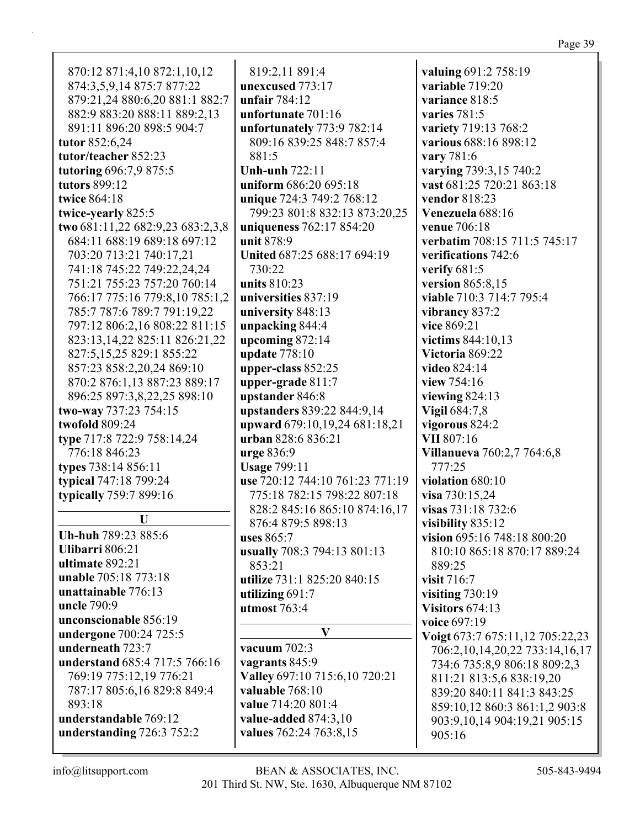| 874:3,5,9,14 875:7 877:22        | unexcused 773:17                | variable 719:20                   |
|----------------------------------|---------------------------------|-----------------------------------|
| 879:21,24 880:6,20 881:1 882:7   | unfair 784:12                   | variance 818:5                    |
| 882:9 883:20 888:11 889:2,13     | unfortunate 701:16              | varies $781:5$                    |
| 891:11 896:20 898:5 904:7        | unfortunately 773:9 782:14      | variety 719:13 768:2              |
| tutor 852:6,24                   | 809:16 839:25 848:7 857:4       | various 688:16 898:12             |
| tutor/teacher 852:23             | 881:5                           | vary 781:6                        |
| tutoring 696:7,9 875:5           | <b>Unh-unh 722:11</b>           | varying 739:3,15 740:2            |
| tutors 899:12                    | uniform 686:20 695:18           | vast 681:25 720:21 863:18         |
| twice 864:18                     | unique 724:3 749:2 768:12       | vendor 818:23                     |
| twice-yearly 825:5               | 799:23 801:8 832:13 873:20,25   | Venezuela 688:16                  |
| two 681:11,22 682:9,23 683:2,3,8 | uniqueness 762:17 854:20        | venue 706:18                      |
| 684:11 688:19 689:18 697:12      | unit 878:9                      | verbatim 708:15 711:5 745:17      |
| 703:20 713:21 740:17,21          | United 687:25 688:17 694:19     | verifications 742:6               |
| 741:18 745:22 749:22,24,24       | 730:22                          | verify $681:5$                    |
| 751:21 755:23 757:20 760:14      | units 810:23                    | version 865:8,15                  |
| 766:17 775:16 779:8,10 785:1,2   | universities 837:19             | viable 710:3 714:7 795:4          |
| 785:7 787:6 789:7 791:19,22      | university 848:13               |                                   |
|                                  |                                 | vibrancy 837:2                    |
| 797:12 806:2,16 808:22 811:15    | unpacking 844:4                 | vice 869:21                       |
| 823:13, 14, 22 825:11 826:21, 22 | upcoming $872:14$               | victims 844:10,13                 |
| 827:5,15,25 829:1 855:22         | update 778:10                   | Victoria 869:22                   |
| 857:23 858:2,20,24 869:10        | upper-class 852:25              | video 824:14                      |
| 870:2 876:1,13 887:23 889:17     | upper-grade 811:7               | view 754:16                       |
| 896:25 897:3,8,22,25 898:10      | upstander 846:8                 | viewing $824:13$                  |
| two-way 737:23 754:15            | upstanders 839:22 844:9,14      | Vigil 684:7,8                     |
| twofold 809:24                   | upward 679:10,19,24 681:18,21   | vigorous 824:2                    |
| type 717:8 722:9 758:14,24       | urban 828:6 836:21              | VII 807:16                        |
| 776:18 846:23                    | <b>urge</b> 836:9               | <b>Villanueva</b> 760:2,7 764:6,8 |
| types 738:14 856:11              | <b>Usage 799:11</b>             | 777:25                            |
| typical 747:18 799:24            | use 720:12 744:10 761:23 771:19 | violation 680:10                  |
| typically 759:7 899:16           | 775:18 782:15 798:22 807:18     | visa 730:15,24                    |
|                                  | 828:2 845:16 865:10 874:16,17   | visas $731:18732:6$               |
| U                                | 876:4 879:5 898:13              | visibility 835:12                 |
| Uh-huh 789:23 885:6              | uses 865:7                      | vision 695:16 748:18 800:20       |
| Ulibarri 806:21                  | usually 708:3 794:13 801:13     | 810:10 865:18 870:17 889:24       |
| ultimate 892:21                  | 853:21                          | 889:25                            |
| unable 705:18 773:18             | utilize 731:1 825:20 840:15     | visit 716:7                       |
| unattainable 776:13              | utilizing $691:7$               | visiting $730:19$                 |
| uncle 790:9                      | utmost 763:4                    | Visitors 674:13                   |
| unconscionable 856:19            |                                 | voice 697:19                      |
| undergone 700:24 725:5           | V                               | Voigt 673:7 675:11,12 705:22,23   |
| underneath 723:7                 | vacuum 702:3                    | 706:2,10,14,20,22 733:14,16,17    |
| understand 685:4 717:5 766:16    | vagrants 845:9                  | 734:6 735:8,9 806:18 809:2,3      |
| 769:19 775:12,19 776:21          | Valley 697:10 715:6,10 720:21   | 811:21 813:5,6 838:19,20          |
| 787:17 805:6,16 829:8 849:4      | valuable 768:10                 | 839:20 840:11 841:3 843:25        |
| 893:18                           | value 714:20 801:4              | 859:10,12 860:3 861:1,2 903:8     |
| understandable 769:12            | value-added 874:3,10            | 903:9,10,14 904:19,21 905:15      |
| understanding 726:3 752:2        | values 762:24 763:8,15          | 905:16                            |
|                                  |                                 |                                   |

819:2,11 891:4

 $\mathsf{l}$ 

870:12 871:4,10 872:1,10,12

**valuing** 691:2 758:19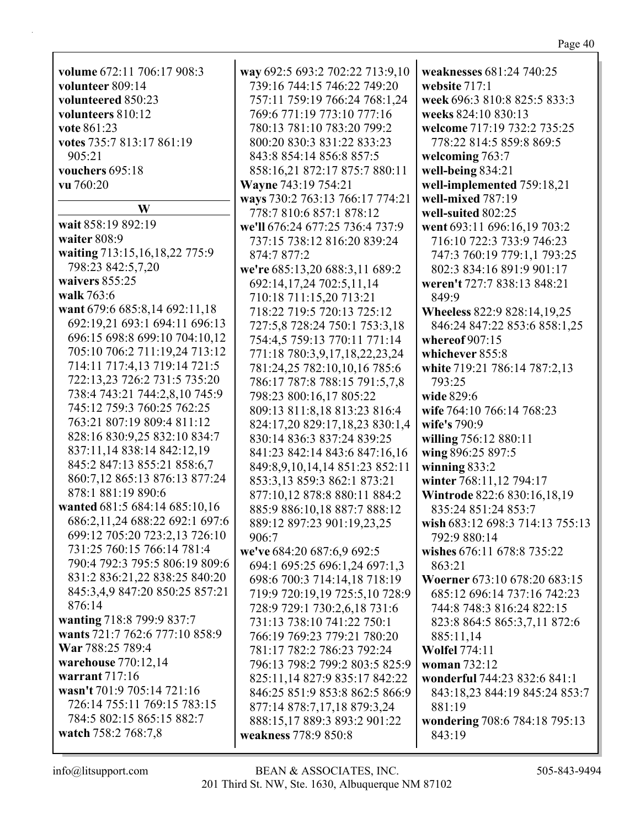| volume 672:11 706:17 908:3                          | way 692:5 693:2 702:22 713:9,10                       | weaknesses 681:24 740:25        |
|-----------------------------------------------------|-------------------------------------------------------|---------------------------------|
| volunteer 809:14                                    | 739:16 744:15 746:22 749:20                           | website 717:1                   |
| volunteered 850:23                                  | 757:11 759:19 766:24 768:1,24                         | week 696:3 810:8 825:5 833:3    |
| volunteers 810:12                                   | 769:6 771:19 773:10 777:16                            | weeks 824:10 830:13             |
| vote 861:23                                         | 780:13 781:10 783:20 799:2                            | welcome 717:19 732:2 735:25     |
| votes 735:7 813:17 861:19                           | 800:20 830:3 831:22 833:23                            | 778:22 814:5 859:8 869:5        |
| 905:21                                              | 843:8 854:14 856:8 857:5                              | welcoming 763:7                 |
| vouchers 695:18                                     | 858:16,21 872:17 875:7 880:11                         | well-being 834:21               |
| vu 760:20                                           | Wayne 743:19 754:21                                   | well-implemented 759:18,21      |
|                                                     | ways 730:2 763:13 766:17 774:21                       | well-mixed 787:19               |
| W                                                   | 778:7 810:6 857:1 878:12                              | well-suited 802:25              |
| wait 858:19 892:19                                  | we'll 676:24 677:25 736:4 737:9                       | went 693:11 696:16,19 703:2     |
| waiter 808:9                                        | 737:15 738:12 816:20 839:24                           | 716:10 722:3 733:9 746:23       |
| waiting 713:15,16,18,22 775:9                       | 874:7 877:2                                           | 747:3 760:19 779:1,1 793:25     |
| 798:23 842:5,7,20                                   | we're 685:13,20 688:3,11 689:2                        | 802:3 834:16 891:9 901:17       |
| waivers 855:25                                      | 692:14,17,24 702:5,11,14                              | weren't 727:7 838:13 848:21     |
| walk 763:6                                          |                                                       | 849:9                           |
| want 679:6 685:8,14 692:11,18                       | 710:18 711:15,20 713:21<br>718:22 719:5 720:13 725:12 |                                 |
| 692:19,21 693:1 694:11 696:13                       |                                                       | Wheeless 822:9 828:14,19,25     |
| 696:15 698:8 699:10 704:10,12                       | 727:5,8 728:24 750:1 753:3,18                         | 846:24 847:22 853:6 858:1,25    |
| 705:10 706:2 711:19,24 713:12                       | 754:4,5 759:13 770:11 771:14                          | whereof $907:15$                |
| 714:11 717:4,13 719:14 721:5                        | 771:18 780:3,9,17,18,22,23,24                         | whichever 855:8                 |
| 722:13,23 726:2 731:5 735:20                        | 781:24,25 782:10,10,16 785:6                          | white 719:21 786:14 787:2,13    |
| 738:4 743:21 744:2,8,10 745:9                       | 786:17 787:8 788:15 791:5,7,8                         | 793:25                          |
| 745:12 759:3 760:25 762:25                          | 798:23 800:16,17 805:22                               | wide 829:6                      |
| 763:21 807:19 809:4 811:12                          | 809:13 811:8,18 813:23 816:4                          | wife 764:10 766:14 768:23       |
|                                                     | 824:17,20 829:17,18,23 830:1,4                        | wife's 790:9                    |
| 828:16 830:9,25 832:10 834:7                        | 830:14 836:3 837:24 839:25                            | willing 756:12 880:11           |
| 837:11,14 838:14 842:12,19                          | 841:23 842:14 843:6 847:16,16                         | wing 896:25 897:5               |
| 845:2 847:13 855:21 858:6,7                         | 849:8,9,10,14,14 851:23 852:11                        | winning $833:2$                 |
| 860:7,12 865:13 876:13 877:24<br>878:1 881:19 890:6 | 853:3,13 859:3 862:1 873:21                           | winter 768:11,12 794:17         |
|                                                     | 877:10,12 878:8 880:11 884:2                          | Wintrode 822:6 830:16,18,19     |
| wanted 681:5 684:14 685:10,16                       | 885:9 886:10,18 887:7 888:12                          | 835:24 851:24 853:7             |
| 686:2,11,24 688:22 692:1 697:6                      | 889:12 897:23 901:19,23,25                            | wish 683:12 698:3 714:13 755:13 |
| 699:12 705:20 723:2,13 726:10                       | 906:7                                                 | 792:9 880:14                    |
| 731:25 760:15 766:14 781:4                          | we've 684:20 687:6,9 692:5                            | wishes 676:11 678:8 735:22      |
| 790:4 792:3 795:5 806:19 809:6                      | 694:1 695:25 696:1,24 697:1,3                         | 863:21                          |
| 831:2 836:21,22 838:25 840:20                       | 698:6 700:3 714:14,18 718:19                          | Woerner 673:10 678:20 683:15    |
| 845:3,4,9 847:20 850:25 857:21                      | 719:9 720:19,19 725:5,10 728:9                        | 685:12 696:14 737:16 742:23     |
| 876:14                                              | 728:9 729:1 730:2,6,18 731:6                          | 744:8 748:3 816:24 822:15       |
| wanting 718:8 799:9 837:7                           | 731:13 738:10 741:22 750:1                            | 823:8 864:5 865:3,7,11 872:6    |
| wants 721:7 762:6 777:10 858:9                      | 766:19 769:23 779:21 780:20                           | 885:11,14                       |
| War 788:25 789:4                                    | 781:17 782:2 786:23 792:24                            | <b>Wolfel 774:11</b>            |
| warehouse 770:12,14                                 | 796:13 798:2 799:2 803:5 825:9                        | woman 732:12                    |
| warrant $717:16$                                    | 825:11,14 827:9 835:17 842:22                         | wonderful 744:23 832:6 841:1    |
| wasn't 701:9 705:14 721:16                          | 846:25 851:9 853:8 862:5 866:9                        | 843:18,23 844:19 845:24 853:7   |
| 726:14 755:11 769:15 783:15                         | 877:14 878:7,17,18 879:3,24                           | 881:19                          |
| 784:5 802:15 865:15 882:7                           | 888:15,17 889:3 893:2 901:22                          | wondering 708:6 784:18 795:13   |
| watch 758:2 768:7,8                                 | weakness 778:9 850:8                                  | 843:19                          |
|                                                     |                                                       |                                 |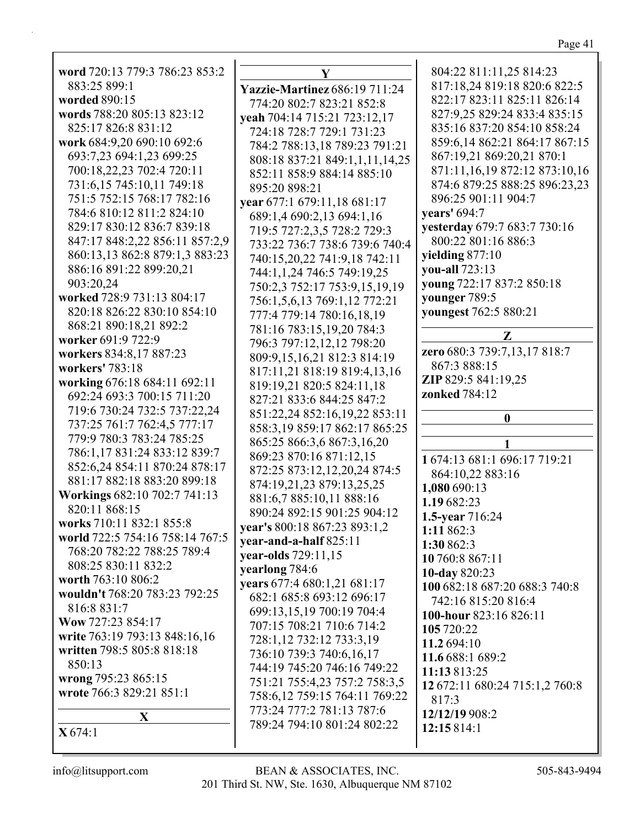| word 720:13 779:3 786:23 853:2                    |          |
|---------------------------------------------------|----------|
| 883:25 899:1                                      |          |
| worded 890:15                                     | Yaz      |
| words 788:20 805:13 823:12                        | 77       |
| 825:17 826:8 831:12                               | yeal     |
| work 684:9,20 690:10 692:6                        | 72       |
| 693:7,23 694:1,23 699:25                          | 78<br>80 |
| 700:18,22,23 702:4 720:11                         | 85       |
| 731:6,15 745:10,11 749:18                         | 89       |
| 751:5 752:15 768:17 782:16                        | year     |
| 784:6 810:12 811:2 824:10                         | 68       |
| 829:17 830:12 836:7 839:18                        | 71       |
| 847:17 848:2,22 856:11 857:2,9                    | 73       |
| 860:13,13 862:8 879:1,3 883:23                    | 74       |
| 886:16 891:22 899:20,21                           | 74       |
| 903:20,24                                         | 75       |
| worked 728:9 731:13 804:17                        | 75       |
| 820:18 826:22 830:10 854:10                       | 77       |
| 868:21 890:18,21 892:2                            | 78       |
| worker 691:9 722:9                                | 79       |
| workers 834:8,17 887:23                           | 80       |
| workers' 783:18                                   | 81       |
| working 676:18 684:11 692:11                      | 81       |
| 692:24 693:3 700:15 711:20                        | 82       |
| 719:6 730:24 732:5 737:22,24                      | 85       |
| 737:25 761:7 762:4,5 777:17                       | 85       |
| 779:9 780:3 783:24 785:25                         | 86       |
| 786:1,17 831:24 833:12 839:7                      | 86       |
| 852:6,24 854:11 870:24 878:17                     | 87       |
| 881:17 882:18 883:20 899:18                       | 87       |
| Workings 682:10 702:7 741:13                      | 88       |
| 820:11 868:15                                     | 89       |
| works 710:11 832:1 855:8                          | year     |
| world 722:5 754:16 758:14 767:5                   | year     |
| 768:20 782:22 788:25 789:4<br>808:25 830:11 832:2 | year     |
| worth 763:10 806:2                                | year     |
| wouldn't 768:20 783:23 792:25                     | year     |
| 816:8 831:7                                       | 68       |
| Wow 727:23 854:17                                 | 69       |
| write 763:19 793:13 848:16,16                     | 70       |
| written 798:5 805:8 818:18                        | 72<br>73 |
| 850:13                                            | 74       |
| wrong 795:23 865:15                               | 75       |
| wrote 766:3 829:21 851:1                          | 75       |
|                                                   | 77       |
| $\mathbf X$                                       | 78       |
| X674:1                                            |          |

**Y Yazzie-Martinez** 686:19 711:24 774:20 802:7 823:21 852:8 **yeah** 704:14 715:21 723:12,17 724:18 728:7 729:1 731:23 784:2 788:13,18 789:23 791:21 808:18 837:21 849:1,1,11,14,25 852:11 858:9 884:14 885:10 895:20 898:21 **year** 677:1 679:11,18 681:17 689:1,4 690:2,13 694:1,16 719:5 727:2,3,5 728:2 729:3 733:22 736:7 738:6 739:6 740:4 740:15,20,22 741:9,18 742:11 744:1,1,24 746:5 749:19,25 750:2,3 752:17 753:9,15,19,19 756:1,5,6,13 769:1,12 772:21 777:4 779:14 780:16,18,19 781:16 783:15,19,20 784:3 796:3 797:12,12,12 798:20 809:9,15,16,21 812:3 814:19 817:11,21 818:19 819:4,13,16 819:19,21 820:5 824:11,18 827:21 833:6 844:25 847:2 851:22,24 852:16,19,22 853:11 858:3,19 859:17 862:17 865:25 865:25 866:3,6 867:3,16,20 869:23 870:16 871:12,15 872:25 873:12,12,20,24 874:5 874:19,21,23 879:13,25,25 881:6,7 885:10,11 888:16 890:24 892:15 901:25 904:12 **year's** 800:18 867:23 893:1,2 **year-and-a-half** 825:11 **year-olds** 729:11,15 **rlong** 784:6 **years** 677:4 680:1,21 681:17 682:1 685:8 693:12 696:17 699:13,15,19 700:19 704:4 707:15 708:21 710:6 714:2 728:1,12 732:12 733:3,19 736:10 739:3 740:6,16,17 744:19 745:20 746:16 749:22 751:21 755:4,23 757:2 758:3,5 758:6,12 759:15 764:11 769:22 773:24 777:2 781:13 787:6 789:24 794:10 801:24 802:22

804:22 811:11,25 814:23 817:18,24 819:18 820:6 822:5 822:17 823:11 825:11 826:14 827:9,25 829:24 833:4 835:15 835:16 837:20 854:10 858:24 859:6,14 862:21 864:17 867:15 867:19,21 869:20,21 870:1 871:11,16,19 872:12 873:10,16 874:6 879:25 888:25 896:23,23 896:25 901:11 904:7 **years'** 694:7 **yesterday** 679:7 683:7 730:16 800:22 801:16 886:3 **yielding** 877:10 **you-all** 723:13 **young** 722:17 837:2 850:18 **younger** 789:5 **youngest** 762:5 880:21 **Z zero** 680:3 739:7,13,17 818:7 867:3 888:15 **ZIP** 829:5 841:19,25 **zonked** 784:12 **0 1 1** 674:13 681:1 696:17 719:21 864:10,22 883:16 **1,080** 690:13 **1.19** 682:23 **1.5-year** 716:24 **1:11** 862:3 **1:30** 862:3 **10** 760:8 867:11 **10-day** 820:23 **100** 682:18 687:20 688:3 740:8 742:16 815:20 816:4 **100-hour** 823:16 826:11 **105** 720:22 **11.2** 694:10 **11.6** 688:1 689:2 **11:13** 813:25 **12** 672:11 680:24 715:1,2 760:8 817:3 **12/12/19** 908:2 **12:15** 814:1

 $\mathsf{I}$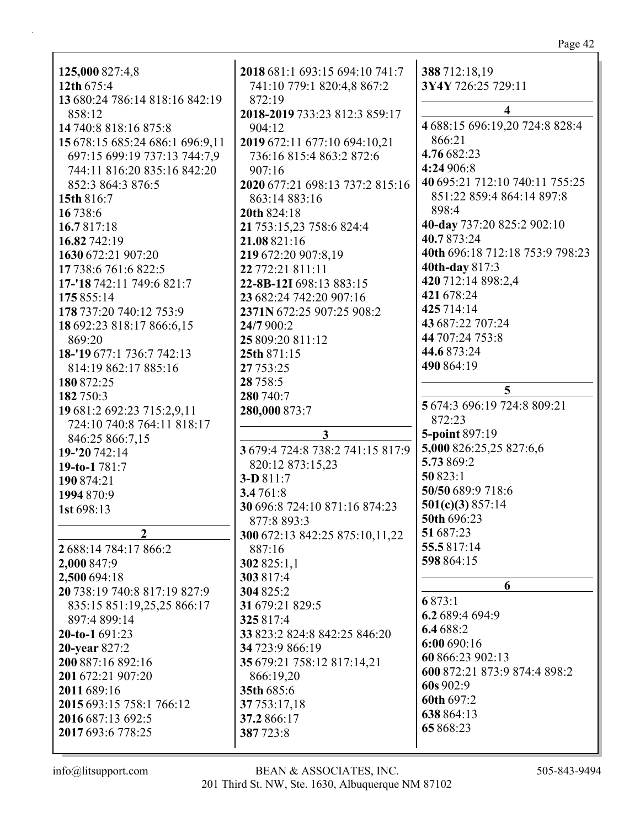| 125,000 827:4,8                 | 2018 681:1 693:15 694:10 741:7   | 388 712:18,19                   |
|---------------------------------|----------------------------------|---------------------------------|
| 12th 675:4                      | 741:10 779:1 820:4,8 867:2       | 3Y4Y 726:25 729:11              |
| 13 680:24 786:14 818:16 842:19  | 872:19                           | 4                               |
| 858:12                          | 2018-2019 733:23 812:3 859:17    | 4 688:15 696:19,20 724:8 828:4  |
| 14 740:8 818:16 875:8           | 904:12                           | 866:21                          |
| 15 678:15 685:24 686:1 696:9,11 | 2019 672:11 677:10 694:10,21     | 4.76 682:23                     |
| 697:15 699:19 737:13 744:7,9    | 736:16 815:4 863:2 872:6         | 4:24 906:8                      |
| 744:11 816:20 835:16 842:20     | 907:16                           |                                 |
| 852:3 864:3 876:5               | 2020 677:21 698:13 737:2 815:16  | 40 695:21 712:10 740:11 755:25  |
| 15th 816:7                      | 863:14 883:16                    | 851:22 859:4 864:14 897:8       |
| 16 738:6                        | 20th 824:18                      | 898:4                           |
| 16.7817:18                      | 21 753:15,23 758:6 824:4         | 40-day 737:20 825:2 902:10      |
| 16.82 742:19                    | 21.08 821:16                     | 40.7873:24                      |
| 1630 672:21 907:20              | 219 672:20 907:8,19              | 40th 696:18 712:18 753:9 798:23 |
| 17 738:6 761:6 822:5            | 22 772:21 811:11                 | 40th-day 817:3                  |
| 17-'18 742:11 749:6 821:7       | 22-8B-12I 698:13 883:15          | 420 712:14 898:2,4              |
| 175 855:14                      | 23 682:24 742:20 907:16          | 421 678:24                      |
| 178 737:20 740:12 753:9         | 2371N 672:25 907:25 908:2        | 425 714:14                      |
| 18 692:23 818:17 866:6,15       | 24/7 900:2                       | 43 687:22 707:24                |
| 869:20                          | 25 809:20 811:12                 | 44 707:24 753:8                 |
| 18-'19 677:1 736:7 742:13       | 25th 871:15                      | 44.6 873:24                     |
| 814:19 862:17 885:16            | 27 753:25                        | 490 864:19                      |
| 180 872:25                      | 28 7 58:5                        |                                 |
| 182 750:3                       | 280 740:7                        | 5                               |
| 19 681:2 692:23 715:2,9,11      | 280,000 873:7                    | 5 674:3 696:19 724:8 809:21     |
| 724:10 740:8 764:11 818:17      |                                  | 872:23                          |
| 846:25 866:7,15                 | 3                                | 5-point 897:19                  |
| 19-'20 742:14                   | 3 679:4 724:8 738:2 741:15 817:9 | 5,000 826:25,25 827:6,6         |
| 19-to-1781:7                    | 820:12 873:15,23                 | 5.73 869:2                      |
| 190 874:21                      | 3-D 811:7                        | 50 823:1                        |
| 1994 870:9                      | 3.4761:8                         | 50/50 689:9 718:6               |
| 1st 698:13                      | 30 696:8 724:10 871:16 874:23    | 501(c)(3) 857:14                |
|                                 | 877:8 893:3                      | 50th 696:23                     |
| $\overline{2}$                  | 300 672:13 842:25 875:10,11,22   | 51 687:23                       |
| 2 688:14 784:17 866:2           | 887:16                           | 55.5817:14                      |
| 2,000 847:9                     | 302 825:1,1                      | 598 864:15                      |
| 2,500 694:18                    | 303 817:4                        |                                 |
| 20 738:19 740:8 817:19 827:9    | 304 825:2                        | 6                               |
| 835:15 851:19,25,25 866:17      | 31 679:21 829:5                  | 6873:1                          |
| 897:4 899:14                    | 325817:4                         | 6.2 689:4 694:9                 |
| $20-to-1691:23$                 | 33 823:2 824:8 842:25 846:20     | 6.4 688:2                       |
| 20-year 827:2                   | 34 723:9 866:19                  | 6:00 690:16                     |
| 200 887:16 892:16               | 35 679:21 758:12 817:14,21       | 60 866:23 902:13                |
|                                 |                                  | 600 872:21 873:9 874:4 898:2    |
| 201 672:21 907:20               | 866:19,20                        | 60s 902:9                       |
| 2011 689:16                     | 35th 685:6                       | 60th 697:2                      |
| 2015 693:15 758:1 766:12        | 37 753:17,18                     | 638 864:13                      |
| 2016 687:13 692:5               | 37.2 866:17                      | 65 868:23                       |
| 2017 693:6 778:25               | 387723:8                         |                                 |